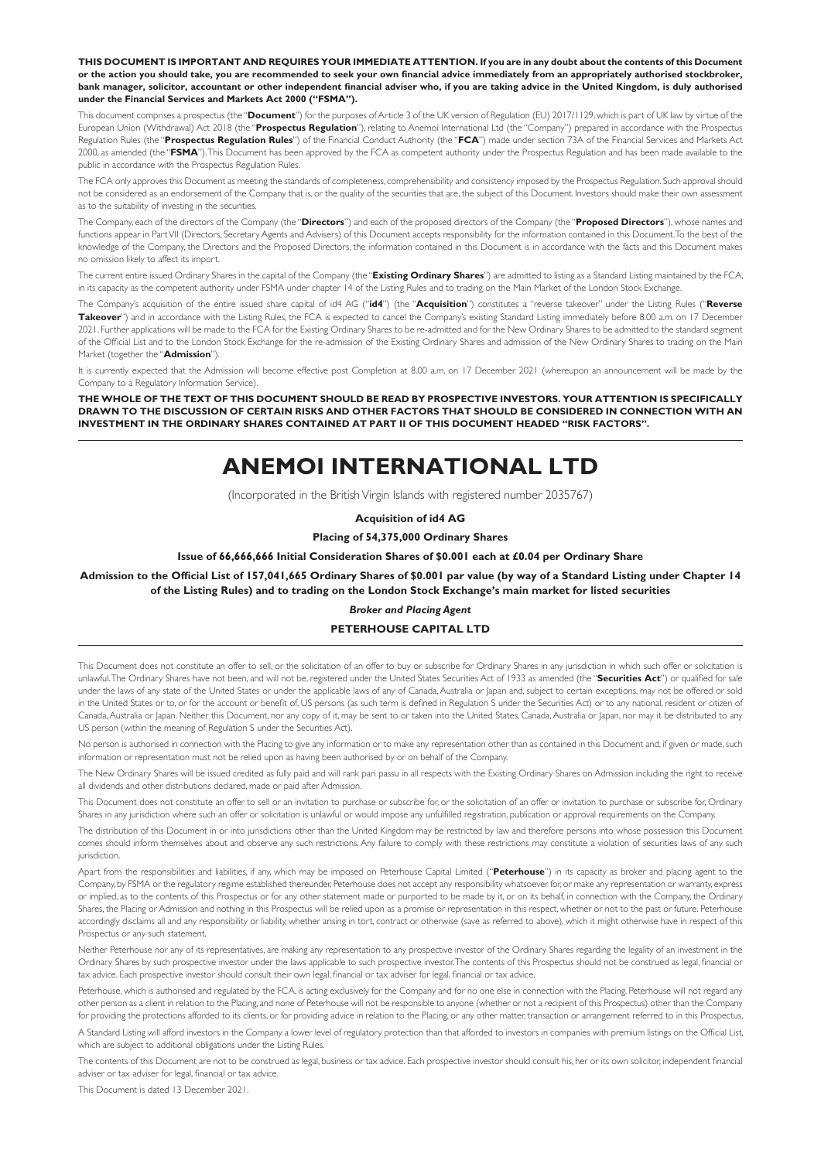**THIS DOCUMENT IS IMPORTANT AND REQUIRES YOUR IMMEDIATE ATTENTION. If you are in any doubt about the contents of this Document or the action you should take, you are recommended to seek your own financial advice immediately from an appropriately authorised stockbroker, bank manager, solicitor, accountant or other independent financial adviser who, if you are taking advice in the United Kingdom, is duly authorised under the Financial Services and Markets Act 2000 ("FSMA").**

This document comprises a prospectus (the "**Document**") for the purposes of Article 3 of the UK version of Regulation (EU) 2017/1129, which is part of UK law by virtue of the European Union (Withdrawal) Act 2018 (the "**Prospectus Regulation**"), relating to Anemoi International Ltd (the "Company") prepared in accordance with the Prospectus Regulation Rules (the "**Prospectus Regulation Rules**") of the Financial Conduct Authority (the "**FCA**") made under section 73A of the Financial Services and Markets Act 2000, as amended (the "**FSMA**"). This Document has been approved by the FCA as competent authority under the Prospectus Regulation and has been made available to the public in accordance with the Prospectus Regulation Rules.

The FCA only approves this Document as meeting the standards of completeness, comprehensibility and consistency imposed by the Prospectus Regulation. Such approval should not be considered as an endorsement of the Company that is, or the quality of the securities that are, the subject of this Document. Investors should make their own assessment as to the suitability of investing in the securities.

The Company, each of the directors of the Company (the "**Directors**") and each of the proposed directors of the Company (the "**Proposed Directors**"), whose names and functions appear in Part VII (Directors, Secretary Agents and Advisers) of this Document accepts responsibility for the information contained in this Document. To the best of the knowledge of the Company, the Directors and the Proposed Directors, the information contained in this Document is in accordance with the facts and this Document makes no omission likely to affect its import.

The current entire issued Ordinary Shares in the capital of the Company (the "**Existing Ordinary Shares**") are admitted to listing as a Standard Listing maintained by the FCA, in its capacity as the competent authority under FSMA under chapter 14 of the Listing Rules and to trading on the Main Market of the London Stock Exchange.

The Company's acquisition of the entire issued share capital of id4 AG ("**id4**") (the "**Acquisition**") constitutes a "reverse takeover" under the Listing Rules ("**Reverse**  Takeover") and in accordance with the Listing Rules, the FCA is expected to cancel the Company's existing Standard Listing immediately before 8.00 a.m. on 17 December 2021. Further applications will be made to the FCA for the Existing Ordinary Shares to be re-admitted and for the New Ordinary Shares to be admitted to the standard segment of the Official List and to the London Stock Exchange for the re-admission of the Existing Ordinary Shares and admission of the New Ordinary Shares to trading on the Main Market (together the "**Admission**").

It is currently expected that the Admission will become effective post Completion at 8.00 a.m. on 17 December 2021 (whereupon an announcement will be made by the Company to a Regulatory Information Service).

**THE WHOLE OF THE TEXT OF THIS DOCUMENT SHOULD BE READ BY PROSPECTIVE INVESTORS. YOUR ATTENTION IS SPECIFICALLY DRAWN TO THE DISCUSSION OF CERTAIN RISKS AND OTHER FACTORS THAT SHOULD BE CONSIDERED IN CONNECTION WITH AN INVESTMENT IN THE ORDINARY SHARES CONTAINED AT PART II OF THIS DOCUMENT HEADED "RISK FACTORS".**

# **ANEMOI INTERNATIONAL LTD**

(Incorporated in the British Virgin Islands with registered number 2035767)

**Acquisition of id4 AG**

**Placing of 54,375,000 Ordinary Shares**

**Issue of 66,666,666 Initial Consideration Shares of \$0.001 each at £0.04 per Ordinary Share**

**Admission to the Official List of 157,041,665 Ordinary Shares of \$0.001 par value (by way of a Standard Listing under Chapter 14 of the Listing Rules) and to trading on the London Stock Exchange's main market for listed securities**

#### *Broker and Placing Agent*

#### **PETERHOUSE CAPITAL LTD**

This Document does not constitute an offer to sell, or the solicitation of an offer to buy or subscribe for Ordinary Shares in any jurisdiction in which such offer or solicitation is unlawful. The Ordinary Shares have not been, and will not be, registered under the United States Securities Act of 1933 as amended (the "**Securities Act**") or qualified for sale under the laws of any state of the United States or under the applicable laws of any of Canada, Australia or Japan and, subject to certain exceptions, may not be offered or sold in the United States or to, or for the account or benefit of, US persons (as such term is defined in Regulation S under the Securities Act) or to any national, resident or citizen of Canada, Australia or Japan. Neither this Document, nor any copy of it, may be sent to or taken into the United States, Canada, Australia or Japan, nor may it be distributed to any US person (within the meaning of Regulation S under the Securities Act).

No person is authorised in connection with the Placing to give any information or to make any representation other than as contained in this Document and, if given or made, such information or representation must not be relied upon as having been authorised by or on behalf of the Company.

The New Ordinary Shares will be issued credited as fully paid and will rank pari passu in all respects with the Existing Ordinary Shares on Admission including the right to receive all dividends and other distributions declared, made or paid after Admission.

This Document does not constitute an offer to sell or an invitation to purchase or subscribe for, or the solicitation of an offer or invitation to purchase or subscribe for, Ordinary Shares in any jurisdiction where such an offer or solicitation is unlawful or would impose any unfulfilled registration, publication or approval requirements on the Company.

The distribution of this Document in or into jurisdictions other than the United Kingdom may be restricted by law and therefore persons into whose possession this Document comes should inform themselves about and observe any such restrictions. Any failure to comply with these restrictions may constitute a violation of securities laws of any such jurisdiction.

Apart from the responsibilities and liabilities, if any, which may be imposed on Peterhouse Capital Limited ("**Peterhouse**") in its capacity as broker and placing agent to the Company, by FSMA or the regulatory regime established thereunder, Peterhouse does not accept any responsibility whatsoever for, or make any representation or warranty, express or implied, as to the contents of this Prospectus or for any other statement made or purported to be made by it, or on its behalf, in connection with the Company, the Ordinary Shares, the Placing or Admission and nothing in this Prospectus will be relied upon as a promise or representation in this respect, whether or not to the past or future. Peterhouse accordingly disclaims all and any responsibility or liability, whether arising in tort, contract or otherwise (save as referred to above), which it might otherwise have in respect of this Prospectus or any such statement.

Neither Peterhouse nor any of its representatives, are making any representation to any prospective investor of the Ordinary Shares regarding the legality of an investment in the Ordinary Shares by such prospective investor under the laws applicable to such prospective investor. The contents of this Prospectus should not be construed as legal, financial or tax advice. Each prospective investor should consult their own legal, financial or tax adviser for legal, financial or tax advice.

Peterhouse, which is authorised and regulated by the FCA, is acting exclusively for the Company and for no one else in connection with the Placing. Peterhouse will not regard any other person as a client in relation to the Placing, and none of Peterhouse will not be responsible to anyone (whether or not a recipient of this Prospectus) other than the Company for providing the protections afforded to its clients, or for providing advice in relation to the Placing, or any other matter, transaction or arrangement referred to in this Prospectus.

A Standard Listing will afford investors in the Company a lower level of regulatory protection than that afforded to investors in companies with premium listings on the Official List, which are subject to additional obligations under the Listing Rules.

The contents of this Document are not to be construed as legal, business or tax advice. Each prospective investor should consult his, her or its own solicitor, independent financial adviser or tax adviser for legal, financial or tax advice.

This Document is dated 13 December 2021.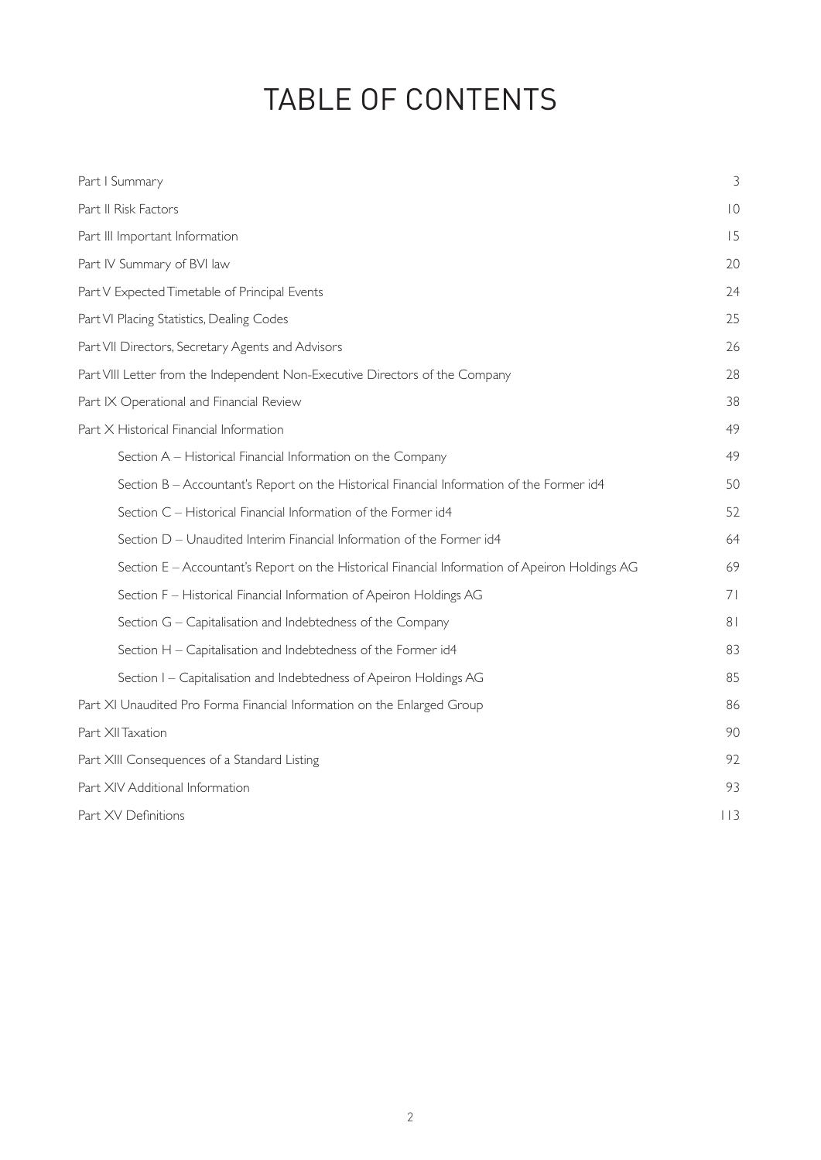# TABLE OF CONTENTS

| Part I Summary                                                                                 | 3               |  |  |  |
|------------------------------------------------------------------------------------------------|-----------------|--|--|--|
| Part II Risk Factors                                                                           | $\overline{10}$ |  |  |  |
| Part III Important Information                                                                 | 15              |  |  |  |
| Part IV Summary of BVI law                                                                     | 20              |  |  |  |
| Part V Expected Timetable of Principal Events                                                  | 24              |  |  |  |
| Part VI Placing Statistics, Dealing Codes                                                      | 25              |  |  |  |
| Part VII Directors, Secretary Agents and Advisors                                              | 26              |  |  |  |
| Part VIII Letter from the Independent Non-Executive Directors of the Company                   | 28              |  |  |  |
| Part IX Operational and Financial Review                                                       |                 |  |  |  |
| Part X Historical Financial Information                                                        | 49              |  |  |  |
| Section A - Historical Financial Information on the Company                                    | 49              |  |  |  |
| Section B - Accountant's Report on the Historical Financial Information of the Former id4      | 50              |  |  |  |
| Section C - Historical Financial Information of the Former id4                                 | 52              |  |  |  |
| Section D - Unaudited Interim Financial Information of the Former id4                          | 64              |  |  |  |
| Section E - Accountant's Report on the Historical Financial Information of Apeiron Holdings AG | 69              |  |  |  |
| Section F - Historical Financial Information of Apeiron Holdings AG                            | 71              |  |  |  |
| Section G - Capitalisation and Indebtedness of the Company                                     | 8 <sub>1</sub>  |  |  |  |
| Section H - Capitalisation and Indebtedness of the Former id4                                  | 83              |  |  |  |
| Section I - Capitalisation and Indebtedness of Apeiron Holdings AG                             | 85              |  |  |  |
| Part XI Unaudited Pro Forma Financial Information on the Enlarged Group                        | 86              |  |  |  |
| Part XII Taxation                                                                              | 90              |  |  |  |
| Part XIII Consequences of a Standard Listing                                                   | 92              |  |  |  |
| Part XIV Additional Information                                                                | 93              |  |  |  |
| Part XV Definitions                                                                            | $ $   3         |  |  |  |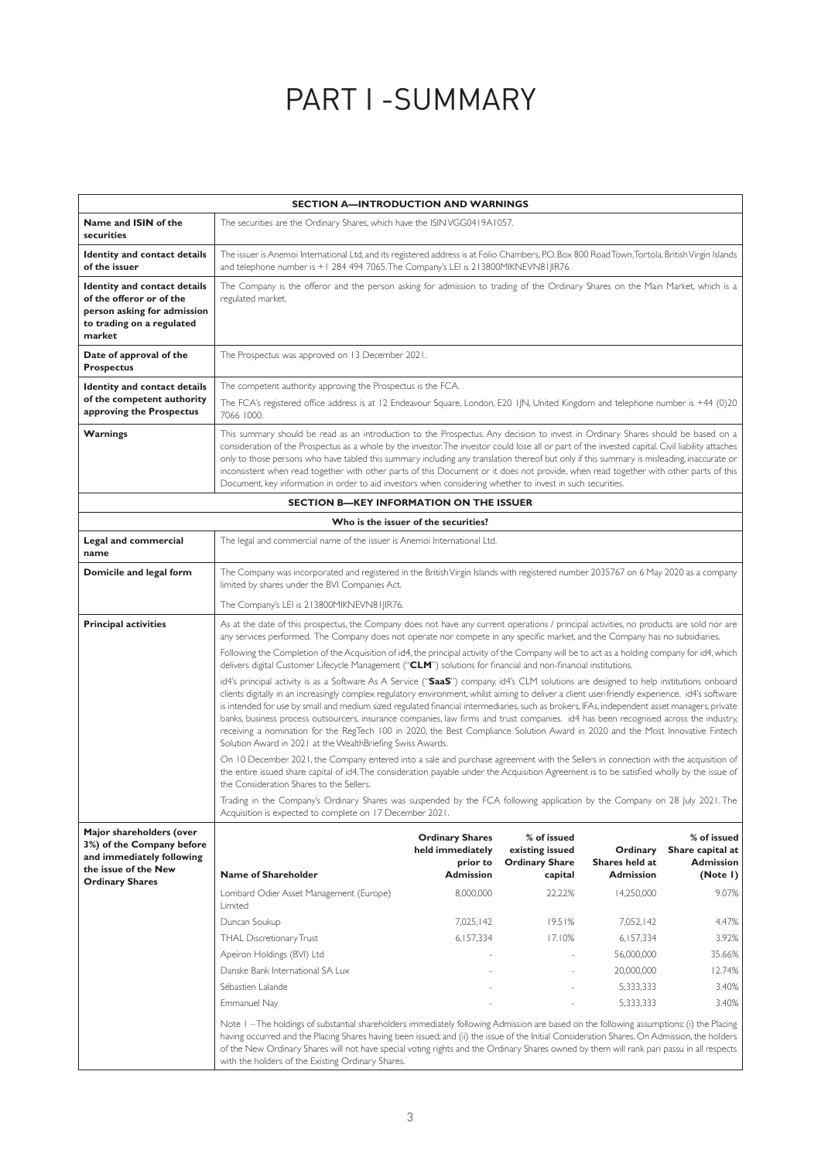# PART I -SUMMARY

|                                                                                                                                       |                                                                                                                                                                                                                                                                                                                                                                                                                                                                                                                                                                                                                                                                                                                                                                                                                                                                                                                                                                                                                                                                                                                                                                                                                                                                                                                                                                                                                                                                                                                                                                                                                                                                                                                                                                                                  |                                                                                                                                                                                                                                                                                                                                                                                                                                                                                                                                                                                                                                                                                            | <b>SECTION A-INTRODUCTION AND WARNINGS</b>                                                       |                                                                                                                                              |                                                                                                                                  |  |  |  |
|---------------------------------------------------------------------------------------------------------------------------------------|--------------------------------------------------------------------------------------------------------------------------------------------------------------------------------------------------------------------------------------------------------------------------------------------------------------------------------------------------------------------------------------------------------------------------------------------------------------------------------------------------------------------------------------------------------------------------------------------------------------------------------------------------------------------------------------------------------------------------------------------------------------------------------------------------------------------------------------------------------------------------------------------------------------------------------------------------------------------------------------------------------------------------------------------------------------------------------------------------------------------------------------------------------------------------------------------------------------------------------------------------------------------------------------------------------------------------------------------------------------------------------------------------------------------------------------------------------------------------------------------------------------------------------------------------------------------------------------------------------------------------------------------------------------------------------------------------------------------------------------------------------------------------------------------------|--------------------------------------------------------------------------------------------------------------------------------------------------------------------------------------------------------------------------------------------------------------------------------------------------------------------------------------------------------------------------------------------------------------------------------------------------------------------------------------------------------------------------------------------------------------------------------------------------------------------------------------------------------------------------------------------|--------------------------------------------------------------------------------------------------|----------------------------------------------------------------------------------------------------------------------------------------------|----------------------------------------------------------------------------------------------------------------------------------|--|--|--|
| Name and ISIN of the<br>securities                                                                                                    | The securities are the Ordinary Shares, which have the ISIN VGG0419A1057.                                                                                                                                                                                                                                                                                                                                                                                                                                                                                                                                                                                                                                                                                                                                                                                                                                                                                                                                                                                                                                                                                                                                                                                                                                                                                                                                                                                                                                                                                                                                                                                                                                                                                                                        |                                                                                                                                                                                                                                                                                                                                                                                                                                                                                                                                                                                                                                                                                            |                                                                                                  |                                                                                                                                              |                                                                                                                                  |  |  |  |
| Identity and contact details<br>of the issuer                                                                                         | The issuer is Anemoi International Ltd, and its registered address is at Folio Chambers, P.O. Box 800 Road Town, Tortola. British Virgin Islands<br>and telephone number is +1 284 494 7065. The Company's LEI is 213800MIKNEVN81JIR76.                                                                                                                                                                                                                                                                                                                                                                                                                                                                                                                                                                                                                                                                                                                                                                                                                                                                                                                                                                                                                                                                                                                                                                                                                                                                                                                                                                                                                                                                                                                                                          |                                                                                                                                                                                                                                                                                                                                                                                                                                                                                                                                                                                                                                                                                            |                                                                                                  |                                                                                                                                              |                                                                                                                                  |  |  |  |
| <b>Identity and contact details</b><br>of the offeror or of the<br>person asking for admission<br>to trading on a regulated<br>market | The Company is the offeror and the person asking for admission to trading of the Ordinary Shares on the Main Market, which is a<br>regulated market.                                                                                                                                                                                                                                                                                                                                                                                                                                                                                                                                                                                                                                                                                                                                                                                                                                                                                                                                                                                                                                                                                                                                                                                                                                                                                                                                                                                                                                                                                                                                                                                                                                             |                                                                                                                                                                                                                                                                                                                                                                                                                                                                                                                                                                                                                                                                                            |                                                                                                  |                                                                                                                                              |                                                                                                                                  |  |  |  |
| Date of approval of the<br><b>Prospectus</b>                                                                                          | The Prospectus was approved on 13 December 2021.                                                                                                                                                                                                                                                                                                                                                                                                                                                                                                                                                                                                                                                                                                                                                                                                                                                                                                                                                                                                                                                                                                                                                                                                                                                                                                                                                                                                                                                                                                                                                                                                                                                                                                                                                 |                                                                                                                                                                                                                                                                                                                                                                                                                                                                                                                                                                                                                                                                                            |                                                                                                  |                                                                                                                                              |                                                                                                                                  |  |  |  |
| Identity and contact details<br>of the competent authority<br>approving the Prospectus                                                | The competent authority approving the Prospectus is the FCA.<br>The FCA's registered office address is at 12 Endeavour Square, London, E20 IJN, United Kingdom and telephone number is +44 (0)20<br>7066 1000.                                                                                                                                                                                                                                                                                                                                                                                                                                                                                                                                                                                                                                                                                                                                                                                                                                                                                                                                                                                                                                                                                                                                                                                                                                                                                                                                                                                                                                                                                                                                                                                   |                                                                                                                                                                                                                                                                                                                                                                                                                                                                                                                                                                                                                                                                                            |                                                                                                  |                                                                                                                                              |                                                                                                                                  |  |  |  |
| <b>Warnings</b>                                                                                                                       |                                                                                                                                                                                                                                                                                                                                                                                                                                                                                                                                                                                                                                                                                                                                                                                                                                                                                                                                                                                                                                                                                                                                                                                                                                                                                                                                                                                                                                                                                                                                                                                                                                                                                                                                                                                                  | This summary should be read as an introduction to the Prospectus. Any decision to invest in Ordinary Shares should be based on a<br>consideration of the Prospectus as a whole by the investor. The investor could lose all or part of the invested capital. Civil liability attaches<br>only to those persons who have tabled this summary including any translation thereof but only if this summary is misleading, inaccurate or<br>inconsistent when read together with other parts of this Document or it does not provide, when read together with other parts of this<br>Document, key information in order to aid investors when considering whether to invest in such securities. |                                                                                                  |                                                                                                                                              |                                                                                                                                  |  |  |  |
|                                                                                                                                       | <b>SECTION B-KEY INFORMATION ON THE ISSUER</b>                                                                                                                                                                                                                                                                                                                                                                                                                                                                                                                                                                                                                                                                                                                                                                                                                                                                                                                                                                                                                                                                                                                                                                                                                                                                                                                                                                                                                                                                                                                                                                                                                                                                                                                                                   |                                                                                                                                                                                                                                                                                                                                                                                                                                                                                                                                                                                                                                                                                            |                                                                                                  |                                                                                                                                              |                                                                                                                                  |  |  |  |
|                                                                                                                                       |                                                                                                                                                                                                                                                                                                                                                                                                                                                                                                                                                                                                                                                                                                                                                                                                                                                                                                                                                                                                                                                                                                                                                                                                                                                                                                                                                                                                                                                                                                                                                                                                                                                                                                                                                                                                  | Who is the issuer of the securities?                                                                                                                                                                                                                                                                                                                                                                                                                                                                                                                                                                                                                                                       |                                                                                                  |                                                                                                                                              |                                                                                                                                  |  |  |  |
| Legal and commercial<br>name                                                                                                          |                                                                                                                                                                                                                                                                                                                                                                                                                                                                                                                                                                                                                                                                                                                                                                                                                                                                                                                                                                                                                                                                                                                                                                                                                                                                                                                                                                                                                                                                                                                                                                                                                                                                                                                                                                                                  | The legal and commercial name of the issuer is Anemoi International Ltd.                                                                                                                                                                                                                                                                                                                                                                                                                                                                                                                                                                                                                   |                                                                                                  |                                                                                                                                              |                                                                                                                                  |  |  |  |
| Domicile and legal form                                                                                                               | The Company was incorporated and registered in the British Virgin Islands with registered number 2035767 on 6 May 2020 as a company<br>limited by shares under the BVI Companies Act.                                                                                                                                                                                                                                                                                                                                                                                                                                                                                                                                                                                                                                                                                                                                                                                                                                                                                                                                                                                                                                                                                                                                                                                                                                                                                                                                                                                                                                                                                                                                                                                                            |                                                                                                                                                                                                                                                                                                                                                                                                                                                                                                                                                                                                                                                                                            |                                                                                                  |                                                                                                                                              |                                                                                                                                  |  |  |  |
|                                                                                                                                       | The Company's LEI is 213800MIKNEVN81JIR76.                                                                                                                                                                                                                                                                                                                                                                                                                                                                                                                                                                                                                                                                                                                                                                                                                                                                                                                                                                                                                                                                                                                                                                                                                                                                                                                                                                                                                                                                                                                                                                                                                                                                                                                                                       |                                                                                                                                                                                                                                                                                                                                                                                                                                                                                                                                                                                                                                                                                            |                                                                                                  |                                                                                                                                              |                                                                                                                                  |  |  |  |
| <b>Principal activities</b>                                                                                                           | As at the date of this prospectus, the Company does not have any current operations / principal activities, no products are sold nor are<br>any services performed. The Company does not operate nor compete in any specific market, and the Company has no subsidiaries.<br>Following the Completion of the Acquisition of id4, the principal activity of the Company will be to act as a holding company for id4, which<br>delivers digital Customer Lifecycle Management ("CLM") solutions for financial and non-financial institutions.<br>id4's principal activity is as a Software As A Service ("SaaS") company id4's CLM solutions are designed to help institutions onboard<br>clients digitally in an increasingly complex regulatory environment, whilst aiming to deliver a client user-friendly experience. id4's software<br>is intended for use by small and medium sized regulated financial intermediaries, such as brokers, IFAs, independent asset managers, private<br>banks, business process outsourcers, insurance companies, law firms and trust companies. id4 has been recognised across the industry,<br>receiving a nomination for the RegTech 100 in 2020, the Best Compliance Solution Award in 2020 and the Most Innovative Fintech<br>Solution Award in 2021 at the WealthBriefing Swiss Awards.<br>On 10 December 2021, the Company entered into a sale and purchase agreement with the Sellers in connection with the acquisition of<br>the entire issued share capital of id4. The consideration payable under the Acquisition Agreement is to be satisfied wholly by the issue of<br>the Consideration Shares to the Sellers.<br>Trading in the Company's Ordinary Shares was suspended by the FCA following application by the Company on 28 July 2021. The |                                                                                                                                                                                                                                                                                                                                                                                                                                                                                                                                                                                                                                                                                            |                                                                                                  |                                                                                                                                              |                                                                                                                                  |  |  |  |
| Major shareholders (over<br>3%) of the Company before<br>and immediately following<br>the issue of the New<br><b>Ordinary Shares</b>  | <b>Name of Shareholder</b><br>Lombard Odier Asset Management (Europe)<br>Limited<br>Duncan Soukup<br>THAL Discretionary Trust<br>Apeiron Holdings (BVI) Ltd<br>Danske Bank International SA Lux<br>Sébastien Lalande<br>Emmanuel Nay<br>Note I -The holdings of substantial shareholders immediately following Admission are based on the following assumptions: (i) the Placing<br>having occurred and the Placing Shares having been issued; and (ii) the issue of the Initial Consideration Shares. On Admission, the holders                                                                                                                                                                                                                                                                                                                                                                                                                                                                                                                                                                                                                                                                                                                                                                                                                                                                                                                                                                                                                                                                                                                                                                                                                                                                 | <b>Ordinary Shares</b><br>held immediately<br>prior to<br><b>Admission</b><br>8,000,000<br>7,025,142<br>6,157,334                                                                                                                                                                                                                                                                                                                                                                                                                                                                                                                                                                          | % of issued<br>existing issued<br><b>Ordinary Share</b><br>capital<br>22.22%<br>19.51%<br>17.10% | Ordinary<br>Shares held at<br><b>Admission</b><br>14,250,000<br>7,052,142<br>6,157,334<br>56,000,000<br>20,000,000<br>5,333,333<br>5,333,333 | % of issued<br>Share capital at<br><b>Admission</b><br>(Note I)<br>9.07%<br>4.47%<br>3.92%<br>35.66%<br>12.74%<br>3.40%<br>3.40% |  |  |  |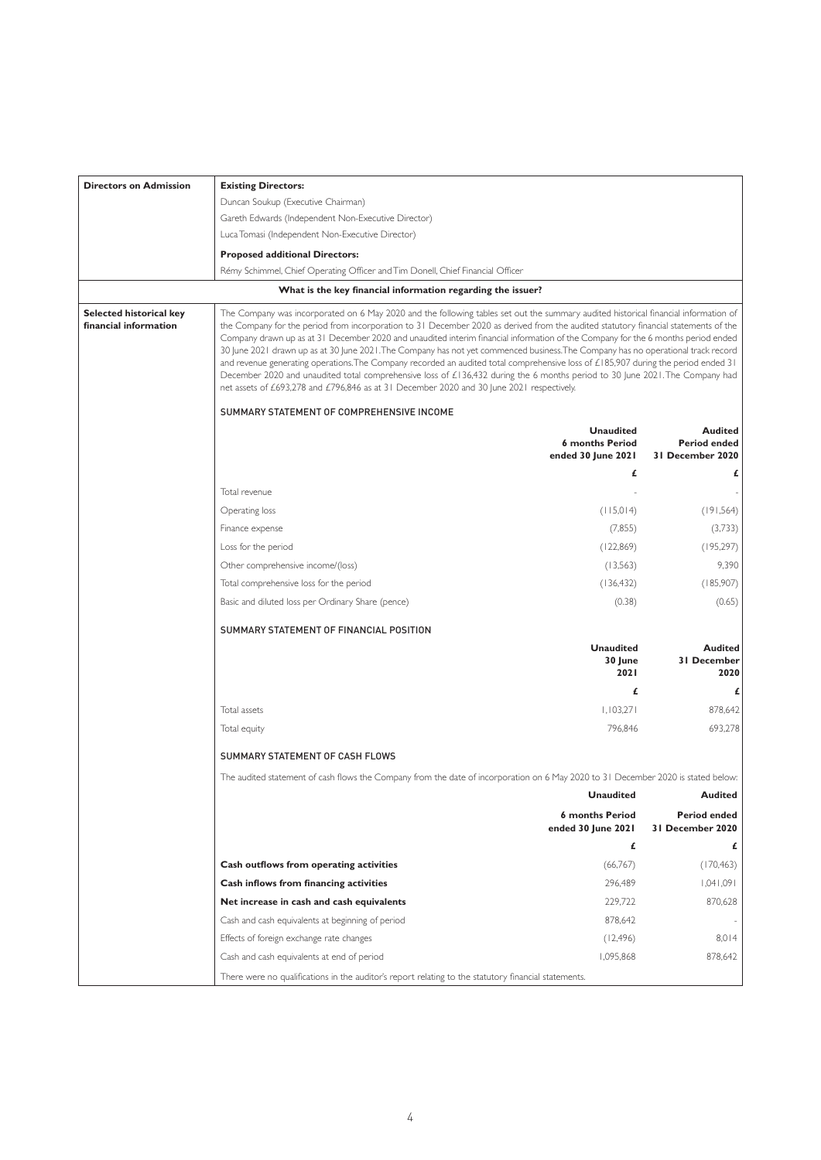| <b>Directors on Admission</b>                    | <b>Existing Directors:</b>                                                                                                                                                                                                                                                                                                                                                                                                                                                                                                                                                                                                                                                                                                                                                                                                                                                                                             |                                                                  |                                                           |  |  |
|--------------------------------------------------|------------------------------------------------------------------------------------------------------------------------------------------------------------------------------------------------------------------------------------------------------------------------------------------------------------------------------------------------------------------------------------------------------------------------------------------------------------------------------------------------------------------------------------------------------------------------------------------------------------------------------------------------------------------------------------------------------------------------------------------------------------------------------------------------------------------------------------------------------------------------------------------------------------------------|------------------------------------------------------------------|-----------------------------------------------------------|--|--|
|                                                  | Duncan Soukup (Executive Chairman)                                                                                                                                                                                                                                                                                                                                                                                                                                                                                                                                                                                                                                                                                                                                                                                                                                                                                     |                                                                  |                                                           |  |  |
|                                                  | Gareth Edwards (Independent Non-Executive Director)                                                                                                                                                                                                                                                                                                                                                                                                                                                                                                                                                                                                                                                                                                                                                                                                                                                                    |                                                                  |                                                           |  |  |
|                                                  | Luca Tomasi (Independent Non-Executive Director)                                                                                                                                                                                                                                                                                                                                                                                                                                                                                                                                                                                                                                                                                                                                                                                                                                                                       |                                                                  |                                                           |  |  |
|                                                  | <b>Proposed additional Directors:</b>                                                                                                                                                                                                                                                                                                                                                                                                                                                                                                                                                                                                                                                                                                                                                                                                                                                                                  |                                                                  |                                                           |  |  |
|                                                  | Rémy Schimmel, Chief Operating Officer and Tim Donell, Chief Financial Officer                                                                                                                                                                                                                                                                                                                                                                                                                                                                                                                                                                                                                                                                                                                                                                                                                                         |                                                                  |                                                           |  |  |
|                                                  | What is the key financial information regarding the issuer?                                                                                                                                                                                                                                                                                                                                                                                                                                                                                                                                                                                                                                                                                                                                                                                                                                                            |                                                                  |                                                           |  |  |
| Selected historical key<br>financial information | The Company was incorporated on 6 May 2020 and the following tables set out the summary audited historical financial information of<br>the Company for the period from incorporation to 31 December 2020 as derived from the audited statutory financial statements of the<br>Company drawn up as at 31 December 2020 and unaudited interim financial information of the Company for the 6 months period ended<br>30 June 2021 drawn up as at 30 June 2021. The Company has not yet commenced business. The Company has no operational track record<br>and revenue generating operations. The Company recorded an audited total comprehensive loss of £185,907 during the period ended 31<br>December 2020 and unaudited total comprehensive loss of £136,432 during the 6 months period to 30 June 2021. The Company had<br>net assets of £693,278 and £796,846 as at 31 December 2020 and 30 June 2021 respectively. |                                                                  |                                                           |  |  |
|                                                  | SUMMARY STATEMENT OF COMPREHENSIVE INCOME                                                                                                                                                                                                                                                                                                                                                                                                                                                                                                                                                                                                                                                                                                                                                                                                                                                                              |                                                                  |                                                           |  |  |
|                                                  |                                                                                                                                                                                                                                                                                                                                                                                                                                                                                                                                                                                                                                                                                                                                                                                                                                                                                                                        | <b>Unaudited</b><br><b>6 months Period</b><br>ended 30 June 2021 | <b>Audited</b><br><b>Period ended</b><br>31 December 2020 |  |  |
|                                                  |                                                                                                                                                                                                                                                                                                                                                                                                                                                                                                                                                                                                                                                                                                                                                                                                                                                                                                                        | £                                                                | £                                                         |  |  |
|                                                  | Total revenue                                                                                                                                                                                                                                                                                                                                                                                                                                                                                                                                                                                                                                                                                                                                                                                                                                                                                                          |                                                                  |                                                           |  |  |
|                                                  | Operating loss                                                                                                                                                                                                                                                                                                                                                                                                                                                                                                                                                                                                                                                                                                                                                                                                                                                                                                         | (115,014)                                                        | (191, 564)                                                |  |  |
|                                                  | Finance expense                                                                                                                                                                                                                                                                                                                                                                                                                                                                                                                                                                                                                                                                                                                                                                                                                                                                                                        | (7, 855)                                                         | (3,733)                                                   |  |  |
|                                                  | Loss for the period                                                                                                                                                                                                                                                                                                                                                                                                                                                                                                                                                                                                                                                                                                                                                                                                                                                                                                    | (122,869)                                                        | (195, 297)                                                |  |  |
|                                                  | Other comprehensive income/(loss)                                                                                                                                                                                                                                                                                                                                                                                                                                                                                                                                                                                                                                                                                                                                                                                                                                                                                      | (13,563)                                                         | 9,390                                                     |  |  |
|                                                  | Total comprehensive loss for the period                                                                                                                                                                                                                                                                                                                                                                                                                                                                                                                                                                                                                                                                                                                                                                                                                                                                                | (136, 432)                                                       | (185,907)                                                 |  |  |
|                                                  | Basic and diluted loss per Ordinary Share (pence)                                                                                                                                                                                                                                                                                                                                                                                                                                                                                                                                                                                                                                                                                                                                                                                                                                                                      | (0.38)                                                           | (0.65)                                                    |  |  |
|                                                  | SUMMARY STATEMENT OF FINANCIAL POSITION                                                                                                                                                                                                                                                                                                                                                                                                                                                                                                                                                                                                                                                                                                                                                                                                                                                                                |                                                                  |                                                           |  |  |
|                                                  |                                                                                                                                                                                                                                                                                                                                                                                                                                                                                                                                                                                                                                                                                                                                                                                                                                                                                                                        | <b>Unaudited</b><br>30 June<br>2021                              | <b>Audited</b><br><b>31 December</b><br>2020              |  |  |
|                                                  |                                                                                                                                                                                                                                                                                                                                                                                                                                                                                                                                                                                                                                                                                                                                                                                                                                                                                                                        | £                                                                | £                                                         |  |  |
|                                                  | Total assets                                                                                                                                                                                                                                                                                                                                                                                                                                                                                                                                                                                                                                                                                                                                                                                                                                                                                                           | 1,103,271                                                        | 878,642                                                   |  |  |
|                                                  | Total equity                                                                                                                                                                                                                                                                                                                                                                                                                                                                                                                                                                                                                                                                                                                                                                                                                                                                                                           | 796,846                                                          | 693,278                                                   |  |  |
|                                                  | SUMMARY STATEMENT OF CASH FLOWS                                                                                                                                                                                                                                                                                                                                                                                                                                                                                                                                                                                                                                                                                                                                                                                                                                                                                        |                                                                  |                                                           |  |  |
|                                                  | The audited statement of cash flows the Company from the date of incorporation on 6 May 2020 to 31 December 2020 is stated below:                                                                                                                                                                                                                                                                                                                                                                                                                                                                                                                                                                                                                                                                                                                                                                                      |                                                                  |                                                           |  |  |
|                                                  |                                                                                                                                                                                                                                                                                                                                                                                                                                                                                                                                                                                                                                                                                                                                                                                                                                                                                                                        | <b>Unaudited</b>                                                 | <b>Audited</b>                                            |  |  |
|                                                  |                                                                                                                                                                                                                                                                                                                                                                                                                                                                                                                                                                                                                                                                                                                                                                                                                                                                                                                        | <b>6 months Period</b><br>ended 30 June 2021                     | <b>Period ended</b><br>31 December 2020                   |  |  |
|                                                  |                                                                                                                                                                                                                                                                                                                                                                                                                                                                                                                                                                                                                                                                                                                                                                                                                                                                                                                        | £                                                                | £                                                         |  |  |
|                                                  | Cash outflows from operating activities                                                                                                                                                                                                                                                                                                                                                                                                                                                                                                                                                                                                                                                                                                                                                                                                                                                                                | (66,767)                                                         | (170, 463)                                                |  |  |
|                                                  | Cash inflows from financing activities                                                                                                                                                                                                                                                                                                                                                                                                                                                                                                                                                                                                                                                                                                                                                                                                                                                                                 | 296,489                                                          | 1,041,091                                                 |  |  |
|                                                  | Net increase in cash and cash equivalents                                                                                                                                                                                                                                                                                                                                                                                                                                                                                                                                                                                                                                                                                                                                                                                                                                                                              | 229,722                                                          | 870.628                                                   |  |  |
|                                                  | Cash and cash equivalents at beginning of period                                                                                                                                                                                                                                                                                                                                                                                                                                                                                                                                                                                                                                                                                                                                                                                                                                                                       | 878,642                                                          |                                                           |  |  |
|                                                  | Effects of foreign exchange rate changes                                                                                                                                                                                                                                                                                                                                                                                                                                                                                                                                                                                                                                                                                                                                                                                                                                                                               | (12, 496)                                                        | 8,014                                                     |  |  |
|                                                  | Cash and cash equivalents at end of period                                                                                                                                                                                                                                                                                                                                                                                                                                                                                                                                                                                                                                                                                                                                                                                                                                                                             | 1,095,868                                                        | 878,642                                                   |  |  |
|                                                  | There were no qualifications in the auditor's report relating to the statutory financial statements.                                                                                                                                                                                                                                                                                                                                                                                                                                                                                                                                                                                                                                                                                                                                                                                                                   |                                                                  |                                                           |  |  |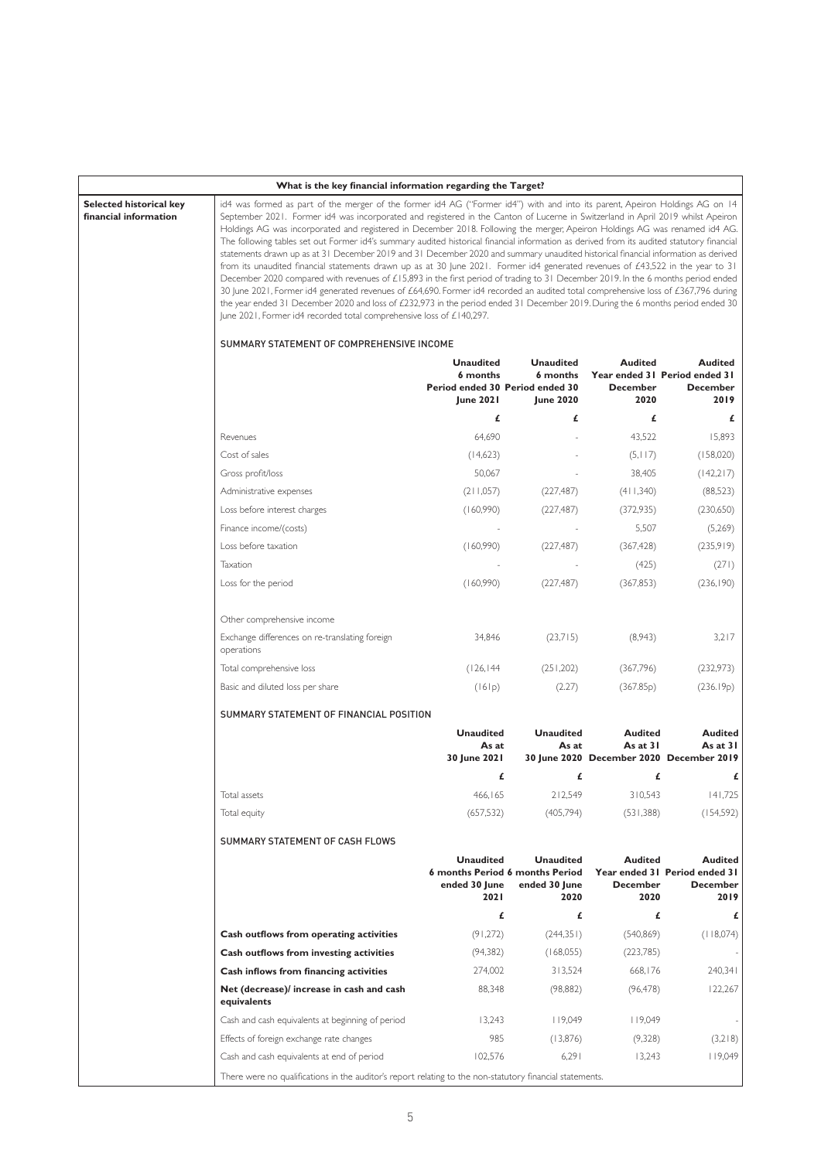|                                                  | What is the key financial information regarding the Target?                                                                                                                                                                                                                                                                                                                                                                                                                                                                                                                                                                                                                                                                                                                                                                                                                                                                                                                                                                                                                                                                                                                                                                                                                                              |                                                  |                                                                                     |                                           |                                                                            |  |  |  |
|--------------------------------------------------|----------------------------------------------------------------------------------------------------------------------------------------------------------------------------------------------------------------------------------------------------------------------------------------------------------------------------------------------------------------------------------------------------------------------------------------------------------------------------------------------------------------------------------------------------------------------------------------------------------------------------------------------------------------------------------------------------------------------------------------------------------------------------------------------------------------------------------------------------------------------------------------------------------------------------------------------------------------------------------------------------------------------------------------------------------------------------------------------------------------------------------------------------------------------------------------------------------------------------------------------------------------------------------------------------------|--------------------------------------------------|-------------------------------------------------------------------------------------|-------------------------------------------|----------------------------------------------------------------------------|--|--|--|
| Selected historical key<br>financial information | id4 was formed as part of the merger of the former id4 AG ("Former id4") with and into its parent, Apeiron Holdings AG on 14<br>September 2021. Former id4 was incorporated and registered in the Canton of Lucerne in Switzerland in April 2019 whilst Apeiron<br>Holdings AG was incorporated and registered in December 2018. Following the merger, Apeiron Holdings AG was renamed id4 AG.<br>The following tables set out Former id4's summary audited historical financial information as derived from its audited statutory financial<br>statements drawn up as at 31 December 2019 and 31 December 2020 and summary unaudited historical financial information as derived<br>from its unaudited financial statements drawn up as at 30 June 2021. Former id4 generated revenues of £43,522 in the year to 31<br>December 2020 compared with revenues of £15,893 in the first period of trading to 31 December 2019. In the 6 months period ended<br>30 June 2021, Former id4 generated revenues of £64,690. Former id4 recorded an audited total comprehensive loss of £367,796 during<br>the year ended 31 December 2020 and loss of £232,973 in the period ended 31 December 2019. During the 6 months period ended 30<br>June 2021, Former id4 recorded total comprehensive loss of £140,297. |                                                  |                                                                                     |                                           |                                                                            |  |  |  |
|                                                  | SUMMARY STATEMENT OF COMPREHENSIVE INCOME                                                                                                                                                                                                                                                                                                                                                                                                                                                                                                                                                                                                                                                                                                                                                                                                                                                                                                                                                                                                                                                                                                                                                                                                                                                                |                                                  |                                                                                     |                                           |                                                                            |  |  |  |
|                                                  |                                                                                                                                                                                                                                                                                                                                                                                                                                                                                                                                                                                                                                                                                                                                                                                                                                                                                                                                                                                                                                                                                                                                                                                                                                                                                                          | <b>Unaudited</b><br>6 months<br><b>June 2021</b> | <b>Unaudited</b><br>6 months<br>Period ended 30 Period ended 30<br><b>June 2020</b> | <b>Audited</b><br><b>December</b><br>2020 | <b>Audited</b><br>Year ended 31 Period ended 31<br><b>December</b><br>2019 |  |  |  |
|                                                  |                                                                                                                                                                                                                                                                                                                                                                                                                                                                                                                                                                                                                                                                                                                                                                                                                                                                                                                                                                                                                                                                                                                                                                                                                                                                                                          | £                                                | £                                                                                   | £                                         | £                                                                          |  |  |  |
|                                                  | Revenues                                                                                                                                                                                                                                                                                                                                                                                                                                                                                                                                                                                                                                                                                                                                                                                                                                                                                                                                                                                                                                                                                                                                                                                                                                                                                                 | 64,690                                           |                                                                                     | 43,522                                    | 15,893                                                                     |  |  |  |
|                                                  | Cost of sales                                                                                                                                                                                                                                                                                                                                                                                                                                                                                                                                                                                                                                                                                                                                                                                                                                                                                                                                                                                                                                                                                                                                                                                                                                                                                            | (14,623)                                         |                                                                                     | (5, 117)                                  | (158,020)                                                                  |  |  |  |
|                                                  | Gross profit/loss                                                                                                                                                                                                                                                                                                                                                                                                                                                                                                                                                                                                                                                                                                                                                                                                                                                                                                                                                                                                                                                                                                                                                                                                                                                                                        | 50,067                                           |                                                                                     | 38,405                                    | (142,217)                                                                  |  |  |  |
|                                                  | Administrative expenses                                                                                                                                                                                                                                                                                                                                                                                                                                                                                                                                                                                                                                                                                                                                                                                                                                                                                                                                                                                                                                                                                                                                                                                                                                                                                  | (211,057)                                        | (227, 487)                                                                          | (411,340)                                 | (88,523)                                                                   |  |  |  |
|                                                  | Loss before interest charges                                                                                                                                                                                                                                                                                                                                                                                                                                                                                                                                                                                                                                                                                                                                                                                                                                                                                                                                                                                                                                                                                                                                                                                                                                                                             | (160,990)                                        | (227, 487)                                                                          | (372,935)                                 | (230,650)                                                                  |  |  |  |
|                                                  | Finance income/(costs)                                                                                                                                                                                                                                                                                                                                                                                                                                                                                                                                                                                                                                                                                                                                                                                                                                                                                                                                                                                                                                                                                                                                                                                                                                                                                   |                                                  |                                                                                     | 5,507                                     | (5,269)                                                                    |  |  |  |
|                                                  | Loss before taxation                                                                                                                                                                                                                                                                                                                                                                                                                                                                                                                                                                                                                                                                                                                                                                                                                                                                                                                                                                                                                                                                                                                                                                                                                                                                                     | (160,990)                                        | (227, 487)                                                                          | (367, 428)                                | (235,919)                                                                  |  |  |  |
|                                                  | Taxation                                                                                                                                                                                                                                                                                                                                                                                                                                                                                                                                                                                                                                                                                                                                                                                                                                                                                                                                                                                                                                                                                                                                                                                                                                                                                                 |                                                  |                                                                                     | (425)                                     | (271)                                                                      |  |  |  |
|                                                  | Loss for the period                                                                                                                                                                                                                                                                                                                                                                                                                                                                                                                                                                                                                                                                                                                                                                                                                                                                                                                                                                                                                                                                                                                                                                                                                                                                                      | (160,990)                                        | (227, 487)                                                                          | (367, 853)                                | (236, 190)                                                                 |  |  |  |
|                                                  | Other comprehensive income                                                                                                                                                                                                                                                                                                                                                                                                                                                                                                                                                                                                                                                                                                                                                                                                                                                                                                                                                                                                                                                                                                                                                                                                                                                                               |                                                  |                                                                                     |                                           |                                                                            |  |  |  |
|                                                  | Exchange differences on re-translating foreign<br>operations                                                                                                                                                                                                                                                                                                                                                                                                                                                                                                                                                                                                                                                                                                                                                                                                                                                                                                                                                                                                                                                                                                                                                                                                                                             | 34,846                                           | (23,715)                                                                            | (8,943)                                   | 3,217                                                                      |  |  |  |
|                                                  | Total comprehensive loss                                                                                                                                                                                                                                                                                                                                                                                                                                                                                                                                                                                                                                                                                                                                                                                                                                                                                                                                                                                                                                                                                                                                                                                                                                                                                 | (126, 144)                                       | (251, 202)                                                                          | (367,796)                                 | (232,973)                                                                  |  |  |  |
|                                                  | Basic and diluted loss per share                                                                                                                                                                                                                                                                                                                                                                                                                                                                                                                                                                                                                                                                                                                                                                                                                                                                                                                                                                                                                                                                                                                                                                                                                                                                         | (161p)                                           | (2.27)                                                                              | (367.85p)                                 | (236.19p)                                                                  |  |  |  |
|                                                  | SUMMARY STATEMENT OF FINANCIAL POSITION                                                                                                                                                                                                                                                                                                                                                                                                                                                                                                                                                                                                                                                                                                                                                                                                                                                                                                                                                                                                                                                                                                                                                                                                                                                                  |                                                  |                                                                                     |                                           |                                                                            |  |  |  |
|                                                  |                                                                                                                                                                                                                                                                                                                                                                                                                                                                                                                                                                                                                                                                                                                                                                                                                                                                                                                                                                                                                                                                                                                                                                                                                                                                                                          | <b>Unaudited</b><br>As at<br>30 June 2021        | <b>Unaudited</b><br>As at                                                           | <b>Audited</b><br>As at $31$              | <b>Audited</b><br>As at 31<br>30 June 2020 December 2020 December 2019     |  |  |  |
|                                                  |                                                                                                                                                                                                                                                                                                                                                                                                                                                                                                                                                                                                                                                                                                                                                                                                                                                                                                                                                                                                                                                                                                                                                                                                                                                                                                          | £                                                | £                                                                                   | £                                         | £                                                                          |  |  |  |
|                                                  | Total assets                                                                                                                                                                                                                                                                                                                                                                                                                                                                                                                                                                                                                                                                                                                                                                                                                                                                                                                                                                                                                                                                                                                                                                                                                                                                                             | 466,165                                          | 212,549                                                                             | 310,543                                   | 141,725                                                                    |  |  |  |
|                                                  | Total equity                                                                                                                                                                                                                                                                                                                                                                                                                                                                                                                                                                                                                                                                                                                                                                                                                                                                                                                                                                                                                                                                                                                                                                                                                                                                                             | (657, 532)                                       | (405, 794)                                                                          | (531, 388)                                | (154, 592)                                                                 |  |  |  |
|                                                  | SUMMARY STATEMENT OF CASH FLOWS                                                                                                                                                                                                                                                                                                                                                                                                                                                                                                                                                                                                                                                                                                                                                                                                                                                                                                                                                                                                                                                                                                                                                                                                                                                                          |                                                  |                                                                                     |                                           |                                                                            |  |  |  |
|                                                  |                                                                                                                                                                                                                                                                                                                                                                                                                                                                                                                                                                                                                                                                                                                                                                                                                                                                                                                                                                                                                                                                                                                                                                                                                                                                                                          | <b>Unaudited</b><br>ended 30 June<br>202 I       | <b>Unaudited</b><br>6 months Period 6 months Period<br>ended 30 June<br>2020        | <b>Audited</b><br>December<br>2020        | <b>Audited</b><br>Year ended 31 Period ended 31<br><b>December</b><br>2019 |  |  |  |
|                                                  |                                                                                                                                                                                                                                                                                                                                                                                                                                                                                                                                                                                                                                                                                                                                                                                                                                                                                                                                                                                                                                                                                                                                                                                                                                                                                                          | £                                                | £                                                                                   | £                                         | £                                                                          |  |  |  |
|                                                  | Cash outflows from operating activities                                                                                                                                                                                                                                                                                                                                                                                                                                                                                                                                                                                                                                                                                                                                                                                                                                                                                                                                                                                                                                                                                                                                                                                                                                                                  | (91, 272)                                        | (244,351)                                                                           | (540, 869)                                | (118,074)                                                                  |  |  |  |
|                                                  | Cash outflows from investing activities                                                                                                                                                                                                                                                                                                                                                                                                                                                                                                                                                                                                                                                                                                                                                                                                                                                                                                                                                                                                                                                                                                                                                                                                                                                                  | (94,382)                                         | (168,055)                                                                           | (223,785)                                 |                                                                            |  |  |  |
|                                                  | Cash inflows from financing activities                                                                                                                                                                                                                                                                                                                                                                                                                                                                                                                                                                                                                                                                                                                                                                                                                                                                                                                                                                                                                                                                                                                                                                                                                                                                   | 274,002                                          | 313,524                                                                             | 668,176                                   | 240,341                                                                    |  |  |  |
|                                                  | Net (decrease)/ increase in cash and cash<br>equivalents                                                                                                                                                                                                                                                                                                                                                                                                                                                                                                                                                                                                                                                                                                                                                                                                                                                                                                                                                                                                                                                                                                                                                                                                                                                 | 88,348                                           | (98, 882)                                                                           | (96, 478)                                 | 122,267                                                                    |  |  |  |
|                                                  | Cash and cash equivalents at beginning of period                                                                                                                                                                                                                                                                                                                                                                                                                                                                                                                                                                                                                                                                                                                                                                                                                                                                                                                                                                                                                                                                                                                                                                                                                                                         | 13,243                                           | 19,049                                                                              | 19,049                                    |                                                                            |  |  |  |
|                                                  | Effects of foreign exchange rate changes                                                                                                                                                                                                                                                                                                                                                                                                                                                                                                                                                                                                                                                                                                                                                                                                                                                                                                                                                                                                                                                                                                                                                                                                                                                                 | 985                                              | (13,876)                                                                            | (9,328)                                   | (3,218)                                                                    |  |  |  |
|                                                  | Cash and cash equivalents at end of period                                                                                                                                                                                                                                                                                                                                                                                                                                                                                                                                                                                                                                                                                                                                                                                                                                                                                                                                                                                                                                                                                                                                                                                                                                                               | 102,576                                          | 6,291                                                                               | 13,243                                    | 119,049                                                                    |  |  |  |
|                                                  | There were no qualifications in the auditor's report relating to the non-statutory financial statements.                                                                                                                                                                                                                                                                                                                                                                                                                                                                                                                                                                                                                                                                                                                                                                                                                                                                                                                                                                                                                                                                                                                                                                                                 |                                                  |                                                                                     |                                           |                                                                            |  |  |  |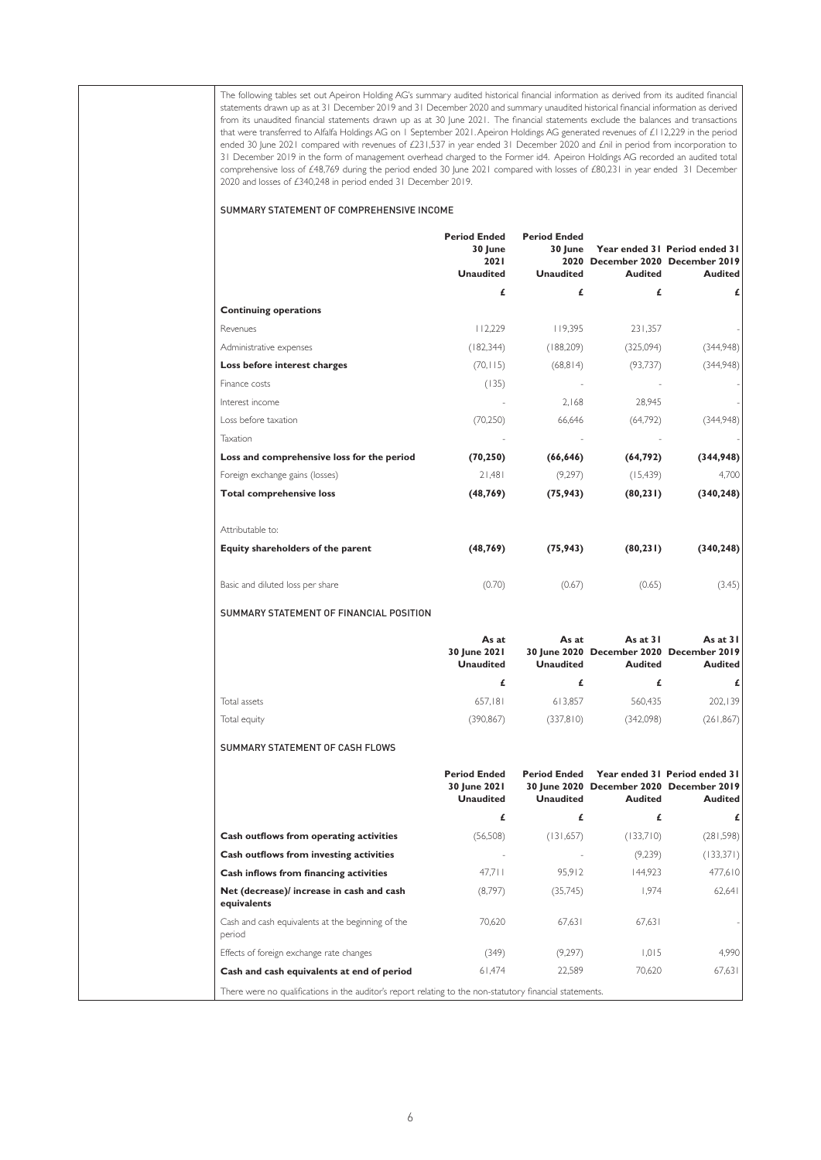The following tables set out Apeiron Holding AG's summary audited historical financial information as derived from its audited financial statements drawn up as at 31 December 2019 and 31 December 2020 and summary unaudited historical financial information as derived from its unaudited financial statements drawn up as at 30 June 2021. The financial statements exclude the balances and transactions that were transferred to Alfalfa Holdings AG on 1 September 2021. Apeiron Holdings AG generated revenues of £112,229 in the period ended 30 June 2021 compared with revenues of £231,537 in year ended 31 December 2020 and £nil in period from incorporation to 31 December 2019 in the form of management overhead charged to the Former id4. Apeiron Holdings AG recorded an audited total comprehensive loss of £48,769 during the period ended 30 June 2021 compared with losses of £80,231 in year ended 31 December 2020 and losses of £340,248 in period ended 31 December 2019.

#### SUMMARY STATEMENT OF COMPREHENSIVE INCOME

|                                            | <b>Period Ended</b><br>30 June<br>2021<br><b>Unaudited</b> | <b>Period Ended</b><br>30 June<br><b>Unaudited</b> | <b>Audited</b> | Year ended 31 Period ended 31<br>2020 December 2020 December 2019<br><b>Audited</b> |
|--------------------------------------------|------------------------------------------------------------|----------------------------------------------------|----------------|-------------------------------------------------------------------------------------|
|                                            | £                                                          | £                                                  | £              | £                                                                                   |
| <b>Continuing operations</b>               |                                                            |                                                    |                |                                                                                     |
| Revenues                                   | 112.229                                                    | 119.395                                            | 231.357        |                                                                                     |
| Administrative expenses                    | (182, 344)                                                 | (188, 209)                                         | (325,094)      | (344,948)                                                                           |
| Loss before interest charges               | (70, 115)                                                  | (68, 814)                                          | (93, 737)      | (344,948)                                                                           |
| Finance costs                              | (135)                                                      |                                                    |                |                                                                                     |
| Interest income                            |                                                            | 2.168                                              | 28,945         |                                                                                     |
| Loss before taxation                       | (70, 250)                                                  | 66,646                                             | (64,792)       | (344,948)                                                                           |
| Taxation                                   |                                                            |                                                    |                |                                                                                     |
| Loss and comprehensive loss for the period | (70, 250)                                                  | (66, 646)                                          | (64, 792)      | (344,948)                                                                           |
| Foreign exchange gains (losses)            | 21.481                                                     | (9,297)                                            | (15, 439)      | 4.700                                                                               |
| <b>Total comprehensive loss</b>            | (48, 769)                                                  | (75, 943)                                          | (80, 231)      | (340, 248)                                                                          |
| Attributable to:                           |                                                            |                                                    |                |                                                                                     |
| Equity shareholders of the parent          | (48, 769)                                                  | (75, 943)                                          | (80, 231)      | (340, 248)                                                                          |
| Basic and diluted loss per share           | (0.70)                                                     | (0.67)                                             | (0.65)         | (3.45)                                                                              |
| SUMMARY STATEMENT OF FINANCIAL POSITION    |                                                            |                                                    |                |                                                                                     |
|                                            | As at                                                      | As at                                              | As at $31$     | As at $31$                                                                          |

|              | 30 June 2021<br><b>Unaudited</b> | Unaudited | 30 June 2020 December 2020 December 2019<br>Audited | Audited    |
|--------------|----------------------------------|-----------|-----------------------------------------------------|------------|
|              |                                  | £         |                                                     | £          |
| Total assets | 657.181                          | 613.857   | 560.435                                             | 202.139    |
| Total equity | (390,867)                        | (337,810) | (342,098)                                           | (261, 867) |

#### SUMMARY STATEMENT OF CASH FLOWS

|                                                                                                          | <b>Period Ended</b><br>30 June 2021<br><b>Unaudited</b> | <b>Period Ended</b><br><b>Unaudited</b> | <b>Audited</b> | Year ended 31 Period ended 31<br>30 June 2020 December 2020 December 2019<br><b>Audited</b> |
|----------------------------------------------------------------------------------------------------------|---------------------------------------------------------|-----------------------------------------|----------------|---------------------------------------------------------------------------------------------|
|                                                                                                          | £                                                       | £                                       | £              | £                                                                                           |
| Cash outflows from operating activities                                                                  | (56, 508)                                               | (131,657)                               | (133,710)      | (281, 598)                                                                                  |
| Cash outflows from investing activities                                                                  |                                                         |                                         | (9,239)        | (133,371)                                                                                   |
| Cash inflows from financing activities                                                                   | 47.711                                                  | 95.912                                  | 144.923        | 477.610                                                                                     |
| Net (decrease)/ increase in cash and cash<br>equivalents                                                 | (8,797)                                                 | (35,745)                                | 1.974          | 62.641                                                                                      |
| Cash and cash equivalents at the beginning of the<br>period                                              | 70.620                                                  | 67.631                                  | 67.631         |                                                                                             |
| Effects of foreign exchange rate changes                                                                 | (349)                                                   | (9,297)                                 | 1.015          | 4.990                                                                                       |
| Cash and cash equivalents at end of period                                                               | 61.474                                                  | 22.589                                  | 70.620         | 67.631                                                                                      |
| There were no qualifications in the auditor's report relating to the non-statutory financial statements. |                                                         |                                         |                |                                                                                             |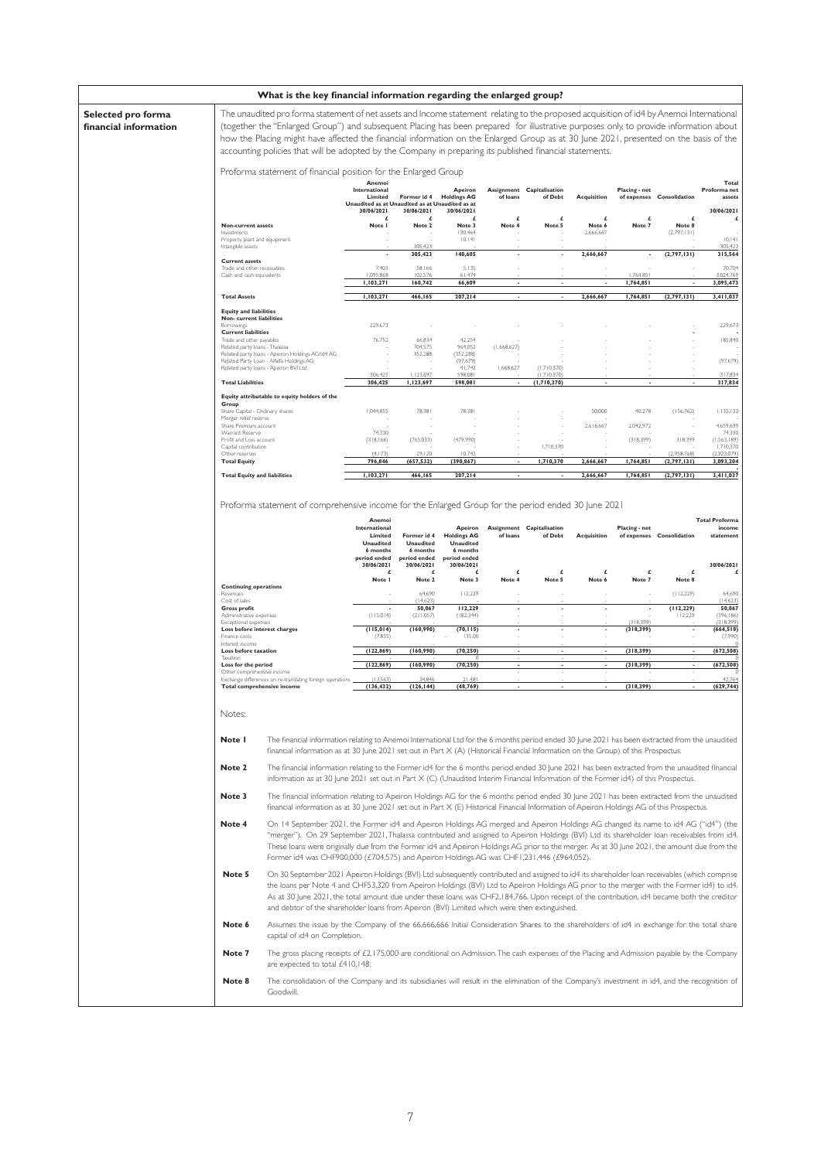| Selected pro forma<br>financial information<br>accounting policies that will be adopted by the Company in preparing its published financial statements.<br>Proforma statement of financial position for the Enlarged Group<br>Anemoi<br>International<br>Apeiron<br>Assignment Capitalisation<br>Placing - net<br>Limited<br>Former id 4<br><b>Holdings AG</b><br>of loans<br>of Debt<br><b>Acquisition</b><br>of expenses<br>Consolidation<br>Unaudited as at Unaudited as at Unaudited as at<br>30/06/2021<br>30/06/2021<br>30/06/2021<br>£<br>£<br>£<br>£<br>£<br>£<br>£<br>£<br>Non-current assets<br>Note I<br>Note 2<br>Note 3<br>Note 4<br>Note 5<br>Note 6<br>Note 7<br>Note 8<br>130.464<br>Investments<br>2,666,667<br>(2,797,131)<br> 0,  4 <br>Property, plant and equipment<br>305.423<br>Intangible assets<br>305,423<br>140,605<br>2,666,667<br>(2,797,131)<br>×<br>٠<br><b>Current assets</b><br>7,403<br>58,166<br>5,135<br>Trade and other receivables<br>1,095,868<br>Cash and cash equivalents<br>102.576<br>61,474<br>1.764.85<br>1,764,851<br>1,103,271<br>160,742<br>66,609<br>1,103,271<br>466,165<br>207,214<br>2,666,667<br>1,764,851<br>(2,797,131)<br><b>Total Assets</b><br>$\overline{\phantom{a}}$<br><b>Equity and liabilities</b><br>Non- current liabilities<br>229,673<br>Borrowings<br><b>Current liabilities</b><br>76,752<br>66,834<br>42,254<br>Trade and other payables<br>Related party loans - Thalassa<br>704,575<br>964,052<br>(1,668,627)<br>Related party loans - Apeiron Holdings AG/id4 AG<br>352,288<br>(352, 288)<br>Related Party Loan - Alfalfa Holdings AG<br>(97, 679)<br>Related party loans - Apeiron BVI Ltd<br>41,742<br>1,668,627<br>(1,710,370)<br>306,425<br>1,123,697<br>598,081<br>(1,710,370)<br><b>Total Liabilities</b><br>306,425<br>1,123,697<br>598,081<br>(1,710,370)<br>Equity attributable to equity holders of the<br>Group<br>1,044,855<br>Share Capital - Ordinary shares<br>78,381<br>78.381<br>50,000<br>40,278<br>(156, 762)<br>Merger relief reserve<br>Share Premium account<br>2,616,667<br>2,042,972<br>74,330<br>Warrant Reserve<br>Profit and Loss account<br>(318, 166)<br>(765, 033)<br>(479,990)<br>(318, 399)<br>318,399<br>1,710,370<br>Capital contribution<br>(4, 173)<br>29.120<br>10.742<br>(2.958.768)<br>Other reserves<br><b>Total Equity</b><br>796,846<br>(657, 532)<br>(390, 867)<br>1,710,370<br>2,666,667<br>1,764,851<br>(2,797,131)<br>1,103,271<br>207,214<br>(2,797,131)<br><b>Total Equity and liabilities</b><br>466,165<br>2,666,667<br>1,764,851<br>Proforma statement of comprehensive income for the Enlarged Group for the period ended 30 June 2021<br><b>Total Proforma</b><br>Anemoi<br>International<br>Apeiron<br>Assignment Capitalisation<br>Placing - net<br>Former id 4<br><b>Holdings AG</b><br>of Debt<br>Acquisition<br>Limited<br>of loans<br>of expenses Consolidation<br><b>Unaudited</b><br><b>Unaudited</b><br><b>Unaudited</b><br>6 months<br>6 months<br>6 months<br>period ended<br>period ended<br>period ended<br>30/06/2021<br>30/06/2021<br>30/06/2021<br>£<br>£<br>£<br>£<br>£<br>£<br>£<br>£<br>Note 2<br>Note 4<br>Note I<br>Note 3<br>Note 5<br>Note 6<br>Note 7<br>Note 8<br><b>Continuing operations</b><br>64,690<br>112,229<br>(112, 229)<br>Revenues<br>Cost of sales<br>(14,623)<br>50,067<br>112,229<br>(112, 229)<br><b>Gross profit</b><br>٠<br>$\overline{\phantom{a}}$<br>$\overline{\phantom{a}}$<br>(115,014)<br>Administrative expenses<br>(211,057)<br>(182, 344)<br>112,229<br>(318.399)<br>Exceptional expenses<br>(115, 014)<br>(160, 990)<br>(70, 115)<br>(318, 399)<br>Loss before interest charges<br>$\overline{\phantom{a}}$<br>$\overline{\phantom{a}}$<br>٠<br>135.00<br>Finance costs<br>(7,855)<br>Interest income<br>(122, 869)<br>(160, 990)<br>(70, 250)<br>(318, 399)<br>Loss before taxation<br>Taxation<br>(122, 869)<br>(160,990)<br>(70, 250)<br>(318, 399)<br>Loss for the period<br>Other comprehensive income<br>(13.563)<br>34.846<br>21.48<br>Exchange differences on re-translating foreign operation<br><b>Total comprehensive income</b><br>(136, 432)<br>(126, 144)<br>(48, 769)<br>(318, 399)<br>Notes:<br>Note I<br>The financial information relating to Anemoi International Ltd for the 6 months period ended 30 June 2021 has been extracted from the unaudited<br>financial information as at 30 June 2021 set out in Part $X(A)$ (Historical Financial Information on the Group) of this Prospectus.<br>Note 2<br>The financial information relating to the Former id4 for the 6 months period ended 30 June 2021 has been extracted from the unaudited financial<br>information as at 30 June 2021 set out in Part X (C) (Unaudited Interim Financial Information of the Former id4) of this Prospectus.<br>Note 3<br>The financial information relating to Apeiron Holdings AG for the 6 months period ended 30 June 2021 has been extracted from the unaudited<br>financial information as at 30 June 2021 set out in Part X (E) Historical Financial Information of Apeiron Holdings AG of this Prospectus.<br>Note 4<br>On 14 September 2021, the Former id4 and Apeiron Holdings AG merged and Apeiron Holdings AG changed its name to id4 AG ("id4") (the<br>"merger"). On 29 September 2021, Thalassa contributed and assigned to Apeiron Holdings (BVI) Ltd its shareholder loan receivables from id4.<br>These loans were originally due from the Former id4 and Apeiron Holdings AG prior to the merger. As at 30 June 2021, the amount due from the<br>Former id4 was CHF900,000 (£704,575) and Apeiron Holdings AG was CHF1,231,446 (£964,052).<br>Note 5<br>On 30 September 2021 Apeiron Holdings (BVI) Ltd subsequently contributed and assigned to id4 its shareholder loan receivables (which comprise<br>the loans per Note 4 and CHF53,320 from Apeiron Holdings (BVI) Ltd to Apeiron Holdings AG prior to the merger with the Former id4) to id4.<br>As at 30 June 2021, the total amount due under these loans was CHF2,184,766. Upon receipt of the contribution, id4 became both the creditor<br>and debtor of the shareholder loans from Apeiron (BVI) Limited which were then extinguished.<br>Assumes the issue by the Company of the 66,666,666 Initial Consideration Shares to the shareholders of id4 in exchange for the total share<br>Note 6<br>capital of id4 on Completion.<br>Note 7<br>The gross placing receipts of £2,175,000 are conditional on Admission. The cash expenses of the Placing and Admission payable by the Company<br>are expected to total £410,148. | What is the key financial information regarding the enlarged group? |                                                                                                                                                                                                                                                                                                                                                                                                                            |  |  |  |  |  |  |  |                                               |
|------------------------------------------------------------------------------------------------------------------------------------------------------------------------------------------------------------------------------------------------------------------------------------------------------------------------------------------------------------------------------------------------------------------------------------------------------------------------------------------------------------------------------------------------------------------------------------------------------------------------------------------------------------------------------------------------------------------------------------------------------------------------------------------------------------------------------------------------------------------------------------------------------------------------------------------------------------------------------------------------------------------------------------------------------------------------------------------------------------------------------------------------------------------------------------------------------------------------------------------------------------------------------------------------------------------------------------------------------------------------------------------------------------------------------------------------------------------------------------------------------------------------------------------------------------------------------------------------------------------------------------------------------------------------------------------------------------------------------------------------------------------------------------------------------------------------------------------------------------------------------------------------------------------------------------------------------------------------------------------------------------------------------------------------------------------------------------------------------------------------------------------------------------------------------------------------------------------------------------------------------------------------------------------------------------------------------------------------------------------------------------------------------------------------------------------------------------------------------------------------------------------------------------------------------------------------------------------------------------------------------------------------------------------------------------------------------------------------------------------------------------------------------------------------------------------------------------------------------------------------------------------------------------------------------------------------------------------------------------------------------------------------------------------------------------------------------------------------------------------------------------------------------------------------------------------------------------------------------------------------------------------------------------------------------------------------------------------------------------------------------------------------------------------------------------------------------------------------------------------------------------------------------------------------------------------------------------------------------------------------------------------------------------------------------------------------------------------------------------------------------------------------------------------------------------------------------------------------------------------------------------------------------------------------------------------------------------------------------------------------------------------------------------------------------------------------------------------------------------------------------------------------------------------------------------------------------------------------------------------------------------------------------------------------------------------------------------------------------------------------------------------------------------------------------------------------------------------------------------------------------------------------------------------------------------------------------------------------------------------------------------------------------------------------------------------------------------------------------------------------------------------------------------------------------------------------------------------------------------------------------------------------------------------------------------------------------------------------------------------------------------------------------------------------------------------------------------------------------------------------------------------------------------------------------------------------------------------------------------------------------------------------------------------------------------------------------------------------------------------------------------------------------------------------------------------------------------------------------------------------------------------------------------------------------------------------------------------------------------------------------------------------------------------------------------------------------------------------------------------------------------------------------------------------------------------------------------------------------------------------------------------------------------------------------------------------------------------------------------------------------------------------------------------------------------------------------------------------------------------------------------------------------------------------------------------------------------------------------------------------------------------------------------------------------------------------------------------------------------------------------------------------------------------------------------------------------------------------------------------------------------------------------------------------------------------------------------------------------------|---------------------------------------------------------------------|----------------------------------------------------------------------------------------------------------------------------------------------------------------------------------------------------------------------------------------------------------------------------------------------------------------------------------------------------------------------------------------------------------------------------|--|--|--|--|--|--|--|-----------------------------------------------|
|                                                                                                                                                                                                                                                                                                                                                                                                                                                                                                                                                                                                                                                                                                                                                                                                                                                                                                                                                                                                                                                                                                                                                                                                                                                                                                                                                                                                                                                                                                                                                                                                                                                                                                                                                                                                                                                                                                                                                                                                                                                                                                                                                                                                                                                                                                                                                                                                                                                                                                                                                                                                                                                                                                                                                                                                                                                                                                                                                                                                                                                                                                                                                                                                                                                                                                                                                                                                                                                                                                                                                                                                                                                                                                                                                                                                                                                                                                                                                                                                                                                                                                                                                                                                                                                                                                                                                                                                                                                                                                                                                                                                                                                                                                                                                                                                                                                                                                                                                                                                                                                                                                                                                                                                                                                                                                                                                                                                                                                                                                                                                                                                                                                                                                                                                                                                                                                                                                                                                                                                                                                                                                                                                                                                                                                                                                                                                                                                                                                                                                                                                                                                            |                                                                     | The unaudited pro forma statement of net assets and Income statement relating to the proposed acquisition of id4 by Anemoi International<br>(together the "Enlarged Group") and subsequent Placing has been prepared for illustrative purposes only, to provide information about<br>how the Placing might have affected the financial information on the Enlarged Group as at 30 June 2021, presented on the basis of the |  |  |  |  |  |  |  |                                               |
|                                                                                                                                                                                                                                                                                                                                                                                                                                                                                                                                                                                                                                                                                                                                                                                                                                                                                                                                                                                                                                                                                                                                                                                                                                                                                                                                                                                                                                                                                                                                                                                                                                                                                                                                                                                                                                                                                                                                                                                                                                                                                                                                                                                                                                                                                                                                                                                                                                                                                                                                                                                                                                                                                                                                                                                                                                                                                                                                                                                                                                                                                                                                                                                                                                                                                                                                                                                                                                                                                                                                                                                                                                                                                                                                                                                                                                                                                                                                                                                                                                                                                                                                                                                                                                                                                                                                                                                                                                                                                                                                                                                                                                                                                                                                                                                                                                                                                                                                                                                                                                                                                                                                                                                                                                                                                                                                                                                                                                                                                                                                                                                                                                                                                                                                                                                                                                                                                                                                                                                                                                                                                                                                                                                                                                                                                                                                                                                                                                                                                                                                                                                                            |                                                                     |                                                                                                                                                                                                                                                                                                                                                                                                                            |  |  |  |  |  |  |  |                                               |
|                                                                                                                                                                                                                                                                                                                                                                                                                                                                                                                                                                                                                                                                                                                                                                                                                                                                                                                                                                                                                                                                                                                                                                                                                                                                                                                                                                                                                                                                                                                                                                                                                                                                                                                                                                                                                                                                                                                                                                                                                                                                                                                                                                                                                                                                                                                                                                                                                                                                                                                                                                                                                                                                                                                                                                                                                                                                                                                                                                                                                                                                                                                                                                                                                                                                                                                                                                                                                                                                                                                                                                                                                                                                                                                                                                                                                                                                                                                                                                                                                                                                                                                                                                                                                                                                                                                                                                                                                                                                                                                                                                                                                                                                                                                                                                                                                                                                                                                                                                                                                                                                                                                                                                                                                                                                                                                                                                                                                                                                                                                                                                                                                                                                                                                                                                                                                                                                                                                                                                                                                                                                                                                                                                                                                                                                                                                                                                                                                                                                                                                                                                                                            |                                                                     |                                                                                                                                                                                                                                                                                                                                                                                                                            |  |  |  |  |  |  |  | Total<br>Proforma net<br>assets<br>30/06/2021 |
|                                                                                                                                                                                                                                                                                                                                                                                                                                                                                                                                                                                                                                                                                                                                                                                                                                                                                                                                                                                                                                                                                                                                                                                                                                                                                                                                                                                                                                                                                                                                                                                                                                                                                                                                                                                                                                                                                                                                                                                                                                                                                                                                                                                                                                                                                                                                                                                                                                                                                                                                                                                                                                                                                                                                                                                                                                                                                                                                                                                                                                                                                                                                                                                                                                                                                                                                                                                                                                                                                                                                                                                                                                                                                                                                                                                                                                                                                                                                                                                                                                                                                                                                                                                                                                                                                                                                                                                                                                                                                                                                                                                                                                                                                                                                                                                                                                                                                                                                                                                                                                                                                                                                                                                                                                                                                                                                                                                                                                                                                                                                                                                                                                                                                                                                                                                                                                                                                                                                                                                                                                                                                                                                                                                                                                                                                                                                                                                                                                                                                                                                                                                                            |                                                                     |                                                                                                                                                                                                                                                                                                                                                                                                                            |  |  |  |  |  |  |  | £                                             |
|                                                                                                                                                                                                                                                                                                                                                                                                                                                                                                                                                                                                                                                                                                                                                                                                                                                                                                                                                                                                                                                                                                                                                                                                                                                                                                                                                                                                                                                                                                                                                                                                                                                                                                                                                                                                                                                                                                                                                                                                                                                                                                                                                                                                                                                                                                                                                                                                                                                                                                                                                                                                                                                                                                                                                                                                                                                                                                                                                                                                                                                                                                                                                                                                                                                                                                                                                                                                                                                                                                                                                                                                                                                                                                                                                                                                                                                                                                                                                                                                                                                                                                                                                                                                                                                                                                                                                                                                                                                                                                                                                                                                                                                                                                                                                                                                                                                                                                                                                                                                                                                                                                                                                                                                                                                                                                                                                                                                                                                                                                                                                                                                                                                                                                                                                                                                                                                                                                                                                                                                                                                                                                                                                                                                                                                                                                                                                                                                                                                                                                                                                                                                            |                                                                     |                                                                                                                                                                                                                                                                                                                                                                                                                            |  |  |  |  |  |  |  | 0,  4                                         |
|                                                                                                                                                                                                                                                                                                                                                                                                                                                                                                                                                                                                                                                                                                                                                                                                                                                                                                                                                                                                                                                                                                                                                                                                                                                                                                                                                                                                                                                                                                                                                                                                                                                                                                                                                                                                                                                                                                                                                                                                                                                                                                                                                                                                                                                                                                                                                                                                                                                                                                                                                                                                                                                                                                                                                                                                                                                                                                                                                                                                                                                                                                                                                                                                                                                                                                                                                                                                                                                                                                                                                                                                                                                                                                                                                                                                                                                                                                                                                                                                                                                                                                                                                                                                                                                                                                                                                                                                                                                                                                                                                                                                                                                                                                                                                                                                                                                                                                                                                                                                                                                                                                                                                                                                                                                                                                                                                                                                                                                                                                                                                                                                                                                                                                                                                                                                                                                                                                                                                                                                                                                                                                                                                                                                                                                                                                                                                                                                                                                                                                                                                                                                            |                                                                     |                                                                                                                                                                                                                                                                                                                                                                                                                            |  |  |  |  |  |  |  | 305,423<br>315,564                            |
|                                                                                                                                                                                                                                                                                                                                                                                                                                                                                                                                                                                                                                                                                                                                                                                                                                                                                                                                                                                                                                                                                                                                                                                                                                                                                                                                                                                                                                                                                                                                                                                                                                                                                                                                                                                                                                                                                                                                                                                                                                                                                                                                                                                                                                                                                                                                                                                                                                                                                                                                                                                                                                                                                                                                                                                                                                                                                                                                                                                                                                                                                                                                                                                                                                                                                                                                                                                                                                                                                                                                                                                                                                                                                                                                                                                                                                                                                                                                                                                                                                                                                                                                                                                                                                                                                                                                                                                                                                                                                                                                                                                                                                                                                                                                                                                                                                                                                                                                                                                                                                                                                                                                                                                                                                                                                                                                                                                                                                                                                                                                                                                                                                                                                                                                                                                                                                                                                                                                                                                                                                                                                                                                                                                                                                                                                                                                                                                                                                                                                                                                                                                                            |                                                                     |                                                                                                                                                                                                                                                                                                                                                                                                                            |  |  |  |  |  |  |  | 70,704<br>3,024,769                           |
|                                                                                                                                                                                                                                                                                                                                                                                                                                                                                                                                                                                                                                                                                                                                                                                                                                                                                                                                                                                                                                                                                                                                                                                                                                                                                                                                                                                                                                                                                                                                                                                                                                                                                                                                                                                                                                                                                                                                                                                                                                                                                                                                                                                                                                                                                                                                                                                                                                                                                                                                                                                                                                                                                                                                                                                                                                                                                                                                                                                                                                                                                                                                                                                                                                                                                                                                                                                                                                                                                                                                                                                                                                                                                                                                                                                                                                                                                                                                                                                                                                                                                                                                                                                                                                                                                                                                                                                                                                                                                                                                                                                                                                                                                                                                                                                                                                                                                                                                                                                                                                                                                                                                                                                                                                                                                                                                                                                                                                                                                                                                                                                                                                                                                                                                                                                                                                                                                                                                                                                                                                                                                                                                                                                                                                                                                                                                                                                                                                                                                                                                                                                                            |                                                                     |                                                                                                                                                                                                                                                                                                                                                                                                                            |  |  |  |  |  |  |  | 3,095,473                                     |
|                                                                                                                                                                                                                                                                                                                                                                                                                                                                                                                                                                                                                                                                                                                                                                                                                                                                                                                                                                                                                                                                                                                                                                                                                                                                                                                                                                                                                                                                                                                                                                                                                                                                                                                                                                                                                                                                                                                                                                                                                                                                                                                                                                                                                                                                                                                                                                                                                                                                                                                                                                                                                                                                                                                                                                                                                                                                                                                                                                                                                                                                                                                                                                                                                                                                                                                                                                                                                                                                                                                                                                                                                                                                                                                                                                                                                                                                                                                                                                                                                                                                                                                                                                                                                                                                                                                                                                                                                                                                                                                                                                                                                                                                                                                                                                                                                                                                                                                                                                                                                                                                                                                                                                                                                                                                                                                                                                                                                                                                                                                                                                                                                                                                                                                                                                                                                                                                                                                                                                                                                                                                                                                                                                                                                                                                                                                                                                                                                                                                                                                                                                                                            |                                                                     |                                                                                                                                                                                                                                                                                                                                                                                                                            |  |  |  |  |  |  |  | 3,411,037                                     |
|                                                                                                                                                                                                                                                                                                                                                                                                                                                                                                                                                                                                                                                                                                                                                                                                                                                                                                                                                                                                                                                                                                                                                                                                                                                                                                                                                                                                                                                                                                                                                                                                                                                                                                                                                                                                                                                                                                                                                                                                                                                                                                                                                                                                                                                                                                                                                                                                                                                                                                                                                                                                                                                                                                                                                                                                                                                                                                                                                                                                                                                                                                                                                                                                                                                                                                                                                                                                                                                                                                                                                                                                                                                                                                                                                                                                                                                                                                                                                                                                                                                                                                                                                                                                                                                                                                                                                                                                                                                                                                                                                                                                                                                                                                                                                                                                                                                                                                                                                                                                                                                                                                                                                                                                                                                                                                                                                                                                                                                                                                                                                                                                                                                                                                                                                                                                                                                                                                                                                                                                                                                                                                                                                                                                                                                                                                                                                                                                                                                                                                                                                                                                            |                                                                     |                                                                                                                                                                                                                                                                                                                                                                                                                            |  |  |  |  |  |  |  |                                               |
|                                                                                                                                                                                                                                                                                                                                                                                                                                                                                                                                                                                                                                                                                                                                                                                                                                                                                                                                                                                                                                                                                                                                                                                                                                                                                                                                                                                                                                                                                                                                                                                                                                                                                                                                                                                                                                                                                                                                                                                                                                                                                                                                                                                                                                                                                                                                                                                                                                                                                                                                                                                                                                                                                                                                                                                                                                                                                                                                                                                                                                                                                                                                                                                                                                                                                                                                                                                                                                                                                                                                                                                                                                                                                                                                                                                                                                                                                                                                                                                                                                                                                                                                                                                                                                                                                                                                                                                                                                                                                                                                                                                                                                                                                                                                                                                                                                                                                                                                                                                                                                                                                                                                                                                                                                                                                                                                                                                                                                                                                                                                                                                                                                                                                                                                                                                                                                                                                                                                                                                                                                                                                                                                                                                                                                                                                                                                                                                                                                                                                                                                                                                                            |                                                                     |                                                                                                                                                                                                                                                                                                                                                                                                                            |  |  |  |  |  |  |  | 229,673                                       |
|                                                                                                                                                                                                                                                                                                                                                                                                                                                                                                                                                                                                                                                                                                                                                                                                                                                                                                                                                                                                                                                                                                                                                                                                                                                                                                                                                                                                                                                                                                                                                                                                                                                                                                                                                                                                                                                                                                                                                                                                                                                                                                                                                                                                                                                                                                                                                                                                                                                                                                                                                                                                                                                                                                                                                                                                                                                                                                                                                                                                                                                                                                                                                                                                                                                                                                                                                                                                                                                                                                                                                                                                                                                                                                                                                                                                                                                                                                                                                                                                                                                                                                                                                                                                                                                                                                                                                                                                                                                                                                                                                                                                                                                                                                                                                                                                                                                                                                                                                                                                                                                                                                                                                                                                                                                                                                                                                                                                                                                                                                                                                                                                                                                                                                                                                                                                                                                                                                                                                                                                                                                                                                                                                                                                                                                                                                                                                                                                                                                                                                                                                                                                            |                                                                     |                                                                                                                                                                                                                                                                                                                                                                                                                            |  |  |  |  |  |  |  | 185,840                                       |
|                                                                                                                                                                                                                                                                                                                                                                                                                                                                                                                                                                                                                                                                                                                                                                                                                                                                                                                                                                                                                                                                                                                                                                                                                                                                                                                                                                                                                                                                                                                                                                                                                                                                                                                                                                                                                                                                                                                                                                                                                                                                                                                                                                                                                                                                                                                                                                                                                                                                                                                                                                                                                                                                                                                                                                                                                                                                                                                                                                                                                                                                                                                                                                                                                                                                                                                                                                                                                                                                                                                                                                                                                                                                                                                                                                                                                                                                                                                                                                                                                                                                                                                                                                                                                                                                                                                                                                                                                                                                                                                                                                                                                                                                                                                                                                                                                                                                                                                                                                                                                                                                                                                                                                                                                                                                                                                                                                                                                                                                                                                                                                                                                                                                                                                                                                                                                                                                                                                                                                                                                                                                                                                                                                                                                                                                                                                                                                                                                                                                                                                                                                                                            |                                                                     |                                                                                                                                                                                                                                                                                                                                                                                                                            |  |  |  |  |  |  |  | (97, 679)                                     |
|                                                                                                                                                                                                                                                                                                                                                                                                                                                                                                                                                                                                                                                                                                                                                                                                                                                                                                                                                                                                                                                                                                                                                                                                                                                                                                                                                                                                                                                                                                                                                                                                                                                                                                                                                                                                                                                                                                                                                                                                                                                                                                                                                                                                                                                                                                                                                                                                                                                                                                                                                                                                                                                                                                                                                                                                                                                                                                                                                                                                                                                                                                                                                                                                                                                                                                                                                                                                                                                                                                                                                                                                                                                                                                                                                                                                                                                                                                                                                                                                                                                                                                                                                                                                                                                                                                                                                                                                                                                                                                                                                                                                                                                                                                                                                                                                                                                                                                                                                                                                                                                                                                                                                                                                                                                                                                                                                                                                                                                                                                                                                                                                                                                                                                                                                                                                                                                                                                                                                                                                                                                                                                                                                                                                                                                                                                                                                                                                                                                                                                                                                                                                            |                                                                     |                                                                                                                                                                                                                                                                                                                                                                                                                            |  |  |  |  |  |  |  | 317,834                                       |
|                                                                                                                                                                                                                                                                                                                                                                                                                                                                                                                                                                                                                                                                                                                                                                                                                                                                                                                                                                                                                                                                                                                                                                                                                                                                                                                                                                                                                                                                                                                                                                                                                                                                                                                                                                                                                                                                                                                                                                                                                                                                                                                                                                                                                                                                                                                                                                                                                                                                                                                                                                                                                                                                                                                                                                                                                                                                                                                                                                                                                                                                                                                                                                                                                                                                                                                                                                                                                                                                                                                                                                                                                                                                                                                                                                                                                                                                                                                                                                                                                                                                                                                                                                                                                                                                                                                                                                                                                                                                                                                                                                                                                                                                                                                                                                                                                                                                                                                                                                                                                                                                                                                                                                                                                                                                                                                                                                                                                                                                                                                                                                                                                                                                                                                                                                                                                                                                                                                                                                                                                                                                                                                                                                                                                                                                                                                                                                                                                                                                                                                                                                                                            |                                                                     |                                                                                                                                                                                                                                                                                                                                                                                                                            |  |  |  |  |  |  |  | 317,834                                       |
|                                                                                                                                                                                                                                                                                                                                                                                                                                                                                                                                                                                                                                                                                                                                                                                                                                                                                                                                                                                                                                                                                                                                                                                                                                                                                                                                                                                                                                                                                                                                                                                                                                                                                                                                                                                                                                                                                                                                                                                                                                                                                                                                                                                                                                                                                                                                                                                                                                                                                                                                                                                                                                                                                                                                                                                                                                                                                                                                                                                                                                                                                                                                                                                                                                                                                                                                                                                                                                                                                                                                                                                                                                                                                                                                                                                                                                                                                                                                                                                                                                                                                                                                                                                                                                                                                                                                                                                                                                                                                                                                                                                                                                                                                                                                                                                                                                                                                                                                                                                                                                                                                                                                                                                                                                                                                                                                                                                                                                                                                                                                                                                                                                                                                                                                                                                                                                                                                                                                                                                                                                                                                                                                                                                                                                                                                                                                                                                                                                                                                                                                                                                                            |                                                                     |                                                                                                                                                                                                                                                                                                                                                                                                                            |  |  |  |  |  |  |  |                                               |
|                                                                                                                                                                                                                                                                                                                                                                                                                                                                                                                                                                                                                                                                                                                                                                                                                                                                                                                                                                                                                                                                                                                                                                                                                                                                                                                                                                                                                                                                                                                                                                                                                                                                                                                                                                                                                                                                                                                                                                                                                                                                                                                                                                                                                                                                                                                                                                                                                                                                                                                                                                                                                                                                                                                                                                                                                                                                                                                                                                                                                                                                                                                                                                                                                                                                                                                                                                                                                                                                                                                                                                                                                                                                                                                                                                                                                                                                                                                                                                                                                                                                                                                                                                                                                                                                                                                                                                                                                                                                                                                                                                                                                                                                                                                                                                                                                                                                                                                                                                                                                                                                                                                                                                                                                                                                                                                                                                                                                                                                                                                                                                                                                                                                                                                                                                                                                                                                                                                                                                                                                                                                                                                                                                                                                                                                                                                                                                                                                                                                                                                                                                                                            |                                                                     |                                                                                                                                                                                                                                                                                                                                                                                                                            |  |  |  |  |  |  |  | 1,135,133                                     |
|                                                                                                                                                                                                                                                                                                                                                                                                                                                                                                                                                                                                                                                                                                                                                                                                                                                                                                                                                                                                                                                                                                                                                                                                                                                                                                                                                                                                                                                                                                                                                                                                                                                                                                                                                                                                                                                                                                                                                                                                                                                                                                                                                                                                                                                                                                                                                                                                                                                                                                                                                                                                                                                                                                                                                                                                                                                                                                                                                                                                                                                                                                                                                                                                                                                                                                                                                                                                                                                                                                                                                                                                                                                                                                                                                                                                                                                                                                                                                                                                                                                                                                                                                                                                                                                                                                                                                                                                                                                                                                                                                                                                                                                                                                                                                                                                                                                                                                                                                                                                                                                                                                                                                                                                                                                                                                                                                                                                                                                                                                                                                                                                                                                                                                                                                                                                                                                                                                                                                                                                                                                                                                                                                                                                                                                                                                                                                                                                                                                                                                                                                                                                            |                                                                     |                                                                                                                                                                                                                                                                                                                                                                                                                            |  |  |  |  |  |  |  | 4,659,639<br>74,330                           |
|                                                                                                                                                                                                                                                                                                                                                                                                                                                                                                                                                                                                                                                                                                                                                                                                                                                                                                                                                                                                                                                                                                                                                                                                                                                                                                                                                                                                                                                                                                                                                                                                                                                                                                                                                                                                                                                                                                                                                                                                                                                                                                                                                                                                                                                                                                                                                                                                                                                                                                                                                                                                                                                                                                                                                                                                                                                                                                                                                                                                                                                                                                                                                                                                                                                                                                                                                                                                                                                                                                                                                                                                                                                                                                                                                                                                                                                                                                                                                                                                                                                                                                                                                                                                                                                                                                                                                                                                                                                                                                                                                                                                                                                                                                                                                                                                                                                                                                                                                                                                                                                                                                                                                                                                                                                                                                                                                                                                                                                                                                                                                                                                                                                                                                                                                                                                                                                                                                                                                                                                                                                                                                                                                                                                                                                                                                                                                                                                                                                                                                                                                                                                            |                                                                     |                                                                                                                                                                                                                                                                                                                                                                                                                            |  |  |  |  |  |  |  | (1, 563, 189)<br>1,710,370                    |
|                                                                                                                                                                                                                                                                                                                                                                                                                                                                                                                                                                                                                                                                                                                                                                                                                                                                                                                                                                                                                                                                                                                                                                                                                                                                                                                                                                                                                                                                                                                                                                                                                                                                                                                                                                                                                                                                                                                                                                                                                                                                                                                                                                                                                                                                                                                                                                                                                                                                                                                                                                                                                                                                                                                                                                                                                                                                                                                                                                                                                                                                                                                                                                                                                                                                                                                                                                                                                                                                                                                                                                                                                                                                                                                                                                                                                                                                                                                                                                                                                                                                                                                                                                                                                                                                                                                                                                                                                                                                                                                                                                                                                                                                                                                                                                                                                                                                                                                                                                                                                                                                                                                                                                                                                                                                                                                                                                                                                                                                                                                                                                                                                                                                                                                                                                                                                                                                                                                                                                                                                                                                                                                                                                                                                                                                                                                                                                                                                                                                                                                                                                                                            |                                                                     |                                                                                                                                                                                                                                                                                                                                                                                                                            |  |  |  |  |  |  |  | (2,923,079)<br>3,093,204                      |
|                                                                                                                                                                                                                                                                                                                                                                                                                                                                                                                                                                                                                                                                                                                                                                                                                                                                                                                                                                                                                                                                                                                                                                                                                                                                                                                                                                                                                                                                                                                                                                                                                                                                                                                                                                                                                                                                                                                                                                                                                                                                                                                                                                                                                                                                                                                                                                                                                                                                                                                                                                                                                                                                                                                                                                                                                                                                                                                                                                                                                                                                                                                                                                                                                                                                                                                                                                                                                                                                                                                                                                                                                                                                                                                                                                                                                                                                                                                                                                                                                                                                                                                                                                                                                                                                                                                                                                                                                                                                                                                                                                                                                                                                                                                                                                                                                                                                                                                                                                                                                                                                                                                                                                                                                                                                                                                                                                                                                                                                                                                                                                                                                                                                                                                                                                                                                                                                                                                                                                                                                                                                                                                                                                                                                                                                                                                                                                                                                                                                                                                                                                                                            |                                                                     |                                                                                                                                                                                                                                                                                                                                                                                                                            |  |  |  |  |  |  |  | 3,411,037                                     |
|                                                                                                                                                                                                                                                                                                                                                                                                                                                                                                                                                                                                                                                                                                                                                                                                                                                                                                                                                                                                                                                                                                                                                                                                                                                                                                                                                                                                                                                                                                                                                                                                                                                                                                                                                                                                                                                                                                                                                                                                                                                                                                                                                                                                                                                                                                                                                                                                                                                                                                                                                                                                                                                                                                                                                                                                                                                                                                                                                                                                                                                                                                                                                                                                                                                                                                                                                                                                                                                                                                                                                                                                                                                                                                                                                                                                                                                                                                                                                                                                                                                                                                                                                                                                                                                                                                                                                                                                                                                                                                                                                                                                                                                                                                                                                                                                                                                                                                                                                                                                                                                                                                                                                                                                                                                                                                                                                                                                                                                                                                                                                                                                                                                                                                                                                                                                                                                                                                                                                                                                                                                                                                                                                                                                                                                                                                                                                                                                                                                                                                                                                                                                            |                                                                     |                                                                                                                                                                                                                                                                                                                                                                                                                            |  |  |  |  |  |  |  |                                               |
|                                                                                                                                                                                                                                                                                                                                                                                                                                                                                                                                                                                                                                                                                                                                                                                                                                                                                                                                                                                                                                                                                                                                                                                                                                                                                                                                                                                                                                                                                                                                                                                                                                                                                                                                                                                                                                                                                                                                                                                                                                                                                                                                                                                                                                                                                                                                                                                                                                                                                                                                                                                                                                                                                                                                                                                                                                                                                                                                                                                                                                                                                                                                                                                                                                                                                                                                                                                                                                                                                                                                                                                                                                                                                                                                                                                                                                                                                                                                                                                                                                                                                                                                                                                                                                                                                                                                                                                                                                                                                                                                                                                                                                                                                                                                                                                                                                                                                                                                                                                                                                                                                                                                                                                                                                                                                                                                                                                                                                                                                                                                                                                                                                                                                                                                                                                                                                                                                                                                                                                                                                                                                                                                                                                                                                                                                                                                                                                                                                                                                                                                                                                                            |                                                                     |                                                                                                                                                                                                                                                                                                                                                                                                                            |  |  |  |  |  |  |  |                                               |
|                                                                                                                                                                                                                                                                                                                                                                                                                                                                                                                                                                                                                                                                                                                                                                                                                                                                                                                                                                                                                                                                                                                                                                                                                                                                                                                                                                                                                                                                                                                                                                                                                                                                                                                                                                                                                                                                                                                                                                                                                                                                                                                                                                                                                                                                                                                                                                                                                                                                                                                                                                                                                                                                                                                                                                                                                                                                                                                                                                                                                                                                                                                                                                                                                                                                                                                                                                                                                                                                                                                                                                                                                                                                                                                                                                                                                                                                                                                                                                                                                                                                                                                                                                                                                                                                                                                                                                                                                                                                                                                                                                                                                                                                                                                                                                                                                                                                                                                                                                                                                                                                                                                                                                                                                                                                                                                                                                                                                                                                                                                                                                                                                                                                                                                                                                                                                                                                                                                                                                                                                                                                                                                                                                                                                                                                                                                                                                                                                                                                                                                                                                                                            |                                                                     |                                                                                                                                                                                                                                                                                                                                                                                                                            |  |  |  |  |  |  |  | income<br>statement                           |
|                                                                                                                                                                                                                                                                                                                                                                                                                                                                                                                                                                                                                                                                                                                                                                                                                                                                                                                                                                                                                                                                                                                                                                                                                                                                                                                                                                                                                                                                                                                                                                                                                                                                                                                                                                                                                                                                                                                                                                                                                                                                                                                                                                                                                                                                                                                                                                                                                                                                                                                                                                                                                                                                                                                                                                                                                                                                                                                                                                                                                                                                                                                                                                                                                                                                                                                                                                                                                                                                                                                                                                                                                                                                                                                                                                                                                                                                                                                                                                                                                                                                                                                                                                                                                                                                                                                                                                                                                                                                                                                                                                                                                                                                                                                                                                                                                                                                                                                                                                                                                                                                                                                                                                                                                                                                                                                                                                                                                                                                                                                                                                                                                                                                                                                                                                                                                                                                                                                                                                                                                                                                                                                                                                                                                                                                                                                                                                                                                                                                                                                                                                                                            |                                                                     |                                                                                                                                                                                                                                                                                                                                                                                                                            |  |  |  |  |  |  |  | 30/06/2021                                    |
|                                                                                                                                                                                                                                                                                                                                                                                                                                                                                                                                                                                                                                                                                                                                                                                                                                                                                                                                                                                                                                                                                                                                                                                                                                                                                                                                                                                                                                                                                                                                                                                                                                                                                                                                                                                                                                                                                                                                                                                                                                                                                                                                                                                                                                                                                                                                                                                                                                                                                                                                                                                                                                                                                                                                                                                                                                                                                                                                                                                                                                                                                                                                                                                                                                                                                                                                                                                                                                                                                                                                                                                                                                                                                                                                                                                                                                                                                                                                                                                                                                                                                                                                                                                                                                                                                                                                                                                                                                                                                                                                                                                                                                                                                                                                                                                                                                                                                                                                                                                                                                                                                                                                                                                                                                                                                                                                                                                                                                                                                                                                                                                                                                                                                                                                                                                                                                                                                                                                                                                                                                                                                                                                                                                                                                                                                                                                                                                                                                                                                                                                                                                                            |                                                                     |                                                                                                                                                                                                                                                                                                                                                                                                                            |  |  |  |  |  |  |  | 64,690                                        |
|                                                                                                                                                                                                                                                                                                                                                                                                                                                                                                                                                                                                                                                                                                                                                                                                                                                                                                                                                                                                                                                                                                                                                                                                                                                                                                                                                                                                                                                                                                                                                                                                                                                                                                                                                                                                                                                                                                                                                                                                                                                                                                                                                                                                                                                                                                                                                                                                                                                                                                                                                                                                                                                                                                                                                                                                                                                                                                                                                                                                                                                                                                                                                                                                                                                                                                                                                                                                                                                                                                                                                                                                                                                                                                                                                                                                                                                                                                                                                                                                                                                                                                                                                                                                                                                                                                                                                                                                                                                                                                                                                                                                                                                                                                                                                                                                                                                                                                                                                                                                                                                                                                                                                                                                                                                                                                                                                                                                                                                                                                                                                                                                                                                                                                                                                                                                                                                                                                                                                                                                                                                                                                                                                                                                                                                                                                                                                                                                                                                                                                                                                                                                            |                                                                     |                                                                                                                                                                                                                                                                                                                                                                                                                            |  |  |  |  |  |  |  | (14,623)<br>50,067                            |
|                                                                                                                                                                                                                                                                                                                                                                                                                                                                                                                                                                                                                                                                                                                                                                                                                                                                                                                                                                                                                                                                                                                                                                                                                                                                                                                                                                                                                                                                                                                                                                                                                                                                                                                                                                                                                                                                                                                                                                                                                                                                                                                                                                                                                                                                                                                                                                                                                                                                                                                                                                                                                                                                                                                                                                                                                                                                                                                                                                                                                                                                                                                                                                                                                                                                                                                                                                                                                                                                                                                                                                                                                                                                                                                                                                                                                                                                                                                                                                                                                                                                                                                                                                                                                                                                                                                                                                                                                                                                                                                                                                                                                                                                                                                                                                                                                                                                                                                                                                                                                                                                                                                                                                                                                                                                                                                                                                                                                                                                                                                                                                                                                                                                                                                                                                                                                                                                                                                                                                                                                                                                                                                                                                                                                                                                                                                                                                                                                                                                                                                                                                                                            |                                                                     |                                                                                                                                                                                                                                                                                                                                                                                                                            |  |  |  |  |  |  |  | (396, 186)<br>(318, 399)                      |
|                                                                                                                                                                                                                                                                                                                                                                                                                                                                                                                                                                                                                                                                                                                                                                                                                                                                                                                                                                                                                                                                                                                                                                                                                                                                                                                                                                                                                                                                                                                                                                                                                                                                                                                                                                                                                                                                                                                                                                                                                                                                                                                                                                                                                                                                                                                                                                                                                                                                                                                                                                                                                                                                                                                                                                                                                                                                                                                                                                                                                                                                                                                                                                                                                                                                                                                                                                                                                                                                                                                                                                                                                                                                                                                                                                                                                                                                                                                                                                                                                                                                                                                                                                                                                                                                                                                                                                                                                                                                                                                                                                                                                                                                                                                                                                                                                                                                                                                                                                                                                                                                                                                                                                                                                                                                                                                                                                                                                                                                                                                                                                                                                                                                                                                                                                                                                                                                                                                                                                                                                                                                                                                                                                                                                                                                                                                                                                                                                                                                                                                                                                                                            |                                                                     |                                                                                                                                                                                                                                                                                                                                                                                                                            |  |  |  |  |  |  |  | (664, 518)<br>(7,990)                         |
|                                                                                                                                                                                                                                                                                                                                                                                                                                                                                                                                                                                                                                                                                                                                                                                                                                                                                                                                                                                                                                                                                                                                                                                                                                                                                                                                                                                                                                                                                                                                                                                                                                                                                                                                                                                                                                                                                                                                                                                                                                                                                                                                                                                                                                                                                                                                                                                                                                                                                                                                                                                                                                                                                                                                                                                                                                                                                                                                                                                                                                                                                                                                                                                                                                                                                                                                                                                                                                                                                                                                                                                                                                                                                                                                                                                                                                                                                                                                                                                                                                                                                                                                                                                                                                                                                                                                                                                                                                                                                                                                                                                                                                                                                                                                                                                                                                                                                                                                                                                                                                                                                                                                                                                                                                                                                                                                                                                                                                                                                                                                                                                                                                                                                                                                                                                                                                                                                                                                                                                                                                                                                                                                                                                                                                                                                                                                                                                                                                                                                                                                                                                                            |                                                                     |                                                                                                                                                                                                                                                                                                                                                                                                                            |  |  |  |  |  |  |  | (672, 508)                                    |
|                                                                                                                                                                                                                                                                                                                                                                                                                                                                                                                                                                                                                                                                                                                                                                                                                                                                                                                                                                                                                                                                                                                                                                                                                                                                                                                                                                                                                                                                                                                                                                                                                                                                                                                                                                                                                                                                                                                                                                                                                                                                                                                                                                                                                                                                                                                                                                                                                                                                                                                                                                                                                                                                                                                                                                                                                                                                                                                                                                                                                                                                                                                                                                                                                                                                                                                                                                                                                                                                                                                                                                                                                                                                                                                                                                                                                                                                                                                                                                                                                                                                                                                                                                                                                                                                                                                                                                                                                                                                                                                                                                                                                                                                                                                                                                                                                                                                                                                                                                                                                                                                                                                                                                                                                                                                                                                                                                                                                                                                                                                                                                                                                                                                                                                                                                                                                                                                                                                                                                                                                                                                                                                                                                                                                                                                                                                                                                                                                                                                                                                                                                                                            |                                                                     |                                                                                                                                                                                                                                                                                                                                                                                                                            |  |  |  |  |  |  |  | (672, 508)                                    |
|                                                                                                                                                                                                                                                                                                                                                                                                                                                                                                                                                                                                                                                                                                                                                                                                                                                                                                                                                                                                                                                                                                                                                                                                                                                                                                                                                                                                                                                                                                                                                                                                                                                                                                                                                                                                                                                                                                                                                                                                                                                                                                                                                                                                                                                                                                                                                                                                                                                                                                                                                                                                                                                                                                                                                                                                                                                                                                                                                                                                                                                                                                                                                                                                                                                                                                                                                                                                                                                                                                                                                                                                                                                                                                                                                                                                                                                                                                                                                                                                                                                                                                                                                                                                                                                                                                                                                                                                                                                                                                                                                                                                                                                                                                                                                                                                                                                                                                                                                                                                                                                                                                                                                                                                                                                                                                                                                                                                                                                                                                                                                                                                                                                                                                                                                                                                                                                                                                                                                                                                                                                                                                                                                                                                                                                                                                                                                                                                                                                                                                                                                                                                            |                                                                     |                                                                                                                                                                                                                                                                                                                                                                                                                            |  |  |  |  |  |  |  | 42,764                                        |
|                                                                                                                                                                                                                                                                                                                                                                                                                                                                                                                                                                                                                                                                                                                                                                                                                                                                                                                                                                                                                                                                                                                                                                                                                                                                                                                                                                                                                                                                                                                                                                                                                                                                                                                                                                                                                                                                                                                                                                                                                                                                                                                                                                                                                                                                                                                                                                                                                                                                                                                                                                                                                                                                                                                                                                                                                                                                                                                                                                                                                                                                                                                                                                                                                                                                                                                                                                                                                                                                                                                                                                                                                                                                                                                                                                                                                                                                                                                                                                                                                                                                                                                                                                                                                                                                                                                                                                                                                                                                                                                                                                                                                                                                                                                                                                                                                                                                                                                                                                                                                                                                                                                                                                                                                                                                                                                                                                                                                                                                                                                                                                                                                                                                                                                                                                                                                                                                                                                                                                                                                                                                                                                                                                                                                                                                                                                                                                                                                                                                                                                                                                                                            |                                                                     |                                                                                                                                                                                                                                                                                                                                                                                                                            |  |  |  |  |  |  |  | (629, 744)                                    |
|                                                                                                                                                                                                                                                                                                                                                                                                                                                                                                                                                                                                                                                                                                                                                                                                                                                                                                                                                                                                                                                                                                                                                                                                                                                                                                                                                                                                                                                                                                                                                                                                                                                                                                                                                                                                                                                                                                                                                                                                                                                                                                                                                                                                                                                                                                                                                                                                                                                                                                                                                                                                                                                                                                                                                                                                                                                                                                                                                                                                                                                                                                                                                                                                                                                                                                                                                                                                                                                                                                                                                                                                                                                                                                                                                                                                                                                                                                                                                                                                                                                                                                                                                                                                                                                                                                                                                                                                                                                                                                                                                                                                                                                                                                                                                                                                                                                                                                                                                                                                                                                                                                                                                                                                                                                                                                                                                                                                                                                                                                                                                                                                                                                                                                                                                                                                                                                                                                                                                                                                                                                                                                                                                                                                                                                                                                                                                                                                                                                                                                                                                                                                            |                                                                     |                                                                                                                                                                                                                                                                                                                                                                                                                            |  |  |  |  |  |  |  |                                               |
|                                                                                                                                                                                                                                                                                                                                                                                                                                                                                                                                                                                                                                                                                                                                                                                                                                                                                                                                                                                                                                                                                                                                                                                                                                                                                                                                                                                                                                                                                                                                                                                                                                                                                                                                                                                                                                                                                                                                                                                                                                                                                                                                                                                                                                                                                                                                                                                                                                                                                                                                                                                                                                                                                                                                                                                                                                                                                                                                                                                                                                                                                                                                                                                                                                                                                                                                                                                                                                                                                                                                                                                                                                                                                                                                                                                                                                                                                                                                                                                                                                                                                                                                                                                                                                                                                                                                                                                                                                                                                                                                                                                                                                                                                                                                                                                                                                                                                                                                                                                                                                                                                                                                                                                                                                                                                                                                                                                                                                                                                                                                                                                                                                                                                                                                                                                                                                                                                                                                                                                                                                                                                                                                                                                                                                                                                                                                                                                                                                                                                                                                                                                                            |                                                                     |                                                                                                                                                                                                                                                                                                                                                                                                                            |  |  |  |  |  |  |  |                                               |
|                                                                                                                                                                                                                                                                                                                                                                                                                                                                                                                                                                                                                                                                                                                                                                                                                                                                                                                                                                                                                                                                                                                                                                                                                                                                                                                                                                                                                                                                                                                                                                                                                                                                                                                                                                                                                                                                                                                                                                                                                                                                                                                                                                                                                                                                                                                                                                                                                                                                                                                                                                                                                                                                                                                                                                                                                                                                                                                                                                                                                                                                                                                                                                                                                                                                                                                                                                                                                                                                                                                                                                                                                                                                                                                                                                                                                                                                                                                                                                                                                                                                                                                                                                                                                                                                                                                                                                                                                                                                                                                                                                                                                                                                                                                                                                                                                                                                                                                                                                                                                                                                                                                                                                                                                                                                                                                                                                                                                                                                                                                                                                                                                                                                                                                                                                                                                                                                                                                                                                                                                                                                                                                                                                                                                                                                                                                                                                                                                                                                                                                                                                                                            |                                                                     |                                                                                                                                                                                                                                                                                                                                                                                                                            |  |  |  |  |  |  |  |                                               |
|                                                                                                                                                                                                                                                                                                                                                                                                                                                                                                                                                                                                                                                                                                                                                                                                                                                                                                                                                                                                                                                                                                                                                                                                                                                                                                                                                                                                                                                                                                                                                                                                                                                                                                                                                                                                                                                                                                                                                                                                                                                                                                                                                                                                                                                                                                                                                                                                                                                                                                                                                                                                                                                                                                                                                                                                                                                                                                                                                                                                                                                                                                                                                                                                                                                                                                                                                                                                                                                                                                                                                                                                                                                                                                                                                                                                                                                                                                                                                                                                                                                                                                                                                                                                                                                                                                                                                                                                                                                                                                                                                                                                                                                                                                                                                                                                                                                                                                                                                                                                                                                                                                                                                                                                                                                                                                                                                                                                                                                                                                                                                                                                                                                                                                                                                                                                                                                                                                                                                                                                                                                                                                                                                                                                                                                                                                                                                                                                                                                                                                                                                                                                            |                                                                     |                                                                                                                                                                                                                                                                                                                                                                                                                            |  |  |  |  |  |  |  |                                               |
|                                                                                                                                                                                                                                                                                                                                                                                                                                                                                                                                                                                                                                                                                                                                                                                                                                                                                                                                                                                                                                                                                                                                                                                                                                                                                                                                                                                                                                                                                                                                                                                                                                                                                                                                                                                                                                                                                                                                                                                                                                                                                                                                                                                                                                                                                                                                                                                                                                                                                                                                                                                                                                                                                                                                                                                                                                                                                                                                                                                                                                                                                                                                                                                                                                                                                                                                                                                                                                                                                                                                                                                                                                                                                                                                                                                                                                                                                                                                                                                                                                                                                                                                                                                                                                                                                                                                                                                                                                                                                                                                                                                                                                                                                                                                                                                                                                                                                                                                                                                                                                                                                                                                                                                                                                                                                                                                                                                                                                                                                                                                                                                                                                                                                                                                                                                                                                                                                                                                                                                                                                                                                                                                                                                                                                                                                                                                                                                                                                                                                                                                                                                                            |                                                                     |                                                                                                                                                                                                                                                                                                                                                                                                                            |  |  |  |  |  |  |  |                                               |
|                                                                                                                                                                                                                                                                                                                                                                                                                                                                                                                                                                                                                                                                                                                                                                                                                                                                                                                                                                                                                                                                                                                                                                                                                                                                                                                                                                                                                                                                                                                                                                                                                                                                                                                                                                                                                                                                                                                                                                                                                                                                                                                                                                                                                                                                                                                                                                                                                                                                                                                                                                                                                                                                                                                                                                                                                                                                                                                                                                                                                                                                                                                                                                                                                                                                                                                                                                                                                                                                                                                                                                                                                                                                                                                                                                                                                                                                                                                                                                                                                                                                                                                                                                                                                                                                                                                                                                                                                                                                                                                                                                                                                                                                                                                                                                                                                                                                                                                                                                                                                                                                                                                                                                                                                                                                                                                                                                                                                                                                                                                                                                                                                                                                                                                                                                                                                                                                                                                                                                                                                                                                                                                                                                                                                                                                                                                                                                                                                                                                                                                                                                                                            |                                                                     |                                                                                                                                                                                                                                                                                                                                                                                                                            |  |  |  |  |  |  |  |                                               |
|                                                                                                                                                                                                                                                                                                                                                                                                                                                                                                                                                                                                                                                                                                                                                                                                                                                                                                                                                                                                                                                                                                                                                                                                                                                                                                                                                                                                                                                                                                                                                                                                                                                                                                                                                                                                                                                                                                                                                                                                                                                                                                                                                                                                                                                                                                                                                                                                                                                                                                                                                                                                                                                                                                                                                                                                                                                                                                                                                                                                                                                                                                                                                                                                                                                                                                                                                                                                                                                                                                                                                                                                                                                                                                                                                                                                                                                                                                                                                                                                                                                                                                                                                                                                                                                                                                                                                                                                                                                                                                                                                                                                                                                                                                                                                                                                                                                                                                                                                                                                                                                                                                                                                                                                                                                                                                                                                                                                                                                                                                                                                                                                                                                                                                                                                                                                                                                                                                                                                                                                                                                                                                                                                                                                                                                                                                                                                                                                                                                                                                                                                                                                            |                                                                     |                                                                                                                                                                                                                                                                                                                                                                                                                            |  |  |  |  |  |  |  |                                               |
|                                                                                                                                                                                                                                                                                                                                                                                                                                                                                                                                                                                                                                                                                                                                                                                                                                                                                                                                                                                                                                                                                                                                                                                                                                                                                                                                                                                                                                                                                                                                                                                                                                                                                                                                                                                                                                                                                                                                                                                                                                                                                                                                                                                                                                                                                                                                                                                                                                                                                                                                                                                                                                                                                                                                                                                                                                                                                                                                                                                                                                                                                                                                                                                                                                                                                                                                                                                                                                                                                                                                                                                                                                                                                                                                                                                                                                                                                                                                                                                                                                                                                                                                                                                                                                                                                                                                                                                                                                                                                                                                                                                                                                                                                                                                                                                                                                                                                                                                                                                                                                                                                                                                                                                                                                                                                                                                                                                                                                                                                                                                                                                                                                                                                                                                                                                                                                                                                                                                                                                                                                                                                                                                                                                                                                                                                                                                                                                                                                                                                                                                                                                                            |                                                                     |                                                                                                                                                                                                                                                                                                                                                                                                                            |  |  |  |  |  |  |  |                                               |
| Note 8<br>The consolidation of the Company and its subsidiaries will result in the elimination of the Company's investment in id4, and the recognition of<br>Goodwill.                                                                                                                                                                                                                                                                                                                                                                                                                                                                                                                                                                                                                                                                                                                                                                                                                                                                                                                                                                                                                                                                                                                                                                                                                                                                                                                                                                                                                                                                                                                                                                                                                                                                                                                                                                                                                                                                                                                                                                                                                                                                                                                                                                                                                                                                                                                                                                                                                                                                                                                                                                                                                                                                                                                                                                                                                                                                                                                                                                                                                                                                                                                                                                                                                                                                                                                                                                                                                                                                                                                                                                                                                                                                                                                                                                                                                                                                                                                                                                                                                                                                                                                                                                                                                                                                                                                                                                                                                                                                                                                                                                                                                                                                                                                                                                                                                                                                                                                                                                                                                                                                                                                                                                                                                                                                                                                                                                                                                                                                                                                                                                                                                                                                                                                                                                                                                                                                                                                                                                                                                                                                                                                                                                                                                                                                                                                                                                                                                                     |                                                                     |                                                                                                                                                                                                                                                                                                                                                                                                                            |  |  |  |  |  |  |  |                                               |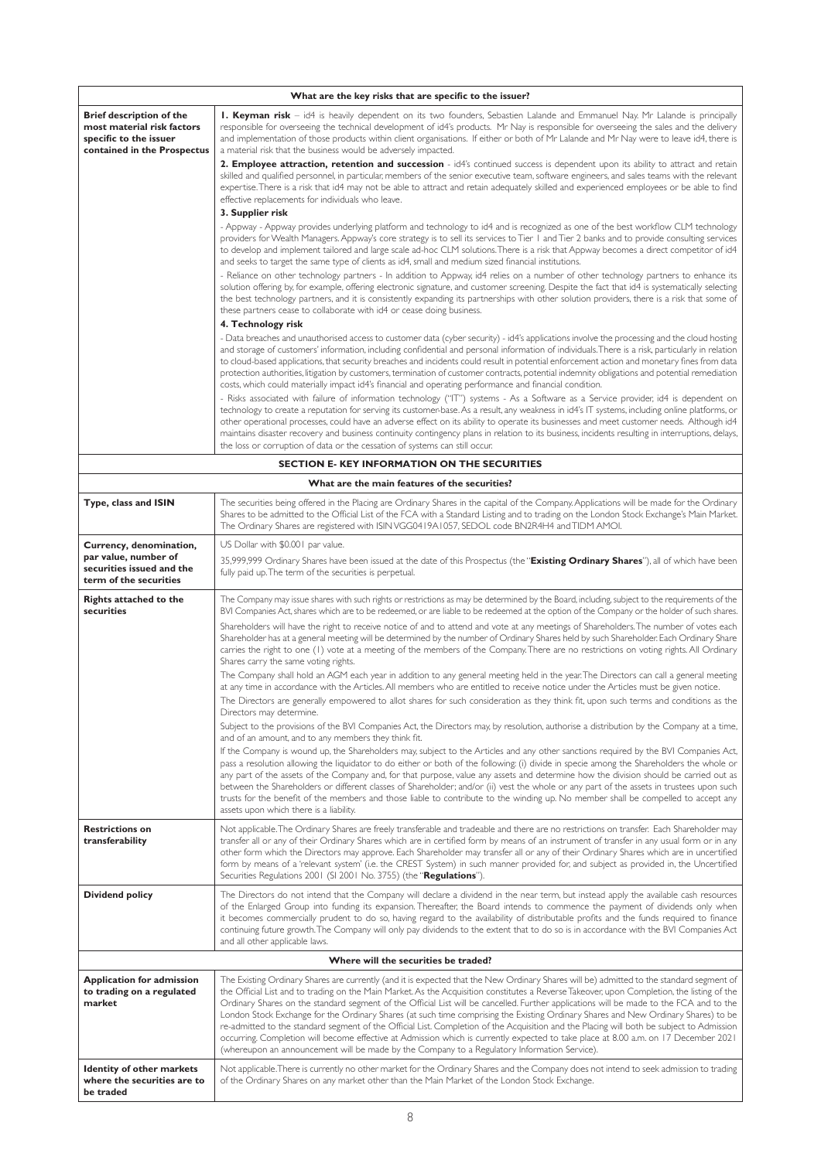|                                                                                                                        | What are the key risks that are specific to the issuer?                                                                                                                                                                                                                                                                                                                                                                                                                                                                                                                                                                                                                                                    |  |  |  |  |
|------------------------------------------------------------------------------------------------------------------------|------------------------------------------------------------------------------------------------------------------------------------------------------------------------------------------------------------------------------------------------------------------------------------------------------------------------------------------------------------------------------------------------------------------------------------------------------------------------------------------------------------------------------------------------------------------------------------------------------------------------------------------------------------------------------------------------------------|--|--|--|--|
| <b>Brief description of the</b><br>most material risk factors<br>specific to the issuer<br>contained in the Prospectus | I. Keyman risk - id4 is heavily dependent on its two founders, Sebastien Lalande and Emmanuel Nay. Mr Lalande is principally<br>responsible for overseeing the technical development of id4's products. Mr Nay is responsible for overseeing the sales and the delivery<br>and implementation of those products within client organisations. If either or both of Mr Lalande and Mr Nay were to leave id4, there is<br>a material risk that the business would be adversely impacted.                                                                                                                                                                                                                      |  |  |  |  |
|                                                                                                                        | 2. Employee attraction, retention and succession - id4's continued success is dependent upon its ability to attract and retain<br>skilled and qualified personnel, in particular, members of the senior executive team, software engineers, and sales teams with the relevant<br>expertise. There is a risk that id4 may not be able to attract and retain adequately skilled and experienced employees or be able to find<br>effective replacements for individuals who leave.                                                                                                                                                                                                                            |  |  |  |  |
|                                                                                                                        | 3. Supplier risk                                                                                                                                                                                                                                                                                                                                                                                                                                                                                                                                                                                                                                                                                           |  |  |  |  |
|                                                                                                                        | - Appway - Appway provides underlying platform and technology to id4 and is recognized as one of the best workflow CLM technology<br>providers for Wealth Managers. Appway's core strategy is to sell its services to Tier 1 and Tier 2 banks and to provide consulting services<br>to develop and implement tailored and large scale ad-hoc CLM solutions. There is a risk that Appway becomes a direct competitor of id4<br>and seeks to target the same type of clients as id4, small and medium sized financial institutions.                                                                                                                                                                          |  |  |  |  |
|                                                                                                                        | - Reliance on other technology partners - In addition to Appway, id4 relies on a number of other technology partners to enhance its<br>solution offering by, for example, offering electronic signature, and customer screening. Despite the fact that id4 is systematically selecting<br>the best technology partners, and it is consistently expanding its partnerships with other solution providers, there is a risk that some of<br>these partners cease to collaborate with id4 or cease doing business.                                                                                                                                                                                             |  |  |  |  |
|                                                                                                                        | 4. Technology risk                                                                                                                                                                                                                                                                                                                                                                                                                                                                                                                                                                                                                                                                                         |  |  |  |  |
|                                                                                                                        | - Data breaches and unauthorised access to customer data (cyber security) - id4's applications involve the processing and the cloud hosting<br>and storage of customers' information, including confidential and personal information of individuals. There is a risk, particularly in relation<br>to cloud-based applications, that security breaches and incidents could result in potential enforcement action and monetary fines from data<br>protection authorities, litigation by customers, termination of customer contracts, potential indemnity obligations and potential remediation<br>costs, which could materially impact id4's financial and operating performance and financial condition. |  |  |  |  |
|                                                                                                                        | - Risks associated with failure of information technology ("IT") systems - As a Software as a Service provider, id4 is dependent on<br>technology to create a reputation for serving its customer-base. As a result, any weakness in id4's IT systems, including online platforms, or<br>other operational processes, could have an adverse effect on its ability to operate its businesses and meet customer needs. Although id4<br>maintains disaster recovery and business continuity contingency plans in relation to its business, incidents resulting in interruptions, delays,<br>the loss or corruption of data or the cessation of systems can still occur.                                       |  |  |  |  |
|                                                                                                                        | <b>SECTION E- KEY INFORMATION ON THE SECURITIES</b>                                                                                                                                                                                                                                                                                                                                                                                                                                                                                                                                                                                                                                                        |  |  |  |  |
|                                                                                                                        | What are the main features of the securities?                                                                                                                                                                                                                                                                                                                                                                                                                                                                                                                                                                                                                                                              |  |  |  |  |
| Type, class and ISIN                                                                                                   | The securities being offered in the Placing are Ordinary Shares in the capital of the Company. Applications will be made for the Ordinary<br>Shares to be admitted to the Official List of the FCA with a Standard Listing and to trading on the London Stock Exchange's Main Market.<br>The Ordinary Shares are registered with ISIN VGG0419A1057, SEDOL code BN2R4H4 and TIDM AMOI.                                                                                                                                                                                                                                                                                                                      |  |  |  |  |
|                                                                                                                        | $\mathbf{1} \times \mathbf{1} \times \mathbf{1} \times \mathbf{1} \times \mathbf{1} \times \mathbf{1} \times \mathbf{1} \times \mathbf{1} \times \mathbf{1} \times \mathbf{1} \times \mathbf{1} \times \mathbf{1} \times \mathbf{1} \times \mathbf{1} \times \mathbf{1} \times \mathbf{1} \times \mathbf{1} \times \mathbf{1} \times \mathbf{1} \times \mathbf{1} \times \mathbf{1} \times \mathbf{1} \times \mathbf{1} \times \mathbf{1} \times \mathbf{1} \times \mathbf{1} \times \mathbf{1} \times \mathbf{$                                                                                                                                                                                           |  |  |  |  |

| Currency, denomination,<br>par value, number of                              | US Dollar with \$0.001 par value.                                                                                                                                                                                                                                                                                                                                                                                                                                                                                                                                                                                                                                                                                                                                                                                                                                                                                                                            |
|------------------------------------------------------------------------------|--------------------------------------------------------------------------------------------------------------------------------------------------------------------------------------------------------------------------------------------------------------------------------------------------------------------------------------------------------------------------------------------------------------------------------------------------------------------------------------------------------------------------------------------------------------------------------------------------------------------------------------------------------------------------------------------------------------------------------------------------------------------------------------------------------------------------------------------------------------------------------------------------------------------------------------------------------------|
| securities issued and the<br>term of the securities                          | 35,999,999 Ordinary Shares have been issued at the date of this Prospectus (the "Existing Ordinary Shares"), all of which have been<br>fully paid up. The term of the securities is perpetual.                                                                                                                                                                                                                                                                                                                                                                                                                                                                                                                                                                                                                                                                                                                                                               |
| <b>Rights attached to the</b><br>securities                                  | The Company may issue shares with such rights or restrictions as may be determined by the Board, including, subject to the requirements of the<br>BVI Companies Act, shares which are to be redeemed, or are liable to be redeemed at the option of the Company or the holder of such shares.                                                                                                                                                                                                                                                                                                                                                                                                                                                                                                                                                                                                                                                                |
|                                                                              | Shareholders will have the right to receive notice of and to attend and vote at any meetings of Shareholders. The number of votes each<br>Shareholder has at a general meeting will be determined by the number of Ordinary Shares held by such Shareholder. Each Ordinary Share<br>carries the right to one (1) vote at a meeting of the members of the Company. There are no restrictions on voting rights. All Ordinary<br>Shares carry the same voting rights.                                                                                                                                                                                                                                                                                                                                                                                                                                                                                           |
|                                                                              | The Company shall hold an AGM each year in addition to any general meeting held in the year. The Directors can call a general meeting<br>at any time in accordance with the Articles. All members who are entitled to receive notice under the Articles must be given notice.<br>The Directors are generally empowered to allot shares for such consideration as they think fit, upon such terms and conditions as the<br>Directors may determine.                                                                                                                                                                                                                                                                                                                                                                                                                                                                                                           |
|                                                                              | Subject to the provisions of the BVI Companies Act, the Directors may, by resolution, authorise a distribution by the Company at a time,<br>and of an amount, and to any members they think fit.                                                                                                                                                                                                                                                                                                                                                                                                                                                                                                                                                                                                                                                                                                                                                             |
|                                                                              | If the Company is wound up, the Shareholders may, subject to the Articles and any other sanctions required by the BVI Companies Act,<br>pass a resolution allowing the liquidator to do either or both of the following: (i) divide in specie among the Shareholders the whole or<br>any part of the assets of the Company and, for that purpose, value any assets and determine how the division should be carried out as<br>between the Shareholders or different classes of Shareholder; and/or (ii) vest the whole or any part of the assets in trustees upon such<br>trusts for the benefit of the members and those liable to contribute to the winding up. No member shall be compelled to accept any<br>assets upon which there is a liability.                                                                                                                                                                                                      |
| <b>Restrictions on</b><br>transferability                                    | Not applicable. The Ordinary Shares are freely transferable and tradeable and there are no restrictions on transfer. Each Shareholder may<br>transfer all or any of their Ordinary Shares which are in certified form by means of an instrument of transfer in any usual form or in any<br>other form which the Directors may approve. Each Shareholder may transfer all or any of their Ordinary Shares which are in uncertified<br>form by means of a 'relevant system' (i.e. the CREST System) in such manner provided for, and subject as provided in, the Uncertified<br>Securities Regulations 2001 (SI 2001 No. 3755) (the "Regulations").                                                                                                                                                                                                                                                                                                            |
| <b>Dividend policy</b>                                                       | The Directors do not intend that the Company will declare a dividend in the near term, but instead apply the available cash resources<br>of the Enlarged Group into funding its expansion. Thereafter, the Board intends to commence the payment of dividends only when<br>it becomes commercially prudent to do so, having regard to the availability of distributable profits and the funds required to finance<br>continuing future growth. The Company will only pay dividends to the extent that to do so is in accordance with the BVI Companies Act<br>and all other applicable laws.                                                                                                                                                                                                                                                                                                                                                                 |
|                                                                              | Where will the securities be traded?                                                                                                                                                                                                                                                                                                                                                                                                                                                                                                                                                                                                                                                                                                                                                                                                                                                                                                                         |
| <b>Application for admission</b><br>to trading on a regulated<br>market      | The Existing Ordinary Shares are currently (and it is expected that the New Ordinary Shares will be) admitted to the standard segment of<br>the Official List and to trading on the Main Market. As the Acquisition constitutes a Reverse Takeover, upon Completion, the listing of the<br>Ordinary Shares on the standard segment of the Official List will be cancelled. Further applications will be made to the FCA and to the<br>London Stock Exchange for the Ordinary Shares (at such time comprising the Existing Ordinary Shares and New Ordinary Shares) to be<br>re-admitted to the standard segment of the Official List. Completion of the Acquisition and the Placing will both be subject to Admission<br>occurring. Completion will become effective at Admission which is currently expected to take place at 8.00 a.m. on 17 December 2021<br>(whereupon an announcement will be made by the Company to a Regulatory Information Service). |
| <b>Identity of other markets</b><br>where the securities are to<br>be traded | Not applicable. There is currently no other market for the Ordinary Shares and the Company does not intend to seek admission to trading<br>of the Ordinary Shares on any market other than the Main Market of the London Stock Exchange.                                                                                                                                                                                                                                                                                                                                                                                                                                                                                                                                                                                                                                                                                                                     |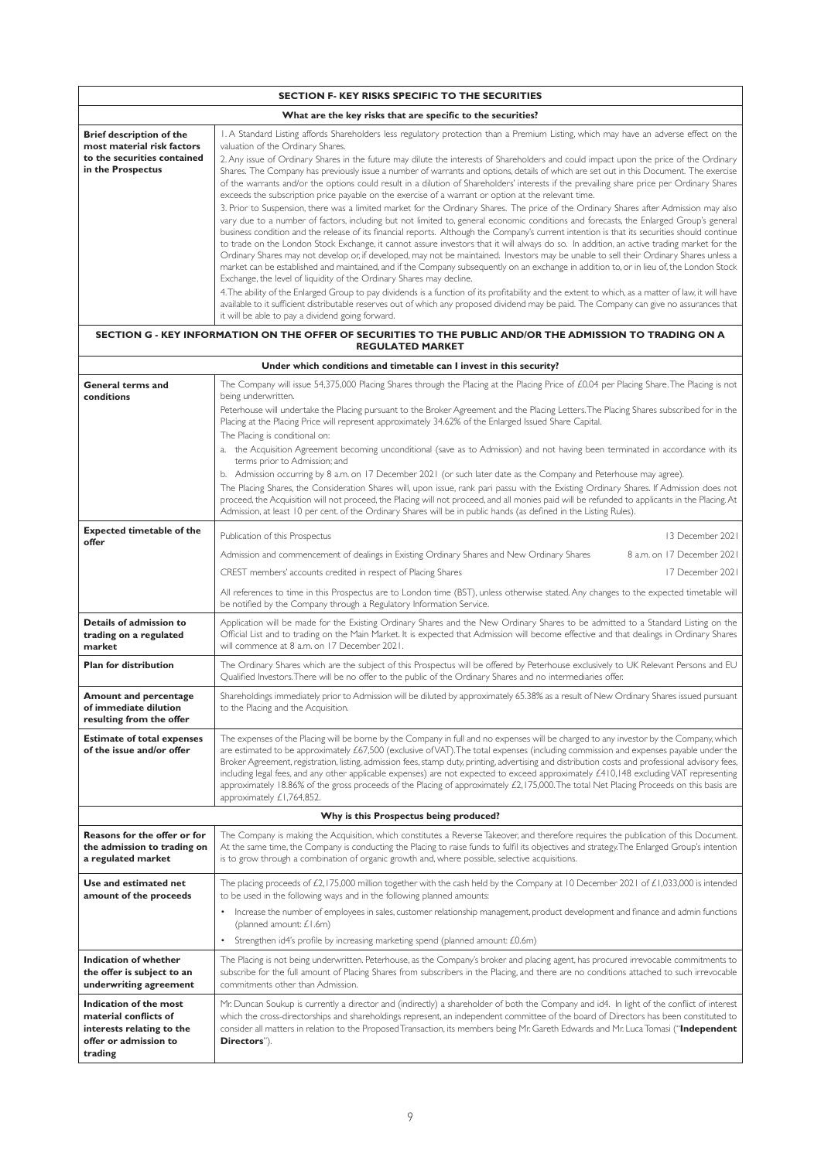| <b>SECTION F- KEY RISKS SPECIFIC TO THE SECURITIES</b>                                                            |                                                                                                                                                                                                                                                                                                                                                                                                                                                                                                                                                                                                                                                                                                                                                                                                                                                                                                                                                                                                                                                                                                                                                                                                                                                                                                                                                                                                                                                                                                                                                                                                                                                                                                                                                                                                                                                                                                                                                                                                                                                                                                                                                                    |  |  |  |  |
|-------------------------------------------------------------------------------------------------------------------|--------------------------------------------------------------------------------------------------------------------------------------------------------------------------------------------------------------------------------------------------------------------------------------------------------------------------------------------------------------------------------------------------------------------------------------------------------------------------------------------------------------------------------------------------------------------------------------------------------------------------------------------------------------------------------------------------------------------------------------------------------------------------------------------------------------------------------------------------------------------------------------------------------------------------------------------------------------------------------------------------------------------------------------------------------------------------------------------------------------------------------------------------------------------------------------------------------------------------------------------------------------------------------------------------------------------------------------------------------------------------------------------------------------------------------------------------------------------------------------------------------------------------------------------------------------------------------------------------------------------------------------------------------------------------------------------------------------------------------------------------------------------------------------------------------------------------------------------------------------------------------------------------------------------------------------------------------------------------------------------------------------------------------------------------------------------------------------------------------------------------------------------------------------------|--|--|--|--|
|                                                                                                                   | What are the key risks that are specific to the securities?                                                                                                                                                                                                                                                                                                                                                                                                                                                                                                                                                                                                                                                                                                                                                                                                                                                                                                                                                                                                                                                                                                                                                                                                                                                                                                                                                                                                                                                                                                                                                                                                                                                                                                                                                                                                                                                                                                                                                                                                                                                                                                        |  |  |  |  |
| <b>Brief description of the</b><br>most material risk factors<br>to the securities contained<br>in the Prospectus | I. A Standard Listing affords Shareholders less regulatory protection than a Premium Listing, which may have an adverse effect on the<br>valuation of the Ordinary Shares.<br>2. Any issue of Ordinary Shares in the future may dilute the interests of Shareholders and could impact upon the price of the Ordinary<br>Shares. The Company has previously issue a number of warrants and options, details of which are set out in this Document. The exercise<br>of the warrants and/or the options could result in a dilution of Shareholders' interests if the prevailing share price per Ordinary Shares<br>exceeds the subscription price payable on the exercise of a warrant or option at the relevant time.<br>3. Prior to Suspension, there was a limited market for the Ordinary Shares. The price of the Ordinary Shares after Admission may also<br>vary due to a number of factors, including but not limited to, general economic conditions and forecasts, the Enlarged Group's general<br>business condition and the release of its financial reports. Although the Company's current intention is that its securities should continue<br>to trade on the London Stock Exchange, it cannot assure investors that it will always do so. In addition, an active trading market for the<br>Ordinary Shares may not develop or, if developed, may not be maintained. Investors may be unable to sell their Ordinary Shares unless a<br>market can be established and maintained, and if the Company subsequently on an exchange in addition to, or in lieu of, the London Stock<br>Exchange, the level of liquidity of the Ordinary Shares may decline.<br>4. The ability of the Enlarged Group to pay dividends is a function of its profitability and the extent to which, as a matter of law, it will have<br>available to it sufficient distributable reserves out of which any proposed dividend may be paid. The Company can give no assurances that<br>it will be able to pay a dividend going forward.<br>SECTION G - KEY INFORMATION ON THE OFFER OF SECURITIES TO THE PUBLIC AND/OR THE ADMISSION TO TRADING ON A<br><b>REGULATED MARKET</b> |  |  |  |  |
|                                                                                                                   | Under which conditions and timetable can I invest in this security?                                                                                                                                                                                                                                                                                                                                                                                                                                                                                                                                                                                                                                                                                                                                                                                                                                                                                                                                                                                                                                                                                                                                                                                                                                                                                                                                                                                                                                                                                                                                                                                                                                                                                                                                                                                                                                                                                                                                                                                                                                                                                                |  |  |  |  |
| <b>General terms and</b><br>conditions                                                                            | The Company will issue 54,375,000 Placing Shares through the Placing at the Placing Price of £0.04 per Placing Share. The Placing is not<br>being underwritten.<br>Peterhouse will undertake the Placing pursuant to the Broker Agreement and the Placing Letters. The Placing Shares subscribed for in the<br>Placing at the Placing Price will represent approximately 34.62% of the Enlarged Issued Share Capital.<br>The Placing is conditional on:<br>a. the Acquisition Agreement becoming unconditional (save as to Admission) and not having been terminated in accordance with its<br>terms prior to Admission; and<br>b. Admission occurring by 8 a.m. on 17 December 2021 (or such later date as the Company and Peterhouse may agree).<br>The Placing Shares, the Consideration Shares will, upon issue, rank pari passu with the Existing Ordinary Shares. If Admission does not<br>proceed, the Acquisition will not proceed, the Placing will not proceed, and all monies paid will be refunded to applicants in the Placing. At<br>Admission, at least 10 per cent. of the Ordinary Shares will be in public hands (as defined in the Listing Rules).                                                                                                                                                                                                                                                                                                                                                                                                                                                                                                                                                                                                                                                                                                                                                                                                                                                                                                                                                                                              |  |  |  |  |
| <b>Expected timetable of the</b>                                                                                  | 13 December 2021<br>Publication of this Prospectus                                                                                                                                                                                                                                                                                                                                                                                                                                                                                                                                                                                                                                                                                                                                                                                                                                                                                                                                                                                                                                                                                                                                                                                                                                                                                                                                                                                                                                                                                                                                                                                                                                                                                                                                                                                                                                                                                                                                                                                                                                                                                                                 |  |  |  |  |
| offer                                                                                                             | 8 a.m. on 17 December 2021<br>Admission and commencement of dealings in Existing Ordinary Shares and New Ordinary Shares                                                                                                                                                                                                                                                                                                                                                                                                                                                                                                                                                                                                                                                                                                                                                                                                                                                                                                                                                                                                                                                                                                                                                                                                                                                                                                                                                                                                                                                                                                                                                                                                                                                                                                                                                                                                                                                                                                                                                                                                                                           |  |  |  |  |
|                                                                                                                   | CREST members' accounts credited in respect of Placing Shares<br>17 December 2021                                                                                                                                                                                                                                                                                                                                                                                                                                                                                                                                                                                                                                                                                                                                                                                                                                                                                                                                                                                                                                                                                                                                                                                                                                                                                                                                                                                                                                                                                                                                                                                                                                                                                                                                                                                                                                                                                                                                                                                                                                                                                  |  |  |  |  |
|                                                                                                                   | All references to time in this Prospectus are to London time (BST), unless otherwise stated. Any changes to the expected timetable will<br>be notified by the Company through a Regulatory Information Service.                                                                                                                                                                                                                                                                                                                                                                                                                                                                                                                                                                                                                                                                                                                                                                                                                                                                                                                                                                                                                                                                                                                                                                                                                                                                                                                                                                                                                                                                                                                                                                                                                                                                                                                                                                                                                                                                                                                                                    |  |  |  |  |
| Details of admission to<br>trading on a regulated<br>market                                                       | Application will be made for the Existing Ordinary Shares and the New Ordinary Shares to be admitted to a Standard Listing on the<br>Official List and to trading on the Main Market. It is expected that Admission will become effective and that dealings in Ordinary Shares<br>will commence at 8 a.m. on 17 December 2021.                                                                                                                                                                                                                                                                                                                                                                                                                                                                                                                                                                                                                                                                                                                                                                                                                                                                                                                                                                                                                                                                                                                                                                                                                                                                                                                                                                                                                                                                                                                                                                                                                                                                                                                                                                                                                                     |  |  |  |  |
| <b>Plan for distribution</b>                                                                                      | The Ordinary Shares which are the subject of this Prospectus will be offered by Peterhouse exclusively to UK Relevant Persons and EU<br>Qualified Investors. There will be no offer to the public of the Ordinary Shares and no intermediaries offer.                                                                                                                                                                                                                                                                                                                                                                                                                                                                                                                                                                                                                                                                                                                                                                                                                                                                                                                                                                                                                                                                                                                                                                                                                                                                                                                                                                                                                                                                                                                                                                                                                                                                                                                                                                                                                                                                                                              |  |  |  |  |
| <b>Amount and percentage</b><br>of immediate dilution<br>resulting from the offer                                 | Shareholdings immediately prior to Admission will be diluted by approximately 65.38% as a result of New Ordinary Shares issued pursuant<br>to the Placing and the Acquisition.                                                                                                                                                                                                                                                                                                                                                                                                                                                                                                                                                                                                                                                                                                                                                                                                                                                                                                                                                                                                                                                                                                                                                                                                                                                                                                                                                                                                                                                                                                                                                                                                                                                                                                                                                                                                                                                                                                                                                                                     |  |  |  |  |
| <b>Estimate of total expenses</b><br>of the issue and/or offer                                                    | The expenses of the Placing will be borne by the Company in full and no expenses will be charged to any investor by the Company, which<br>are estimated to be approximately £67,500 (exclusive of VAT). The total expenses (including commission and expenses payable under the<br>Broker Agreement, registration, listing, admission fees, stamp duty, printing, advertising and distribution costs and professional advisory fees,<br>including legal fees, and any other applicable expenses) are not expected to exceed approximately £410,148 excluding VAT representing<br>approximately 18.86% of the gross proceeds of the Placing of approximately £2,175,000. The total Net Placing Proceeds on this basis are<br>approximately £1,764,852.                                                                                                                                                                                                                                                                                                                                                                                                                                                                                                                                                                                                                                                                                                                                                                                                                                                                                                                                                                                                                                                                                                                                                                                                                                                                                                                                                                                                              |  |  |  |  |
|                                                                                                                   | Why is this Prospectus being produced?                                                                                                                                                                                                                                                                                                                                                                                                                                                                                                                                                                                                                                                                                                                                                                                                                                                                                                                                                                                                                                                                                                                                                                                                                                                                                                                                                                                                                                                                                                                                                                                                                                                                                                                                                                                                                                                                                                                                                                                                                                                                                                                             |  |  |  |  |
| Reasons for the offer or for<br>the admission to trading on<br>a regulated market                                 | The Company is making the Acquisition, which constitutes a Reverse Takeover, and therefore requires the publication of this Document.<br>At the same time, the Company is conducting the Placing to raise funds to fulfil its objectives and strategy. The Enlarged Group's intention<br>is to grow through a combination of organic growth and, where possible, selective acquisitions.                                                                                                                                                                                                                                                                                                                                                                                                                                                                                                                                                                                                                                                                                                                                                                                                                                                                                                                                                                                                                                                                                                                                                                                                                                                                                                                                                                                                                                                                                                                                                                                                                                                                                                                                                                           |  |  |  |  |
| Use and estimated net<br>amount of the proceeds                                                                   | The placing proceeds of $\angle 2$ , 175,000 million together with the cash held by the Company at 10 December 2021 of $\angle 1$ ,033,000 is intended<br>to be used in the following ways and in the following planned amounts:<br>Increase the number of employees in sales, customer relationship management, product development and finance and admin functions<br>$\bullet$<br>(planned amount: £1.6m)<br>Strengthen id4's profile by increasing marketing spend (planned amount: £0.6m)                                                                                                                                                                                                                                                                                                                                                                                                                                                                                                                                                                                                                                                                                                                                                                                                                                                                                                                                                                                                                                                                                                                                                                                                                                                                                                                                                                                                                                                                                                                                                                                                                                                                     |  |  |  |  |
| <b>Indication of whether</b><br>the offer is subject to an<br>underwriting agreement                              | The Placing is not being underwritten. Peterhouse, as the Company's broker and placing agent, has procured irrevocable commitments to<br>subscribe for the full amount of Placing Shares from subscribers in the Placing, and there are no conditions attached to such irrevocable<br>commitments other than Admission.                                                                                                                                                                                                                                                                                                                                                                                                                                                                                                                                                                                                                                                                                                                                                                                                                                                                                                                                                                                                                                                                                                                                                                                                                                                                                                                                                                                                                                                                                                                                                                                                                                                                                                                                                                                                                                            |  |  |  |  |
| Indication of the most<br>material conflicts of<br>interests relating to the<br>offer or admission to<br>trading  | Mr. Duncan Soukup is currently a director and (indirectly) a shareholder of both the Company and id4. In light of the conflict of interest<br>which the cross-directorships and shareholdings represent, an independent committee of the board of Directors has been constituted to<br>consider all matters in relation to the Proposed Transaction, its members being Mr. Gareth Edwards and Mr. Luca Tomasi ("Independent<br>Directors").                                                                                                                                                                                                                                                                                                                                                                                                                                                                                                                                                                                                                                                                                                                                                                                                                                                                                                                                                                                                                                                                                                                                                                                                                                                                                                                                                                                                                                                                                                                                                                                                                                                                                                                        |  |  |  |  |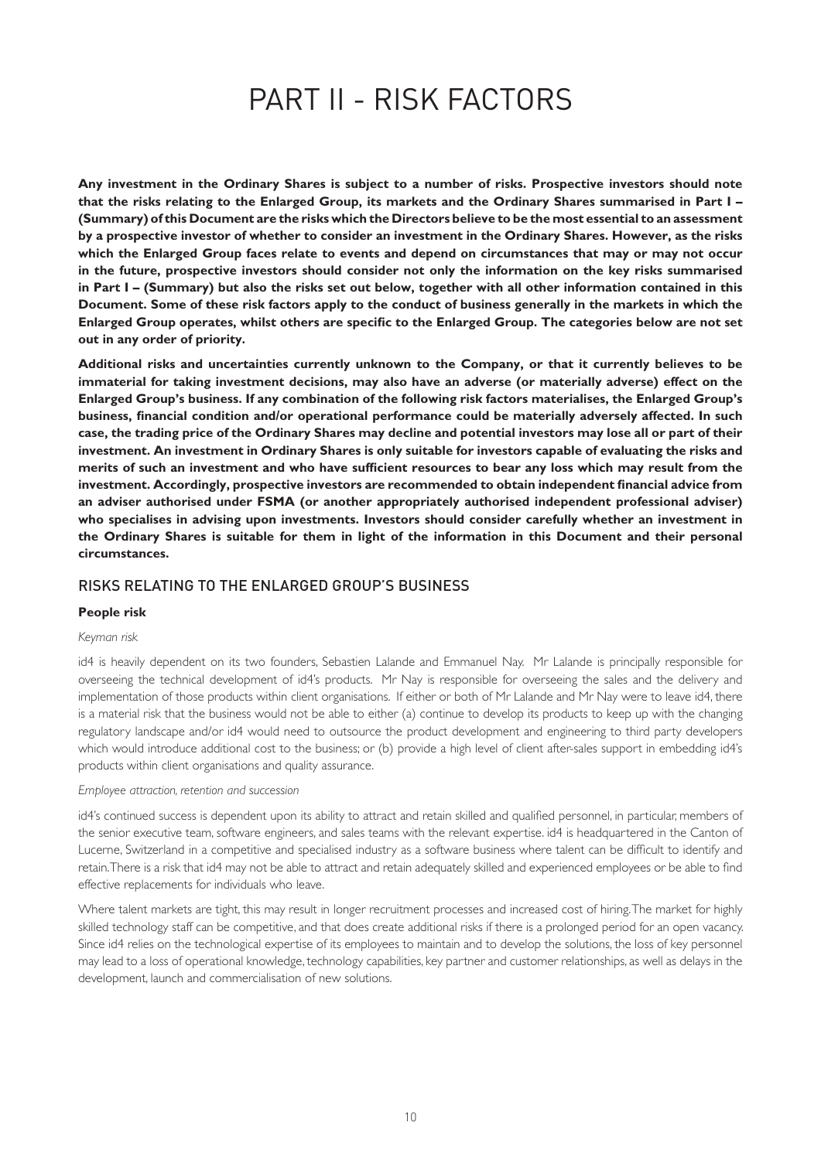# PART II - RISK FACTORS

**Any investment in the Ordinary Shares is subject to a number of risks. Prospective investors should note that the risks relating to the Enlarged Group, its markets and the Ordinary Shares summarised in Part I – (Summary) of this Document are the risks which the Directors believe to be the most essential to an assessment by a prospective investor of whether to consider an investment in the Ordinary Shares. However, as the risks which the Enlarged Group faces relate to events and depend on circumstances that may or may not occur in the future, prospective investors should consider not only the information on the key risks summarised in Part I – (Summary) but also the risks set out below, together with all other information contained in this Document. Some of these risk factors apply to the conduct of business generally in the markets in which the Enlarged Group operates, whilst others are specific to the Enlarged Group. The categories below are not set out in any order of priority.**

**Additional risks and uncertainties currently unknown to the Company, or that it currently believes to be immaterial for taking investment decisions, may also have an adverse (or materially adverse) effect on the Enlarged Group's business. If any combination of the following risk factors materialises, the Enlarged Group's business, financial condition and/or operational performance could be materially adversely affected. In such case, the trading price of the Ordinary Shares may decline and potential investors may lose all or part of their investment. An investment in Ordinary Shares is only suitable for investors capable of evaluating the risks and merits of such an investment and who have sufficient resources to bear any loss which may result from the investment. Accordingly, prospective investors are recommended to obtain independent financial advice from an adviser authorised under FSMA (or another appropriately authorised independent professional adviser) who specialises in advising upon investments. Investors should consider carefully whether an investment in the Ordinary Shares is suitable for them in light of the information in this Document and their personal circumstances.**

# RISKS RELATING TO THE ENLARGED GROUP'S BUSINESS

#### **People risk**

#### *Keyman risk*

id4 is heavily dependent on its two founders, Sebastien Lalande and Emmanuel Nay. Mr Lalande is principally responsible for overseeing the technical development of id4's products. Mr Nay is responsible for overseeing the sales and the delivery and implementation of those products within client organisations. If either or both of Mr Lalande and Mr Nay were to leave id4, there is a material risk that the business would not be able to either (a) continue to develop its products to keep up with the changing regulatory landscape and/or id4 would need to outsource the product development and engineering to third party developers which would introduce additional cost to the business; or (b) provide a high level of client after-sales support in embedding id4's products within client organisations and quality assurance.

#### *Employee attraction, retention and succession*

id4's continued success is dependent upon its ability to attract and retain skilled and qualified personnel, in particular, members of the senior executive team, software engineers, and sales teams with the relevant expertise. id4 is headquartered in the Canton of Lucerne, Switzerland in a competitive and specialised industry as a software business where talent can be difficult to identify and retain. There is a risk that id4 may not be able to attract and retain adequately skilled and experienced employees or be able to find effective replacements for individuals who leave.

Where talent markets are tight, this may result in longer recruitment processes and increased cost of hiring. The market for highly skilled technology staff can be competitive, and that does create additional risks if there is a prolonged period for an open vacancy. Since id4 relies on the technological expertise of its employees to maintain and to develop the solutions, the loss of key personnel may lead to a loss of operational knowledge, technology capabilities, key partner and customer relationships, as well as delays in the development, launch and commercialisation of new solutions.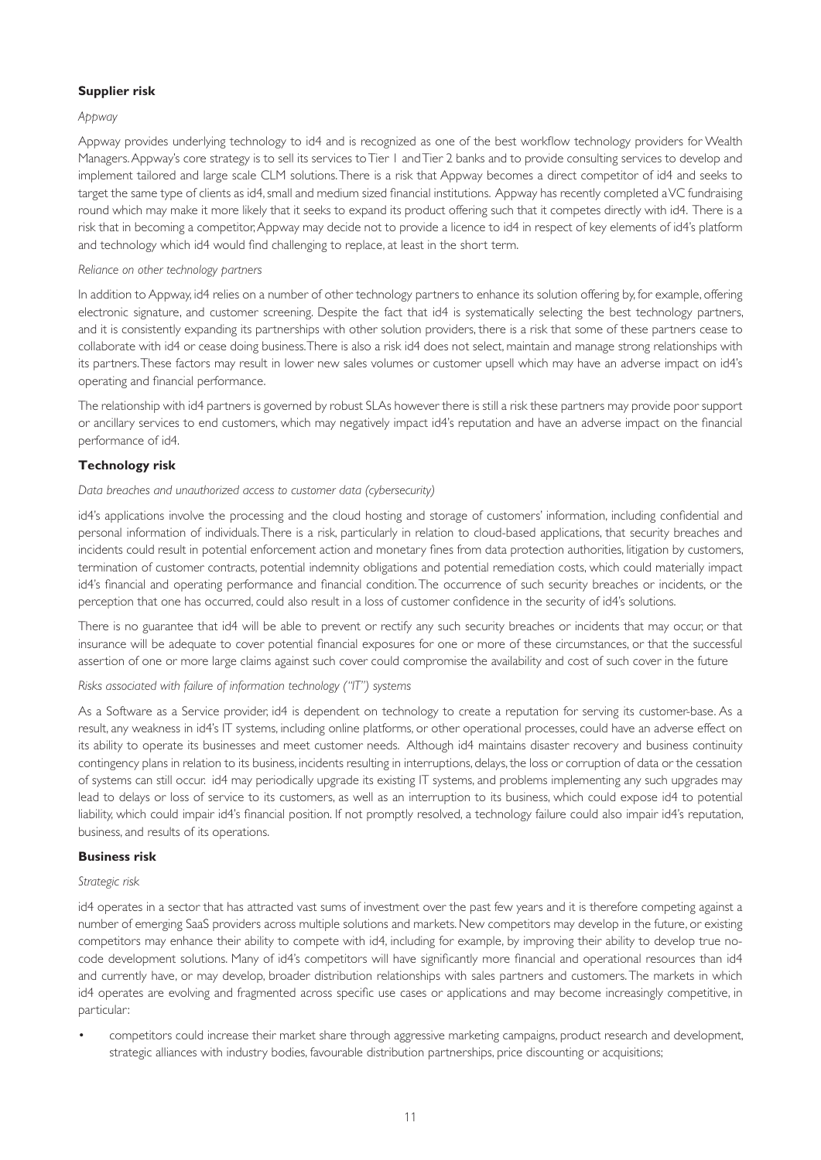#### **Supplier risk**

#### *Appway*

Appway provides underlying technology to id4 and is recognized as one of the best workflow technology providers for Wealth Managers. Appway's core strategy is to sell its services to Tier 1 and Tier 2 banks and to provide consulting services to develop and implement tailored and large scale CLM solutions. There is a risk that Appway becomes a direct competitor of id4 and seeks to target the same type of clients as id4, small and medium sized financial institutions. Appway has recently completed a VC fundraising round which may make it more likely that it seeks to expand its product offering such that it competes directly with id4. There is a risk that in becoming a competitor, Appway may decide not to provide a licence to id4 in respect of key elements of id4's platform and technology which id4 would find challenging to replace, at least in the short term.

#### *Reliance on other technology partners*

In addition to Appway, id4 relies on a number of other technology partners to enhance its solution offering by, for example, offering electronic signature, and customer screening. Despite the fact that id4 is systematically selecting the best technology partners, and it is consistently expanding its partnerships with other solution providers, there is a risk that some of these partners cease to collaborate with id4 or cease doing business. There is also a risk id4 does not select, maintain and manage strong relationships with its partners. These factors may result in lower new sales volumes or customer upsell which may have an adverse impact on id4's operating and financial performance.

The relationship with id4 partners is governed by robust SLAs however there is still a risk these partners may provide poor support or ancillary services to end customers, which may negatively impact id4's reputation and have an adverse impact on the financial performance of id4.

### **Technology risk**

#### *Data breaches and unauthorized access to customer data (cybersecurity)*

id4's applications involve the processing and the cloud hosting and storage of customers' information, including confidential and personal information of individuals. There is a risk, particularly in relation to cloud-based applications, that security breaches and incidents could result in potential enforcement action and monetary fines from data protection authorities, litigation by customers, termination of customer contracts, potential indemnity obligations and potential remediation costs, which could materially impact id4's financial and operating performance and financial condition. The occurrence of such security breaches or incidents, or the perception that one has occurred, could also result in a loss of customer confidence in the security of id4's solutions.

There is no guarantee that id4 will be able to prevent or rectify any such security breaches or incidents that may occur, or that insurance will be adequate to cover potential financial exposures for one or more of these circumstances, or that the successful assertion of one or more large claims against such cover could compromise the availability and cost of such cover in the future

### *Risks associated with failure of information technology ("IT") systems*

As a Software as a Service provider, id4 is dependent on technology to create a reputation for serving its customer-base. As a result, any weakness in id4's IT systems, including online platforms, or other operational processes, could have an adverse effect on its ability to operate its businesses and meet customer needs. Although id4 maintains disaster recovery and business continuity contingency plans in relation to its business, incidents resulting in interruptions, delays, the loss or corruption of data or the cessation of systems can still occur. id4 may periodically upgrade its existing IT systems, and problems implementing any such upgrades may lead to delays or loss of service to its customers, as well as an interruption to its business, which could expose id4 to potential liability, which could impair id4's financial position. If not promptly resolved, a technology failure could also impair id4's reputation, business, and results of its operations.

#### **Business risk**

#### *Strategic risk*

id4 operates in a sector that has attracted vast sums of investment over the past few years and it is therefore competing against a number of emerging SaaS providers across multiple solutions and markets. New competitors may develop in the future, or existing competitors may enhance their ability to compete with id4, including for example, by improving their ability to develop true nocode development solutions. Many of id4's competitors will have significantly more financial and operational resources than id4 and currently have, or may develop, broader distribution relationships with sales partners and customers. The markets in which id4 operates are evolving and fragmented across specific use cases or applications and may become increasingly competitive, in particular:

• competitors could increase their market share through aggressive marketing campaigns, product research and development, strategic alliances with industry bodies, favourable distribution partnerships, price discounting or acquisitions;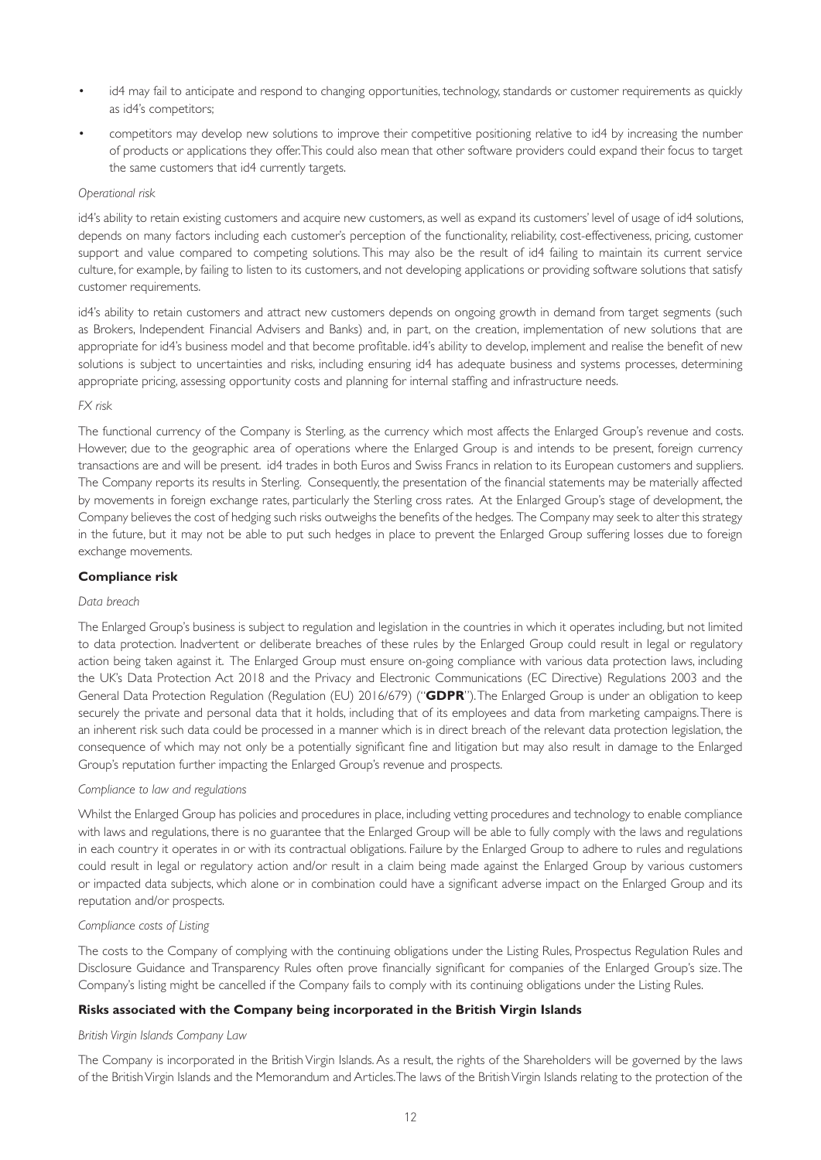- id4 may fail to anticipate and respond to changing opportunities, technology, standards or customer requirements as quickly as id4's competitors;
- competitors may develop new solutions to improve their competitive positioning relative to id4 by increasing the number of products or applications they offer. This could also mean that other software providers could expand their focus to target the same customers that id4 currently targets.

#### *Operational risk*

id4's ability to retain existing customers and acquire new customers, as well as expand its customers' level of usage of id4 solutions, depends on many factors including each customer's perception of the functionality, reliability, cost-effectiveness, pricing, customer support and value compared to competing solutions. This may also be the result of id4 failing to maintain its current service culture, for example, by failing to listen to its customers, and not developing applications or providing software solutions that satisfy customer requirements.

id4's ability to retain customers and attract new customers depends on ongoing growth in demand from target segments (such as Brokers, Independent Financial Advisers and Banks) and, in part, on the creation, implementation of new solutions that are appropriate for id4's business model and that become profitable. id4's ability to develop, implement and realise the benefit of new solutions is subject to uncertainties and risks, including ensuring id4 has adequate business and systems processes, determining appropriate pricing, assessing opportunity costs and planning for internal staffing and infrastructure needs.

#### *FX risk*

The functional currency of the Company is Sterling, as the currency which most affects the Enlarged Group's revenue and costs. However, due to the geographic area of operations where the Enlarged Group is and intends to be present, foreign currency transactions are and will be present. id4 trades in both Euros and Swiss Francs in relation to its European customers and suppliers. The Company reports its results in Sterling. Consequently, the presentation of the financial statements may be materially affected by movements in foreign exchange rates, particularly the Sterling cross rates. At the Enlarged Group's stage of development, the Company believes the cost of hedging such risks outweighs the benefits of the hedges. The Company may seek to alter this strategy in the future, but it may not be able to put such hedges in place to prevent the Enlarged Group suffering losses due to foreign exchange movements.

#### **Compliance risk**

#### *Data breach*

The Enlarged Group's business is subject to regulation and legislation in the countries in which it operates including, but not limited to data protection. Inadvertent or deliberate breaches of these rules by the Enlarged Group could result in legal or regulatory action being taken against it. The Enlarged Group must ensure on-going compliance with various data protection laws, including the UK's Data Protection Act 2018 and the Privacy and Electronic Communications (EC Directive) Regulations 2003 and the General Data Protection Regulation (Regulation (EU) 2016/679) ("**GDPR**"). The Enlarged Group is under an obligation to keep securely the private and personal data that it holds, including that of its employees and data from marketing campaigns. There is an inherent risk such data could be processed in a manner which is in direct breach of the relevant data protection legislation, the consequence of which may not only be a potentially significant fine and litigation but may also result in damage to the Enlarged Group's reputation further impacting the Enlarged Group's revenue and prospects.

#### *Compliance to law and regulations*

Whilst the Enlarged Group has policies and procedures in place, including vetting procedures and technology to enable compliance with laws and regulations, there is no guarantee that the Enlarged Group will be able to fully comply with the laws and regulations in each country it operates in or with its contractual obligations. Failure by the Enlarged Group to adhere to rules and regulations could result in legal or regulatory action and/or result in a claim being made against the Enlarged Group by various customers or impacted data subjects, which alone or in combination could have a significant adverse impact on the Enlarged Group and its reputation and/or prospects.

#### *Compliance costs of Listing*

The costs to the Company of complying with the continuing obligations under the Listing Rules, Prospectus Regulation Rules and Disclosure Guidance and Transparency Rules often prove financially significant for companies of the Enlarged Group's size. The Company's listing might be cancelled if the Company fails to comply with its continuing obligations under the Listing Rules.

#### **Risks associated with the Company being incorporated in the British Virgin Islands**

#### *British Virgin Islands Company Law*

The Company is incorporated in the British Virgin Islands. As a result, the rights of the Shareholders will be governed by the laws of the British Virgin Islands and the Memorandum and Articles. The laws of the British Virgin Islands relating to the protection of the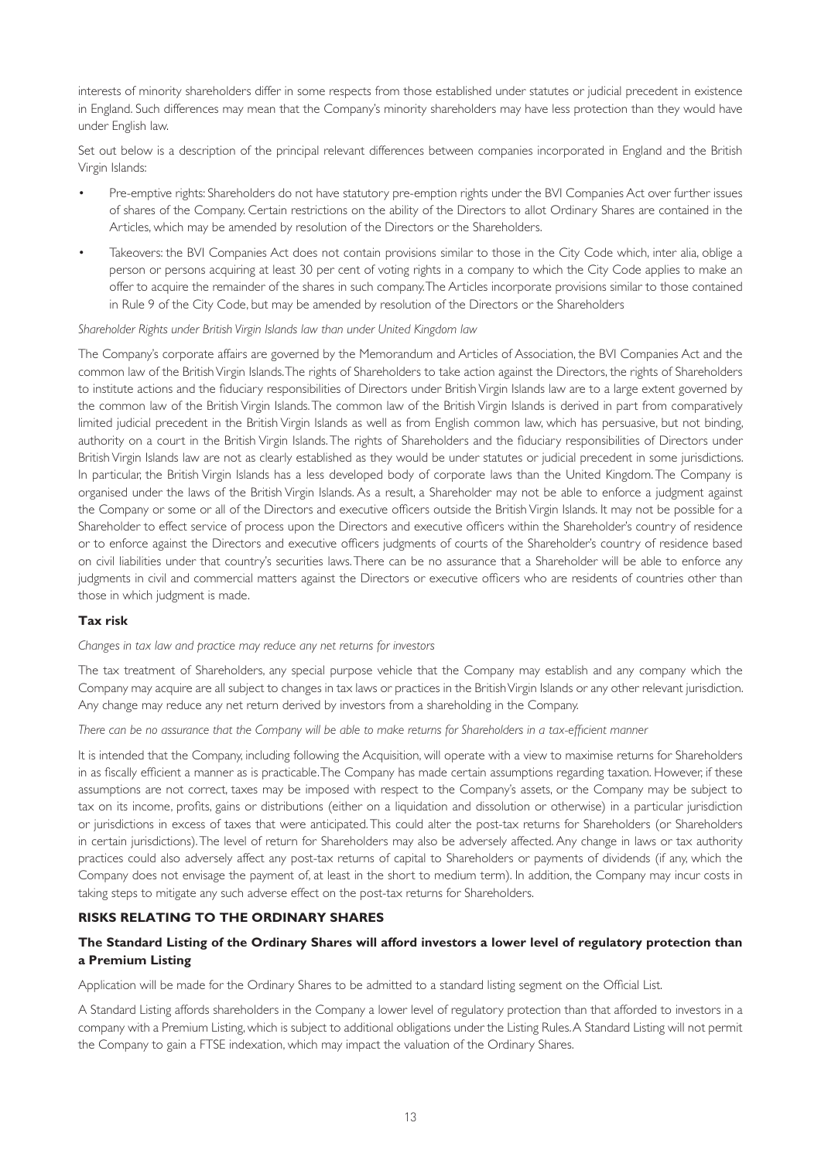interests of minority shareholders differ in some respects from those established under statutes or judicial precedent in existence in England. Such differences may mean that the Company's minority shareholders may have less protection than they would have under English law.

Set out below is a description of the principal relevant differences between companies incorporated in England and the British Virgin Islands:

- Pre-emptive rights: Shareholders do not have statutory pre-emption rights under the BVI Companies Act over further issues of shares of the Company. Certain restrictions on the ability of the Directors to allot Ordinary Shares are contained in the Articles, which may be amended by resolution of the Directors or the Shareholders.
- Takeovers: the BVI Companies Act does not contain provisions similar to those in the City Code which, inter alia, oblige a person or persons acquiring at least 30 per cent of voting rights in a company to which the City Code applies to make an offer to acquire the remainder of the shares in such company. The Articles incorporate provisions similar to those contained in Rule 9 of the City Code, but may be amended by resolution of the Directors or the Shareholders

#### *Shareholder Rights under British Virgin Islands law than under United Kingdom law*

The Company's corporate affairs are governed by the Memorandum and Articles of Association, the BVI Companies Act and the common law of the British Virgin Islands. The rights of Shareholders to take action against the Directors, the rights of Shareholders to institute actions and the fiduciary responsibilities of Directors under British Virgin Islands law are to a large extent governed by the common law of the British Virgin Islands. The common law of the British Virgin Islands is derived in part from comparatively limited judicial precedent in the British Virgin Islands as well as from English common law, which has persuasive, but not binding, authority on a court in the British Virgin Islands. The rights of Shareholders and the fiduciary responsibilities of Directors under British Virgin Islands law are not as clearly established as they would be under statutes or judicial precedent in some jurisdictions. In particular, the British Virgin Islands has a less developed body of corporate laws than the United Kingdom. The Company is organised under the laws of the British Virgin Islands. As a result, a Shareholder may not be able to enforce a judgment against the Company or some or all of the Directors and executive officers outside the British Virgin Islands. It may not be possible for a Shareholder to effect service of process upon the Directors and executive officers within the Shareholder's country of residence or to enforce against the Directors and executive officers judgments of courts of the Shareholder's country of residence based on civil liabilities under that country's securities laws. There can be no assurance that a Shareholder will be able to enforce any judgments in civil and commercial matters against the Directors or executive officers who are residents of countries other than those in which judgment is made.

#### **Tax risk**

#### *Changes in tax law and practice may reduce any net returns for investors*

The tax treatment of Shareholders, any special purpose vehicle that the Company may establish and any company which the Company may acquire are all subject to changes in tax laws or practices in the British Virgin Islands or any other relevant jurisdiction. Any change may reduce any net return derived by investors from a shareholding in the Company.

#### *There can be no assurance that the Company will be able to make returns for Shareholders in a tax-efficient manner*

It is intended that the Company, including following the Acquisition, will operate with a view to maximise returns for Shareholders in as fiscally efficient a manner as is practicable. The Company has made certain assumptions regarding taxation. However, if these assumptions are not correct, taxes may be imposed with respect to the Company's assets, or the Company may be subject to tax on its income, profits, gains or distributions (either on a liquidation and dissolution or otherwise) in a particular jurisdiction or jurisdictions in excess of taxes that were anticipated. This could alter the post-tax returns for Shareholders (or Shareholders in certain jurisdictions). The level of return for Shareholders may also be adversely affected. Any change in laws or tax authority practices could also adversely affect any post-tax returns of capital to Shareholders or payments of dividends (if any, which the Company does not envisage the payment of, at least in the short to medium term). In addition, the Company may incur costs in taking steps to mitigate any such adverse effect on the post-tax returns for Shareholders.

#### **RISKS RELATING TO THE ORDINARY SHARES**

# **The Standard Listing of the Ordinary Shares will afford investors a lower level of regulatory protection than a Premium Listing**

Application will be made for the Ordinary Shares to be admitted to a standard listing segment on the Official List.

A Standard Listing affords shareholders in the Company a lower level of regulatory protection than that afforded to investors in a company with a Premium Listing, which is subject to additional obligations under the Listing Rules. A Standard Listing will not permit the Company to gain a FTSE indexation, which may impact the valuation of the Ordinary Shares.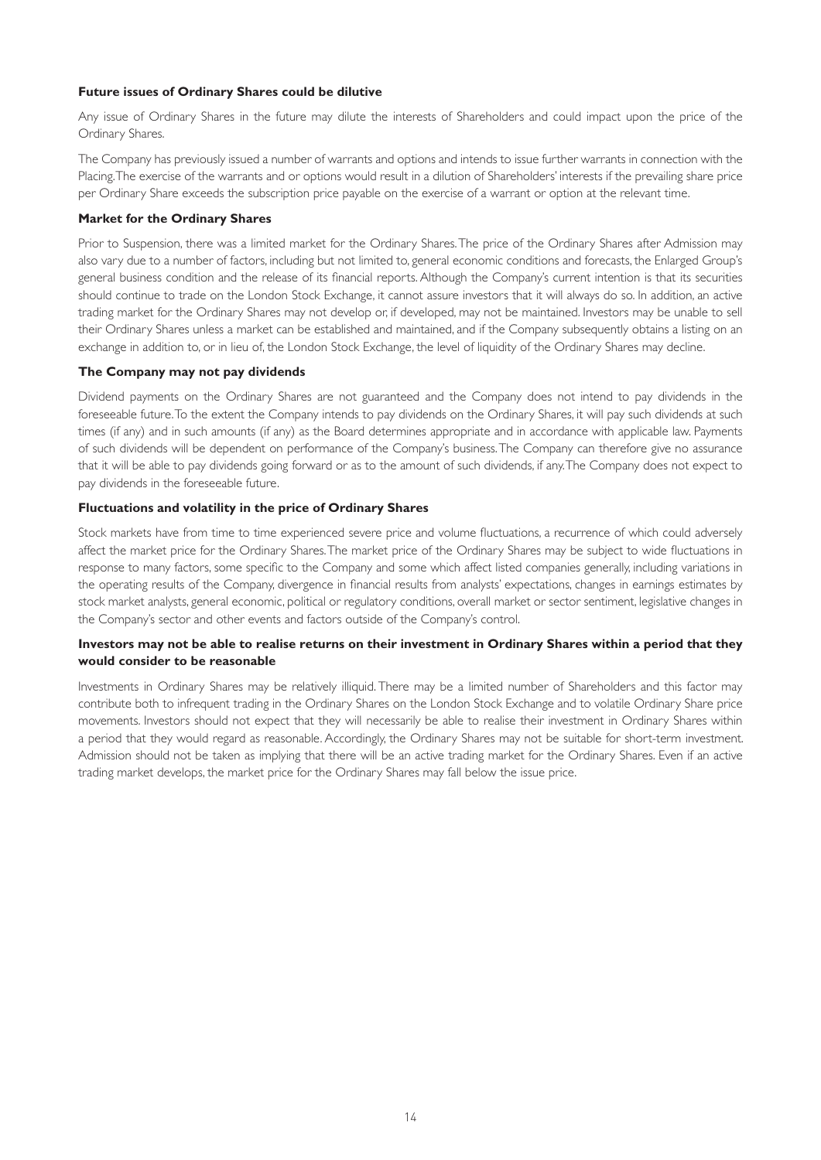#### **Future issues of Ordinary Shares could be dilutive**

Any issue of Ordinary Shares in the future may dilute the interests of Shareholders and could impact upon the price of the Ordinary Shares.

The Company has previously issued a number of warrants and options and intends to issue further warrants in connection with the Placing. The exercise of the warrants and or options would result in a dilution of Shareholders' interests if the prevailing share price per Ordinary Share exceeds the subscription price payable on the exercise of a warrant or option at the relevant time.

#### **Market for the Ordinary Shares**

Prior to Suspension, there was a limited market for the Ordinary Shares. The price of the Ordinary Shares after Admission may also vary due to a number of factors, including but not limited to, general economic conditions and forecasts, the Enlarged Group's general business condition and the release of its financial reports. Although the Company's current intention is that its securities should continue to trade on the London Stock Exchange, it cannot assure investors that it will always do so. In addition, an active trading market for the Ordinary Shares may not develop or, if developed, may not be maintained. Investors may be unable to sell their Ordinary Shares unless a market can be established and maintained, and if the Company subsequently obtains a listing on an exchange in addition to, or in lieu of, the London Stock Exchange, the level of liquidity of the Ordinary Shares may decline.

#### **The Company may not pay dividends**

Dividend payments on the Ordinary Shares are not guaranteed and the Company does not intend to pay dividends in the foreseeable future. To the extent the Company intends to pay dividends on the Ordinary Shares, it will pay such dividends at such times (if any) and in such amounts (if any) as the Board determines appropriate and in accordance with applicable law. Payments of such dividends will be dependent on performance of the Company's business. The Company can therefore give no assurance that it will be able to pay dividends going forward or as to the amount of such dividends, if any. The Company does not expect to pay dividends in the foreseeable future.

#### **Fluctuations and volatility in the price of Ordinary Shares**

Stock markets have from time to time experienced severe price and volume fluctuations, a recurrence of which could adversely affect the market price for the Ordinary Shares. The market price of the Ordinary Shares may be subject to wide fluctuations in response to many factors, some specific to the Company and some which affect listed companies generally, including variations in the operating results of the Company, divergence in financial results from analysts' expectations, changes in earnings estimates by stock market analysts, general economic, political or regulatory conditions, overall market or sector sentiment, legislative changes in the Company's sector and other events and factors outside of the Company's control.

### **Investors may not be able to realise returns on their investment in Ordinary Shares within a period that they would consider to be reasonable**

Investments in Ordinary Shares may be relatively illiquid. There may be a limited number of Shareholders and this factor may contribute both to infrequent trading in the Ordinary Shares on the London Stock Exchange and to volatile Ordinary Share price movements. Investors should not expect that they will necessarily be able to realise their investment in Ordinary Shares within a period that they would regard as reasonable. Accordingly, the Ordinary Shares may not be suitable for short-term investment. Admission should not be taken as implying that there will be an active trading market for the Ordinary Shares. Even if an active trading market develops, the market price for the Ordinary Shares may fall below the issue price.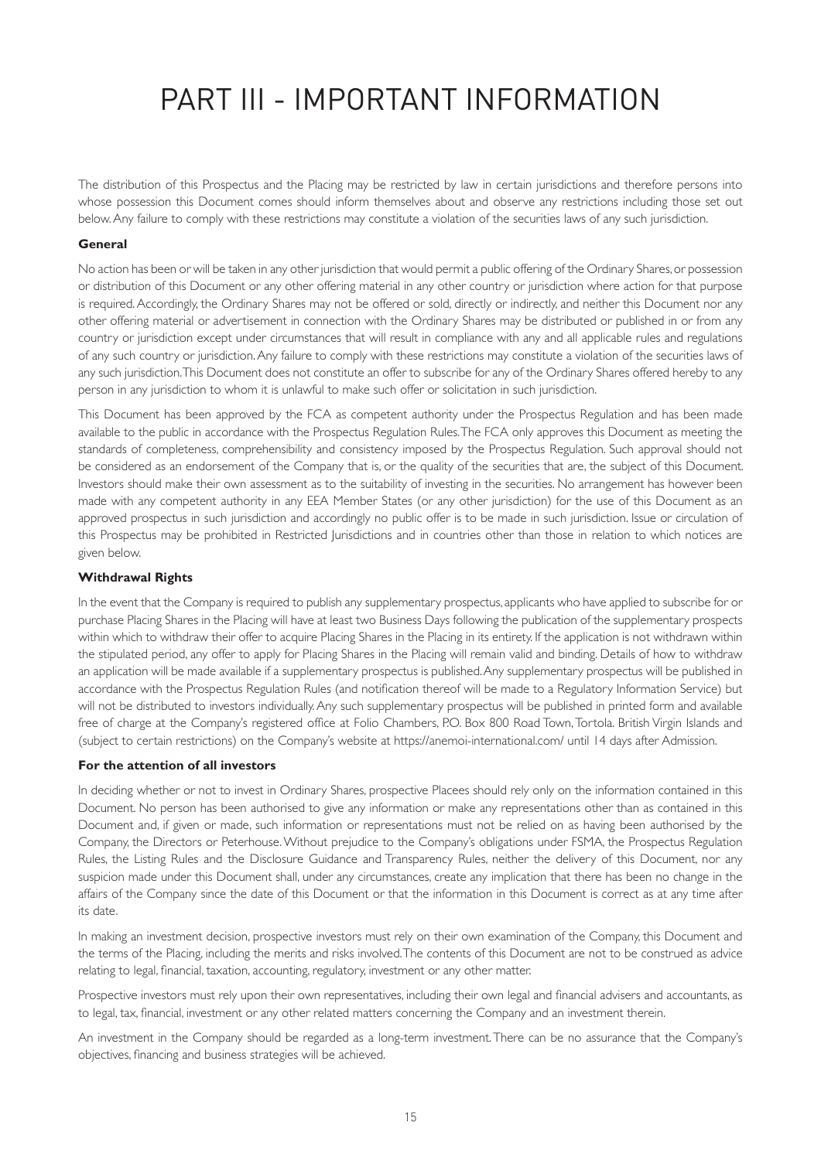# PART III - IMPORTANT INFORMATION

The distribution of this Prospectus and the Placing may be restricted by law in certain jurisdictions and therefore persons into whose possession this Document comes should inform themselves about and observe any restrictions including those set out below. Any failure to comply with these restrictions may constitute a violation of the securities laws of any such jurisdiction.

#### **General**

No action has been or will be taken in any other jurisdiction that would permit a public offering of the Ordinary Shares, or possession or distribution of this Document or any other offering material in any other country or jurisdiction where action for that purpose is required. Accordingly, the Ordinary Shares may not be offered or sold, directly or indirectly, and neither this Document nor any other offering material or advertisement in connection with the Ordinary Shares may be distributed or published in or from any country or jurisdiction except under circumstances that will result in compliance with any and all applicable rules and regulations of any such country or jurisdiction. Any failure to comply with these restrictions may constitute a violation of the securities laws of any such jurisdiction. This Document does not constitute an offer to subscribe for any of the Ordinary Shares offered hereby to any person in any jurisdiction to whom it is unlawful to make such offer or solicitation in such jurisdiction.

This Document has been approved by the FCA as competent authority under the Prospectus Regulation and has been made available to the public in accordance with the Prospectus Regulation Rules. The FCA only approves this Document as meeting the standards of completeness, comprehensibility and consistency imposed by the Prospectus Regulation. Such approval should not be considered as an endorsement of the Company that is, or the quality of the securities that are, the subject of this Document. Investors should make their own assessment as to the suitability of investing in the securities. No arrangement has however been made with any competent authority in any EEA Member States (or any other jurisdiction) for the use of this Document as an approved prospectus in such jurisdiction and accordingly no public offer is to be made in such jurisdiction. Issue or circulation of this Prospectus may be prohibited in Restricted Jurisdictions and in countries other than those in relation to which notices are given below.

#### **Withdrawal Rights**

In the event that the Company is required to publish any supplementary prospectus, applicants who have applied to subscribe for or purchase Placing Shares in the Placing will have at least two Business Days following the publication of the supplementary prospects within which to withdraw their offer to acquire Placing Shares in the Placing in its entirety. If the application is not withdrawn within the stipulated period, any offer to apply for Placing Shares in the Placing will remain valid and binding. Details of how to withdraw an application will be made available if a supplementary prospectus is published. Any supplementary prospectus will be published in accordance with the Prospectus Regulation Rules (and notification thereof will be made to a Regulatory Information Service) but will not be distributed to investors individually. Any such supplementary prospectus will be published in printed form and available free of charge at the Company's registered office at Folio Chambers, P.O. Box 800 Road Town, Tortola. British Virgin Islands and (subject to certain restrictions) on the Company's website at [https://anemoi-international.com/](https://roquefortinvest.com) until 14 days after Admission.

#### **For the attention of all investors**

In deciding whether or not to invest in Ordinary Shares, prospective Placees should rely only on the information contained in this Document. No person has been authorised to give any information or make any representations other than as contained in this Document and, if given or made, such information or representations must not be relied on as having been authorised by the Company, the Directors or Peterhouse. Without prejudice to the Company's obligations under FSMA, the Prospectus Regulation Rules, the Listing Rules and the Disclosure Guidance and Transparency Rules, neither the delivery of this Document, nor any suspicion made under this Document shall, under any circumstances, create any implication that there has been no change in the affairs of the Company since the date of this Document or that the information in this Document is correct as at any time after its date.

In making an investment decision, prospective investors must rely on their own examination of the Company, this Document and the terms of the Placing, including the merits and risks involved. The contents of this Document are not to be construed as advice relating to legal, financial, taxation, accounting, regulatory, investment or any other matter.

Prospective investors must rely upon their own representatives, including their own legal and financial advisers and accountants, as to legal, tax, financial, investment or any other related matters concerning the Company and an investment therein.

An investment in the Company should be regarded as a long-term investment. There can be no assurance that the Company's objectives, financing and business strategies will be achieved.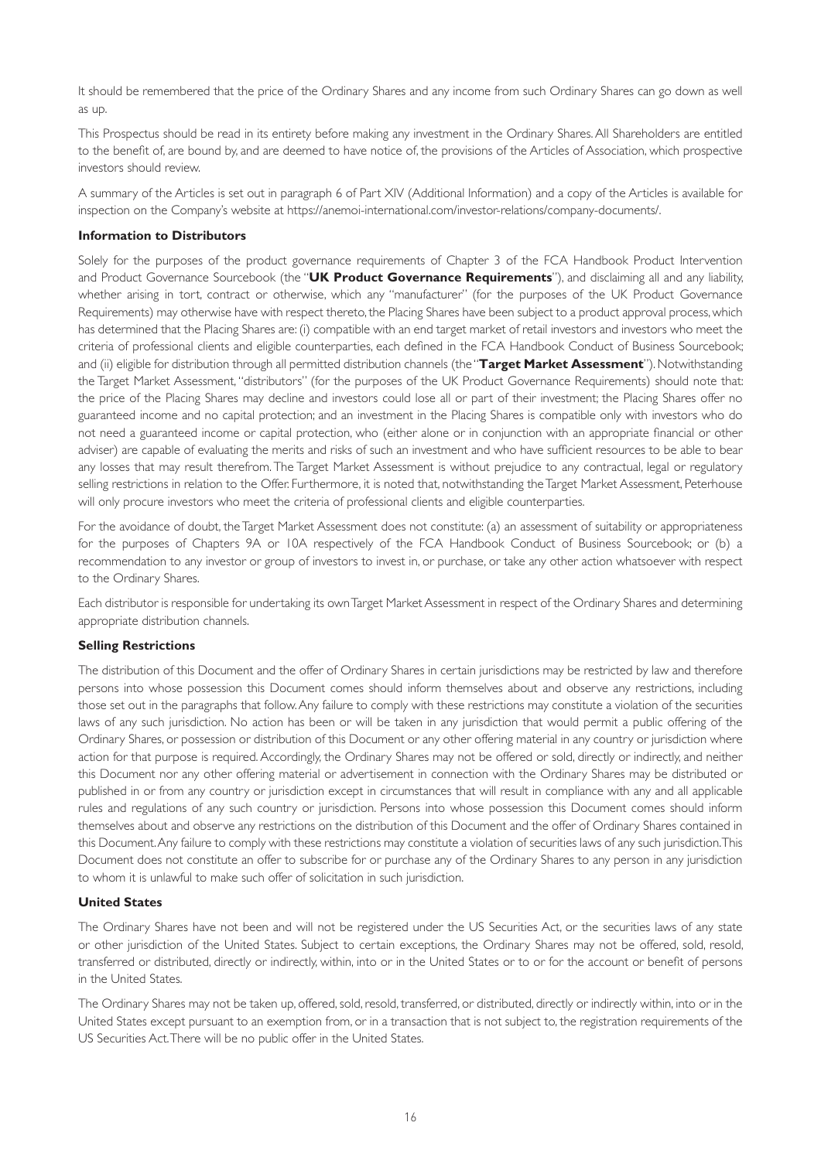It should be remembered that the price of the Ordinary Shares and any income from such Ordinary Shares can go down as well as up.

This Prospectus should be read in its entirety before making any investment in the Ordinary Shares. All Shareholders are entitled to the benefit of, are bound by, and are deemed to have notice of, the provisions of the Articles of Association, which prospective investors should review.

A summary of the Articles is set out in paragraph 6 of Part XIV (Additional Information) and a copy of the Articles is available for inspection on the Company's website at<https://anemoi-international.com/investor-relations/company-documents/>.

#### **Information to Distributors**

Solely for the purposes of the product governance requirements of Chapter 3 of the FCA Handbook Product Intervention and Product Governance Sourcebook (the "**UK Product Governance Requirements**"), and disclaiming all and any liability, whether arising in tort, contract or otherwise, which any "manufacturer" (for the purposes of the UK Product Governance Requirements) may otherwise have with respect thereto, the Placing Shares have been subject to a product approval process, which has determined that the Placing Shares are: (i) compatible with an end target market of retail investors and investors who meet the criteria of professional clients and eligible counterparties, each defined in the FCA Handbook Conduct of Business Sourcebook; and (ii) eligible for distribution through all permitted distribution channels (the "**Target Market Assessment**"). Notwithstanding the Target Market Assessment, "distributors" (for the purposes of the UK Product Governance Requirements) should note that: the price of the Placing Shares may decline and investors could lose all or part of their investment; the Placing Shares offer no guaranteed income and no capital protection; and an investment in the Placing Shares is compatible only with investors who do not need a guaranteed income or capital protection, who (either alone or in conjunction with an appropriate financial or other adviser) are capable of evaluating the merits and risks of such an investment and who have sufficient resources to be able to bear any losses that may result therefrom. The Target Market Assessment is without prejudice to any contractual, legal or regulatory selling restrictions in relation to the Offer. Furthermore, it is noted that, notwithstanding the Target Market Assessment, Peterhouse will only procure investors who meet the criteria of professional clients and eligible counterparties.

For the avoidance of doubt, the Target Market Assessment does not constitute: (a) an assessment of suitability or appropriateness for the purposes of Chapters 9A or 10A respectively of the FCA Handbook Conduct of Business Sourcebook; or (b) a recommendation to any investor or group of investors to invest in, or purchase, or take any other action whatsoever with respect to the Ordinary Shares.

Each distributor is responsible for undertaking its own Target Market Assessment in respect of the Ordinary Shares and determining appropriate distribution channels.

#### **Selling Restrictions**

The distribution of this Document and the offer of Ordinary Shares in certain jurisdictions may be restricted by law and therefore persons into whose possession this Document comes should inform themselves about and observe any restrictions, including those set out in the paragraphs that follow. Any failure to comply with these restrictions may constitute a violation of the securities laws of any such jurisdiction. No action has been or will be taken in any jurisdiction that would permit a public offering of the Ordinary Shares, or possession or distribution of this Document or any other offering material in any country or jurisdiction where action for that purpose is required. Accordingly, the Ordinary Shares may not be offered or sold, directly or indirectly, and neither this Document nor any other offering material or advertisement in connection with the Ordinary Shares may be distributed or published in or from any country or jurisdiction except in circumstances that will result in compliance with any and all applicable rules and regulations of any such country or jurisdiction. Persons into whose possession this Document comes should inform themselves about and observe any restrictions on the distribution of this Document and the offer of Ordinary Shares contained in this Document. Any failure to comply with these restrictions may constitute a violation of securities laws of any such jurisdiction. This Document does not constitute an offer to subscribe for or purchase any of the Ordinary Shares to any person in any jurisdiction to whom it is unlawful to make such offer of solicitation in such jurisdiction.

#### **United States**

The Ordinary Shares have not been and will not be registered under the US Securities Act, or the securities laws of any state or other jurisdiction of the United States. Subject to certain exceptions, the Ordinary Shares may not be offered, sold, resold, transferred or distributed, directly or indirectly, within, into or in the United States or to or for the account or benefit of persons in the United States.

The Ordinary Shares may not be taken up, offered, sold, resold, transferred, or distributed, directly or indirectly within, into or in the United States except pursuant to an exemption from, or in a transaction that is not subject to, the registration requirements of the US Securities Act. There will be no public offer in the United States.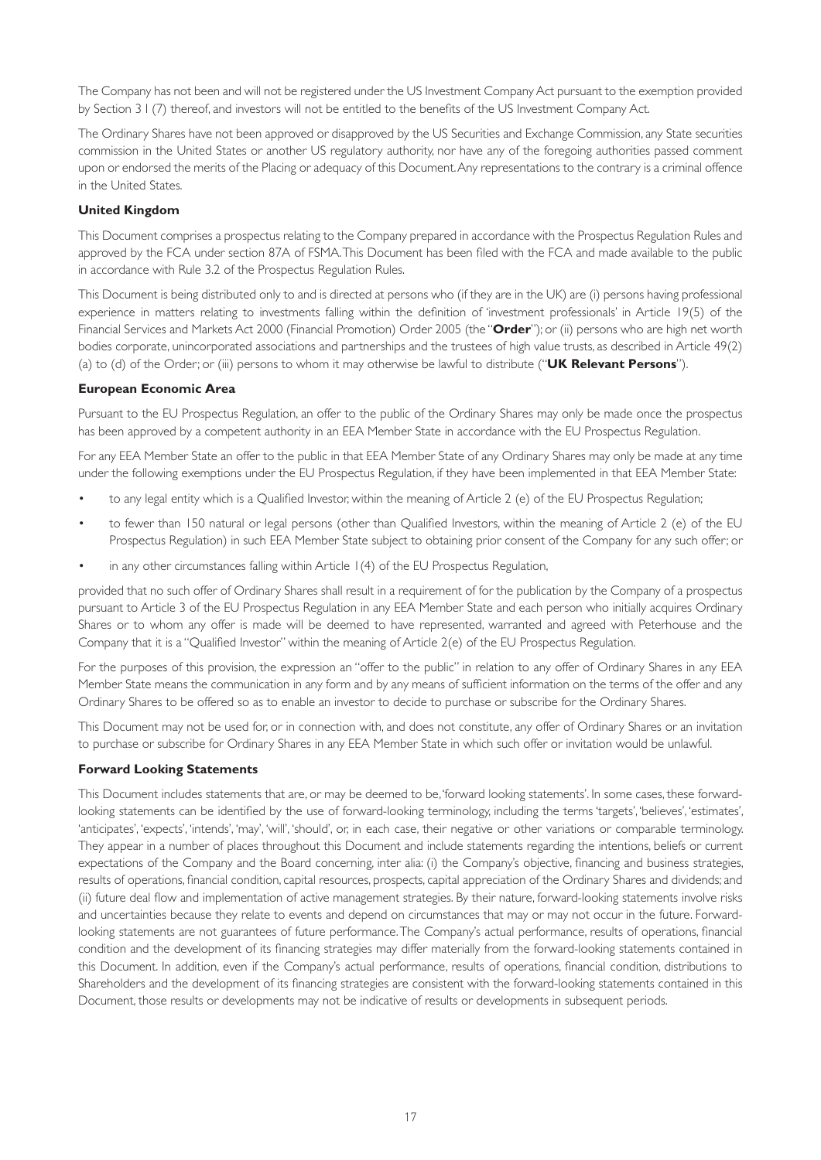The Company has not been and will not be registered under the US Investment Company Act pursuant to the exemption provided by Section 3 I (7) thereof, and investors will not be entitled to the benefits of the US Investment Company Act.

The Ordinary Shares have not been approved or disapproved by the US Securities and Exchange Commission, any State securities commission in the United States or another US regulatory authority, nor have any of the foregoing authorities passed comment upon or endorsed the merits of the Placing or adequacy of this Document. Any representations to the contrary is a criminal offence in the United States.

#### **United Kingdom**

This Document comprises a prospectus relating to the Company prepared in accordance with the Prospectus Regulation Rules and approved by the FCA under section 87A of FSMA. This Document has been filed with the FCA and made available to the public in accordance with Rule 3.2 of the Prospectus Regulation Rules.

This Document is being distributed only to and is directed at persons who (if they are in the UK) are (i) persons having professional experience in matters relating to investments falling within the definition of 'investment professionals' in Article 19(5) of the Financial Services and Markets Act 2000 (Financial Promotion) Order 2005 (the "**Order**"); or (ii) persons who are high net worth bodies corporate, unincorporated associations and partnerships and the trustees of high value trusts, as described in Article 49(2) (a) to (d) of the Order; or (iii) persons to whom it may otherwise be lawful to distribute ("**UK Relevant Persons**").

#### **European Economic Area**

Pursuant to the EU Prospectus Regulation, an offer to the public of the Ordinary Shares may only be made once the prospectus has been approved by a competent authority in an EEA Member State in accordance with the EU Prospectus Regulation.

For any EEA Member State an offer to the public in that EEA Member State of any Ordinary Shares may only be made at any time under the following exemptions under the EU Prospectus Regulation, if they have been implemented in that EEA Member State:

- to any legal entity which is a Qualified Investor, within the meaning of Article 2 (e) of the EU Prospectus Regulation;
- to fewer than 150 natural or legal persons (other than Qualified Investors, within the meaning of Article 2 (e) of the EU Prospectus Regulation) in such EEA Member State subject to obtaining prior consent of the Company for any such offer; or
- in any other circumstances falling within Article 1(4) of the EU Prospectus Regulation,

provided that no such offer of Ordinary Shares shall result in a requirement of for the publication by the Company of a prospectus pursuant to Article 3 of the EU Prospectus Regulation in any EEA Member State and each person who initially acquires Ordinary Shares or to whom any offer is made will be deemed to have represented, warranted and agreed with Peterhouse and the Company that it is a "Qualified Investor" within the meaning of Article 2(e) of the EU Prospectus Regulation.

For the purposes of this provision, the expression an "offer to the public" in relation to any offer of Ordinary Shares in any EEA Member State means the communication in any form and by any means of sufficient information on the terms of the offer and any Ordinary Shares to be offered so as to enable an investor to decide to purchase or subscribe for the Ordinary Shares.

This Document may not be used for, or in connection with, and does not constitute, any offer of Ordinary Shares or an invitation to purchase or subscribe for Ordinary Shares in any EEA Member State in which such offer or invitation would be unlawful.

#### **Forward Looking Statements**

This Document includes statements that are, or may be deemed to be, 'forward looking statements'. In some cases, these forwardlooking statements can be identified by the use of forward-looking terminology, including the terms 'targets', 'believes', 'estimates', 'anticipates', 'expects', 'intends', 'may', 'will', 'should', or, in each case, their negative or other variations or comparable terminology. They appear in a number of places throughout this Document and include statements regarding the intentions, beliefs or current expectations of the Company and the Board concerning, inter alia: (i) the Company's objective, financing and business strategies, results of operations, financial condition, capital resources, prospects, capital appreciation of the Ordinary Shares and dividends; and (ii) future deal flow and implementation of active management strategies. By their nature, forward-looking statements involve risks and uncertainties because they relate to events and depend on circumstances that may or may not occur in the future. Forwardlooking statements are not guarantees of future performance. The Company's actual performance, results of operations, financial condition and the development of its financing strategies may differ materially from the forward-looking statements contained in this Document. In addition, even if the Company's actual performance, results of operations, financial condition, distributions to Shareholders and the development of its financing strategies are consistent with the forward-looking statements contained in this Document, those results or developments may not be indicative of results or developments in subsequent periods.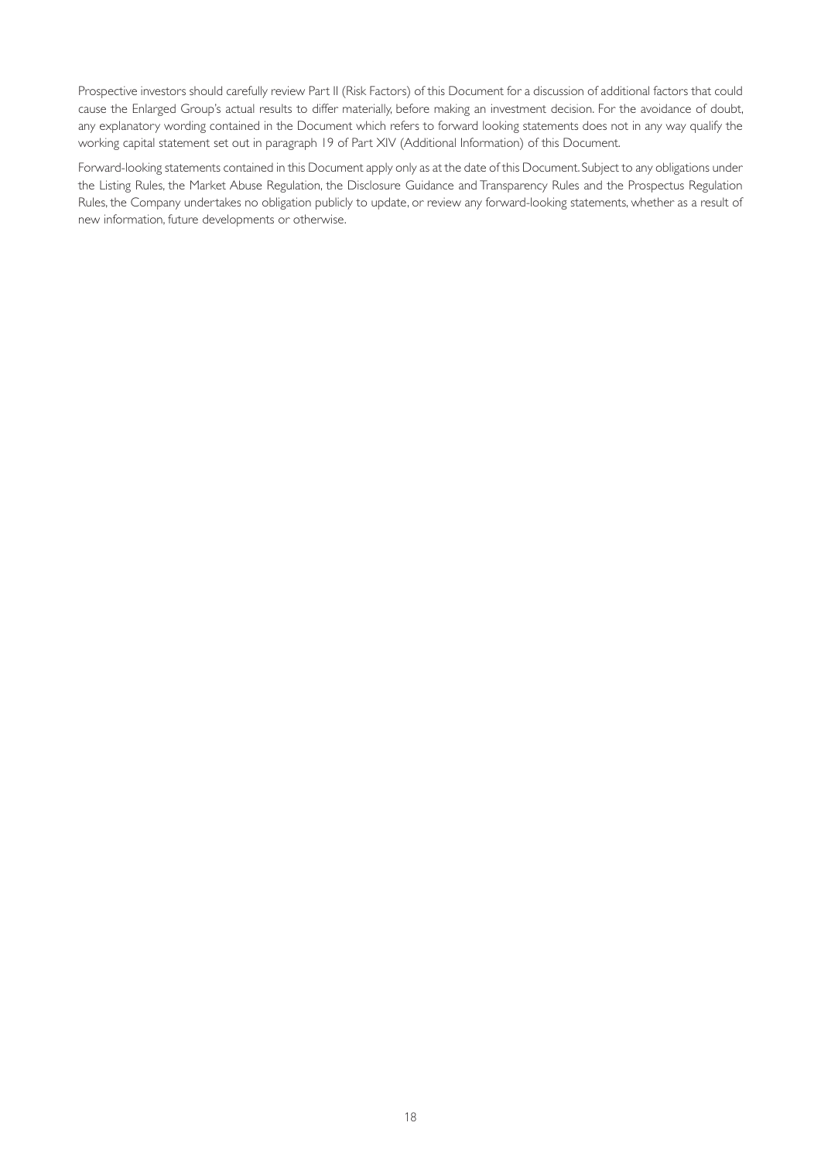Prospective investors should carefully review Part II (Risk Factors) of this Document for a discussion of additional factors that could cause the Enlarged Group's actual results to differ materially, before making an investment decision. For the avoidance of doubt, any explanatory wording contained in the Document which refers to forward looking statements does not in any way qualify the working capital statement set out in paragraph 19 of Part XIV (Additional Information) of this Document.

Forward-looking statements contained in this Document apply only as at the date of this Document. Subject to any obligations under the Listing Rules, the Market Abuse Regulation, the Disclosure Guidance and Transparency Rules and the Prospectus Regulation Rules, the Company undertakes no obligation publicly to update, or review any forward-looking statements, whether as a result of new information, future developments or otherwise.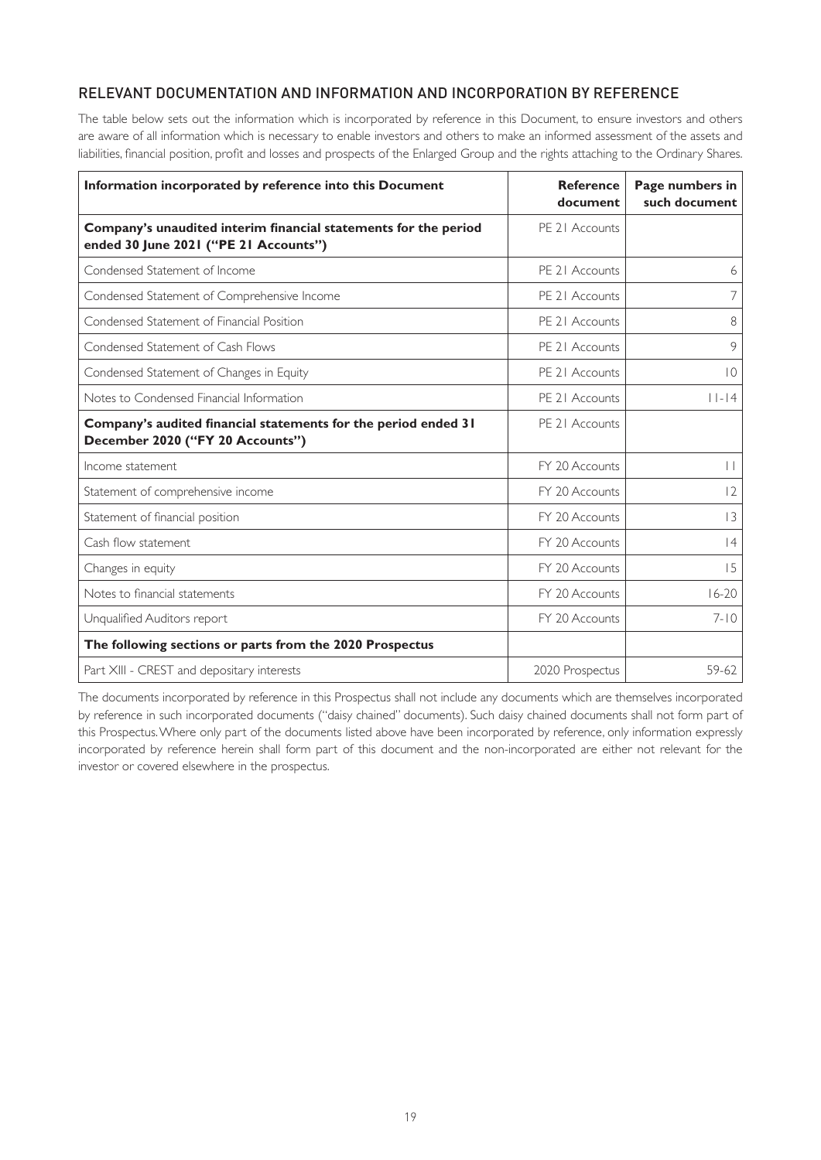# RELEVANT DOCUMENTATION AND INFORMATION AND INCORPORATION BY REFERENCE

The table below sets out the information which is incorporated by reference in this Document, to ensure investors and others are aware of all information which is necessary to enable investors and others to make an informed assessment of the assets and liabilities, financial position, profit and losses and prospects of the Enlarged Group and the rights attaching to the Ordinary Shares.

| Information incorporated by reference into this Document                                                 | <b>Reference</b><br>document | Page numbers in<br>such document |
|----------------------------------------------------------------------------------------------------------|------------------------------|----------------------------------|
| Company's unaudited interim financial statements for the period<br>ended 30 June 2021 ("PE 21 Accounts") | PE 21 Accounts               |                                  |
| Condensed Statement of Income                                                                            | PE 21 Accounts               | 6                                |
| Condensed Statement of Comprehensive Income                                                              | PE 21 Accounts               | 7                                |
| Condensed Statement of Financial Position                                                                | PE 21 Accounts               | 8                                |
| Condensed Statement of Cash Flows                                                                        | PE 21 Accounts               | 9                                |
| Condensed Statement of Changes in Equity                                                                 | PE 21 Accounts               | $\overline{0}$                   |
| Notes to Condensed Financial Information                                                                 | PE 21 Accounts               | $   $ -   4                      |
| Company's audited financial statements for the period ended 31<br>December 2020 ("FY 20 Accounts")       | PE 21 Accounts               |                                  |
| Income statement                                                                                         | FY 20 Accounts               | $\vert \vert$                    |
| Statement of comprehensive income                                                                        | FY 20 Accounts               | 12                               |
| Statement of financial position                                                                          | FY 20 Accounts               | 3                                |
| Cash flow statement                                                                                      | FY 20 Accounts               | 4                                |
| Changes in equity                                                                                        | FY 20 Accounts               | 15                               |
| Notes to financial statements                                                                            | FY 20 Accounts               | $16 - 20$                        |
| Unqualified Auditors report                                                                              | FY 20 Accounts               | $7 - 10$                         |
| The following sections or parts from the 2020 Prospectus                                                 |                              |                                  |
| Part XIII - CREST and depositary interests                                                               | 2020 Prospectus              | 59-62                            |

The documents incorporated by reference in this Prospectus shall not include any documents which are themselves incorporated by reference in such incorporated documents ("daisy chained" documents). Such daisy chained documents shall not form part of this Prospectus. Where only part of the documents listed above have been incorporated by reference, only information expressly incorporated by reference herein shall form part of this document and the non-incorporated are either not relevant for the investor or covered elsewhere in the prospectus.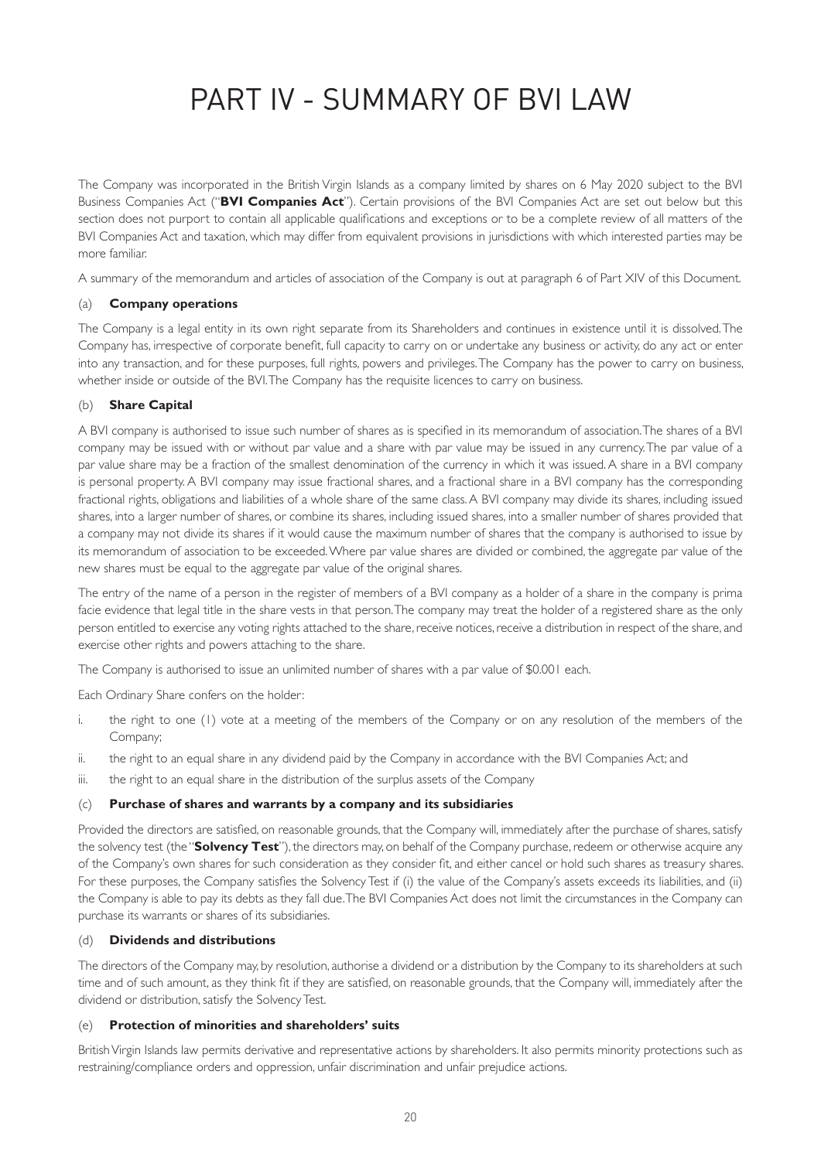# PART IV - SUMMARY OF BVI LAW

The Company was incorporated in the British Virgin Islands as a company limited by shares on 6 May 2020 subject to the BVI Business Companies Act ("**BVI Companies Act**"). Certain provisions of the BVI Companies Act are set out below but this section does not purport to contain all applicable qualifications and exceptions or to be a complete review of all matters of the BVI Companies Act and taxation, which may differ from equivalent provisions in jurisdictions with which interested parties may be more familiar.

A summary of the memorandum and articles of association of the Company is out at paragraph 6 of Part XIV of this Document.

### (a) **Company operations**

The Company is a legal entity in its own right separate from its Shareholders and continues in existence until it is dissolved. The Company has, irrespective of corporate benefit, full capacity to carry on or undertake any business or activity, do any act or enter into any transaction, and for these purposes, full rights, powers and privileges. The Company has the power to carry on business, whether inside or outside of the BVI. The Company has the requisite licences to carry on business.

### (b) **Share Capital**

A BVI company is authorised to issue such number of shares as is specified in its memorandum of association. The shares of a BVI company may be issued with or without par value and a share with par value may be issued in any currency. The par value of a par value share may be a fraction of the smallest denomination of the currency in which it was issued. A share in a BVI company is personal property. A BVI company may issue fractional shares, and a fractional share in a BVI company has the corresponding fractional rights, obligations and liabilities of a whole share of the same class. A BVI company may divide its shares, including issued shares, into a larger number of shares, or combine its shares, including issued shares, into a smaller number of shares provided that a company may not divide its shares if it would cause the maximum number of shares that the company is authorised to issue by its memorandum of association to be exceeded. Where par value shares are divided or combined, the aggregate par value of the new shares must be equal to the aggregate par value of the original shares.

The entry of the name of a person in the register of members of a BVI company as a holder of a share in the company is prima facie evidence that legal title in the share vests in that person. The company may treat the holder of a registered share as the only person entitled to exercise any voting rights attached to the share, receive notices, receive a distribution in respect of the share, and exercise other rights and powers attaching to the share.

The Company is authorised to issue an unlimited number of shares with a par value of \$0.001 each.

Each Ordinary Share confers on the holder:

- i. the right to one (1) vote at a meeting of the members of the Company or on any resolution of the members of the Company;
- ii. the right to an equal share in any dividend paid by the Company in accordance with the BVI Companies Act; and
- iii. the right to an equal share in the distribution of the surplus assets of the Company

#### (c) **Purchase of shares and warrants by a company and its subsidiaries**

Provided the directors are satisfied, on reasonable grounds, that the Company will, immediately after the purchase of shares, satisfy the solvency test (the "**Solvency Test**"), the directors may, on behalf of the Company purchase, redeem or otherwise acquire any of the Company's own shares for such consideration as they consider fit, and either cancel or hold such shares as treasury shares. For these purposes, the Company satisfies the Solvency Test if (i) the value of the Company's assets exceeds its liabilities, and (ii) the Company is able to pay its debts as they fall due. The BVI Companies Act does not limit the circumstances in the Company can purchase its warrants or shares of its subsidiaries.

### (d) **Dividends and distributions**

The directors of the Company may, by resolution, authorise a dividend or a distribution by the Company to its shareholders at such time and of such amount, as they think fit if they are satisfied, on reasonable grounds, that the Company will, immediately after the dividend or distribution, satisfy the Solvency Test.

#### (e) **Protection of minorities and shareholders' suits**

British Virgin Islands law permits derivative and representative actions by shareholders. It also permits minority protections such as restraining/compliance orders and oppression, unfair discrimination and unfair prejudice actions.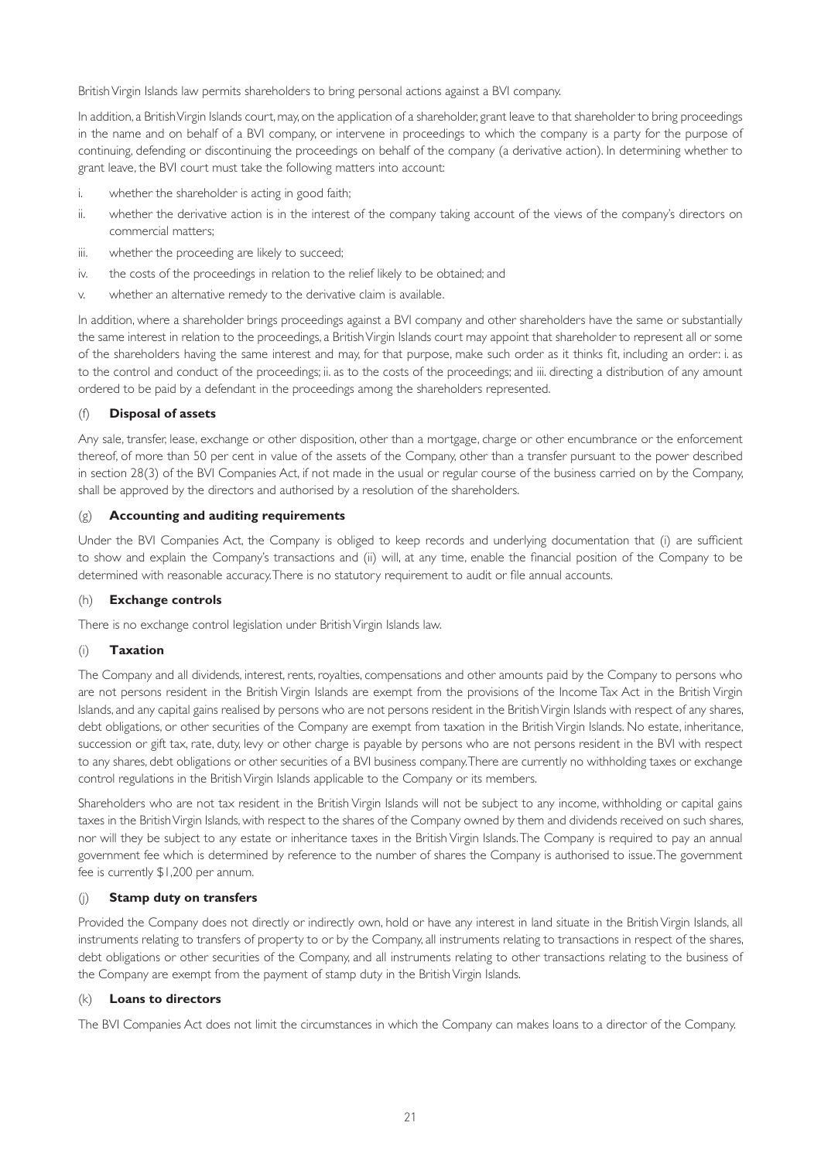British Virgin Islands law permits shareholders to bring personal actions against a BVI company.

In addition, a British Virgin Islands court, may, on the application of a shareholder, grant leave to that shareholder to bring proceedings in the name and on behalf of a BVI company, or intervene in proceedings to which the company is a party for the purpose of continuing, defending or discontinuing the proceedings on behalf of the company (a derivative action). In determining whether to grant leave, the BVI court must take the following matters into account:

- i. whether the shareholder is acting in good faith;
- ii. whether the derivative action is in the interest of the company taking account of the views of the company's directors on commercial matters;
- iii. whether the proceeding are likely to succeed;
- iv. the costs of the proceedings in relation to the relief likely to be obtained; and
- v. whether an alternative remedy to the derivative claim is available.

In addition, where a shareholder brings proceedings against a BVI company and other shareholders have the same or substantially the same interest in relation to the proceedings, a British Virgin Islands court may appoint that shareholder to represent all or some of the shareholders having the same interest and may, for that purpose, make such order as it thinks fit, including an order: i. as to the control and conduct of the proceedings; ii. as to the costs of the proceedings; and iii. directing a distribution of any amount ordered to be paid by a defendant in the proceedings among the shareholders represented.

#### (f) **Disposal of assets**

Any sale, transfer, lease, exchange or other disposition, other than a mortgage, charge or other encumbrance or the enforcement thereof, of more than 50 per cent in value of the assets of the Company, other than a transfer pursuant to the power described in section 28(3) of the BVI Companies Act, if not made in the usual or regular course of the business carried on by the Company, shall be approved by the directors and authorised by a resolution of the shareholders.

#### (g) **Accounting and auditing requirements**

Under the BVI Companies Act, the Company is obliged to keep records and underlying documentation that (i) are sufficient to show and explain the Company's transactions and (ii) will, at any time, enable the financial position of the Company to be determined with reasonable accuracy. There is no statutory requirement to audit or file annual accounts.

### (h) **Exchange controls**

There is no exchange control legislation under British Virgin Islands law.

#### (i) **Taxation**

The Company and all dividends, interest, rents, royalties, compensations and other amounts paid by the Company to persons who are not persons resident in the British Virgin Islands are exempt from the provisions of the Income Tax Act in the British Virgin Islands, and any capital gains realised by persons who are not persons resident in the British Virgin Islands with respect of any shares, debt obligations, or other securities of the Company are exempt from taxation in the British Virgin Islands. No estate, inheritance, succession or gift tax, rate, duty, levy or other charge is payable by persons who are not persons resident in the BVI with respect to any shares, debt obligations or other securities of a BVI business company. There are currently no withholding taxes or exchange control regulations in the British Virgin Islands applicable to the Company or its members.

Shareholders who are not tax resident in the British Virgin Islands will not be subject to any income, withholding or capital gains taxes in the British Virgin Islands, with respect to the shares of the Company owned by them and dividends received on such shares, nor will they be subject to any estate or inheritance taxes in the British Virgin Islands. The Company is required to pay an annual government fee which is determined by reference to the number of shares the Company is authorised to issue. The government fee is currently \$1,200 per annum.

#### (j) **Stamp duty on transfers**

Provided the Company does not directly or indirectly own, hold or have any interest in land situate in the British Virgin Islands, all instruments relating to transfers of property to or by the Company, all instruments relating to transactions in respect of the shares, debt obligations or other securities of the Company, and all instruments relating to other transactions relating to the business of the Company are exempt from the payment of stamp duty in the British Virgin Islands.

#### (k) **Loans to directors**

The BVI Companies Act does not limit the circumstances in which the Company can makes loans to a director of the Company.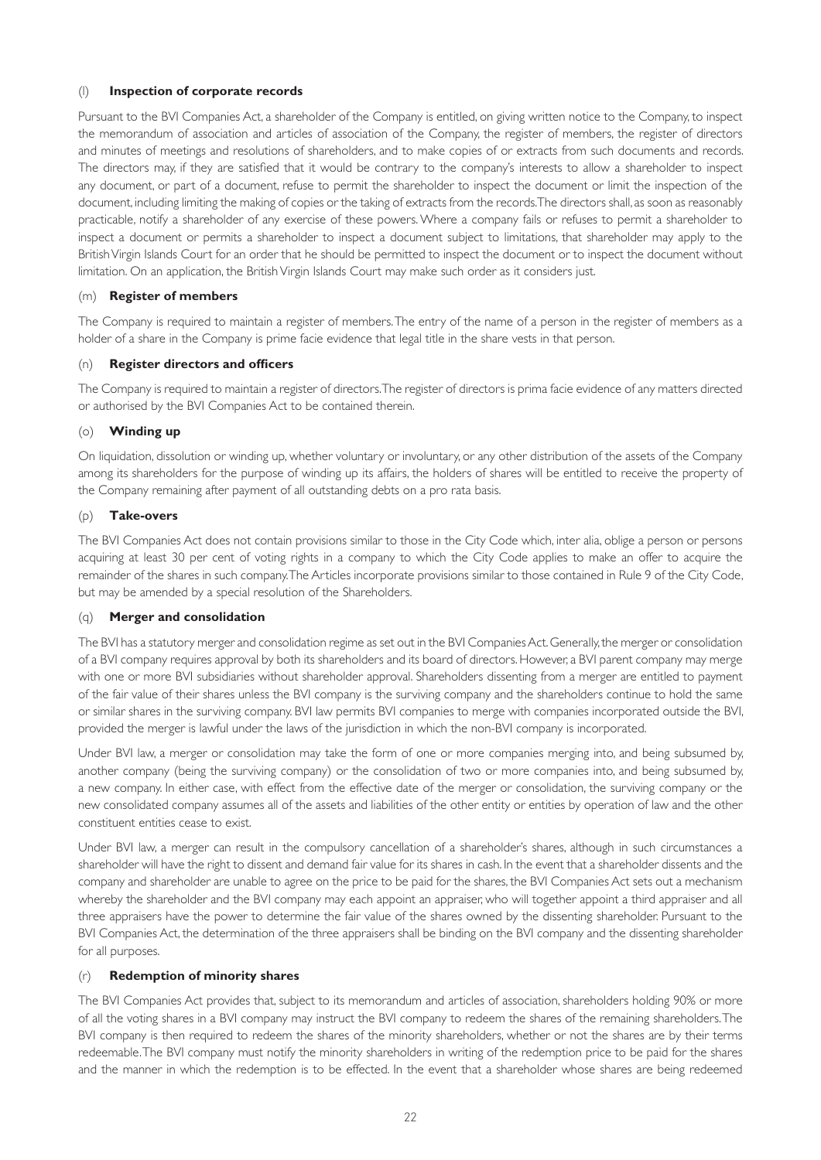#### (l) **Inspection of corporate records**

Pursuant to the BVI Companies Act, a shareholder of the Company is entitled, on giving written notice to the Company, to inspect the memorandum of association and articles of association of the Company, the register of members, the register of directors and minutes of meetings and resolutions of shareholders, and to make copies of or extracts from such documents and records. The directors may, if they are satisfied that it would be contrary to the company's interests to allow a shareholder to inspect any document, or part of a document, refuse to permit the shareholder to inspect the document or limit the inspection of the document, including limiting the making of copies or the taking of extracts from the records. The directors shall, as soon as reasonably practicable, notify a shareholder of any exercise of these powers. Where a company fails or refuses to permit a shareholder to inspect a document or permits a shareholder to inspect a document subject to limitations, that shareholder may apply to the British Virgin Islands Court for an order that he should be permitted to inspect the document or to inspect the document without limitation. On an application, the British Virgin Islands Court may make such order as it considers just.

### (m) **Register of members**

The Company is required to maintain a register of members. The entry of the name of a person in the register of members as a holder of a share in the Company is prime facie evidence that legal title in the share vests in that person.

#### (n) **Register directors and officers**

The Company is required to maintain a register of directors. The register of directors is prima facie evidence of any matters directed or authorised by the BVI Companies Act to be contained therein.

#### (o) **Winding up**

On liquidation, dissolution or winding up, whether voluntary or involuntary, or any other distribution of the assets of the Company among its shareholders for the purpose of winding up its affairs, the holders of shares will be entitled to receive the property of the Company remaining after payment of all outstanding debts on a pro rata basis.

#### (p) **Take-overs**

The BVI Companies Act does not contain provisions similar to those in the City Code which, inter alia, oblige a person or persons acquiring at least 30 per cent of voting rights in a company to which the City Code applies to make an offer to acquire the remainder of the shares in such company. The Articles incorporate provisions similar to those contained in Rule 9 of the City Code, but may be amended by a special resolution of the Shareholders.

#### (q) **Merger and consolidation**

The BVI has a statutory merger and consolidation regime as set out in the BVI Companies Act. Generally, the merger or consolidation of a BVI company requires approval by both its shareholders and its board of directors. However, a BVI parent company may merge with one or more BVI subsidiaries without shareholder approval. Shareholders dissenting from a merger are entitled to payment of the fair value of their shares unless the BVI company is the surviving company and the shareholders continue to hold the same or similar shares in the surviving company. BVI law permits BVI companies to merge with companies incorporated outside the BVI, provided the merger is lawful under the laws of the jurisdiction in which the non-BVI company is incorporated.

Under BVI law, a merger or consolidation may take the form of one or more companies merging into, and being subsumed by, another company (being the surviving company) or the consolidation of two or more companies into, and being subsumed by, a new company. In either case, with effect from the effective date of the merger or consolidation, the surviving company or the new consolidated company assumes all of the assets and liabilities of the other entity or entities by operation of law and the other constituent entities cease to exist.

Under BVI law, a merger can result in the compulsory cancellation of a shareholder's shares, although in such circumstances a shareholder will have the right to dissent and demand fair value for its shares in cash. In the event that a shareholder dissents and the company and shareholder are unable to agree on the price to be paid for the shares, the BVI Companies Act sets out a mechanism whereby the shareholder and the BVI company may each appoint an appraiser, who will together appoint a third appraiser and all three appraisers have the power to determine the fair value of the shares owned by the dissenting shareholder. Pursuant to the BVI Companies Act, the determination of the three appraisers shall be binding on the BVI company and the dissenting shareholder for all purposes.

#### (r) **Redemption of minority shares**

The BVI Companies Act provides that, subject to its memorandum and articles of association, shareholders holding 90% or more of all the voting shares in a BVI company may instruct the BVI company to redeem the shares of the remaining shareholders. The BVI company is then required to redeem the shares of the minority shareholders, whether or not the shares are by their terms redeemable. The BVI company must notify the minority shareholders in writing of the redemption price to be paid for the shares and the manner in which the redemption is to be effected. In the event that a shareholder whose shares are being redeemed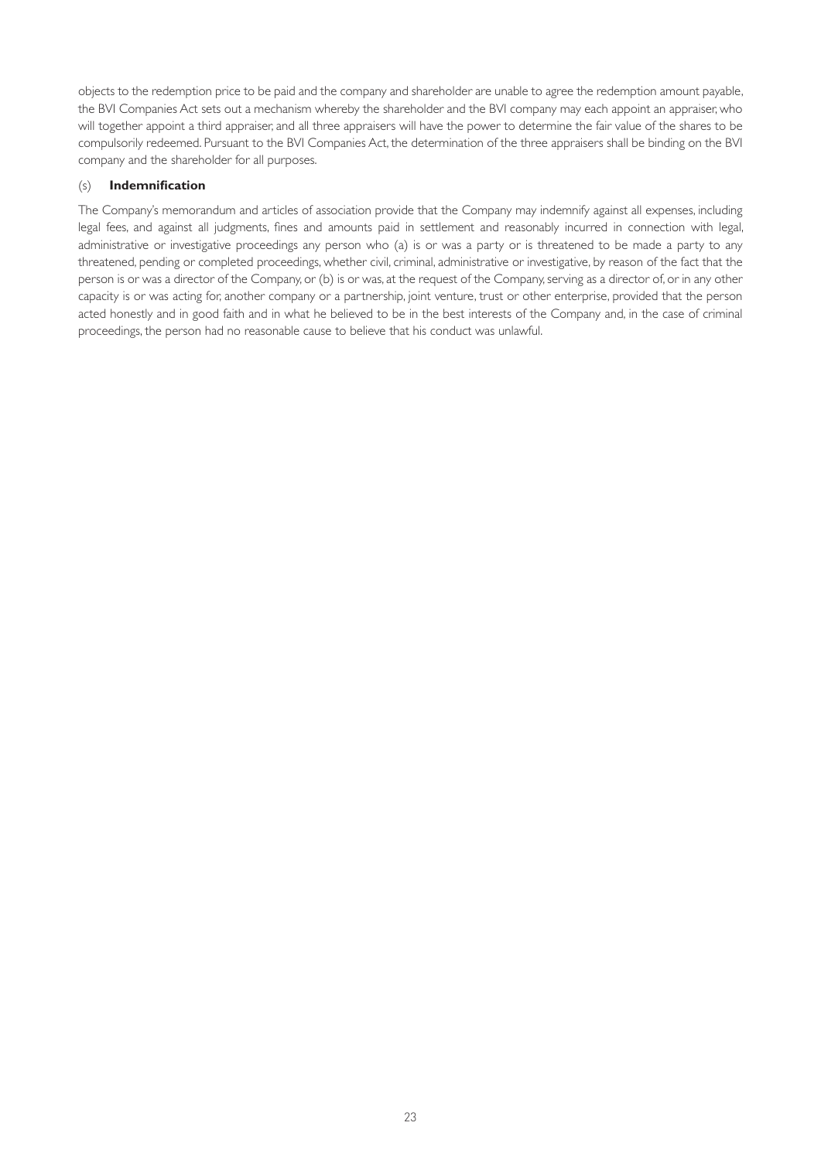objects to the redemption price to be paid and the company and shareholder are unable to agree the redemption amount payable, the BVI Companies Act sets out a mechanism whereby the shareholder and the BVI company may each appoint an appraiser, who will together appoint a third appraiser, and all three appraisers will have the power to determine the fair value of the shares to be compulsorily redeemed. Pursuant to the BVI Companies Act, the determination of the three appraisers shall be binding on the BVI company and the shareholder for all purposes.

#### (s) **Indemnification**

The Company's memorandum and articles of association provide that the Company may indemnify against all expenses, including legal fees, and against all judgments, fines and amounts paid in settlement and reasonably incurred in connection with legal, administrative or investigative proceedings any person who (a) is or was a party or is threatened to be made a party to any threatened, pending or completed proceedings, whether civil, criminal, administrative or investigative, by reason of the fact that the person is or was a director of the Company, or (b) is or was, at the request of the Company, serving as a director of, or in any other capacity is or was acting for, another company or a partnership, joint venture, trust or other enterprise, provided that the person acted honestly and in good faith and in what he believed to be in the best interests of the Company and, in the case of criminal proceedings, the person had no reasonable cause to believe that his conduct was unlawful.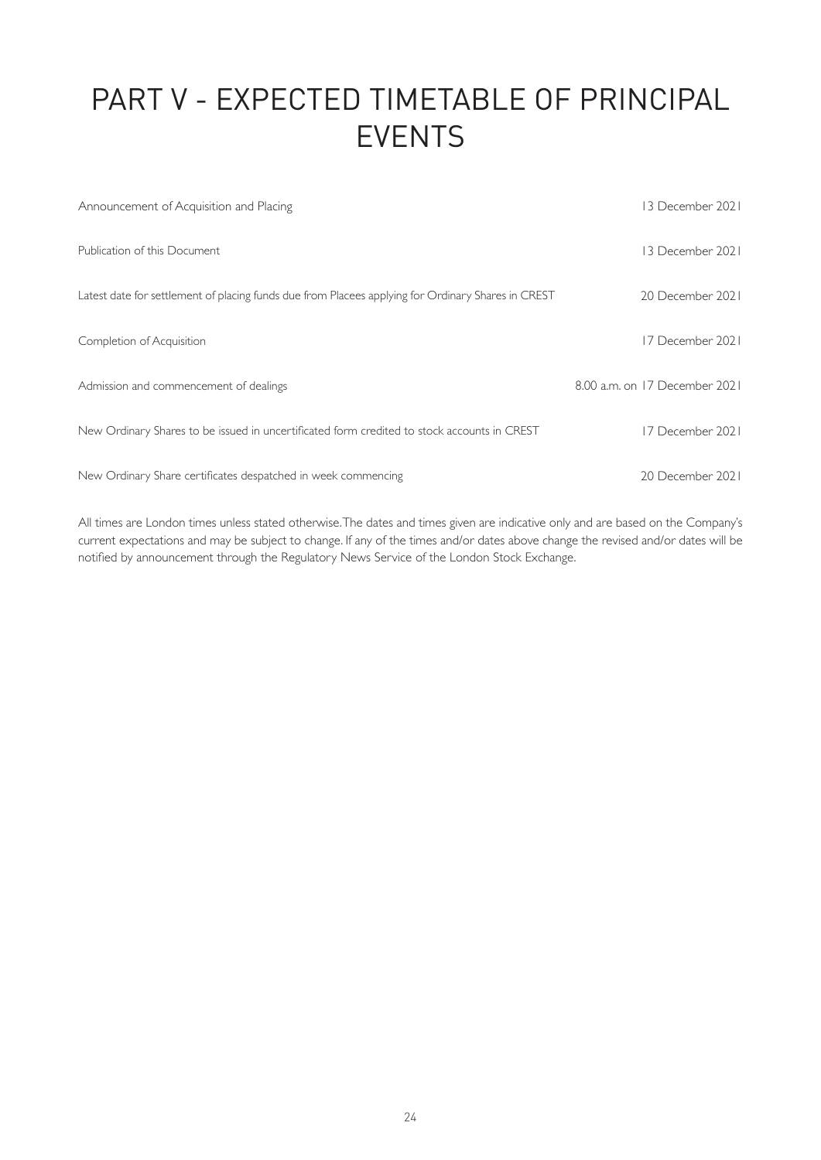# PART V - EXPECTED TIMETABLE OF PRINCIPAL EVENTS

| Announcement of Acquisition and Placing                                                            | 13 December 2021              |
|----------------------------------------------------------------------------------------------------|-------------------------------|
| Publication of this Document                                                                       | 13 December 2021              |
| Latest date for settlement of placing funds due from Placees applying for Ordinary Shares in CREST | 20 December 2021              |
| Completion of Acquisition                                                                          | 17 December 2021              |
| Admission and commencement of dealings                                                             | 8.00 a.m. on 17 December 2021 |
| New Ordinary Shares to be issued in uncertificated form credited to stock accounts in CREST        | 17 December 2021              |
| New Ordinary Share certificates despatched in week commencing                                      | 20 December 2021              |

All times are London times unless stated otherwise. The dates and times given are indicative only and are based on the Company's current expectations and may be subject to change. If any of the times and/or dates above change the revised and/or dates will be notified by announcement through the Regulatory News Service of the London Stock Exchange.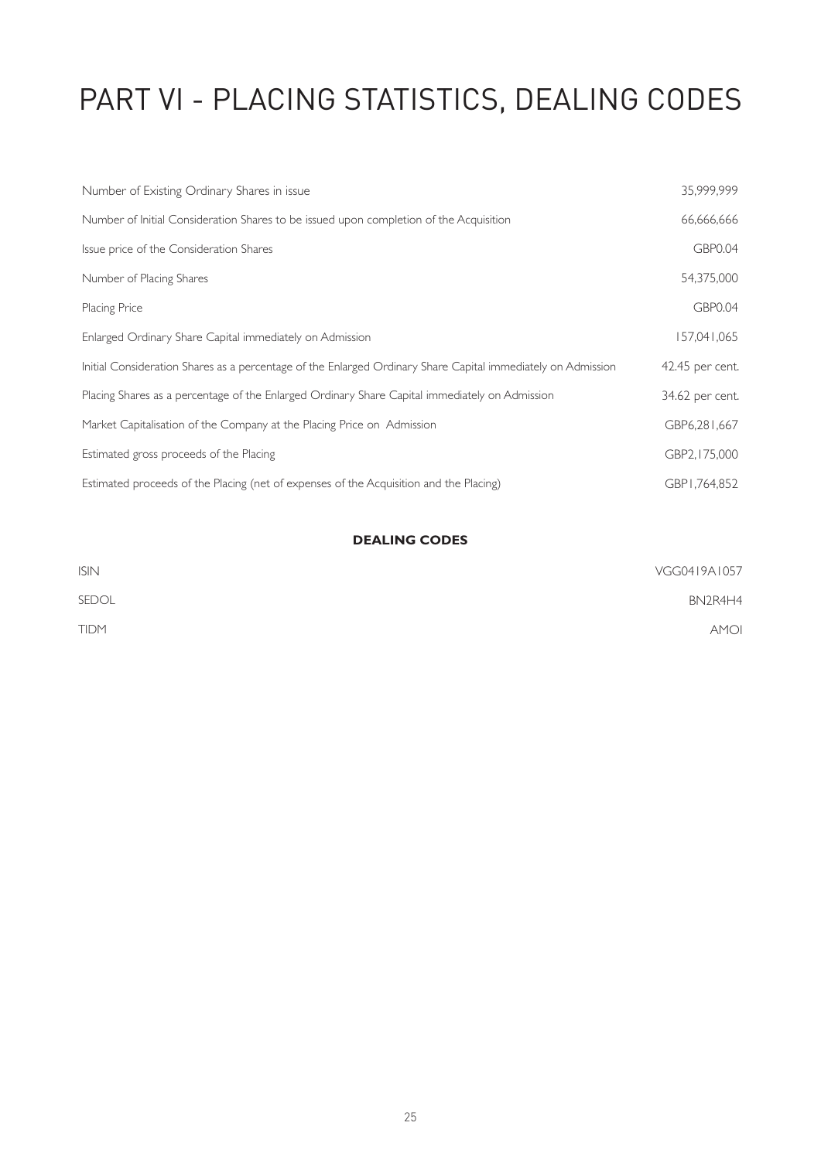# PART VI - PLACING STATISTICS, DEALING CODES

| Number of Existing Ordinary Shares in issue                                                                  | 35,999,999      |
|--------------------------------------------------------------------------------------------------------------|-----------------|
| Number of Initial Consideration Shares to be issued upon completion of the Acquisition                       | 66,666,666      |
| Issue price of the Consideration Shares                                                                      | <b>GBP0.04</b>  |
| Number of Placing Shares                                                                                     | 54,375,000      |
| Placing Price                                                                                                | <b>GBP0.04</b>  |
| Enlarged Ordinary Share Capital immediately on Admission                                                     | 157,041,065     |
| Initial Consideration Shares as a percentage of the Enlarged Ordinary Share Capital immediately on Admission | 42.45 per cent. |
| Placing Shares as a percentage of the Enlarged Ordinary Share Capital immediately on Admission               | 34.62 per cent. |
| Market Capitalisation of the Company at the Placing Price on Admission                                       | GBP6,281,667    |
| Estimated gross proceeds of the Placing                                                                      | GBP2, 175,000   |
| Estimated proceeds of the Placing (net of expenses of the Acquisition and the Placing)                       | GBP1,764,852    |

# **DEALING CODES**

| <b>ISIN</b> | VGG0419A1057 |
|-------------|--------------|
| SEDOL       | BN2R4H4      |
| <b>TIDM</b> | <b>AMOI</b>  |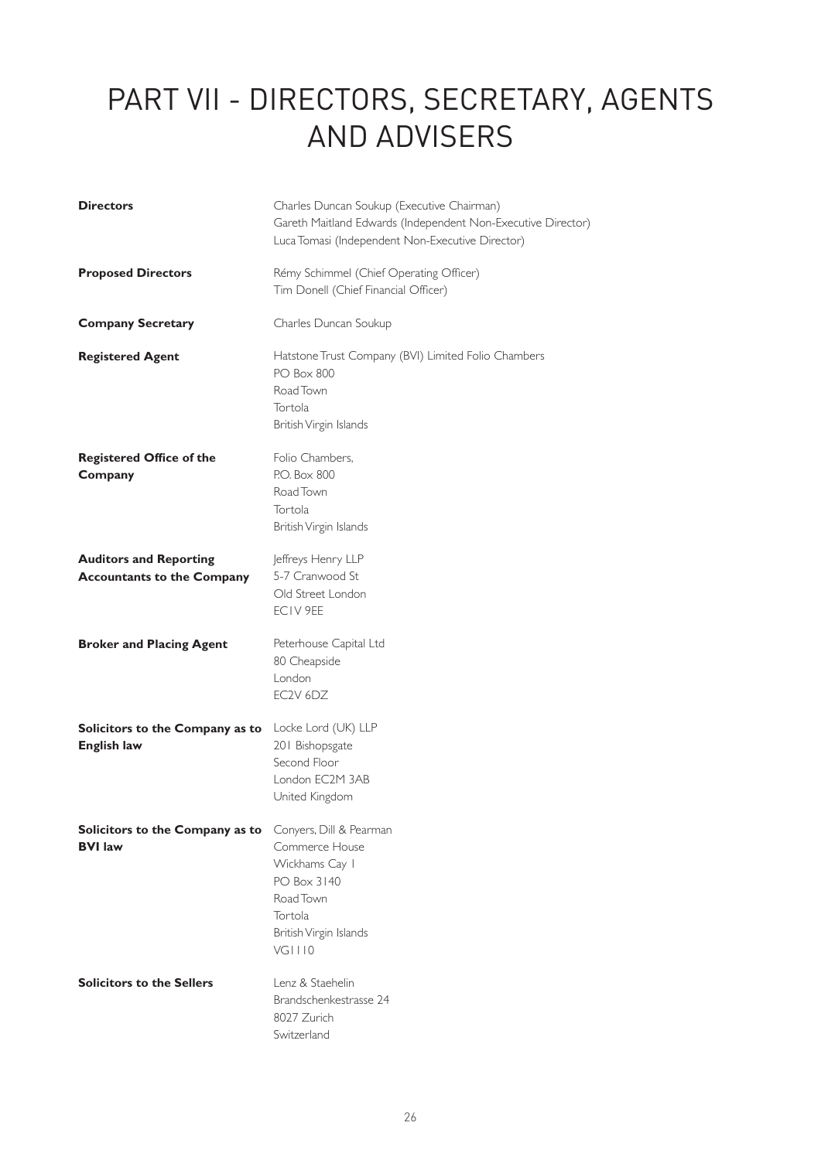# PART VII - DIRECTORS, SECRETARY, AGENTS AND ADVISERS

| <b>Directors</b>                                                          | Charles Duncan Soukup (Executive Chairman)<br>Gareth Maitland Edwards (Independent Non-Executive Director)<br>Luca Tomasi (Independent Non-Executive Director) |
|---------------------------------------------------------------------------|----------------------------------------------------------------------------------------------------------------------------------------------------------------|
| <b>Proposed Directors</b>                                                 | Rémy Schimmel (Chief Operating Officer)<br>Tim Donell (Chief Financial Officer)                                                                                |
| <b>Company Secretary</b>                                                  | Charles Duncan Soukup                                                                                                                                          |
| <b>Registered Agent</b>                                                   | Hatstone Trust Company (BVI) Limited Folio Chambers<br><b>PO Box 800</b><br>Road Town<br>Tortola<br>British Virgin Islands                                     |
| <b>Registered Office of the</b><br>Company                                | Folio Chambers,<br>P.O. Box 800<br>Road Town<br>Tortola<br>British Virgin Islands                                                                              |
| <b>Auditors and Reporting</b><br><b>Accountants to the Company</b>        | Jeffreys Henry LLP<br>5-7 Cranwood St<br>Old Street London<br>ECIV 9EE                                                                                         |
| <b>Broker and Placing Agent</b>                                           | Peterhouse Capital Ltd<br>80 Cheapside<br>London<br>EC2V 6DZ                                                                                                   |
| Solicitors to the Company as to<br><b>English law</b>                     | Locke Lord (UK) LLP<br>201 Bishopsgate<br>Second Floor<br>London EC2M 3AB<br>United Kingdom                                                                    |
| Solicitors to the Company as to Conyers, Dill & Pearman<br><b>BVI law</b> | Commerce House<br>Wickhams Cay I<br>PO Box 3140<br>Road Town<br>Tortola<br>British Virgin Islands<br>VG1110                                                    |
| <b>Solicitors to the Sellers</b>                                          | Lenz & Staehelin<br>Brandschenkestrasse 24<br>8027 Zurich<br>Switzerland                                                                                       |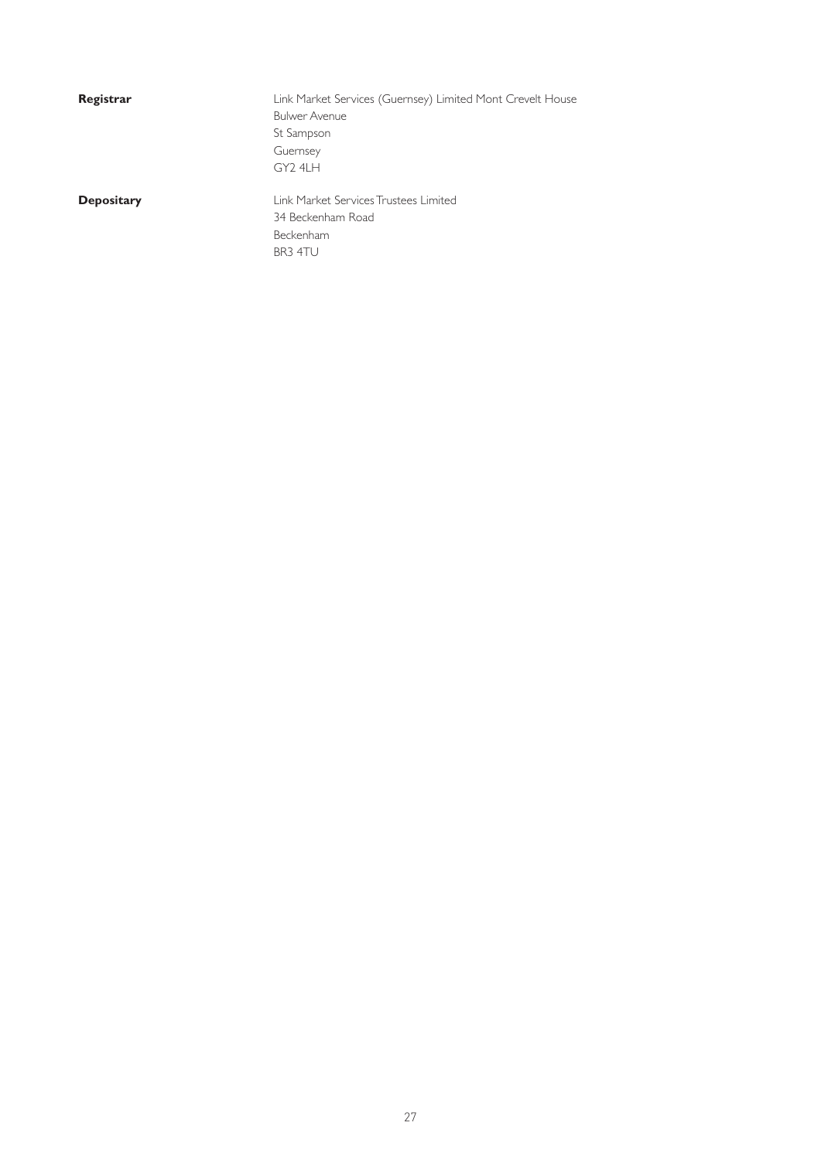| Registrar |  |
|-----------|--|
|-----------|--|

**Registrar** Link Market Services (Guernsey) Limited Mont Crevelt House Bulwer Avenue St Sampson Guernsey GY2 4LH

**Depositary Link Market Services Trustees Limited** 34 Beckenham Road Beckenham BR3 4TU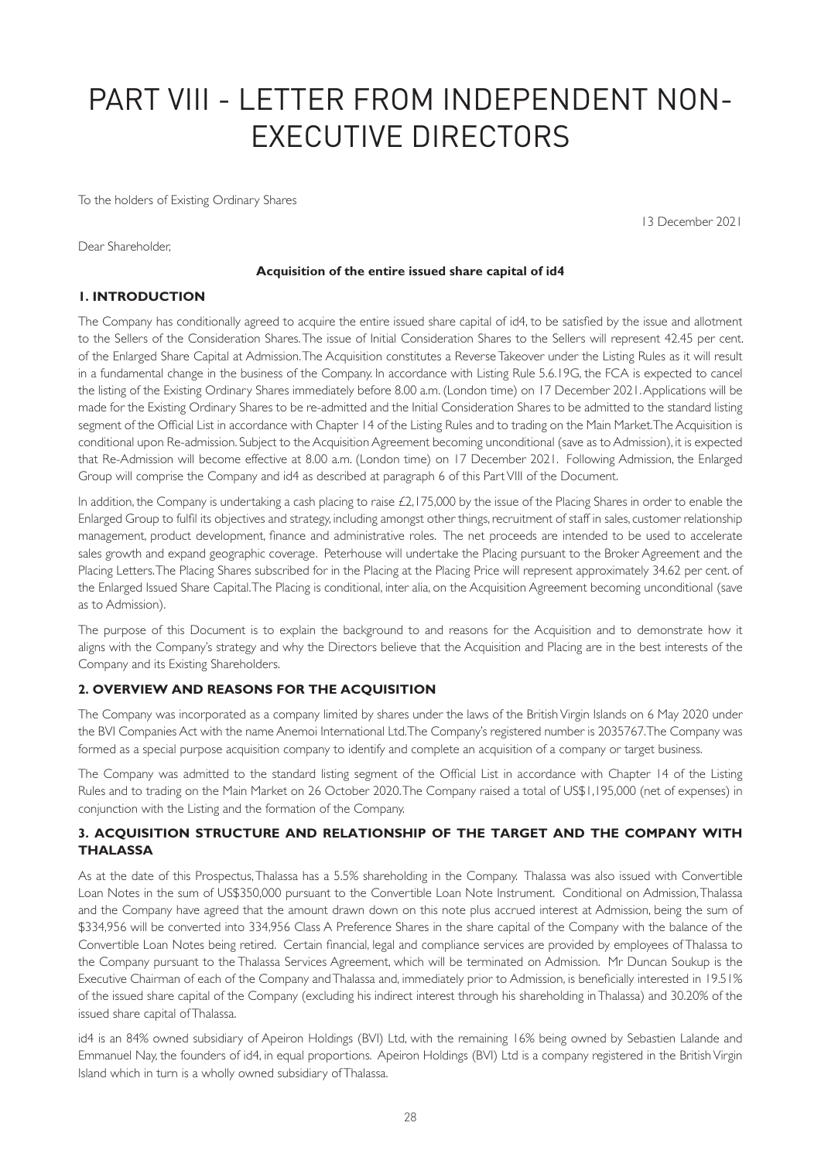# PART VIII - LETTER FROM INDEPENDENT NON-EXECUTIVE DIRECTORS

To the holders of Existing Ordinary Shares

13 December 2021

Dear Shareholder,

#### **Acquisition of the entire issued share capital of id4**

# **1. INTRODUCTION**

The Company has conditionally agreed to acquire the entire issued share capital of id4, to be satisfied by the issue and allotment to the Sellers of the Consideration Shares. The issue of Initial Consideration Shares to the Sellers will represent 42.45 per cent. of the Enlarged Share Capital at Admission. The Acquisition constitutes a Reverse Takeover under the Listing Rules as it will result in a fundamental change in the business of the Company. In accordance with Listing Rule 5.6.19G, the FCA is expected to cancel the listing of the Existing Ordinary Shares immediately before 8.00 a.m. (London time) on 17 December 2021. Applications will be made for the Existing Ordinary Shares to be re-admitted and the Initial Consideration Shares to be admitted to the standard listing segment of the Official List in accordance with Chapter 14 of the Listing Rules and to trading on the Main Market. The Acquisition is conditional upon Re-admission. Subject to the Acquisition Agreement becoming unconditional (save as to Admission), it is expected that Re-Admission will become effective at 8.00 a.m. (London time) on 17 December 2021. Following Admission, the Enlarged Group will comprise the Company and id4 as described at paragraph 6 of this Part VIII of the Document.

In addition, the Company is undertaking a cash placing to raise £2,175,000 by the issue of the Placing Shares in order to enable the Enlarged Group to fulfil its objectives and strategy, including amongst other things, recruitment of staff in sales, customer relationship management, product development, finance and administrative roles. The net proceeds are intended to be used to accelerate sales growth and expand geographic coverage. Peterhouse will undertake the Placing pursuant to the Broker Agreement and the Placing Letters. The Placing Shares subscribed for in the Placing at the Placing Price will represent approximately 34.62 per cent. of the Enlarged Issued Share Capital. The Placing is conditional, inter alia, on the Acquisition Agreement becoming unconditional (save as to Admission).

The purpose of this Document is to explain the background to and reasons for the Acquisition and to demonstrate how it aligns with the Company's strategy and why the Directors believe that the Acquisition and Placing are in the best interests of the Company and its Existing Shareholders.

#### **2. OVERVIEW AND REASONS FOR THE ACQUISITION**

The Company was incorporated as a company limited by shares under the laws of the British Virgin Islands on 6 May 2020 under the BVI Companies Act with the name Anemoi International Ltd. The Company's registered number is 2035767. The Company was formed as a special purpose acquisition company to identify and complete an acquisition of a company or target business.

The Company was admitted to the standard listing segment of the Official List in accordance with Chapter 14 of the Listing Rules and to trading on the Main Market on 26 October 2020. The Company raised a total of US\$1,195,000 (net of expenses) in conjunction with the Listing and the formation of the Company.

# **3. ACQUISITION STRUCTURE AND RELATIONSHIP OF THE TARGET AND THE COMPANY WITH THALASSA**

As at the date of this Prospectus, Thalassa has a 5.5% shareholding in the Company. Thalassa was also issued with Convertible Loan Notes in the sum of US\$350,000 pursuant to the Convertible Loan Note Instrument. Conditional on Admission, Thalassa and the Company have agreed that the amount drawn down on this note plus accrued interest at Admission, being the sum of \$334,956 will be converted into 334,956 Class A Preference Shares in the share capital of the Company with the balance of the Convertible Loan Notes being retired. Certain financial, legal and compliance services are provided by employees of Thalassa to the Company pursuant to the Thalassa Services Agreement, which will be terminated on Admission. Mr Duncan Soukup is the Executive Chairman of each of the Company and Thalassa and, immediately prior to Admission, is beneficially interested in 19.51% of the issued share capital of the Company (excluding his indirect interest through his shareholding in Thalassa) and 30.20% of the issued share capital of Thalassa.

id4 is an 84% owned subsidiary of Apeiron Holdings (BVI) Ltd, with the remaining 16% being owned by Sebastien Lalande and Emmanuel Nay, the founders of id4, in equal proportions. Apeiron Holdings (BVI) Ltd is a company registered in the British Virgin Island which in turn is a wholly owned subsidiary of Thalassa.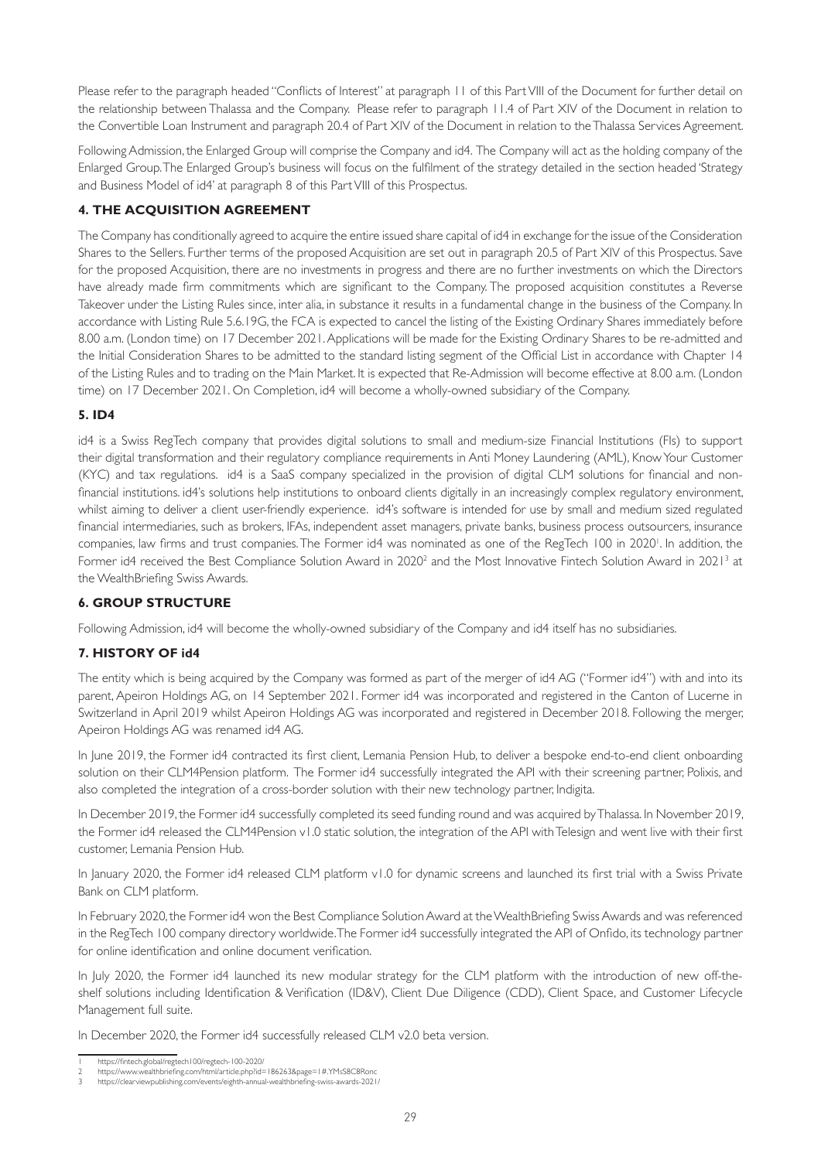Please refer to the paragraph headed "Conflicts of Interest" at paragraph 11 of this Part VIII of the Document for further detail on the relationship between Thalassa and the Company. Please refer to paragraph 11.4 of Part XIV of the Document in relation to the Convertible Loan Instrument and paragraph 20.4 of Part XIV of the Document in relation to the Thalassa Services Agreement.

Following Admission, the Enlarged Group will comprise the Company and id4. The Company will act as the holding company of the Enlarged Group. The Enlarged Group's business will focus on the fulfilment of the strategy detailed in the section headed 'Strategy and Business Model of id4' at paragraph 8 of this Part VIII of this Prospectus.

# **4. THE ACQUISITION AGREEMENT**

The Company has conditionally agreed to acquire the entire issued share capital of id4 in exchange for the issue of the Consideration Shares to the Sellers. Further terms of the proposed Acquisition are set out in paragraph 20.5 of Part XIV of this Prospectus. Save for the proposed Acquisition, there are no investments in progress and there are no further investments on which the Directors have already made firm commitments which are significant to the Company. The proposed acquisition constitutes a Reverse Takeover under the Listing Rules since, inter alia, in substance it results in a fundamental change in the business of the Company. In accordance with Listing Rule 5.6.19G, the FCA is expected to cancel the listing of the Existing Ordinary Shares immediately before 8.00 a.m. (London time) on 17 December 2021. Applications will be made for the Existing Ordinary Shares to be re-admitted and the Initial Consideration Shares to be admitted to the standard listing segment of the Official List in accordance with Chapter 14 of the Listing Rules and to trading on the Main Market. It is expected that Re-Admission will become effective at 8.00 a.m. (London time) on 17 December 2021. On Completion, id4 will become a wholly-owned subsidiary of the Company.

# **5. ID4**

id4 is a Swiss RegTech company that provides digital solutions to small and medium-size Financial Institutions (FIs) to support their digital transformation and their regulatory compliance requirements in Anti Money Laundering (AML), Know Your Customer (KYC) and tax regulations. id4 is a SaaS company specialized in the provision of digital CLM solutions for financial and nonfinancial institutions. id4's solutions help institutions to onboard clients digitally in an increasingly complex regulatory environment, whilst aiming to deliver a client user-friendly experience. id4's software is intended for use by small and medium sized regulated financial intermediaries, such as brokers, IFAs, independent asset managers, private banks, business process outsourcers, insurance companies, law firms and trust companies. The Former id4 was nominated as one of the RegTech 100 in 20201 . In addition, the Former id4 received the Best Compliance Solution Award in 2020<sup>2</sup> and the Most Innovative Fintech Solution Award in 2021<sup>3</sup> at the WealthBriefing Swiss Awards.

# **6. GROUP STRUCTURE**

Following Admission, id4 will become the wholly-owned subsidiary of the Company and id4 itself has no subsidiaries.

# **7. HISTORY OF id4**

The entity which is being acquired by the Company was formed as part of the merger of id4 AG ("Former id4") with and into its parent, Apeiron Holdings AG, on 14 September 2021. Former id4 was incorporated and registered in the Canton of Lucerne in Switzerland in April 2019 whilst Apeiron Holdings AG was incorporated and registered in December 2018. Following the merger, Apeiron Holdings AG was renamed id4 AG.

In June 2019, the Former id4 contracted its first client, Lemania Pension Hub, to deliver a bespoke end-to-end client onboarding solution on their CLM4Pension platform. The Former id4 successfully integrated the API with their screening partner, Polixis, and also completed the integration of a cross-border solution with their new technology partner, Indigita.

In December 2019, the Former id4 successfully completed its seed funding round and was acquired by Thalassa. In November 2019, the Former id4 released the CLM4Pension v1.0 static solution, the integration of the API with Telesign and went live with their first customer, Lemania Pension Hub.

In January 2020, the Former id4 released CLM platform v1.0 for dynamic screens and launched its first trial with a Swiss Private Bank on CLM platform.

In February 2020, the Former id4 won the Best Compliance Solution Award at the WealthBriefing Swiss Awards and was referenced in the RegTech 100 company directory worldwide. The Former id4 successfully integrated the API of Onfido, its technology partner for online identification and online document verification.

In July 2020, the Former id4 launched its new modular strategy for the CLM platform with the introduction of new off-theshelf solutions including Identification & Verification (ID&V), Client Due Diligence (CDD), Client Space, and Customer Lifecycle Management full suite.

In December 2020, the Former id4 successfully released CLM v2.0 beta version.

<sup>1</sup> https://fintech.global/regtech100/regtech-100-2020/ 2 https://www.wealthbriefing.com/html/article.php?id=186263&page=1#.YMsS8C8Ronc

<sup>3</sup> https://clearviewpublishing.com/events/eighth-annual-wealthbriefing-swiss-awards-2021/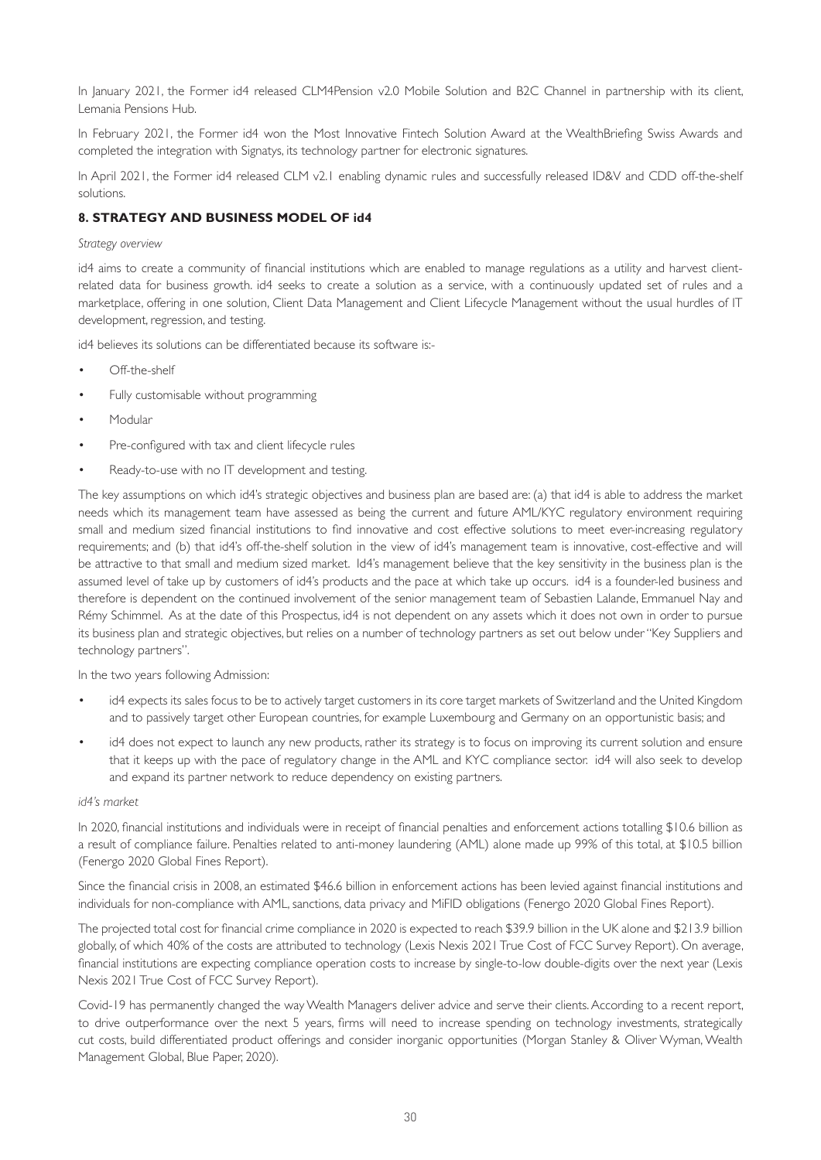In January 2021, the Former id4 released CLM4Pension v2.0 Mobile Solution and B2C Channel in partnership with its client, Lemania Pensions Hub.

In February 2021, the Former id4 won the Most Innovative Fintech Solution Award at the WealthBriefing Swiss Awards and completed the integration with Signatys, its technology partner for electronic signatures.

In April 2021, the Former id4 released CLM v2.1 enabling dynamic rules and successfully released ID&V and CDD off-the-shelf solutions.

### **8. STRATEGY AND BUSINESS MODEL OF id4**

#### *Strategy overview*

id4 aims to create a community of financial institutions which are enabled to manage regulations as a utility and harvest clientrelated data for business growth. id4 seeks to create a solution as a service, with a continuously updated set of rules and a marketplace, offering in one solution, Client Data Management and Client Lifecycle Management without the usual hurdles of IT development, regression, and testing.

id4 believes its solutions can be differentiated because its software is:-

- Off-the-shelf
- Fully customisable without programming
- Modular
- Pre-configured with tax and client lifecycle rules
- Ready-to-use with no IT development and testing.

The key assumptions on which id4's strategic objectives and business plan are based are: (a) that id4 is able to address the market needs which its management team have assessed as being the current and future AML/KYC regulatory environment requiring small and medium sized financial institutions to find innovative and cost effective solutions to meet ever-increasing regulatory requirements; and (b) that id4's off-the-shelf solution in the view of id4's management team is innovative, cost-effective and will be attractive to that small and medium sized market. Id4's management believe that the key sensitivity in the business plan is the assumed level of take up by customers of id4's products and the pace at which take up occurs. id4 is a founder-led business and therefore is dependent on the continued involvement of the senior management team of Sebastien Lalande, Emmanuel Nay and Rémy Schimmel. As at the date of this Prospectus, id4 is not dependent on any assets which it does not own in order to pursue its business plan and strategic objectives, but relies on a number of technology partners as set out below under "Key Suppliers and technology partners".

In the two years following Admission:

- id4 expects its sales focus to be to actively target customers in its core target markets of Switzerland and the United Kingdom and to passively target other European countries, for example Luxembourg and Germany on an opportunistic basis; and
- id4 does not expect to launch any new products, rather its strategy is to focus on improving its current solution and ensure that it keeps up with the pace of regulatory change in the AML and KYC compliance sector. id4 will also seek to develop and expand its partner network to reduce dependency on existing partners.

#### *id4's market*

In 2020, financial institutions and individuals were in receipt of financial penalties and enforcement actions totalling \$10.6 billion as a result of compliance failure. Penalties related to anti-money laundering (AML) alone made up 99% of this total, at \$10.5 billion (Fenergo 2020 Global Fines Report).

Since the financial crisis in 2008, an estimated \$46.6 billion in enforcement actions has been levied against financial institutions and individuals for non-compliance with AML, sanctions, data privacy and MiFID obligations (Fenergo 2020 Global Fines Report).

The projected total cost for financial crime compliance in 2020 is expected to reach \$39.9 billion in the UK alone and \$213.9 billion globally, of which 40% of the costs are attributed to technology (Lexis Nexis 2021 True Cost of FCC Survey Report). On average, financial institutions are expecting compliance operation costs to increase by single-to-low double-digits over the next year (Lexis Nexis 2021 True Cost of FCC Survey Report).

Covid-19 has permanently changed the way Wealth Managers deliver advice and serve their clients. According to a recent report, to drive outperformance over the next 5 years, firms will need to increase spending on technology investments, strategically cut costs, build differentiated product offerings and consider inorganic opportunities (Morgan Stanley & Oliver Wyman, Wealth Management Global, Blue Paper, 2020).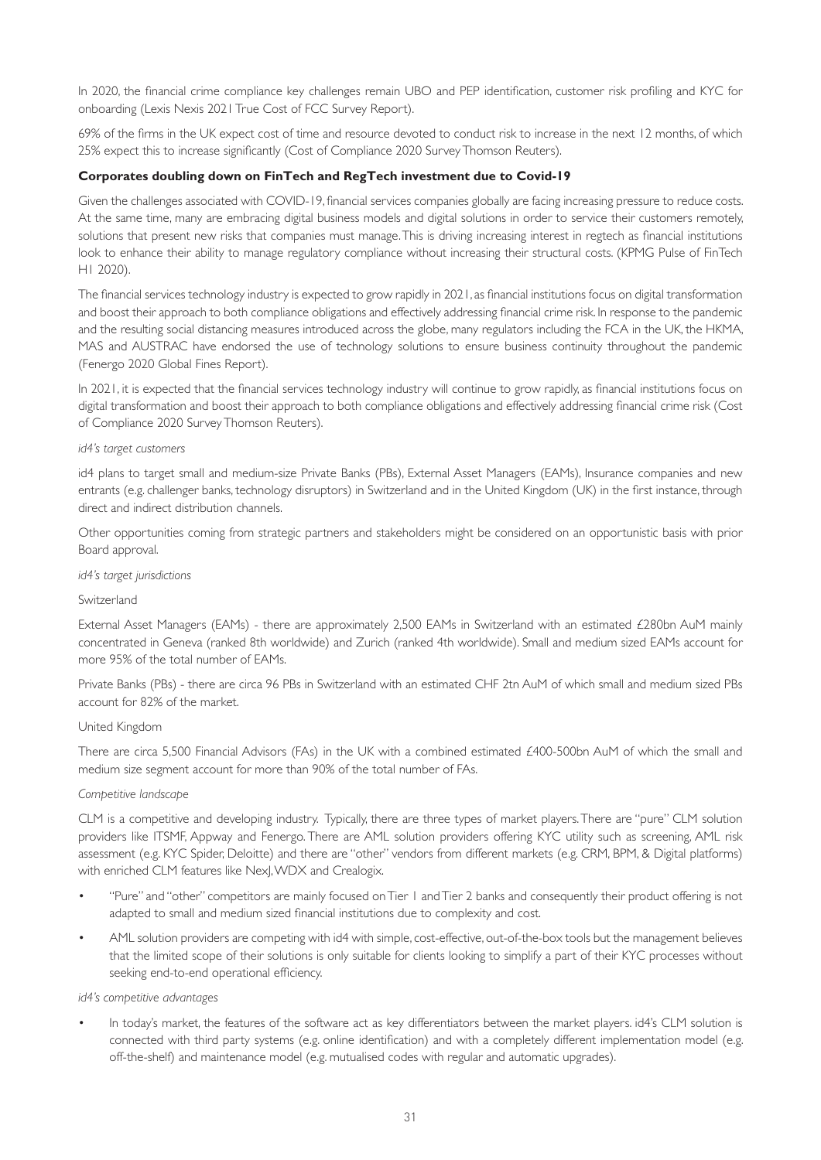In 2020, the financial crime compliance key challenges remain UBO and PEP identification, customer risk profiling and KYC for onboarding (Lexis Nexis 2021 True Cost of FCC Survey Report).

69% of the firms in the UK expect cost of time and resource devoted to conduct risk to increase in the next 12 months, of which 25% expect this to increase significantly (Cost of Compliance 2020 Survey Thomson Reuters).

#### **Corporates doubling down on FinTech and RegTech investment due to Covid-19**

Given the challenges associated with COVID-19, financial services companies globally are facing increasing pressure to reduce costs. At the same time, many are embracing digital business models and digital solutions in order to service their customers remotely, solutions that present new risks that companies must manage. This is driving increasing interest in regtech as financial institutions look to enhance their ability to manage regulatory compliance without increasing their structural costs. (KPMG Pulse of FinTech H1 2020).

The financial services technology industry is expected to grow rapidly in 2021, as financial institutions focus on digital transformation and boost their approach to both compliance obligations and effectively addressing financial crime risk. In response to the pandemic and the resulting social distancing measures introduced across the globe, many regulators including the FCA in the UK, the HKMA, MAS and AUSTRAC have endorsed the use of technology solutions to ensure business continuity throughout the pandemic (Fenergo 2020 Global Fines Report).

In 2021, it is expected that the financial services technology industry will continue to grow rapidly, as financial institutions focus on digital transformation and boost their approach to both compliance obligations and effectively addressing financial crime risk (Cost of Compliance 2020 Survey Thomson Reuters).

#### *id4's target customers*

id4 plans to target small and medium-size Private Banks (PBs), External Asset Managers (EAMs), Insurance companies and new entrants (e.g. challenger banks, technology disruptors) in Switzerland and in the United Kingdom (UK) in the first instance, through direct and indirect distribution channels.

Other opportunities coming from strategic partners and stakeholders might be considered on an opportunistic basis with prior Board approval.

#### *id4's target jurisdictions*

#### Switzerland

External Asset Managers (EAMs) - there are approximately 2,500 EAMs in Switzerland with an estimated £280bn AuM mainly concentrated in Geneva (ranked 8th worldwide) and Zurich (ranked 4th worldwide). Small and medium sized EAMs account for more 95% of the total number of EAMs.

Private Banks (PBs) - there are circa 96 PBs in Switzerland with an estimated CHF 2tn AuM of which small and medium sized PBs account for 82% of the market.

#### United Kingdom

There are circa 5,500 Financial Advisors (FAs) in the UK with a combined estimated  $£400-500$ bn AuM of which the small and medium size segment account for more than 90% of the total number of FAs.

#### *Competitive landscape*

CLM is a competitive and developing industry. Typically, there are three types of market players. There are "pure" CLM solution providers like ITSMF, Appway and Fenergo. There are AML solution providers offering KYC utility such as screening, AML risk assessment (e.g. KYC Spider, Deloitte) and there are "other" vendors from different markets (e.g. CRM, BPM, & Digital platforms) with enriched CLM features like NexJ, WDX and Crealogix.

- "Pure" and "other" competitors are mainly focused on Tier 1 and Tier 2 banks and consequently their product offering is not adapted to small and medium sized financial institutions due to complexity and cost.
- AML solution providers are competing with id4 with simple, cost-effective, out-of-the-box tools but the management believes that the limited scope of their solutions is only suitable for clients looking to simplify a part of their KYC processes without seeking end-to-end operational efficiency.

#### *id4's competitive advantages*

• In today's market, the features of the software act as key differentiators between the market players. id4's CLM solution is connected with third party systems (e.g. online identification) and with a completely different implementation model (e.g. off-the-shelf) and maintenance model (e.g. mutualised codes with regular and automatic upgrades).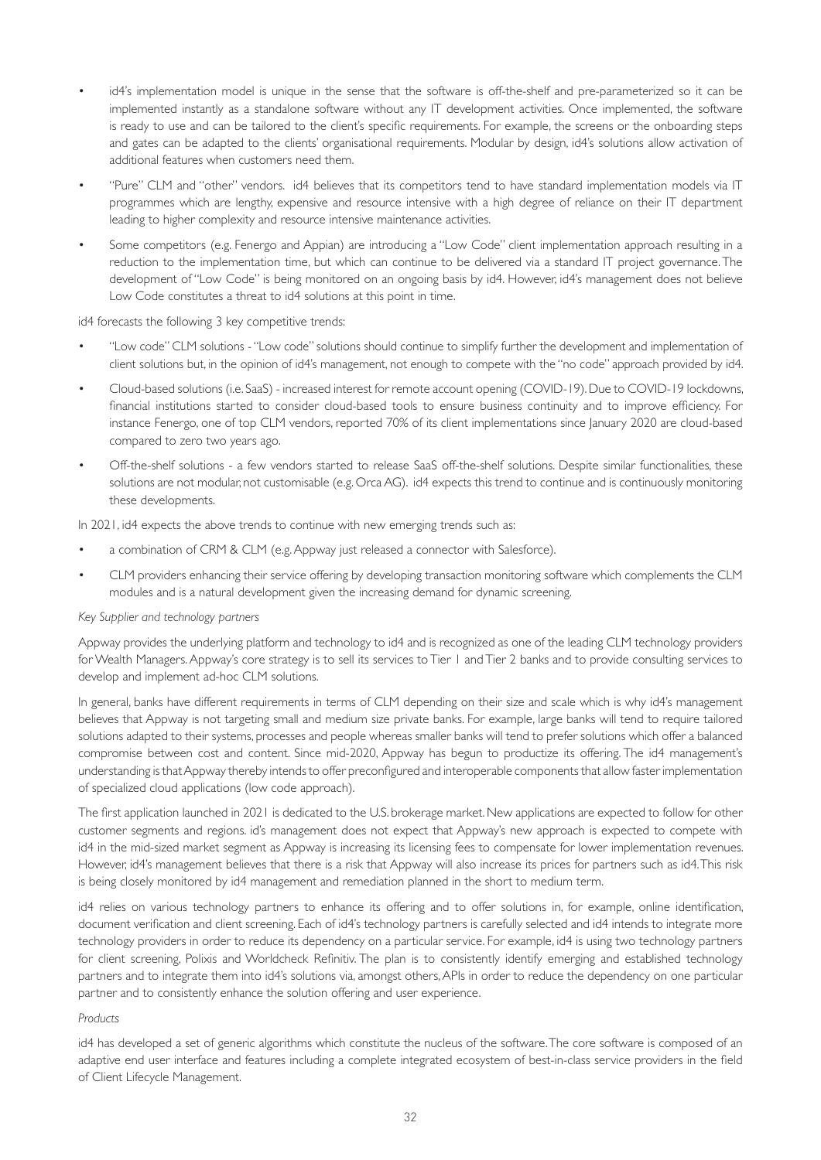- id4's implementation model is unique in the sense that the software is off-the-shelf and pre-parameterized so it can be implemented instantly as a standalone software without any IT development activities. Once implemented, the software is ready to use and can be tailored to the client's specific requirements. For example, the screens or the onboarding steps and gates can be adapted to the clients' organisational requirements. Modular by design, id4's solutions allow activation of additional features when customers need them.
- "Pure" CLM and "other" vendors. id4 believes that its competitors tend to have standard implementation models via IT programmes which are lengthy, expensive and resource intensive with a high degree of reliance on their IT department leading to higher complexity and resource intensive maintenance activities.
- Some competitors (e.g. Fenergo and Appian) are introducing a "Low Code" client implementation approach resulting in a reduction to the implementation time, but which can continue to be delivered via a standard IT project governance. The development of "Low Code" is being monitored on an ongoing basis by id4. However, id4's management does not believe Low Code constitutes a threat to id4 solutions at this point in time.

#### id4 forecasts the following 3 key competitive trends:

- "Low code" CLM solutions "Low code" solutions should continue to simplify further the development and implementation of client solutions but, in the opinion of id4's management, not enough to compete with the "no code" approach provided by id4.
- Cloud-based solutions (i.e. SaaS) increased interest for remote account opening (COVID-19). Due to COVID-19 lockdowns, financial institutions started to consider cloud-based tools to ensure business continuity and to improve efficiency. For instance Fenergo, one of top CLM vendors, reported 70% of its client implementations since January 2020 are cloud-based compared to zero two years ago.
- Off-the-shelf solutions a few vendors started to release SaaS off-the-shelf solutions. Despite similar functionalities, these solutions are not modular, not customisable (e.g. Orca AG). id4 expects this trend to continue and is continuously monitoring these developments.

In 2021, id4 expects the above trends to continue with new emerging trends such as:

- a combination of CRM & CLM (e.g. Appway just released a connector with Salesforce).
- CLM providers enhancing their service offering by developing transaction monitoring software which complements the CLM modules and is a natural development given the increasing demand for dynamic screening.

#### *Key Supplier and technology partners*

Appway provides the underlying platform and technology to id4 and is recognized as one of the leading CLM technology providers for Wealth Managers. Appway's core strategy is to sell its services to Tier 1 and Tier 2 banks and to provide consulting services to develop and implement ad-hoc CLM solutions.

In general, banks have different requirements in terms of CLM depending on their size and scale which is why id4's management believes that Appway is not targeting small and medium size private banks. For example, large banks will tend to require tailored solutions adapted to their systems, processes and people whereas smaller banks will tend to prefer solutions which offer a balanced compromise between cost and content. Since mid-2020, Appway has begun to productize its offering. The id4 management's understanding is that Appway thereby intends to offer preconfigured and interoperable components that allow faster implementation of specialized cloud applications (low code approach).

The first application launched in 2021 is dedicated to the U.S. brokerage market. New applications are expected to follow for other customer segments and regions. id's management does not expect that Appway's new approach is expected to compete with id4 in the mid-sized market segment as Appway is increasing its licensing fees to compensate for lower implementation revenues. However, id4's management believes that there is a risk that Appway will also increase its prices for partners such as id4. This risk is being closely monitored by id4 management and remediation planned in the short to medium term.

id4 relies on various technology partners to enhance its offering and to offer solutions in, for example, online identification, document verification and client screening. Each of id4's technology partners is carefully selected and id4 intends to integrate more technology providers in order to reduce its dependency on a particular service. For example, id4 is using two technology partners for client screening, Polixis and Worldcheck Refinitiv. The plan is to consistently identify emerging and established technology partners and to integrate them into id4's solutions via, amongst others, APIs in order to reduce the dependency on one particular partner and to consistently enhance the solution offering and user experience.

#### *Products*

id4 has developed a set of generic algorithms which constitute the nucleus of the software. The core software is composed of an adaptive end user interface and features including a complete integrated ecosystem of best-in-class service providers in the field of Client Lifecycle Management.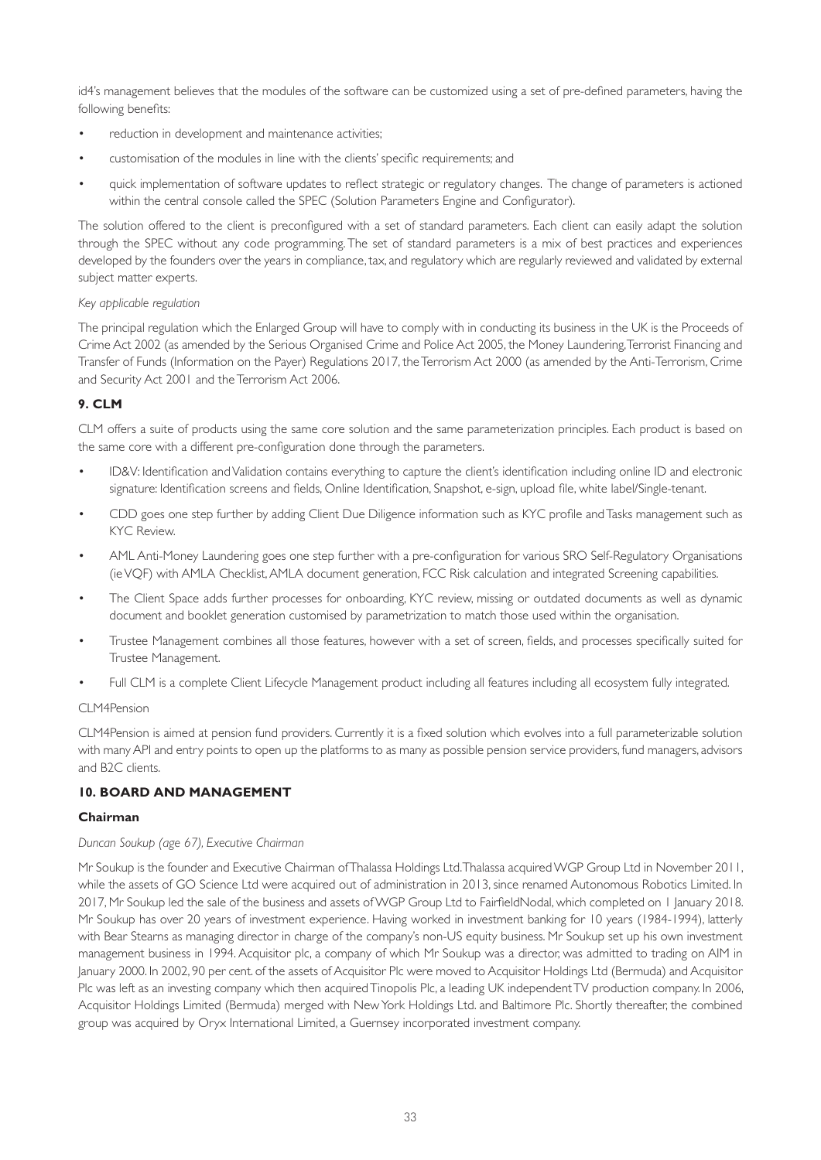id4's management believes that the modules of the software can be customized using a set of pre-defined parameters, having the following benefits:

- reduction in development and maintenance activities;
- customisation of the modules in line with the clients' specific requirements; and
- quick implementation of software updates to reflect strategic or regulatory changes. The change of parameters is actioned within the central console called the SPEC (Solution Parameters Engine and Configurator).

The solution offered to the client is preconfigured with a set of standard parameters. Each client can easily adapt the solution through the SPEC without any code programming. The set of standard parameters is a mix of best practices and experiences developed by the founders over the years in compliance, tax, and regulatory which are regularly reviewed and validated by external subject matter experts.

### *Key applicable regulation*

The principal regulation which the Enlarged Group will have to comply with in conducting its business in the UK is the Proceeds of Crime Act 2002 (as amended by the Serious Organised Crime and Police Act 2005, the Money Laundering, Terrorist Financing and Transfer of Funds (Information on the Payer) Regulations 2017, the Terrorism Act 2000 (as amended by the Anti-Terrorism, Crime and Security Act 2001 and the Terrorism Act 2006.

# **9. CLM**

CLM offers a suite of products using the same core solution and the same parameterization principles. Each product is based on the same core with a different pre-configuration done through the parameters.

- ID&V: Identification and Validation contains everything to capture the client's identification including online ID and electronic signature: Identification screens and fields, Online Identification, Snapshot, e-sign, upload file, white label/Single-tenant.
- CDD goes one step further by adding Client Due Diligence information such as KYC profile and Tasks management such as KYC Review.
- AML Anti-Money Laundering goes one step further with a pre-configuration for various SRO Self-Regulatory Organisations (ie VQF) with AMLA Checklist, AMLA document generation, FCC Risk calculation and integrated Screening capabilities.
- The Client Space adds further processes for onboarding, KYC review, missing or outdated documents as well as dynamic document and booklet generation customised by parametrization to match those used within the organisation.
- Trustee Management combines all those features, however with a set of screen, fields, and processes specifically suited for Trustee Management.
- Full CLM is a complete Client Lifecycle Management product including all features including all ecosystem fully integrated.

#### CLM4Pension

CLM4Pension is aimed at pension fund providers. Currently it is a fixed solution which evolves into a full parameterizable solution with many API and entry points to open up the platforms to as many as possible pension service providers, fund managers, advisors and B2C clients.

# **10. BOARD AND MANAGEMENT**

# **Chairman**

# *Duncan Soukup (age 67), Executive Chairman*

Mr Soukup is the founder and Executive Chairman of Thalassa Holdings Ltd. Thalassa acquired WGP Group Ltd in November 2011, while the assets of GO Science Ltd were acquired out of administration in 2013, since renamed Autonomous Robotics Limited. In 2017, Mr Soukup led the sale of the business and assets of WGP Group Ltd to FairfieldNodal, which completed on 1 January 2018. Mr Soukup has over 20 years of investment experience. Having worked in investment banking for 10 years (1984-1994), latterly with Bear Stearns as managing director in charge of the company's non-US equity business. Mr Soukup set up his own investment management business in 1994. Acquisitor plc, a company of which Mr Soukup was a director, was admitted to trading on AIM in January 2000. In 2002, 90 per cent. of the assets of Acquisitor Plc were moved to Acquisitor Holdings Ltd (Bermuda) and Acquisitor Plc was left as an investing company which then acquired Tinopolis Plc, a leading UK independent TV production company. In 2006, Acquisitor Holdings Limited (Bermuda) merged with New York Holdings Ltd. and Baltimore Plc. Shortly thereafter, the combined group was acquired by Oryx International Limited, a Guernsey incorporated investment company.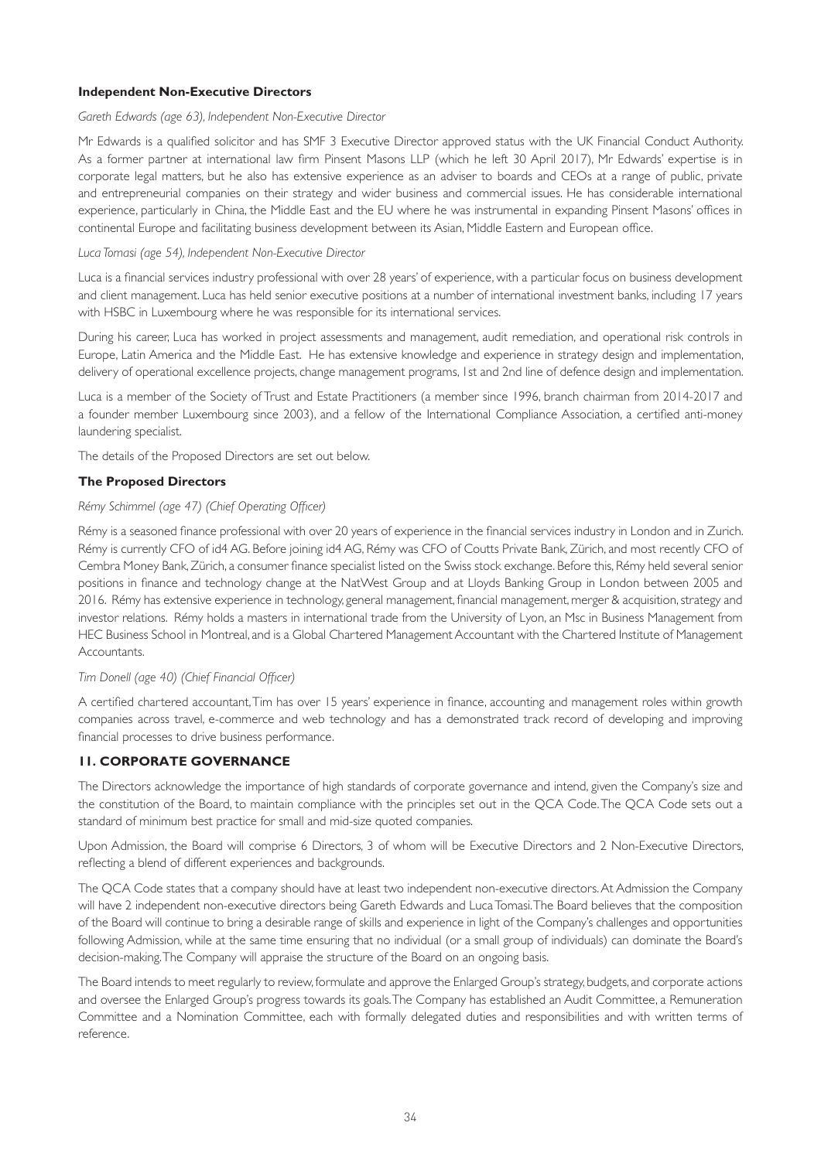#### **Independent Non-Executive Directors**

#### *Gareth Edwards (age 63), Independent Non-Executive Director*

Mr Edwards is a qualified solicitor and has SMF 3 Executive Director approved status with the UK Financial Conduct Authority. As a former partner at international law firm Pinsent Masons LLP (which he left 30 April 2017), Mr Edwards' expertise is in corporate legal matters, but he also has extensive experience as an adviser to boards and CEOs at a range of public, private and entrepreneurial companies on their strategy and wider business and commercial issues. He has considerable international experience, particularly in China, the Middle East and the EU where he was instrumental in expanding Pinsent Masons' offices in continental Europe and facilitating business development between its Asian, Middle Eastern and European office.

#### *Luca Tomasi (age 54), Independent Non-Executive Director*

Luca is a financial services industry professional with over 28 years' of experience, with a particular focus on business development and client management. Luca has held senior executive positions at a number of international investment banks, including 17 years with HSBC in Luxembourg where he was responsible for its international services.

During his career, Luca has worked in project assessments and management, audit remediation, and operational risk controls in Europe, Latin America and the Middle East. He has extensive knowledge and experience in strategy design and implementation, delivery of operational excellence projects, change management programs, 1st and 2nd line of defence design and implementation.

Luca is a member of the Society of Trust and Estate Practitioners (a member since 1996, branch chairman from 2014-2017 and a founder member Luxembourg since 2003), and a fellow of the International Compliance Association, a certified anti-money laundering specialist.

The details of the Proposed Directors are set out below.

### **The Proposed Directors**

### *Rémy Schimmel (age 47) (Chief Operating Officer)*

Rémy is a seasoned finance professional with over 20 years of experience in the financial services industry in London and in Zurich. Rémy is currently CFO of id4 AG. Before joining id4 AG, Rémy was CFO of Coutts Private Bank, Zürich, and most recently CFO of Cembra Money Bank, Zürich, a consumer finance specialist listed on the Swiss stock exchange. Before this, Rémy held several senior positions in finance and technology change at the NatWest Group and at Lloyds Banking Group in London between 2005 and 2016. Rémy has extensive experience in technology, general management, financial management, merger & acquisition, strategy and investor relations. Rémy holds a masters in international trade from the University of Lyon, an Msc in Business Management from HEC Business School in Montreal, and is a Global Chartered Management Accountant with the Chartered Institute of Management Accountants.

#### *Tim Donell (age 40) (Chief Financial Officer)*

A certified chartered accountant, Tim has over 15 years' experience in finance, accounting and management roles within growth companies across travel, e-commerce and web technology and has a demonstrated track record of developing and improving financial processes to drive business performance.

# **11. CORPORATE GOVERNANCE**

The Directors acknowledge the importance of high standards of corporate governance and intend, given the Company's size and the constitution of the Board, to maintain compliance with the principles set out in the QCA Code. The QCA Code sets out a standard of minimum best practice for small and mid-size quoted companies.

Upon Admission, the Board will comprise 6 Directors, 3 of whom will be Executive Directors and 2 Non-Executive Directors, reflecting a blend of different experiences and backgrounds.

The QCA Code states that a company should have at least two independent non-executive directors. At Admission the Company will have 2 independent non-executive directors being Gareth Edwards and Luca Tomasi. The Board believes that the composition of the Board will continue to bring a desirable range of skills and experience in light of the Company's challenges and opportunities following Admission, while at the same time ensuring that no individual (or a small group of individuals) can dominate the Board's decision-making. The Company will appraise the structure of the Board on an ongoing basis.

The Board intends to meet regularly to review, formulate and approve the Enlarged Group's strategy, budgets, and corporate actions and oversee the Enlarged Group's progress towards its goals. The Company has established an Audit Committee, a Remuneration Committee and a Nomination Committee, each with formally delegated duties and responsibilities and with written terms of reference.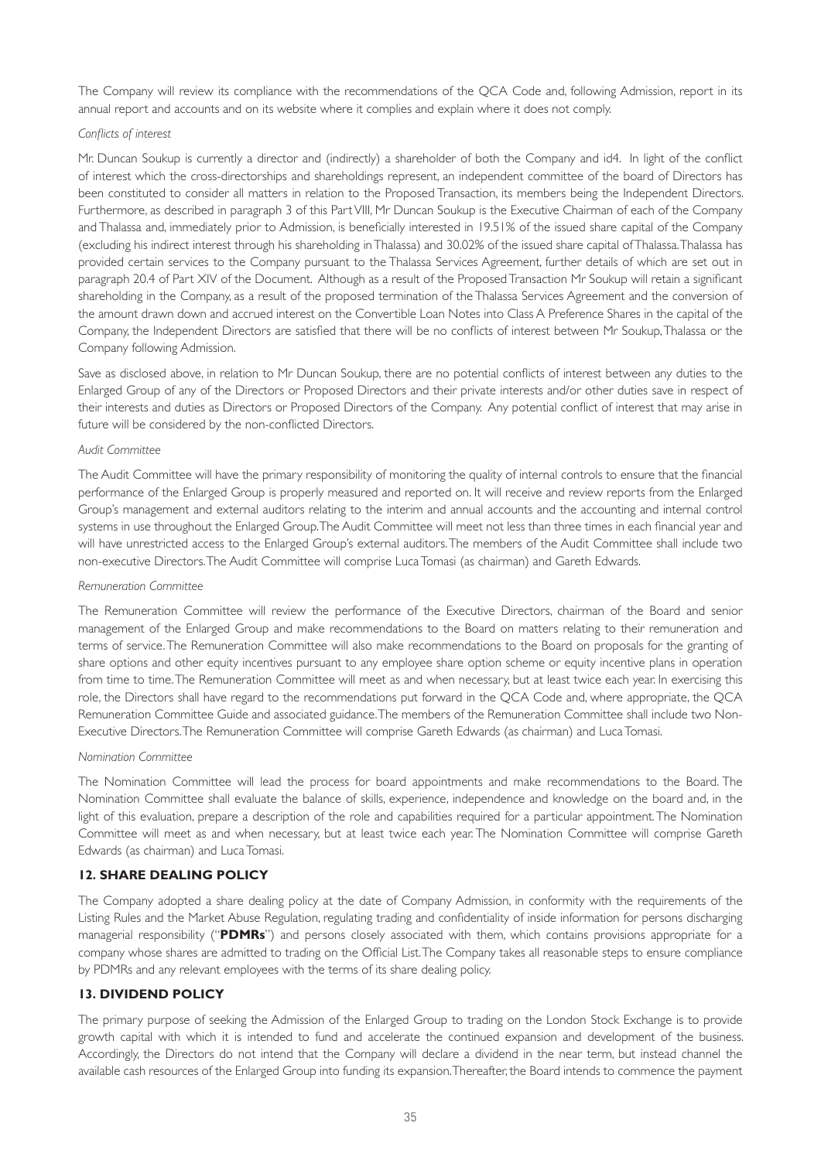The Company will review its compliance with the recommendations of the QCA Code and, following Admission, report in its annual report and accounts and on its website where it complies and explain where it does not comply.

#### *Conflicts of interest*

Mr. Duncan Soukup is currently a director and (indirectly) a shareholder of both the Company and id4. In light of the conflict of interest which the cross-directorships and shareholdings represent, an independent committee of the board of Directors has been constituted to consider all matters in relation to the Proposed Transaction, its members being the Independent Directors. Furthermore, as described in paragraph 3 of this Part VIII, Mr Duncan Soukup is the Executive Chairman of each of the Company and Thalassa and, immediately prior to Admission, is beneficially interested in 19.51% of the issued share capital of the Company (excluding his indirect interest through his shareholding in Thalassa) and 30.02% of the issued share capital of Thalassa. Thalassa has provided certain services to the Company pursuant to the Thalassa Services Agreement, further details of which are set out in paragraph 20.4 of Part XIV of the Document. Although as a result of the Proposed Transaction Mr Soukup will retain a significant shareholding in the Company, as a result of the proposed termination of the Thalassa Services Agreement and the conversion of the amount drawn down and accrued interest on the Convertible Loan Notes into Class A Preference Shares in the capital of the Company, the Independent Directors are satisfied that there will be no conflicts of interest between Mr Soukup, Thalassa or the Company following Admission.

Save as disclosed above, in relation to Mr Duncan Soukup, there are no potential conflicts of interest between any duties to the Enlarged Group of any of the Directors or Proposed Directors and their private interests and/or other duties save in respect of their interests and duties as Directors or Proposed Directors of the Company. Any potential conflict of interest that may arise in future will be considered by the non-conflicted Directors.

#### *Audit Committee*

The Audit Committee will have the primary responsibility of monitoring the quality of internal controls to ensure that the financial performance of the Enlarged Group is properly measured and reported on. It will receive and review reports from the Enlarged Group's management and external auditors relating to the interim and annual accounts and the accounting and internal control systems in use throughout the Enlarged Group. The Audit Committee will meet not less than three times in each financial year and will have unrestricted access to the Enlarged Group's external auditors. The members of the Audit Committee shall include two non-executive Directors. The Audit Committee will comprise Luca Tomasi (as chairman) and Gareth Edwards.

#### *Remuneration Committee*

The Remuneration Committee will review the performance of the Executive Directors, chairman of the Board and senior management of the Enlarged Group and make recommendations to the Board on matters relating to their remuneration and terms of service. The Remuneration Committee will also make recommendations to the Board on proposals for the granting of share options and other equity incentives pursuant to any employee share option scheme or equity incentive plans in operation from time to time. The Remuneration Committee will meet as and when necessary, but at least twice each year. In exercising this role, the Directors shall have regard to the recommendations put forward in the QCA Code and, where appropriate, the QCA Remuneration Committee Guide and associated guidance. The members of the Remuneration Committee shall include two Non-Executive Directors. The Remuneration Committee will comprise Gareth Edwards (as chairman) and Luca Tomasi.

#### *Nomination Committee*

The Nomination Committee will lead the process for board appointments and make recommendations to the Board. The Nomination Committee shall evaluate the balance of skills, experience, independence and knowledge on the board and, in the light of this evaluation, prepare a description of the role and capabilities required for a particular appointment. The Nomination Committee will meet as and when necessary, but at least twice each year. The Nomination Committee will comprise Gareth Edwards (as chairman) and Luca Tomasi.

# **12. SHARE DEALING POLICY**

The Company adopted a share dealing policy at the date of Company Admission, in conformity with the requirements of the Listing Rules and the Market Abuse Regulation, regulating trading and confidentiality of inside information for persons discharging managerial responsibility ("**PDMRs**") and persons closely associated with them, which contains provisions appropriate for a company whose shares are admitted to trading on the Official List. The Company takes all reasonable steps to ensure compliance by PDMRs and any relevant employees with the terms of its share dealing policy.

#### **13. DIVIDEND POLICY**

The primary purpose of seeking the Admission of the Enlarged Group to trading on the London Stock Exchange is to provide growth capital with which it is intended to fund and accelerate the continued expansion and development of the business. Accordingly, the Directors do not intend that the Company will declare a dividend in the near term, but instead channel the available cash resources of the Enlarged Group into funding its expansion. Thereafter, the Board intends to commence the payment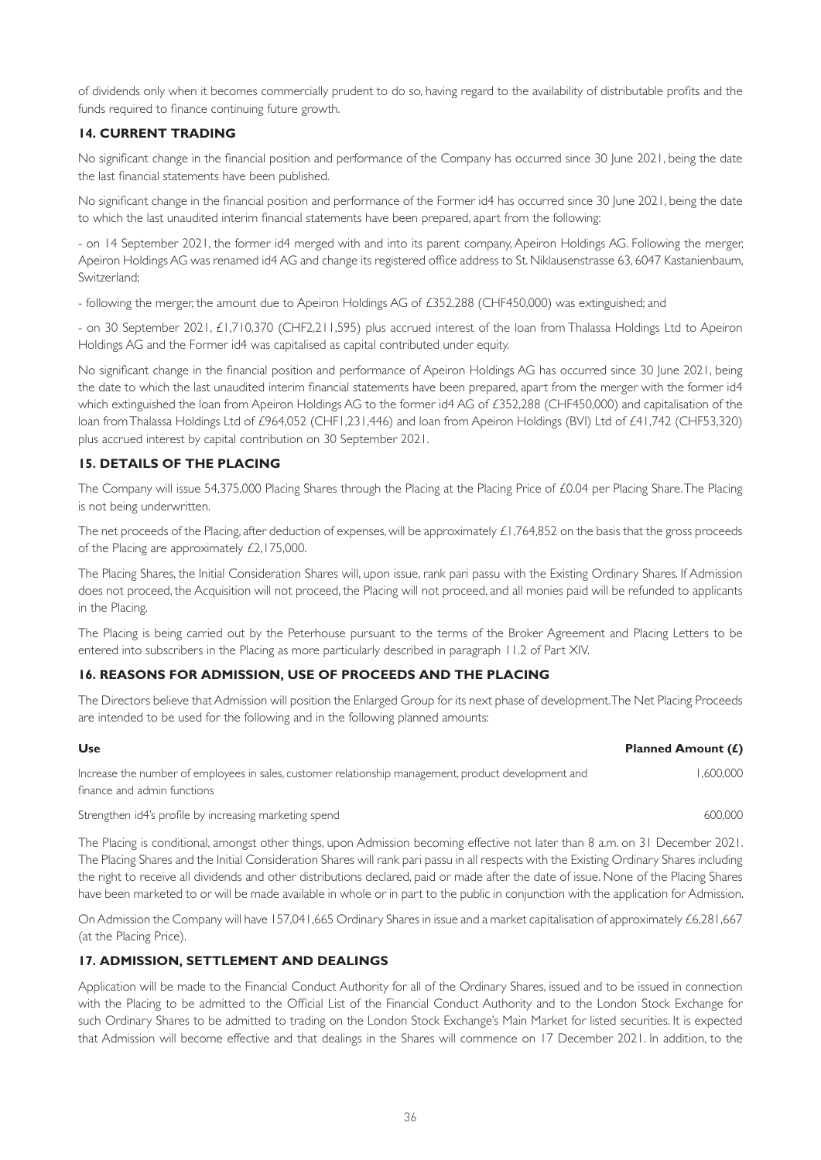of dividends only when it becomes commercially prudent to do so, having regard to the availability of distributable profits and the funds required to finance continuing future growth.

# **14. CURRENT TRADING**

No significant change in the financial position and performance of the Company has occurred since 30 June 2021, being the date the last financial statements have been published.

No significant change in the financial position and performance of the Former id4 has occurred since 30 June 2021, being the date to which the last unaudited interim financial statements have been prepared, apart from the following:

- on 14 September 2021, the former id4 merged with and into its parent company, Apeiron Holdings AG. Following the merger, Apeiron Holdings AG was renamed id4 AG and change its registered office address to St. Niklausenstrasse 63, 6047 Kastanienbaum, Switzerland;

- following the merger, the amount due to Apeiron Holdings AG of £352,288 (CHF450,000) was extinguished; and

- on 30 September 2021, £1,710,370 (CHF2,211,595) plus accrued interest of the loan from Thalassa Holdings Ltd to Apeiron Holdings AG and the Former id4 was capitalised as capital contributed under equity.

No significant change in the financial position and performance of Apeiron Holdings AG has occurred since 30 June 2021, being the date to which the last unaudited interim financial statements have been prepared, apart from the merger with the former id4 which extinguished the loan from Apeiron Holdings AG to the former id4 AG of £352,288 (CHF450,000) and capitalisation of the loan from Thalassa Holdings Ltd of £964,052 (CHF1,231,446) and loan from Apeiron Holdings (BVI) Ltd of £41,742 (CHF53,320) plus accrued interest by capital contribution on 30 September 2021.

# **15. DETAILS OF THE PLACING**

The Company will issue 54,375,000 Placing Shares through the Placing at the Placing Price of £0.04 per Placing Share. The Placing is not being underwritten.

The net proceeds of the Placing, after deduction of expenses, will be approximately £1,764,852 on the basis that the gross proceeds of the Placing are approximately £2,175,000.

The Placing Shares, the Initial Consideration Shares will, upon issue, rank pari passu with the Existing Ordinary Shares. If Admission does not proceed, the Acquisition will not proceed, the Placing will not proceed, and all monies paid will be refunded to applicants in the Placing.

The Placing is being carried out by the Peterhouse pursuant to the terms of the Broker Agreement and Placing Letters to be entered into subscribers in the Placing as more particularly described in paragraph 11.2 of Part XIV.

# **16. REASONS FOR ADMISSION, USE OF PROCEEDS AND THE PLACING**

The Directors believe that Admission will position the Enlarged Group for its next phase of development. The Net Placing Proceeds are intended to be used for the following and in the following planned amounts:

| Use                                                                                                  | <b>Planned Amount (£)</b> |
|------------------------------------------------------------------------------------------------------|---------------------------|
| Increase the number of employees in sales, customer relationship management, product development and | 1.600.000                 |
| finance and admin functions                                                                          |                           |

Strengthen id4's profile by increasing marketing spend 600,000  $\sim$  600,000  $\sim$  600,000

The Placing is conditional, amongst other things, upon Admission becoming effective not later than 8 a.m. on 31 December 2021. The Placing Shares and the Initial Consideration Shares will rank pari passu in all respects with the Existing Ordinary Shares including the right to receive all dividends and other distributions declared, paid or made after the date of issue. None of the Placing Shares have been marketed to or will be made available in whole or in part to the public in conjunction with the application for Admission.

On Admission the Company will have 157,041,665 Ordinary Shares in issue and a market capitalisation of approximately £6,281,667 (at the Placing Price).

# **17. ADMISSION, SETTLEMENT AND DEALINGS**

Application will be made to the Financial Conduct Authority for all of the Ordinary Shares, issued and to be issued in connection with the Placing to be admitted to the Official List of the Financial Conduct Authority and to the London Stock Exchange for such Ordinary Shares to be admitted to trading on the London Stock Exchange's Main Market for listed securities. It is expected that Admission will become effective and that dealings in the Shares will commence on 17 December 2021. In addition, to the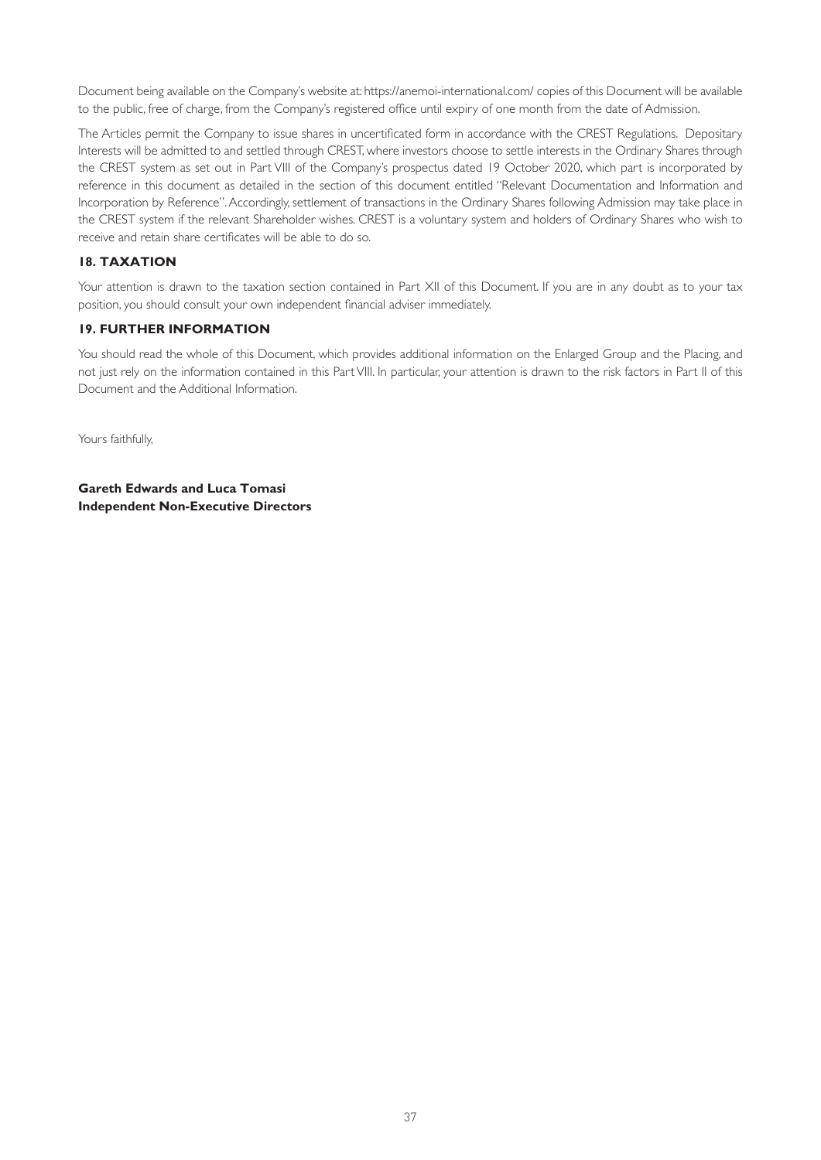Document being available on the Company's website at: [https://anemoi-international.com/](https://roquefortinvest.com) copies of this Document will be available to the public, free of charge, from the Company's registered office until expiry of one month from the date of Admission.

The Articles permit the Company to issue shares in uncertificated form in accordance with the CREST Regulations. Depositary Interests will be admitted to and settled through CREST, where investors choose to settle interests in the Ordinary Shares through the CREST system as set out in Part VIII of the Company's prospectus dated 19 October 2020, which part is incorporated by reference in this document as detailed in the section of this document entitled "Relevant Documentation and Information and Incorporation by Reference". Accordingly, settlement of transactions in the Ordinary Shares following Admission may take place in the CREST system if the relevant Shareholder wishes. CREST is a voluntary system and holders of Ordinary Shares who wish to receive and retain share certificates will be able to do so.

# **18. TAXATION**

Your attention is drawn to the taxation section contained in Part XII of this Document. If you are in any doubt as to your tax position, you should consult your own independent financial adviser immediately.

## **19. FURTHER INFORMATION**

You should read the whole of this Document, which provides additional information on the Enlarged Group and the Placing, and not just rely on the information contained in this Part VIII. In particular, your attention is drawn to the risk factors in Part II of this Document and the Additional Information.

Yours faithfully,

**Gareth Edwards and Luca Tomasi Independent Non-Executive Directors**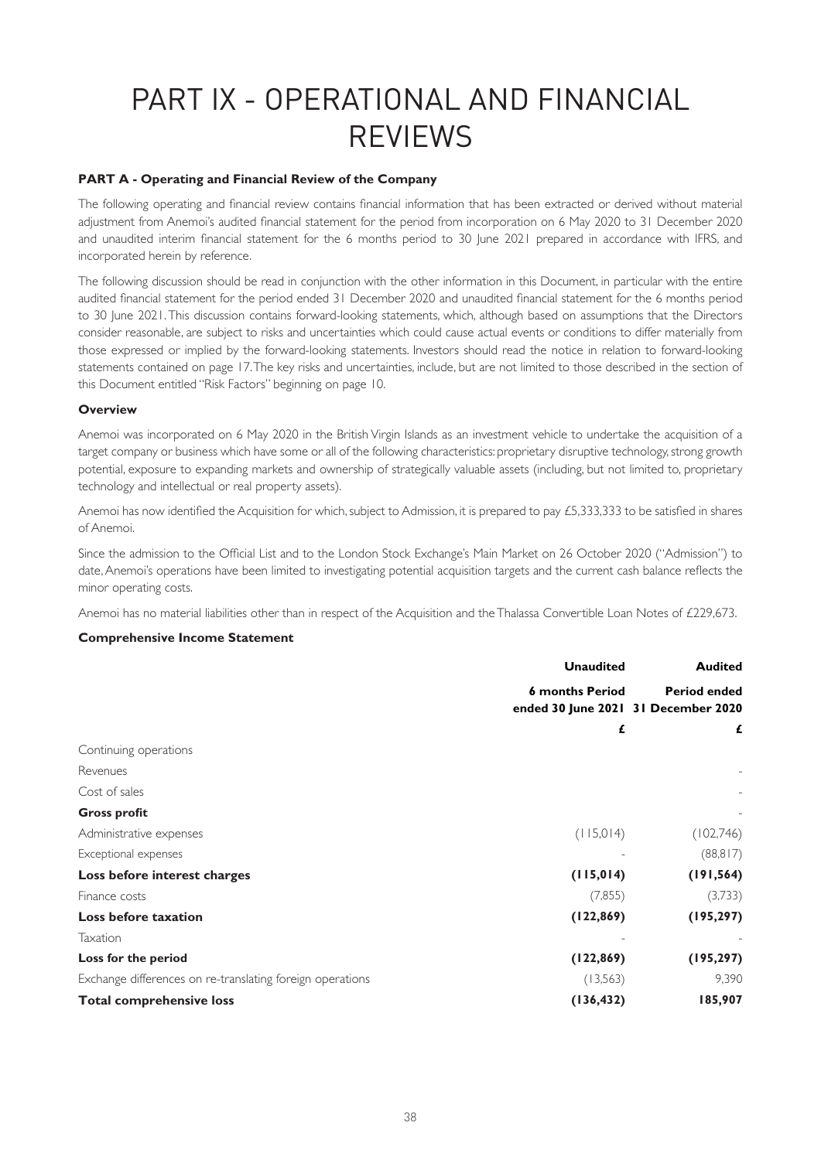# PART IX - OPERATIONAL AND FINANCIAL REVIEWS

## **PART A - Operating and Financial Review of the Company**

The following operating and financial review contains financial information that has been extracted or derived without material adjustment from Anemoi's audited financial statement for the period from incorporation on 6 May 2020 to 31 December 2020 and unaudited interim financial statement for the 6 months period to 30 June 2021 prepared in accordance with IFRS, and incorporated herein by reference.

The following discussion should be read in conjunction with the other information in this Document, in particular with the entire audited financial statement for the period ended 31 December 2020 and unaudited financial statement for the 6 months period to 30 June 2021. This discussion contains forward-looking statements, which, although based on assumptions that the Directors consider reasonable, are subject to risks and uncertainties which could cause actual events or conditions to differ materially from those expressed or implied by the forward-looking statements. Investors should read the notice in relation to forward-looking statements contained on page 17. The key risks and uncertainties, include, but are not limited to those described in the section of this Document entitled "Risk Factors" beginning on page 10.

#### **Overview**

Anemoi was incorporated on 6 May 2020 in the British Virgin Islands as an investment vehicle to undertake the acquisition of a target company or business which have some or all of the following characteristics: proprietary disruptive technology, strong growth potential, exposure to expanding markets and ownership of strategically valuable assets (including, but not limited to, proprietary technology and intellectual or real property assets).

Anemoi has now identified the Acquisition for which, subject to Admission, it is prepared to pay £5,333,333 to be satisfied in shares of Anemoi.

Since the admission to the Official List and to the London Stock Exchange's Main Market on 26 October 2020 ("Admission") to date, Anemoi's operations have been limited to investigating potential acquisition targets and the current cash balance reflects the minor operating costs.

Anemoi has no material liabilities other than in respect of the Acquisition and the Thalassa Convertible Loan Notes of £229,673.

## **Comprehensive Income Statement**

|                                                           | <b>Unaudited</b>                                              | <b>Audited</b>      |
|-----------------------------------------------------------|---------------------------------------------------------------|---------------------|
|                                                           | <b>6 months Period</b><br>ended 30 June 2021 31 December 2020 | <b>Period ended</b> |
|                                                           | £                                                             | £                   |
| Continuing operations                                     |                                                               |                     |
| Revenues                                                  |                                                               |                     |
| Cost of sales                                             |                                                               |                     |
| <b>Gross profit</b>                                       |                                                               |                     |
| Administrative expenses                                   | (115,014)                                                     | (102,746)           |
| Exceptional expenses                                      |                                                               | (88, 817)           |
| Loss before interest charges                              | (115, 014)                                                    | (191, 564)          |
| Finance costs                                             | (7, 855)                                                      | (3,733)             |
| Loss before taxation                                      | (122, 869)                                                    | (195, 297)          |
| Taxation                                                  |                                                               |                     |
| Loss for the period                                       | (122, 869)                                                    | (195, 297)          |
| Exchange differences on re-translating foreign operations | (13, 563)                                                     | 9,390               |
| <b>Total comprehensive loss</b>                           | (136, 432)                                                    | 185,907             |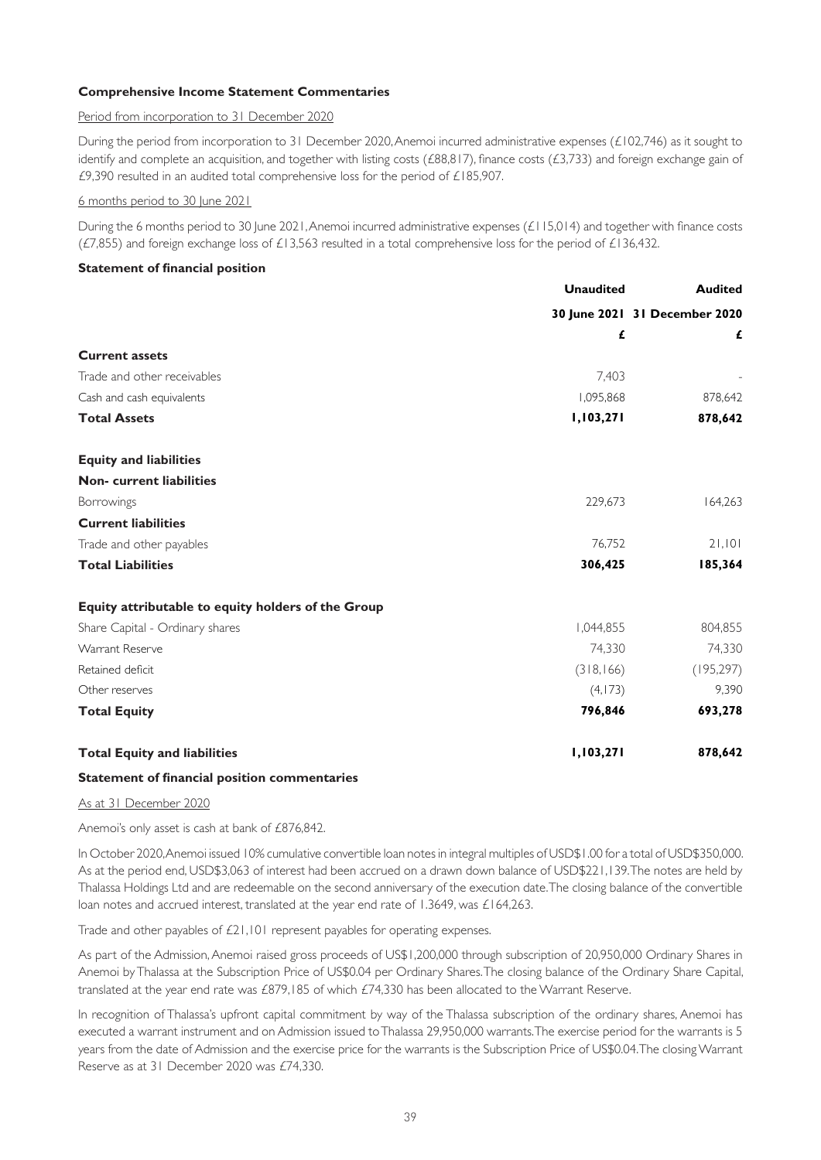## **Comprehensive Income Statement Commentaries**

#### Period from incorporation to 31 December 2020

During the period from incorporation to 31 December 2020, Anemoi incurred administrative expenses (£102,746) as it sought to identify and complete an acquisition, and together with listing costs (£88,817), finance costs (£3,733) and foreign exchange gain of £9,390 resulted in an audited total comprehensive loss for the period of £185,907.

#### 6 months period to 30 June 2021

During the 6 months period to 30 June 2021, Anemoi incurred administrative expenses (£115,014) and together with finance costs ( $E$ 7,855) and foreign exchange loss of £13,563 resulted in a total comprehensive loss for the period of £136,432.

## **Statement of financial position**

|                                                    | <b>Unaudited</b> | <b>Audited</b>                |  |
|----------------------------------------------------|------------------|-------------------------------|--|
|                                                    |                  | 30 June 2021 31 December 2020 |  |
|                                                    | £                | £                             |  |
| <b>Current assets</b>                              |                  |                               |  |
| Trade and other receivables                        | 7,403            |                               |  |
| Cash and cash equivalents                          | 1,095,868        | 878,642                       |  |
| <b>Total Assets</b>                                | 1,103,271        | 878,642                       |  |
| <b>Equity and liabilities</b>                      |                  |                               |  |
| <b>Non-current liabilities</b>                     |                  |                               |  |
| Borrowings                                         | 229,673          | 164,263                       |  |
| <b>Current liabilities</b>                         |                  |                               |  |
| Trade and other payables                           | 76,752           | 21,101                        |  |
| <b>Total Liabilities</b>                           | 306,425          | 185,364                       |  |
| Equity attributable to equity holders of the Group |                  |                               |  |
| Share Capital - Ordinary shares                    | 1,044,855        | 804,855                       |  |
| Warrant Reserve                                    | 74,330           | 74,330                        |  |
| Retained deficit                                   | (318, 166)       | (195, 297)                    |  |
| Other reserves                                     | (4,173)          | 9,390                         |  |
| <b>Total Equity</b>                                | 796,846          | 693,278                       |  |
| <b>Total Equity and liabilities</b>                | 1,103,271        | 878,642                       |  |
|                                                    |                  |                               |  |

## **Statement of financial position commentaries**

As at 31 December 2020

Anemoi's only asset is cash at bank of £876,842.

In October 2020, Anemoi issued 10% cumulative convertible loan notes in integral multiples of USD\$1.00 for a total of USD\$350,000. As at the period end, USD\$3,063 of interest had been accrued on a drawn down balance of USD\$221,139. The notes are held by Thalassa Holdings Ltd and are redeemable on the second anniversary of the execution date. The closing balance of the convertible loan notes and accrued interest, translated at the year end rate of 1.3649, was £164,263.

Trade and other payables of £21,101 represent payables for operating expenses.

As part of the Admission, Anemoi raised gross proceeds of US\$1,200,000 through subscription of 20,950,000 Ordinary Shares in Anemoi by Thalassa at the Subscription Price of US\$0.04 per Ordinary Shares. The closing balance of the Ordinary Share Capital, translated at the year end rate was £879,185 of which £74,330 has been allocated to the Warrant Reserve.

In recognition of Thalassa's upfront capital commitment by way of the Thalassa subscription of the ordinary shares, Anemoi has executed a warrant instrument and on Admission issued to Thalassa 29,950,000 warrants. The exercise period for the warrants is 5 years from the date of Admission and the exercise price for the warrants is the Subscription Price of US\$0.04. The closing Warrant Reserve as at 31 December 2020 was £74,330.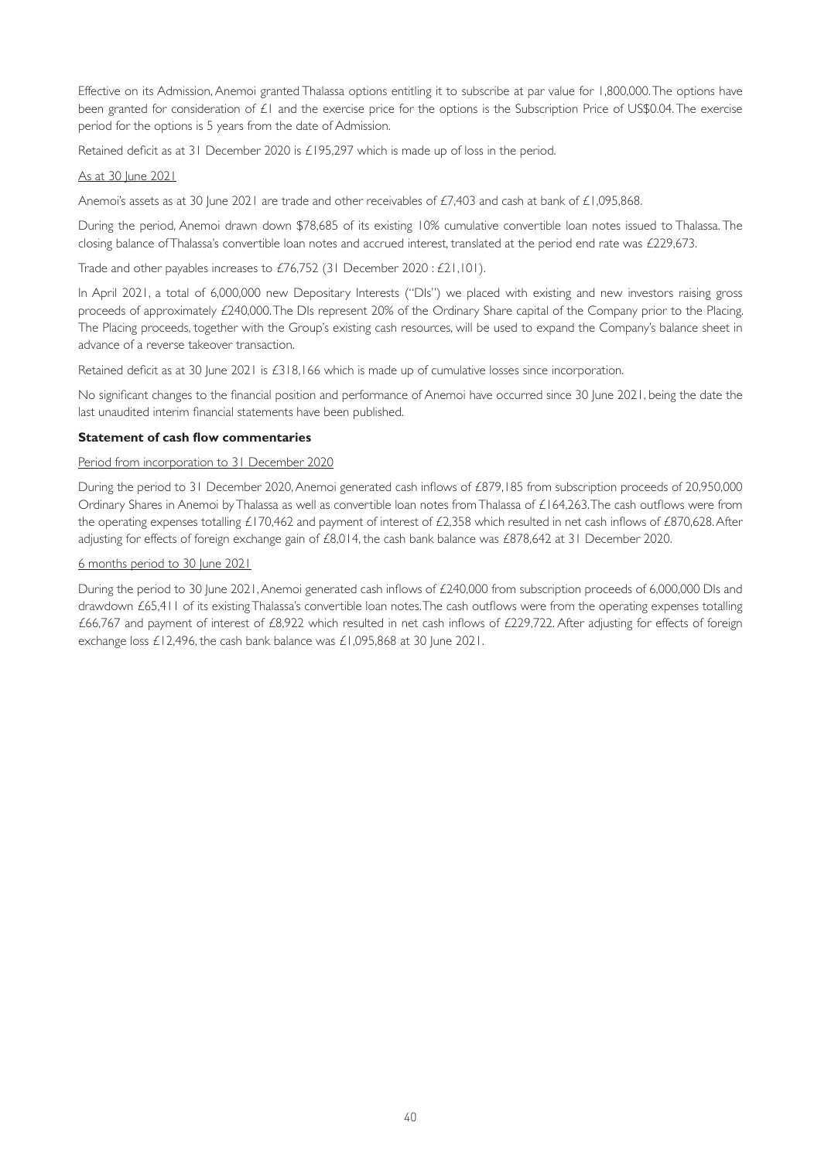Effective on its Admission, Anemoi granted Thalassa options entitling it to subscribe at par value for 1,800,000. The options have been granted for consideration of £1 and the exercise price for the options is the Subscription Price of US\$0.04. The exercise period for the options is 5 years from the date of Admission.

Retained deficit as at 31 December 2020 is £195,297 which is made up of loss in the period.

## As at 30 June 2021

Anemoi's assets as at 30 June 2021 are trade and other receivables of £7,403 and cash at bank of £1,095,868.

During the period, Anemoi drawn down \$78,685 of its existing 10% cumulative convertible loan notes issued to Thalassa. The closing balance of Thalassa's convertible loan notes and accrued interest, translated at the period end rate was £229,673.

Trade and other payables increases to £76,752 (31 December 2020 : £21,101).

In April 2021, a total of 6,000,000 new Depositary Interests ("DIs") we placed with existing and new investors raising gross proceeds of approximately £240,000. The DIs represent 20% of the Ordinary Share capital of the Company prior to the Placing. The Placing proceeds, together with the Group's existing cash resources, will be used to expand the Company's balance sheet in advance of a reverse takeover transaction.

Retained deficit as at 30 June 2021 is £318,166 which is made up of cumulative losses since incorporation.

No significant changes to the financial position and performance of Anemoi have occurred since 30 June 2021, being the date the last unaudited interim financial statements have been published.

## **Statement of cash flow commentaries**

## Period from incorporation to 31 December 2020

During the period to 31 December 2020, Anemoi generated cash inflows of £879,185 from subscription proceeds of 20,950,000 Ordinary Shares in Anemoi by Thalassa as well as convertible loan notes from Thalassa of £164,263. The cash outflows were from the operating expenses totalling £170,462 and payment of interest of £2,358 which resulted in net cash inflows of £870,628. After adjusting for effects of foreign exchange gain of £8,014, the cash bank balance was £878,642 at 31 December 2020.

## 6 months period to 30 June 2021

During the period to 30 June 2021, Anemoi generated cash inflows of £240,000 from subscription proceeds of 6,000,000 DIs and drawdown £65,411 of its existing Thalassa's convertible loan notes. The cash outflows were from the operating expenses totalling £66,767 and payment of interest of £8,922 which resulted in net cash inflows of £229,722. After adjusting for effects of foreign exchange loss £12,496, the cash bank balance was £1,095,868 at 30 June 2021.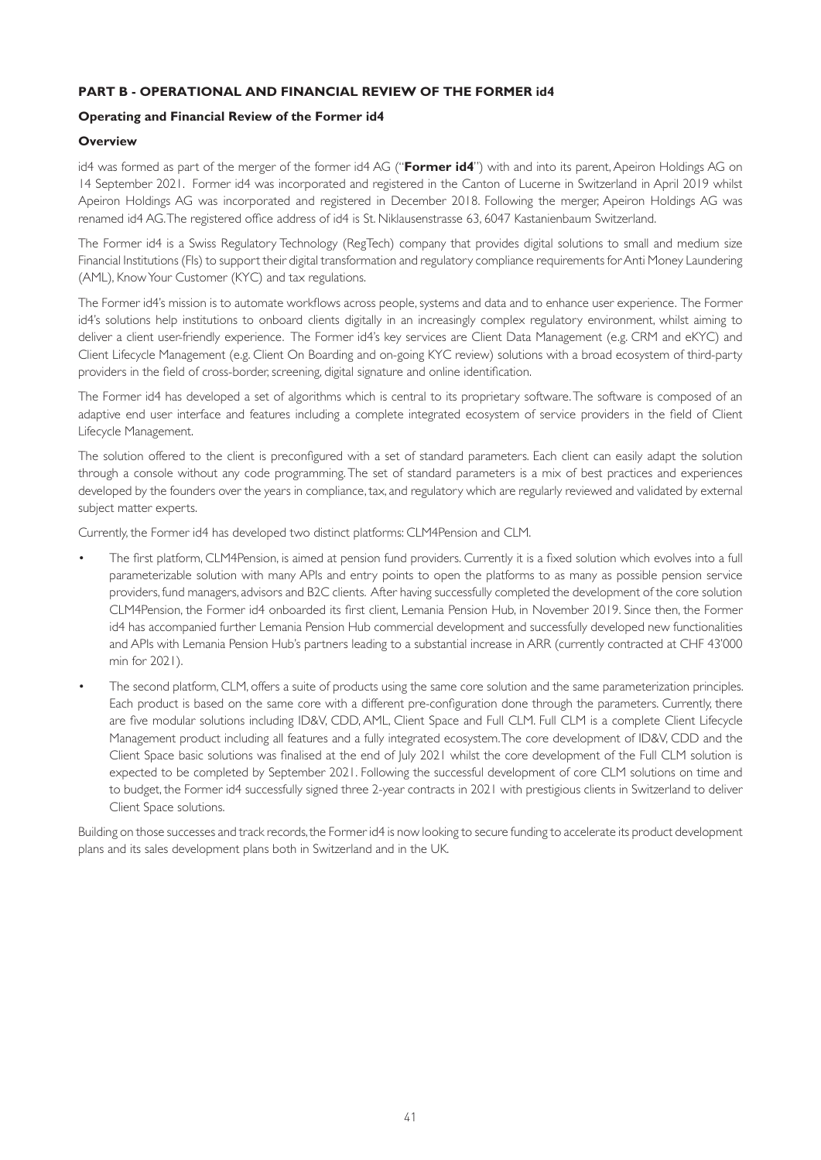# **PART B - OPERATIONAL AND FINANCIAL REVIEW OF THE FORMER id4**

## **Operating and Financial Review of the Former id4**

## **Overview**

id4 was formed as part of the merger of the former id4 AG ("**Former id4**") with and into its parent, Apeiron Holdings AG on 14 September 2021. Former id4 was incorporated and registered in the Canton of Lucerne in Switzerland in April 2019 whilst Apeiron Holdings AG was incorporated and registered in December 2018. Following the merger, Apeiron Holdings AG was renamed id4 AG. The registered office address of id4 is St. Niklausenstrasse 63, 6047 Kastanienbaum Switzerland.

The Former id4 is a Swiss Regulatory Technology (RegTech) company that provides digital solutions to small and medium size Financial Institutions (FIs) to support their digital transformation and regulatory compliance requirements for Anti Money Laundering (AML), Know Your Customer (KYC) and tax regulations.

The Former id4's mission is to automate workflows across people, systems and data and to enhance user experience. The Former id4's solutions help institutions to onboard clients digitally in an increasingly complex regulatory environment, whilst aiming to deliver a client user-friendly experience. The Former id4's key services are Client Data Management (e.g. CRM and eKYC) and Client Lifecycle Management (e.g. Client On Boarding and on-going KYC review) solutions with a broad ecosystem of third-party providers in the field of cross-border, screening, digital signature and online identification.

The Former id4 has developed a set of algorithms which is central to its proprietary software. The software is composed of an adaptive end user interface and features including a complete integrated ecosystem of service providers in the field of Client Lifecycle Management.

The solution offered to the client is preconfigured with a set of standard parameters. Each client can easily adapt the solution through a console without any code programming. The set of standard parameters is a mix of best practices and experiences developed by the founders over the years in compliance, tax, and regulatory which are regularly reviewed and validated by external subject matter experts.

Currently, the Former id4 has developed two distinct platforms: CLM4Pension and CLM.

- The first platform, CLM4Pension, is aimed at pension fund providers. Currently it is a fixed solution which evolves into a full parameterizable solution with many APIs and entry points to open the platforms to as many as possible pension service providers, fund managers, advisors and B2C clients. After having successfully completed the development of the core solution CLM4Pension, the Former id4 onboarded its first client, Lemania Pension Hub, in November 2019. Since then, the Former id4 has accompanied further Lemania Pension Hub commercial development and successfully developed new functionalities and APIs with Lemania Pension Hub's partners leading to a substantial increase in ARR (currently contracted at CHF 43'000 min for 2021).
- The second platform, CLM, offers a suite of products using the same core solution and the same parameterization principles. Each product is based on the same core with a different pre-configuration done through the parameters. Currently, there are five modular solutions including ID&V, CDD, AML, Client Space and Full CLM. Full CLM is a complete Client Lifecycle Management product including all features and a fully integrated ecosystem. The core development of ID&V, CDD and the Client Space basic solutions was finalised at the end of July 2021 whilst the core development of the Full CLM solution is expected to be completed by September 2021. Following the successful development of core CLM solutions on time and to budget, the Former id4 successfully signed three 2-year contracts in 2021 with prestigious clients in Switzerland to deliver Client Space solutions.

Building on those successes and track records, the Former id4 is now looking to secure funding to accelerate its product development plans and its sales development plans both in Switzerland and in the UK.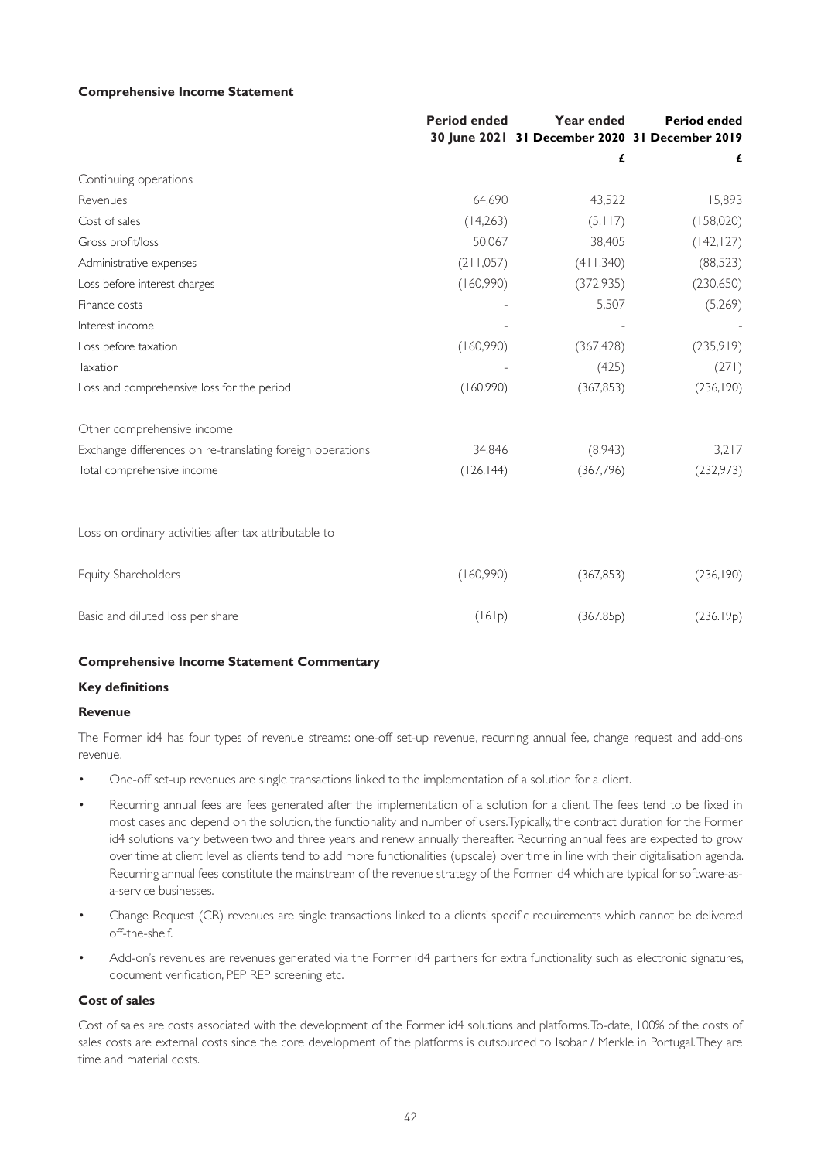#### **Comprehensive Income Statement**

|                                                           | <b>Period ended</b> | Year ended                                     | <b>Period ended</b> |
|-----------------------------------------------------------|---------------------|------------------------------------------------|---------------------|
|                                                           |                     | 30 June 2021 31 December 2020 31 December 2019 |                     |
|                                                           |                     | £                                              | £                   |
| Continuing operations                                     |                     |                                                |                     |
| Revenues                                                  | 64,690              | 43,522                                         | 15,893              |
| Cost of sales                                             | (14,263)            | (5, 117)                                       | (158,020)           |
| Gross profit/loss                                         | 50,067              | 38,405                                         | (142, 127)          |
| Administrative expenses                                   | (211,057)           | (411,340)                                      | (88,523)            |
| Loss before interest charges                              | (160,990)           | (372, 935)                                     | (230,650)           |
| Finance costs                                             |                     | 5,507                                          | (5,269)             |
| Interest income                                           |                     |                                                |                     |
| Loss before taxation                                      | (160,990)           | (367, 428)                                     | (235,919)           |
| Taxation                                                  |                     | (425)                                          | (271)               |
| Loss and comprehensive loss for the period                | (160,990)           | (367, 853)                                     | (236, 190)          |
| Other comprehensive income                                |                     |                                                |                     |
| Exchange differences on re-translating foreign operations | 34,846              | (8,943)                                        | 3,217               |
| Total comprehensive income                                | (126, 144)          | (367,796)                                      | (232, 973)          |
| Loss on ordinary activities after tax attributable to     |                     |                                                |                     |
| Equity Shareholders                                       | (160,990)           | (367, 853)                                     | (236, 190)          |
| Basic and diluted loss per share                          | (161p)              | (367.85p)                                      | (236.19p)           |

#### **Comprehensive Income Statement Commentary**

#### **Key definitions**

#### **Revenue**

The Former id4 has four types of revenue streams: one-off set-up revenue, recurring annual fee, change request and add-ons revenue.

- One-off set-up revenues are single transactions linked to the implementation of a solution for a client.
- Recurring annual fees are fees generated after the implementation of a solution for a client. The fees tend to be fixed in most cases and depend on the solution, the functionality and number of users. Typically, the contract duration for the Former id4 solutions vary between two and three years and renew annually thereafter. Recurring annual fees are expected to grow over time at client level as clients tend to add more functionalities (upscale) over time in line with their digitalisation agenda. Recurring annual fees constitute the mainstream of the revenue strategy of the Former id4 which are typical for software-asa-service businesses.
- Change Request (CR) revenues are single transactions linked to a clients' specific requirements which cannot be delivered off-the-shelf.
- Add-on's revenues are revenues generated via the Former id4 partners for extra functionality such as electronic signatures, document verification, PEP REP screening etc.

#### **Cost of sales**

Cost of sales are costs associated with the development of the Former id4 solutions and platforms. To-date, 100% of the costs of sales costs are external costs since the core development of the platforms is outsourced to Isobar / Merkle in Portugal. They are time and material costs.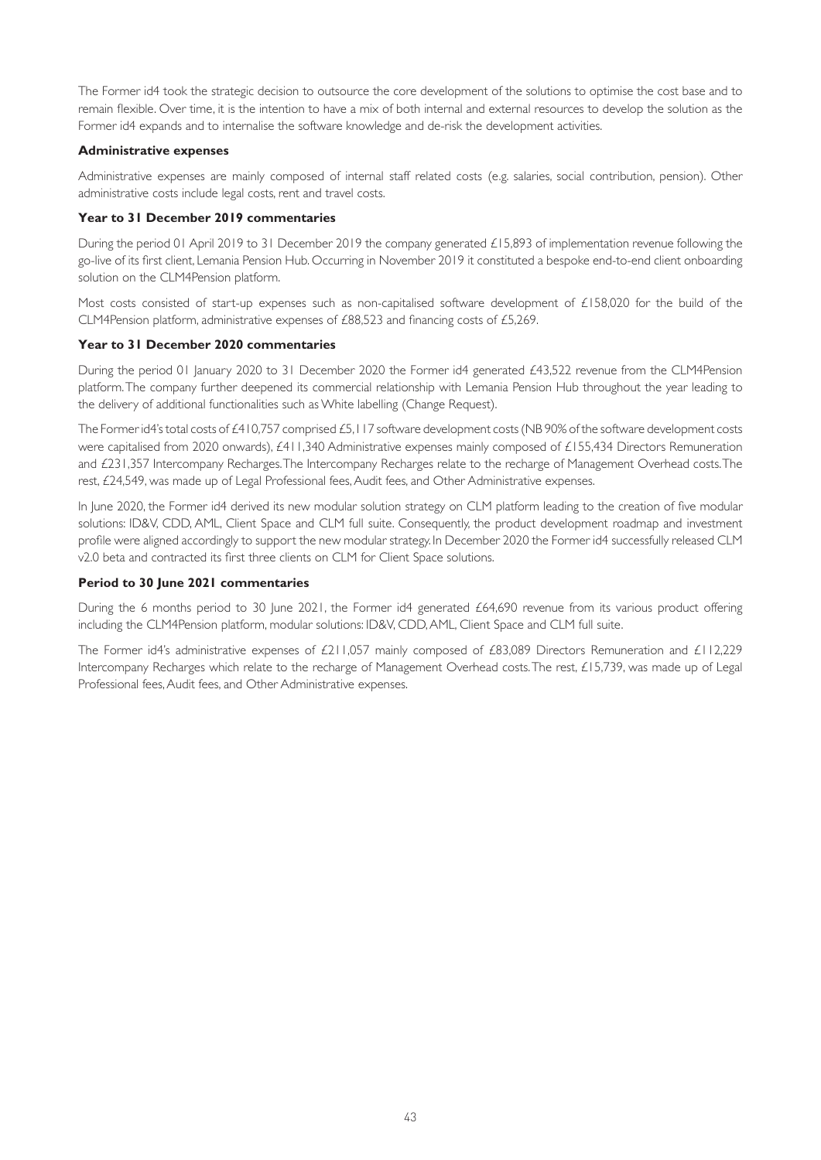The Former id4 took the strategic decision to outsource the core development of the solutions to optimise the cost base and to remain flexible. Over time, it is the intention to have a mix of both internal and external resources to develop the solution as the Former id4 expands and to internalise the software knowledge and de-risk the development activities.

## **Administrative expenses**

Administrative expenses are mainly composed of internal staff related costs (e.g. salaries, social contribution, pension). Other administrative costs include legal costs, rent and travel costs.

## **Year to 31 December 2019 commentaries**

During the period 01 April 2019 to 31 December 2019 the company generated £15,893 of implementation revenue following the go-live of its first client, Lemania Pension Hub. Occurring in November 2019 it constituted a bespoke end-to-end client onboarding solution on the CLM4Pension platform.

Most costs consisted of start-up expenses such as non-capitalised software development of  $£158,020$  for the build of the CLM4Pension platform, administrative expenses of £88,523 and financing costs of £5,269.

## **Year to 31 December 2020 commentaries**

During the period 01 January 2020 to 31 December 2020 the Former id4 generated £43,522 revenue from the CLM4Pension platform. The company further deepened its commercial relationship with Lemania Pension Hub throughout the year leading to the delivery of additional functionalities such as White labelling (Change Request).

The Former id4's total costs of £410,757 comprised £5,117 software development costs (NB 90% of the software development costs were capitalised from 2020 onwards), £411,340 Administrative expenses mainly composed of £155,434 Directors Remuneration and £231,357 Intercompany Recharges. The Intercompany Recharges relate to the recharge of Management Overhead costs. The rest, £24,549, was made up of Legal Professional fees, Audit fees, and Other Administrative expenses.

In June 2020, the Former id4 derived its new modular solution strategy on CLM platform leading to the creation of five modular solutions: ID&V, CDD, AML, Client Space and CLM full suite. Consequently, the product development roadmap and investment profile were aligned accordingly to support the new modular strategy. In December 2020 the Former id4 successfully released CLM v2.0 beta and contracted its first three clients on CLM for Client Space solutions.

## **Period to 30 June 2021 commentaries**

During the 6 months period to 30 June 2021, the Former id4 generated £64,690 revenue from its various product offering including the CLM4Pension platform, modular solutions: ID&V, CDD, AML, Client Space and CLM full suite.

The Former id4's administrative expenses of £211,057 mainly composed of £83,089 Directors Remuneration and £112,229 Intercompany Recharges which relate to the recharge of Management Overhead costs. The rest, £15,739, was made up of Legal Professional fees, Audit fees, and Other Administrative expenses.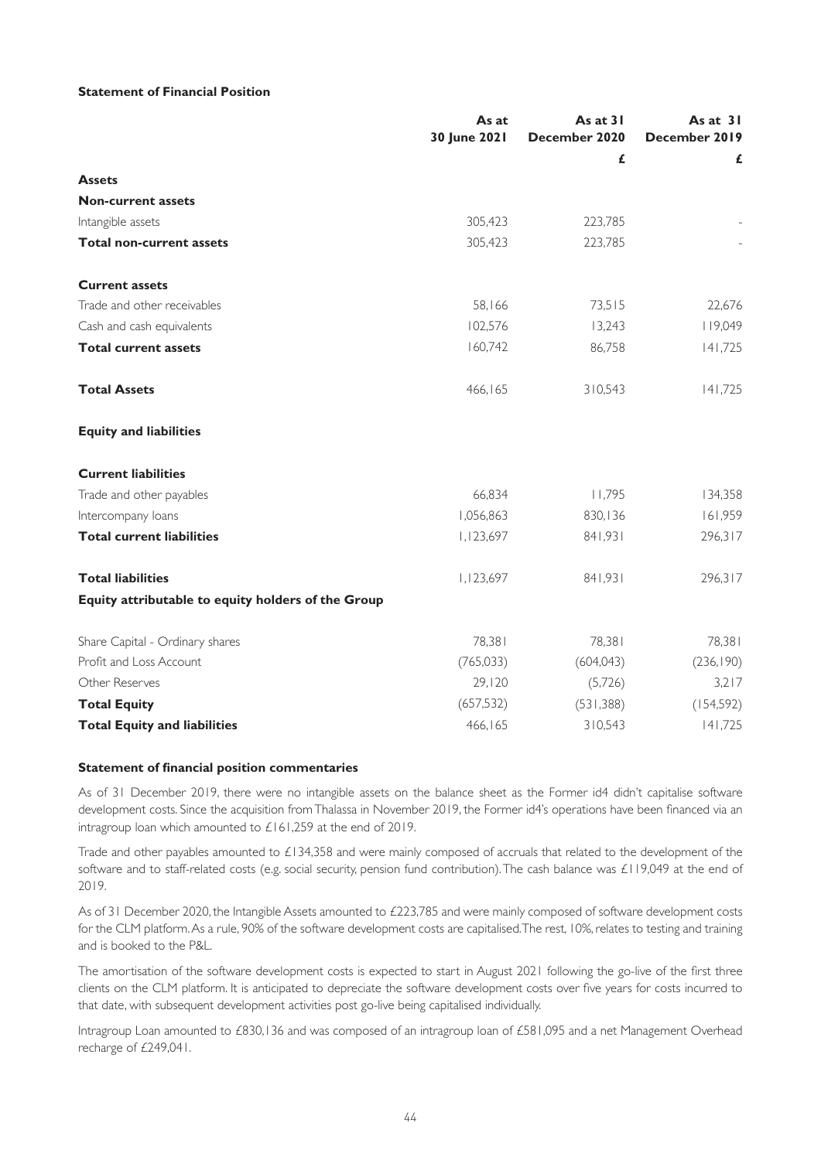### **Statement of Financial Position**

|                                                    | As at<br>30 June 2021 | As at 31<br>December 2020 | As at $31$<br>December 2019 |
|----------------------------------------------------|-----------------------|---------------------------|-----------------------------|
|                                                    |                       | £                         | £                           |
| <b>Assets</b>                                      |                       |                           |                             |
| <b>Non-current assets</b>                          |                       |                           |                             |
| Intangible assets                                  | 305,423               | 223,785                   |                             |
| <b>Total non-current assets</b>                    | 305,423               | 223,785                   |                             |
| <b>Current assets</b>                              |                       |                           |                             |
| Trade and other receivables                        | 58,166                | 73,515                    | 22,676                      |
| Cash and cash equivalents                          | 102,576               | 13,243                    | 119,049                     |
| <b>Total current assets</b>                        | 160,742               | 86,758                    | 141,725                     |
| <b>Total Assets</b>                                | 466,165               | 310,543                   | 141,725                     |
| <b>Equity and liabilities</b>                      |                       |                           |                             |
| <b>Current liabilities</b>                         |                       |                           |                             |
| Trade and other payables                           | 66,834                | 11,795                    | 134,358                     |
| Intercompany loans                                 | 1,056,863             | 830,136                   | 161,959                     |
| <b>Total current liabilities</b>                   | 1,123,697             | 841,931                   | 296,317                     |
| <b>Total liabilities</b>                           | 1,123,697             | 841,931                   | 296,317                     |
| Equity attributable to equity holders of the Group |                       |                           |                             |
| Share Capital - Ordinary shares                    | 78,381                | 78,381                    | 78,381                      |
| Profit and Loss Account                            | (765, 033)            | (604, 043)                | (236, 190)                  |
| Other Reserves                                     | 29,120                | (5,726)                   | 3,217                       |
| <b>Total Equity</b>                                | (657, 532)            | (531, 388)                | (154, 592)                  |
| <b>Total Equity and liabilities</b>                | 466,165               | 310,543                   | 141,725                     |

### **Statement of financial position commentaries**

As of 31 December 2019, there were no intangible assets on the balance sheet as the Former id4 didn't capitalise software development costs. Since the acquisition from Thalassa in November 2019, the Former id4's operations have been financed via an intragroup loan which amounted to £161,259 at the end of 2019.

Trade and other payables amounted to £134,358 and were mainly composed of accruals that related to the development of the software and to staff-related costs (e.g. social security, pension fund contribution). The cash balance was £119,049 at the end of 2019.

As of 31 December 2020, the Intangible Assets amounted to £223,785 and were mainly composed of software development costs for the CLM platform. As a rule, 90% of the software development costs are capitalised. The rest, 10%, relates to testing and training and is booked to the P&L.

The amortisation of the software development costs is expected to start in August 2021 following the go-live of the first three clients on the CLM platform. It is anticipated to depreciate the software development costs over five years for costs incurred to that date, with subsequent development activities post go-live being capitalised individually.

Intragroup Loan amounted to £830,136 and was composed of an intragroup loan of £581,095 and a net Management Overhead recharge of £249,041.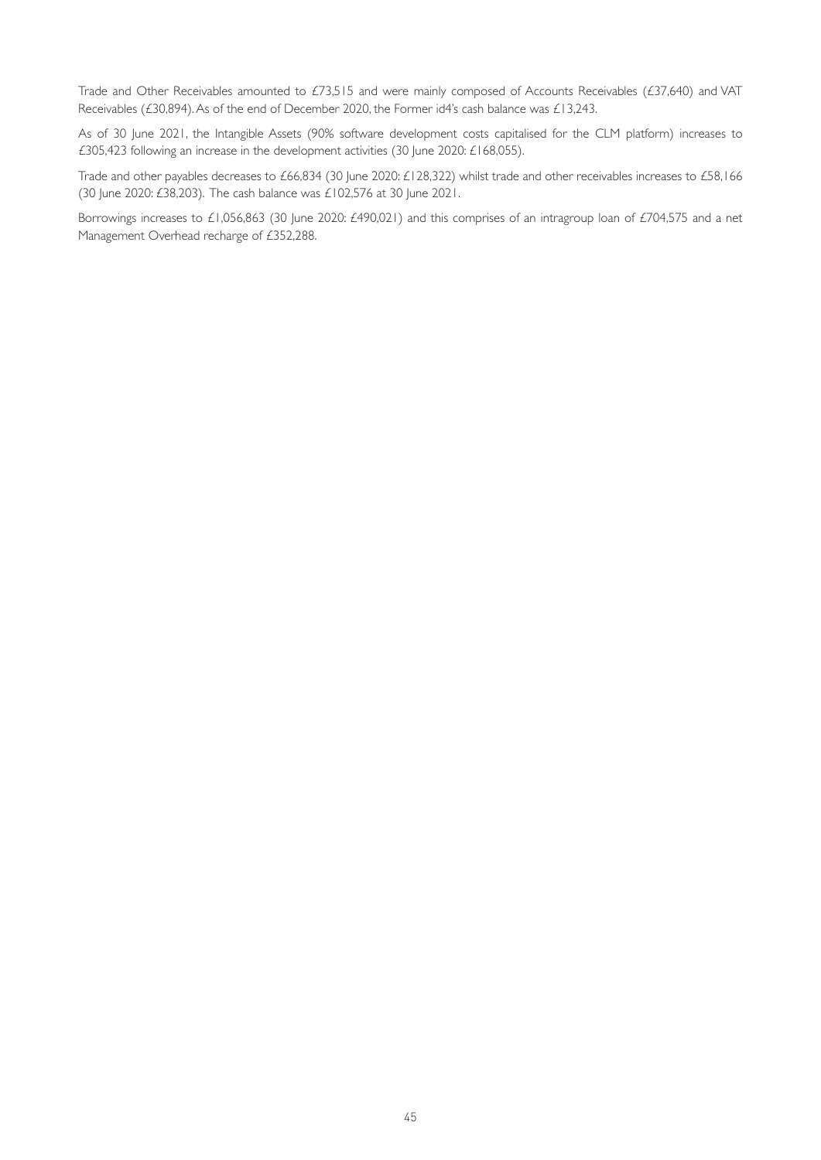Trade and Other Receivables amounted to £73,515 and were mainly composed of Accounts Receivables (£37,640) and VAT Receivables (£30,894). As of the end of December 2020, the Former id4's cash balance was £13,243.

As of 30 June 2021, the Intangible Assets (90% software development costs capitalised for the CLM platform) increases to £305,423 following an increase in the development activities (30 June 2020: £168,055).

Trade and other payables decreases to £66,834 (30 June 2020: £128,322) whilst trade and other receivables increases to £58,166 (30 June 2020: £38,203). The cash balance was £102,576 at 30 June 2021.

Borrowings increases to £1,056,863 (30 June 2020: £490,021) and this comprises of an intragroup loan of £704,575 and a net Management Overhead recharge of £352,288.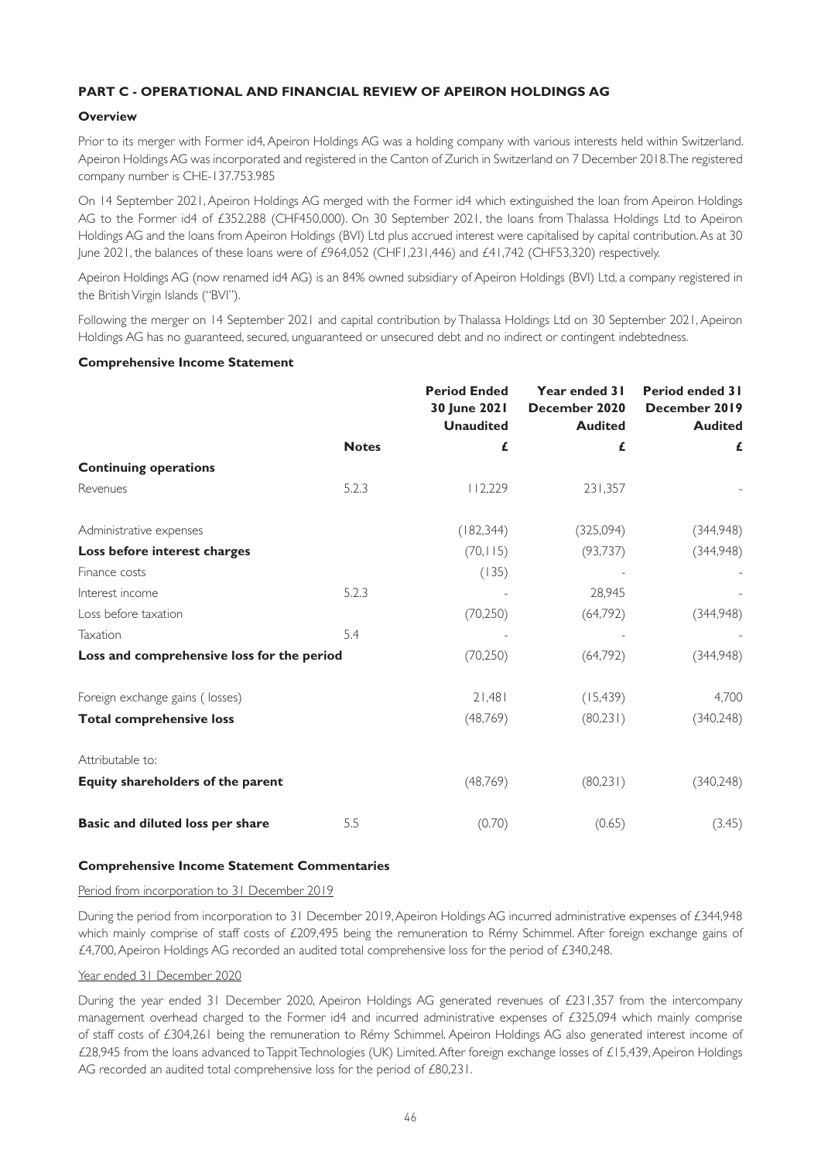# **PART C - OPERATIONAL AND FINANCIAL REVIEW OF APEIRON HOLDINGS AG**

## **Overview**

Prior to its merger with Former id4, Apeiron Holdings AG was a holding company with various interests held within Switzerland. Apeiron Holdings AG was incorporated and registered in the Canton of Zurich in Switzerland on 7 December 2018. The registered company number is CHE-137.753.985

On 14 September 2021, Apeiron Holdings AG merged with the Former id4 which extinguished the loan from Apeiron Holdings AG to the Former id4 of £352,288 (CHF450,000). On 30 September 2021, the loans from Thalassa Holdings Ltd to Apeiron Holdings AG and the loans from Apeiron Holdings (BVI) Ltd plus accrued interest were capitalised by capital contribution. As at 30 June 2021, the balances of these loans were of £964,052 (CHF1,231,446) and £41,742 (CHF53,320) respectively.

Apeiron Holdings AG (now renamed id4 AG) is an 84% owned subsidiary of Apeiron Holdings (BVI) Ltd, a company registered in the British Virgin Islands ("BVI").

Following the merger on 14 September 2021 and capital contribution by Thalassa Holdings Ltd on 30 September 2021, Apeiron Holdings AG has no guaranteed, secured, unguaranteed or unsecured debt and no indirect or contingent indebtedness.

## **Comprehensive Income Statement**

|                                            |              | <b>Period Ended</b><br>30 June 2021<br><b>Unaudited</b> | Year ended 31<br>December 2020<br><b>Audited</b> | <b>Period ended 31</b><br>December 2019<br><b>Audited</b> |
|--------------------------------------------|--------------|---------------------------------------------------------|--------------------------------------------------|-----------------------------------------------------------|
|                                            | <b>Notes</b> | £                                                       | £                                                | £                                                         |
| <b>Continuing operations</b>               |              |                                                         |                                                  |                                                           |
| Revenues                                   | 5.2.3        | 112,229                                                 | 231,357                                          |                                                           |
| Administrative expenses                    |              | (182, 344)                                              | (325,094)                                        | (344,948)                                                 |
| Loss before interest charges               |              | (70, 115)                                               | (93, 737)                                        | (344,948)                                                 |
| Finance costs                              |              | (135)                                                   |                                                  |                                                           |
| Interest income                            | 5.2.3        |                                                         | 28,945                                           |                                                           |
| Loss before taxation                       |              | (70, 250)                                               | (64,792)                                         | (344,948)                                                 |
| Taxation                                   | 5.4          |                                                         |                                                  |                                                           |
| Loss and comprehensive loss for the period |              | (70, 250)                                               | (64,792)                                         | (344,948)                                                 |
| Foreign exchange gains (losses)            |              | 21,481                                                  | (15, 439)                                        | 4,700                                                     |
| <b>Total comprehensive loss</b>            |              | (48, 769)                                               | (80,231)                                         | (340, 248)                                                |
| Attributable to:                           |              |                                                         |                                                  |                                                           |
| Equity shareholders of the parent          |              | (48, 769)                                               | (80,231)                                         | (340, 248)                                                |
| Basic and diluted loss per share           | 5.5          | (0.70)                                                  | (0.65)                                           | (3.45)                                                    |

## **Comprehensive Income Statement Commentaries**

## Period from incorporation to 31 December 2019

During the period from incorporation to 31 December 2019, Apeiron Holdings AG incurred administrative expenses of £344,948 which mainly comprise of staff costs of £209,495 being the remuneration to Rémy Schimmel. After foreign exchange gains of £4,700, Apeiron Holdings AG recorded an audited total comprehensive loss for the period of £340,248.

#### Year ended 31 December 2020

During the year ended 31 December 2020, Apeiron Holdings AG generated revenues of £231,357 from the intercompany management overhead charged to the Former id4 and incurred administrative expenses of £325,094 which mainly comprise of staff costs of £304,261 being the remuneration to Rémy Schimmel. Apeiron Holdings AG also generated interest income of £28,945 from the loans advanced to Tappit Technologies (UK) Limited. After foreign exchange losses of £15,439, Apeiron Holdings AG recorded an audited total comprehensive loss for the period of £80,231.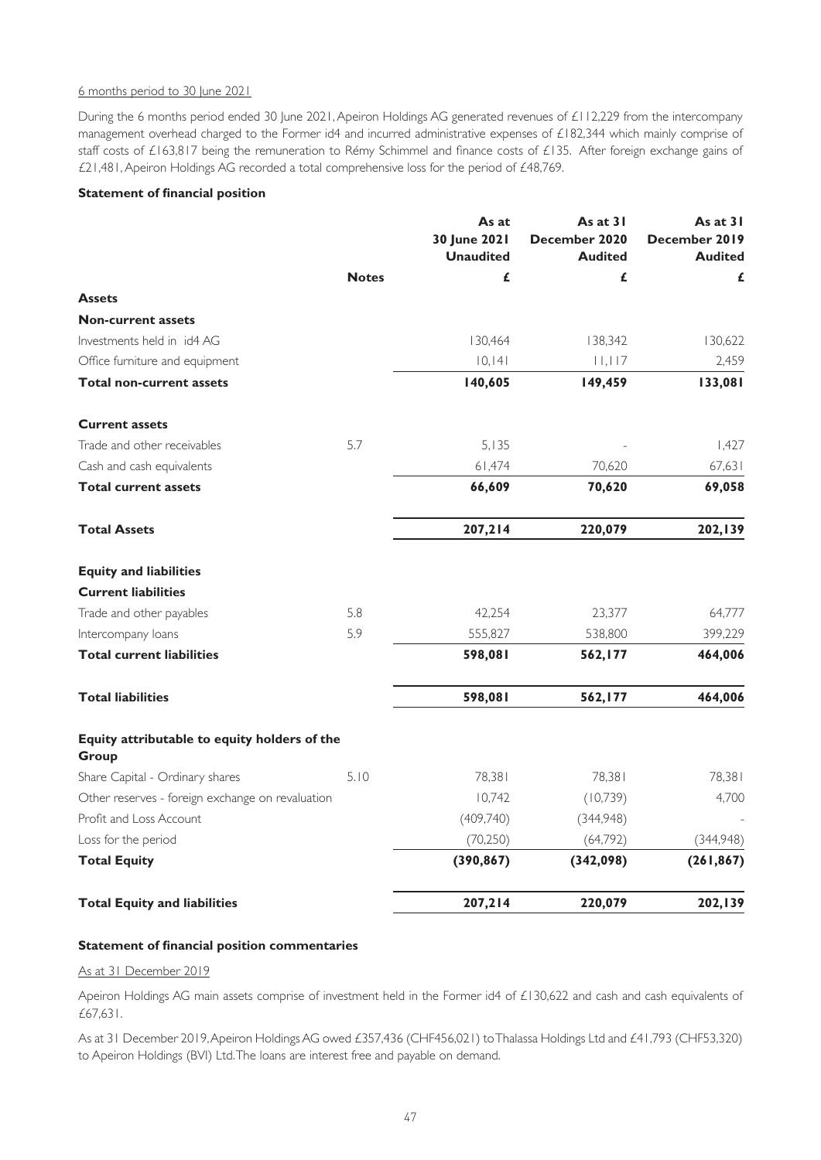## 6 months period to 30 June 2021

During the 6 months period ended 30 June 2021, Apeiron Holdings AG generated revenues of £112,229 from the intercompany management overhead charged to the Former id4 and incurred administrative expenses of £182,344 which mainly comprise of staff costs of £163,817 being the remuneration to Rémy Schimmel and finance costs of £135. After foreign exchange gains of £21,481, Apeiron Holdings AG recorded a total comprehensive loss for the period of £48,769.

## **Statement of financial position**

|                                                       |              | As at<br>30 June 2021<br><b>Unaudited</b> | As at 31<br>December 2020<br><b>Audited</b> | As at 31<br>December 2019<br><b>Audited</b> |
|-------------------------------------------------------|--------------|-------------------------------------------|---------------------------------------------|---------------------------------------------|
|                                                       | <b>Notes</b> | £                                         | £                                           | £                                           |
| <b>Assets</b>                                         |              |                                           |                                             |                                             |
| <b>Non-current assets</b>                             |              |                                           |                                             |                                             |
| Investments held in id4 AG                            |              | 130,464                                   | 138,342                                     | 130,622                                     |
| Office furniture and equipment                        |              | 10,141                                    | 11,117                                      | 2,459                                       |
| <b>Total non-current assets</b>                       |              | 140,605                                   | 149,459                                     | 133,081                                     |
| <b>Current assets</b>                                 |              |                                           |                                             |                                             |
| Trade and other receivables                           | 5.7          | 5,135                                     |                                             | 1,427                                       |
| Cash and cash equivalents                             |              | 61,474                                    | 70,620                                      | 67,631                                      |
| <b>Total current assets</b>                           |              | 66,609                                    | 70,620                                      | 69,058                                      |
| <b>Total Assets</b>                                   |              | 207,214                                   | 220,079                                     | 202,139                                     |
| <b>Equity and liabilities</b>                         |              |                                           |                                             |                                             |
| <b>Current liabilities</b>                            |              |                                           |                                             |                                             |
| Trade and other payables                              | 5.8          | 42,254                                    | 23,377                                      | 64,777                                      |
| Intercompany loans                                    | 5.9          | 555,827                                   | 538,800                                     | 399,229                                     |
| <b>Total current liabilities</b>                      |              | 598,081                                   | 562,177                                     | 464,006                                     |
| <b>Total liabilities</b>                              |              | 598,081                                   | 562,177                                     | 464,006                                     |
| Equity attributable to equity holders of the<br>Group |              |                                           |                                             |                                             |
| Share Capital - Ordinary shares                       | 5.10         | 78,381                                    | 78,381                                      | 78,381                                      |
| Other reserves - foreign exchange on revaluation      |              | 10,742                                    | (10, 739)                                   | 4,700                                       |
| Profit and Loss Account                               |              | (409,740)                                 | (344,948)                                   |                                             |
| Loss for the period                                   |              | (70, 250)                                 | (64, 792)                                   | (344,948)                                   |
| <b>Total Equity</b>                                   |              | (390, 867)                                | (342,098)                                   | (261, 867)                                  |
| <b>Total Equity and liabilities</b>                   |              | 207,214                                   | 220,079                                     | 202,139                                     |

#### **Statement of financial position commentaries**

#### As at 31 December 2019

Apeiron Holdings AG main assets comprise of investment held in the Former id4 of £130,622 and cash and cash equivalents of £67,631.

As at 31 December 2019, Apeiron Holdings AG owed £357,436 (CHF456,021) to Thalassa Holdings Ltd and £41,793 (CHF53,320) to Apeiron Holdings (BVI) Ltd. The loans are interest free and payable on demand.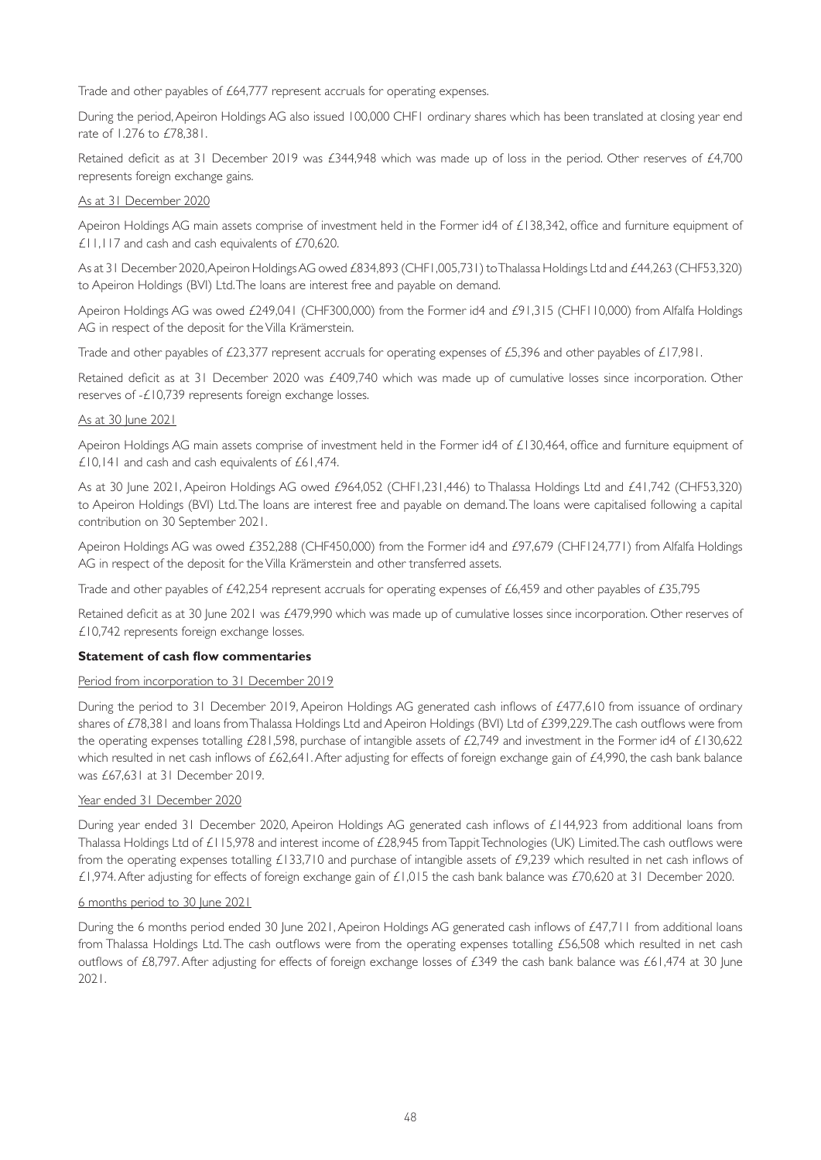Trade and other payables of £64,777 represent accruals for operating expenses.

During the period, Apeiron Holdings AG also issued 100,000 CHF1 ordinary shares which has been translated at closing year end rate of 1.276 to £78,381.

Retained deficit as at 31 December 2019 was £344,948 which was made up of loss in the period. Other reserves of £4,700 represents foreign exchange gains.

## As at 31 December 2020

Apeiron Holdings AG main assets comprise of investment held in the Former id4 of £138,342, office and furniture equipment of £11,117 and cash and cash equivalents of £70,620.

As at 31 December 2020, Apeiron Holdings AG owed £834,893 (CHF1,005,731) to Thalassa Holdings Ltd and £44,263 (CHF53,320) to Apeiron Holdings (BVI) Ltd. The loans are interest free and payable on demand.

Apeiron Holdings AG was owed £249,041 (CHF300,000) from the Former id4 and £91,315 (CHF110,000) from Alfalfa Holdings AG in respect of the deposit for the Villa Krämerstein.

Trade and other payables of £23,377 represent accruals for operating expenses of £5,396 and other payables of £17,981.

Retained deficit as at 31 December 2020 was £409,740 which was made up of cumulative losses since incorporation. Other reserves of -£10,739 represents foreign exchange losses.

## As at 30 June 2021

Apeiron Holdings AG main assets comprise of investment held in the Former id4 of £130,464, office and furniture equipment of £10,141 and cash and cash equivalents of £61,474.

As at 30 June 2021, Apeiron Holdings AG owed £964,052 (CHF1,231,446) to Thalassa Holdings Ltd and £41,742 (CHF53,320) to Apeiron Holdings (BVI) Ltd. The loans are interest free and payable on demand. The loans were capitalised following a capital contribution on 30 September 2021.

Apeiron Holdings AG was owed £352,288 (CHF450,000) from the Former id4 and £97,679 (CHF124,771) from Alfalfa Holdings AG in respect of the deposit for the Villa Krämerstein and other transferred assets.

Trade and other payables of £42,254 represent accruals for operating expenses of £6,459 and other payables of £35,795

Retained deficit as at 30 June 2021 was £479,990 which was made up of cumulative losses since incorporation. Other reserves of £10,742 represents foreign exchange losses.

## **Statement of cash flow commentaries**

## Period from incorporation to 31 December 2019

During the period to 31 December 2019, Apeiron Holdings AG generated cash inflows of £477,610 from issuance of ordinary shares of £78,381 and loans from Thalassa Holdings Ltd and Apeiron Holdings (BVI) Ltd of £399,229. The cash outflows were from the operating expenses totalling £281,598, purchase of intangible assets of £2,749 and investment in the Former id4 of £130,622 which resulted in net cash inflows of £62,641. After adjusting for effects of foreign exchange gain of £4,990, the cash bank balance was £67,631 at 31 December 2019.

## Year ended 31 December 2020

During year ended 31 December 2020, Apeiron Holdings AG generated cash inflows of £144,923 from additional loans from Thalassa Holdings Ltd of £115,978 and interest income of £28,945 from Tappit Technologies (UK) Limited. The cash outflows were from the operating expenses totalling £133,710 and purchase of intangible assets of £9,239 which resulted in net cash inflows of £1,974. After adjusting for effects of foreign exchange gain of £1,015 the cash bank balance was £70,620 at 31 December 2020.

## 6 months period to 30 June 2021

During the 6 months period ended 30 June 2021, Apeiron Holdings AG generated cash inflows of £47,711 from additional loans from Thalassa Holdings Ltd. The cash outflows were from the operating expenses totalling £56,508 which resulted in net cash outflows of £8,797. After adjusting for effects of foreign exchange losses of £349 the cash bank balance was £61,474 at 30 June 2021.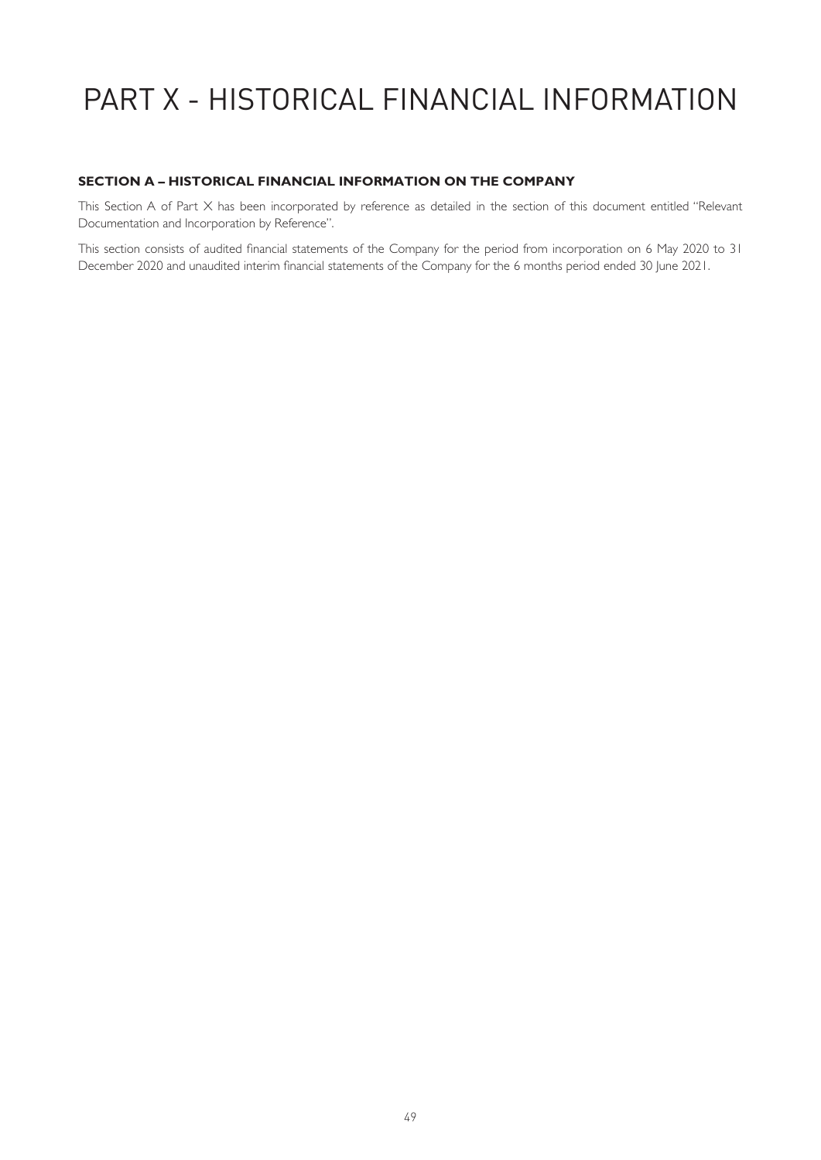# PART X - HISTORICAL FINANCIAL INFORMATION

# **SECTION A – HISTORICAL FINANCIAL INFORMATION ON THE COMPANY**

This Section A of Part X has been incorporated by reference as detailed in the section of this document entitled "Relevant Documentation and Incorporation by Reference".

This section consists of audited financial statements of the Company for the period from incorporation on 6 May 2020 to 31 December 2020 and unaudited interim financial statements of the Company for the 6 months period ended 30 June 2021.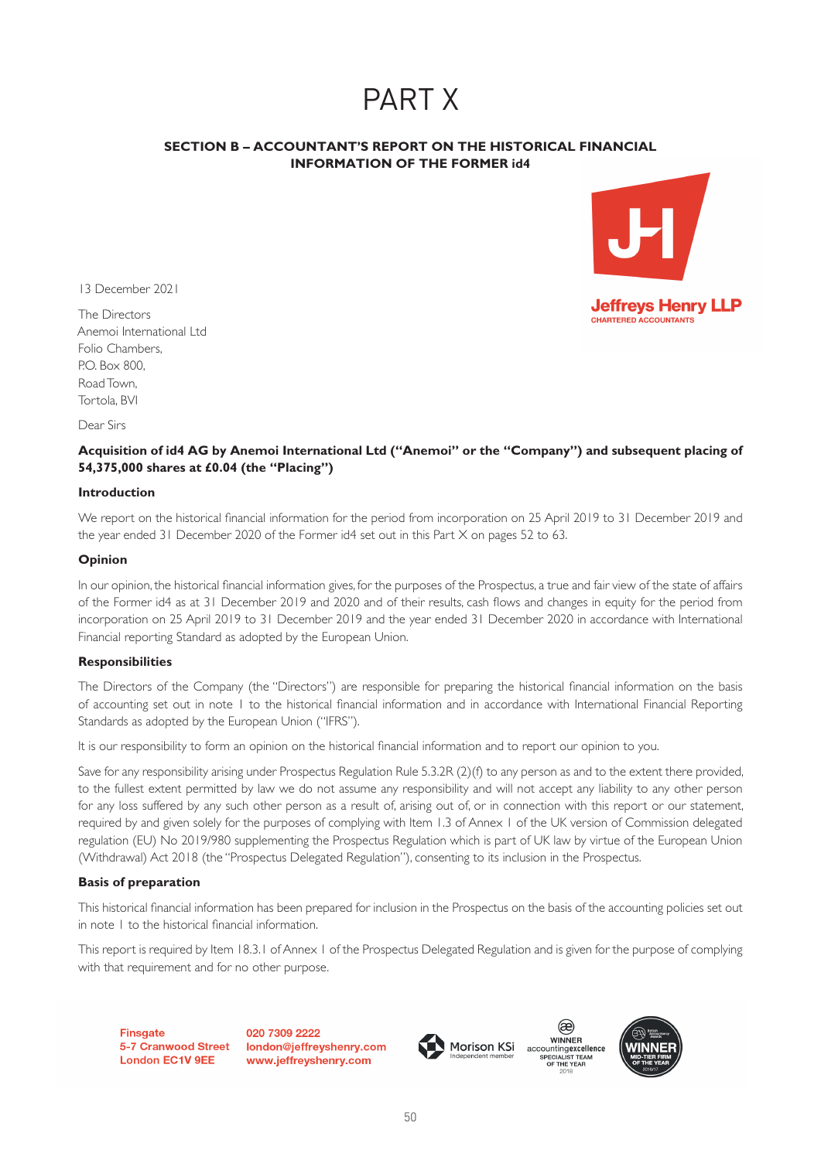# PART X

# **SECTION B – ACCOUNTANT'S REPORT ON THE HISTORICAL FINANCIAL INFORMATION OF THE FORMER id4**



13 December 2021

The Directors Anemoi International Ltd Folio Chambers, P.O. Box 800, Road Town, Tortola, BVI

Dear Sirs

# **Acquisition of id4 AG by Anemoi International Ltd ("Anemoi" or the "Company") and subsequent placing of 54,375,000 shares at £0.04 (the "Placing")**

#### **Introduction**

We report on the historical financial information for the period from incorporation on 25 April 2019 to 31 December 2019 and the year ended 31 December 2020 of the Former id4 set out in this Part X on pages 52 to 63.

## **Opinion**

In our opinion, the historical financial information gives, for the purposes of the Prospectus, a true and fair view of the state of affairs of the Former id4 as at 31 December 2019 and 2020 and of their results, cash flows and changes in equity for the period from incorporation on 25 April 2019 to 31 December 2019 and the year ended 31 December 2020 in accordance with International Financial reporting Standard as adopted by the European Union.

## **Responsibilities**

The Directors of the Company (the "Directors") are responsible for preparing the historical financial information on the basis of accounting set out in note 1 to the historical financial information and in accordance with International Financial Reporting Standards as adopted by the European Union ("IFRS").

It is our responsibility to form an opinion on the historical financial information and to report our opinion to you.

Save for any responsibility arising under Prospectus Regulation Rule 5.3.2R (2)(f) to any person as and to the extent there provided, to the fullest extent permitted by law we do not assume any responsibility and will not accept any liability to any other person for any loss suffered by any such other person as a result of, arising out of, or in connection with this report or our statement, required by and given solely for the purposes of complying with Item 1.3 of Annex 1 of the UK version of Commission delegated regulation (EU) No 2019/980 supplementing the Prospectus Regulation which is part of UK law by virtue of the European Union (Withdrawal) Act 2018 (the "Prospectus Delegated Regulation"), consenting to its inclusion in the Prospectus.

## **Basis of preparation**

This historical financial information has been prepared for inclusion in the Prospectus on the basis of the accounting policies set out in note 1 to the historical financial information.

This report is required by Item 18.3.1 of Annex 1 of the Prospectus Delegated Regulation and is given for the purpose of complying with that requirement and for no other purpose.

**Finsgate** 5-7 Cranwood Street **London EC1V 9EE** 

020 7309 2222 london@jeffreyshenry.com www.jeffreyshenry.com





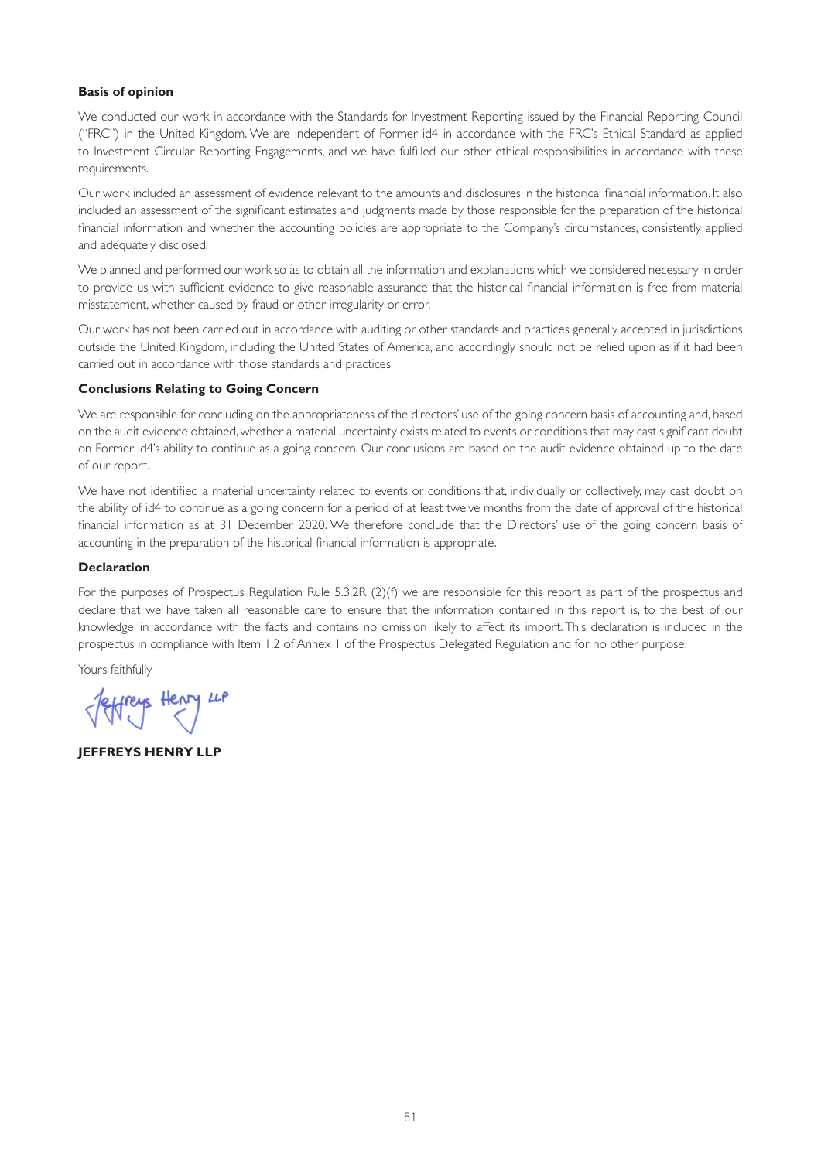#### **Basis of opinion**

We conducted our work in accordance with the Standards for Investment Reporting issued by the Financial Reporting Council ("FRC") in the United Kingdom. We are independent of Former id4 in accordance with the FRC's Ethical Standard as applied to Investment Circular Reporting Engagements, and we have fulfilled our other ethical responsibilities in accordance with these requirements.

Our work included an assessment of evidence relevant to the amounts and disclosures in the historical financial information. It also included an assessment of the significant estimates and judgments made by those responsible for the preparation of the historical financial information and whether the accounting policies are appropriate to the Company's circumstances, consistently applied and adequately disclosed.

We planned and performed our work so as to obtain all the information and explanations which we considered necessary in order to provide us with sufficient evidence to give reasonable assurance that the historical financial information is free from material misstatement, whether caused by fraud or other irregularity or error.

Our work has not been carried out in accordance with auditing or other standards and practices generally accepted in jurisdictions outside the United Kingdom, including the United States of America, and accordingly should not be relied upon as if it had been carried out in accordance with those standards and practices.

#### **Conclusions Relating to Going Concern**

We are responsible for concluding on the appropriateness of the directors' use of the going concern basis of accounting and, based on the audit evidence obtained, whether a material uncertainty exists related to events or conditions that may cast significant doubt on Former id4's ability to continue as a going concern. Our conclusions are based on the audit evidence obtained up to the date of our report.

We have not identified a material uncertainty related to events or conditions that, individually or collectively, may cast doubt on the ability of id4 to continue as a going concern for a period of at least twelve months from the date of approval of the historical financial information as at 31 December 2020. We therefore conclude that the Directors' use of the going concern basis of accounting in the preparation of the historical financial information is appropriate.

#### **Declaration**

For the purposes of Prospectus Regulation Rule 5.3.2R (2)(f) we are responsible for this report as part of the prospectus and declare that we have taken all reasonable care to ensure that the information contained in this report is, to the best of our knowledge, in accordance with the facts and contains no omission likely to affect its import. This declaration is included in the prospectus in compliance with Item 1.2 of Annex 1 of the Prospectus Delegated Regulation and for no other purpose.

Yours faithfully

Jeffreys Henry LP

**JEFFREYS HENRY LLP**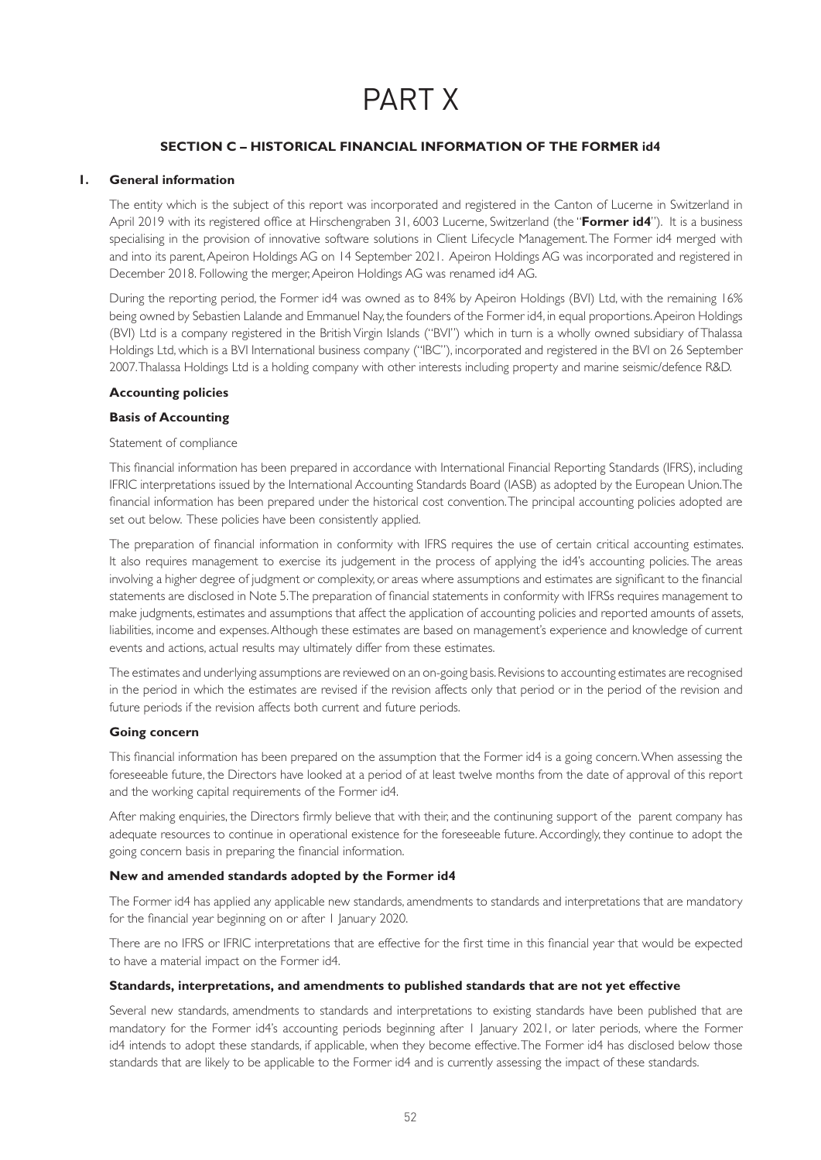# PART X

## **SECTION C – HISTORICAL FINANCIAL INFORMATION OF THE FORMER id4**

## **1. General information**

The entity which is the subject of this report was incorporated and registered in the Canton of Lucerne in Switzerland in April 2019 with its registered office at Hirschengraben 31, 6003 Lucerne, Switzerland (the "**Former id4**"). It is a business specialising in the provision of innovative software solutions in Client Lifecycle Management. The Former id4 merged with and into its parent, Apeiron Holdings AG on 14 September 2021. Apeiron Holdings AG was incorporated and registered in December 2018. Following the merger, Apeiron Holdings AG was renamed id4 AG.

During the reporting period, the Former id4 was owned as to 84% by Apeiron Holdings (BVI) Ltd, with the remaining 16% being owned by Sebastien Lalande and Emmanuel Nay, the founders of the Former id4, in equal proportions. Apeiron Holdings (BVI) Ltd is a company registered in the British Virgin Islands ("BVI") which in turn is a wholly owned subsidiary of Thalassa Holdings Ltd, which is a BVI International business company ("IBC"), incorporated and registered in the BVI on 26 September 2007. Thalassa Holdings Ltd is a holding company with other interests including property and marine seismic/defence R&D.

## **Accounting policies**

## **Basis of Accounting**

#### Statement of compliance

This financial information has been prepared in accordance with International Financial Reporting Standards (IFRS), including IFRIC interpretations issued by the International Accounting Standards Board (IASB) as adopted by the European Union. The financial information has been prepared under the historical cost convention. The principal accounting policies adopted are set out below. These policies have been consistently applied.

The preparation of financial information in conformity with IFRS requires the use of certain critical accounting estimates. It also requires management to exercise its judgement in the process of applying the id4's accounting policies. The areas involving a higher degree of judgment or complexity, or areas where assumptions and estimates are significant to the financial statements are disclosed in Note 5. The preparation of financial statements in conformity with IFRSs requires management to make judgments, estimates and assumptions that affect the application of accounting policies and reported amounts of assets, liabilities, income and expenses. Although these estimates are based on management's experience and knowledge of current events and actions, actual results may ultimately differ from these estimates.

The estimates and underlying assumptions are reviewed on an on-going basis. Revisions to accounting estimates are recognised in the period in which the estimates are revised if the revision affects only that period or in the period of the revision and future periods if the revision affects both current and future periods.

## **Going concern**

This financial information has been prepared on the assumption that the Former id4 is a going concern. When assessing the foreseeable future, the Directors have looked at a period of at least twelve months from the date of approval of this report and the working capital requirements of the Former id4.

After making enquiries, the Directors firmly believe that with their, and the continuning support of the parent company has adequate resources to continue in operational existence for the foreseeable future. Accordingly, they continue to adopt the going concern basis in preparing the financial information.

## **New and amended standards adopted by the Former id4**

The Former id4 has applied any applicable new standards, amendments to standards and interpretations that are mandatory for the financial year beginning on or after 1 January 2020.

There are no IFRS or IFRIC interpretations that are effective for the first time in this financial year that would be expected to have a material impact on the Former id4.

## **Standards, interpretations, and amendments to published standards that are not yet effective**

Several new standards, amendments to standards and interpretations to existing standards have been published that are mandatory for the Former id4's accounting periods beginning after 1 January 2021, or later periods, where the Former id4 intends to adopt these standards, if applicable, when they become effective. The Former id4 has disclosed below those standards that are likely to be applicable to the Former id4 and is currently assessing the impact of these standards.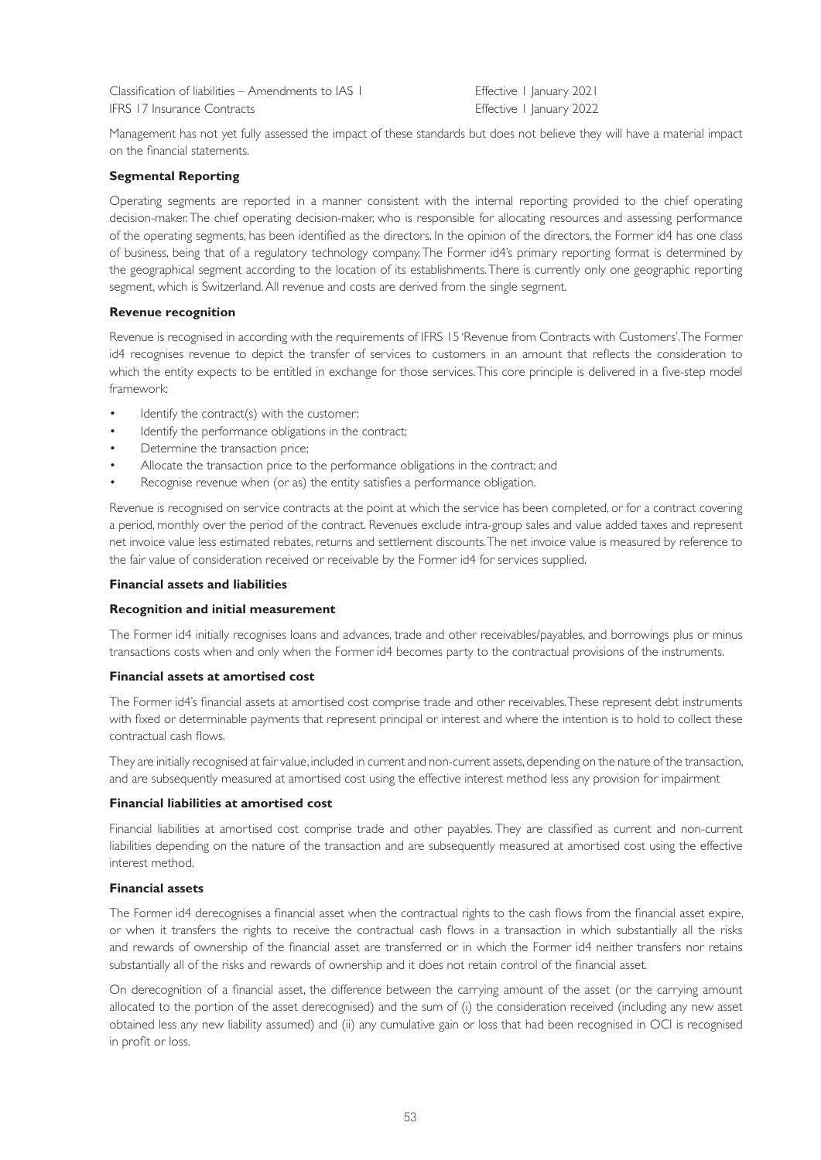Classification of liabilities – Amendments to IAS I Effective 1 January 2021 IFRS 17 Insurance Contracts Effective 1 January 2022

Management has not yet fully assessed the impact of these standards but does not believe they will have a material impact on the financial statements.

## **Segmental Reporting**

Operating segments are reported in a manner consistent with the internal reporting provided to the chief operating decision-maker. The chief operating decision-maker, who is responsible for allocating resources and assessing performance of the operating segments, has been identified as the directors. In the opinion of the directors, the Former id4 has one class of business, being that of a regulatory technology company. The Former id4's primary reporting format is determined by the geographical segment according to the location of its establishments. There is currently only one geographic reporting segment, which is Switzerland. All revenue and costs are derived from the single segment.

## **Revenue recognition**

Revenue is recognised in according with the requirements of IFRS 15 'Revenue from Contracts with Customers'. The Former id4 recognises revenue to depict the transfer of services to customers in an amount that reflects the consideration to which the entity expects to be entitled in exchange for those services. This core principle is delivered in a five-step model framework:

- Identify the contract(s) with the customer;
- Identify the performance obligations in the contract;
- Determine the transaction price;
- Allocate the transaction price to the performance obligations in the contract; and
- Recognise revenue when (or as) the entity satisfies a performance obligation.

Revenue is recognised on service contracts at the point at which the service has been completed, or for a contract covering a period, monthly over the period of the contract. Revenues exclude intra-group sales and value added taxes and represent net invoice value less estimated rebates, returns and settlement discounts. The net invoice value is measured by reference to the fair value of consideration received or receivable by the Former id4 for services supplied.

## **Financial assets and liabilities**

## **Recognition and initial measurement**

The Former id4 initially recognises loans and advances, trade and other receivables/payables, and borrowings plus or minus transactions costs when and only when the Former id4 becomes party to the contractual provisions of the instruments.

#### **Financial assets at amortised cost**

The Former id4's financial assets at amortised cost comprise trade and other receivables. These represent debt instruments with fixed or determinable payments that represent principal or interest and where the intention is to hold to collect these contractual cash flows.

They are initially recognised at fair value, included in current and non-current assets, depending on the nature of the transaction, and are subsequently measured at amortised cost using the effective interest method less any provision for impairment

## **Financial liabilities at amortised cost**

Financial liabilities at amortised cost comprise trade and other payables. They are classified as current and non-current liabilities depending on the nature of the transaction and are subsequently measured at amortised cost using the effective interest method.

## **Financial assets**

The Former id4 derecognises a financial asset when the contractual rights to the cash flows from the financial asset expire, or when it transfers the rights to receive the contractual cash flows in a transaction in which substantially all the risks and rewards of ownership of the financial asset are transferred or in which the Former id4 neither transfers nor retains substantially all of the risks and rewards of ownership and it does not retain control of the financial asset.

On derecognition of a financial asset, the difference between the carrying amount of the asset (or the carrying amount allocated to the portion of the asset derecognised) and the sum of (i) the consideration received (including any new asset obtained less any new liability assumed) and (ii) any cumulative gain or loss that had been recognised in OCI is recognised in profit or loss.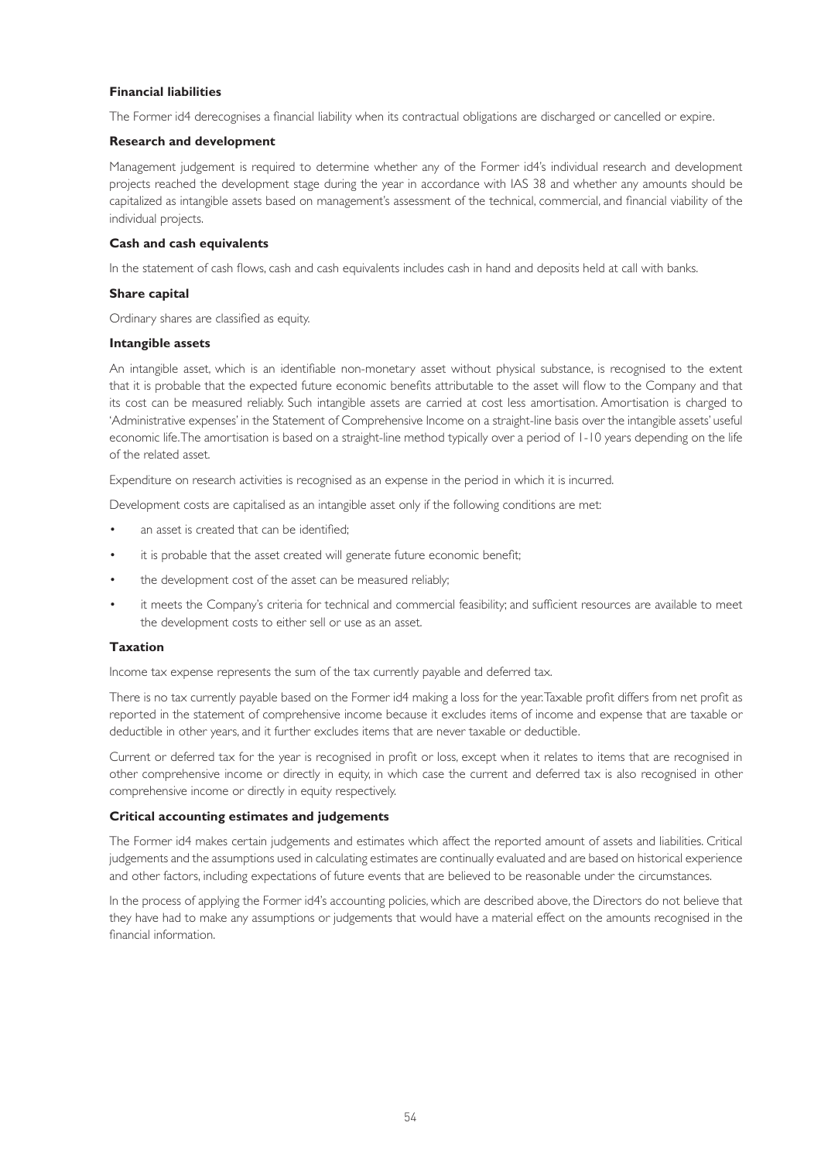## **Financial liabilities**

The Former id4 derecognises a financial liability when its contractual obligations are discharged or cancelled or expire.

#### **Research and development**

Management judgement is required to determine whether any of the Former id4's individual research and development projects reached the development stage during the year in accordance with IAS 38 and whether any amounts should be capitalized as intangible assets based on management's assessment of the technical, commercial, and financial viability of the individual projects.

#### **Cash and cash equivalents**

In the statement of cash flows, cash and cash equivalents includes cash in hand and deposits held at call with banks.

#### **Share capital**

Ordinary shares are classified as equity.

#### **Intangible assets**

An intangible asset, which is an identifiable non-monetary asset without physical substance, is recognised to the extent that it is probable that the expected future economic benefits attributable to the asset will flow to the Company and that its cost can be measured reliably. Such intangible assets are carried at cost less amortisation. Amortisation is charged to 'Administrative expenses' in the Statement of Comprehensive Income on a straight-line basis over the intangible assets' useful economic life. The amortisation is based on a straight-line method typically over a period of 1-10 years depending on the life of the related asset.

Expenditure on research activities is recognised as an expense in the period in which it is incurred.

Development costs are capitalised as an intangible asset only if the following conditions are met:

- an asset is created that can be identified;
- it is probable that the asset created will generate future economic benefit;
- the development cost of the asset can be measured reliably;
- it meets the Company's criteria for technical and commercial feasibility; and sufficient resources are available to meet the development costs to either sell or use as an asset.

## **Taxation**

Income tax expense represents the sum of the tax currently payable and deferred tax.

There is no tax currently payable based on the Former id4 making a loss for the year. Taxable profit differs from net profit as reported in the statement of comprehensive income because it excludes items of income and expense that are taxable or deductible in other years, and it further excludes items that are never taxable or deductible.

Current or deferred tax for the year is recognised in profit or loss, except when it relates to items that are recognised in other comprehensive income or directly in equity, in which case the current and deferred tax is also recognised in other comprehensive income or directly in equity respectively.

#### **Critical accounting estimates and judgements**

The Former id4 makes certain judgements and estimates which affect the reported amount of assets and liabilities. Critical judgements and the assumptions used in calculating estimates are continually evaluated and are based on historical experience and other factors, including expectations of future events that are believed to be reasonable under the circumstances.

In the process of applying the Former id4's accounting policies, which are described above, the Directors do not believe that they have had to make any assumptions or judgements that would have a material effect on the amounts recognised in the financial information.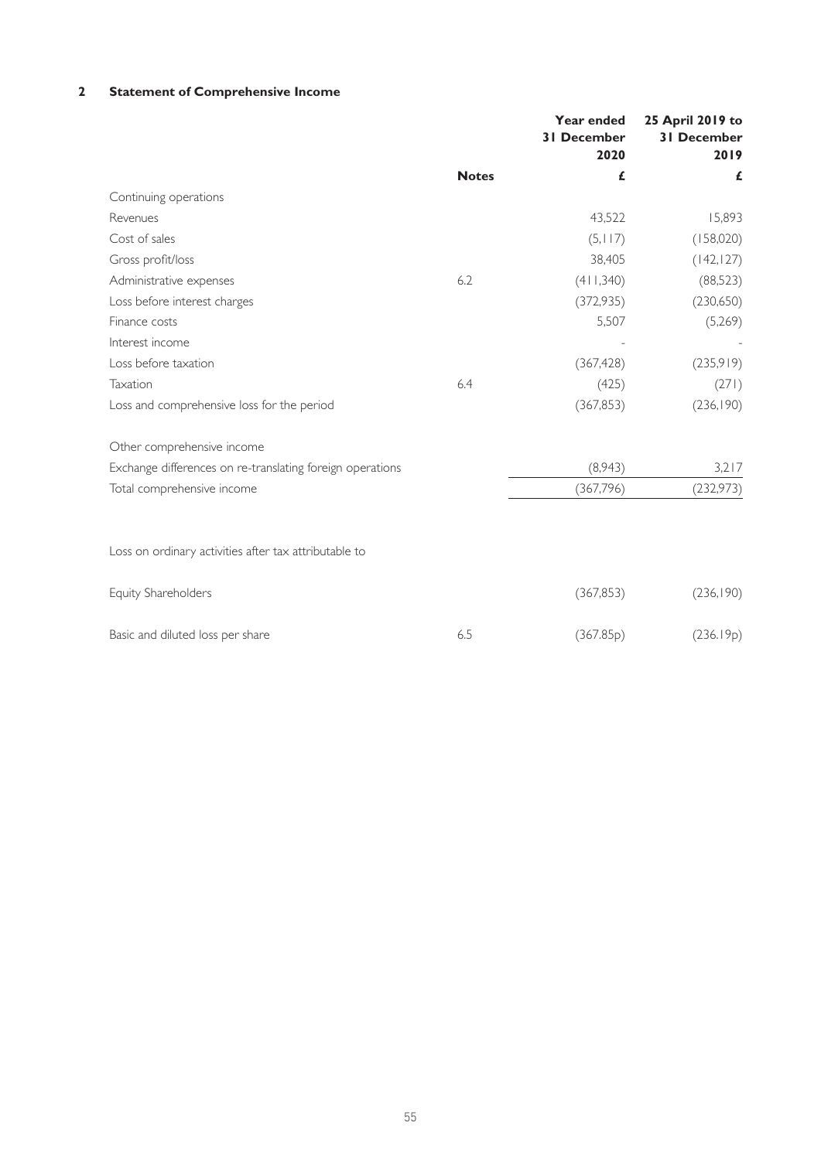# **2 Statement of Comprehensive Income**

|                                                           |              | Year ended<br><b>31 December</b><br>2020 | 25 April 2019 to<br><b>31 December</b><br>2019 |
|-----------------------------------------------------------|--------------|------------------------------------------|------------------------------------------------|
|                                                           | <b>Notes</b> | £                                        | £                                              |
| Continuing operations                                     |              |                                          |                                                |
| Revenues                                                  |              | 43,522                                   | 15,893                                         |
| Cost of sales                                             |              | (5, 117)                                 | (158,020)                                      |
| Gross profit/loss                                         |              | 38,405                                   | (142, 127)                                     |
| Administrative expenses                                   | 6.2          | (411,340)                                | (88,523)                                       |
| Loss before interest charges                              |              | (372, 935)                               | (230,650)                                      |
| Finance costs                                             |              | 5,507                                    | (5,269)                                        |
| Interest income                                           |              |                                          |                                                |
| Loss before taxation                                      |              | (367, 428)                               | (235,919)                                      |
| Taxation                                                  | 6.4          | (425)                                    | (271)                                          |
| Loss and comprehensive loss for the period                |              | (367, 853)                               | (236, 190)                                     |
| Other comprehensive income                                |              |                                          |                                                |
| Exchange differences on re-translating foreign operations |              | (8,943)                                  | 3,217                                          |
| Total comprehensive income                                |              | (367,796)                                | (232, 973)                                     |
|                                                           |              |                                          |                                                |
| Loss on ordinary activities after tax attributable to     |              |                                          |                                                |
| Equity Shareholders                                       |              | (367, 853)                               | (236, 190)                                     |
| Basic and diluted loss per share                          | 6.5          | (367.85p)                                | (236.19p)                                      |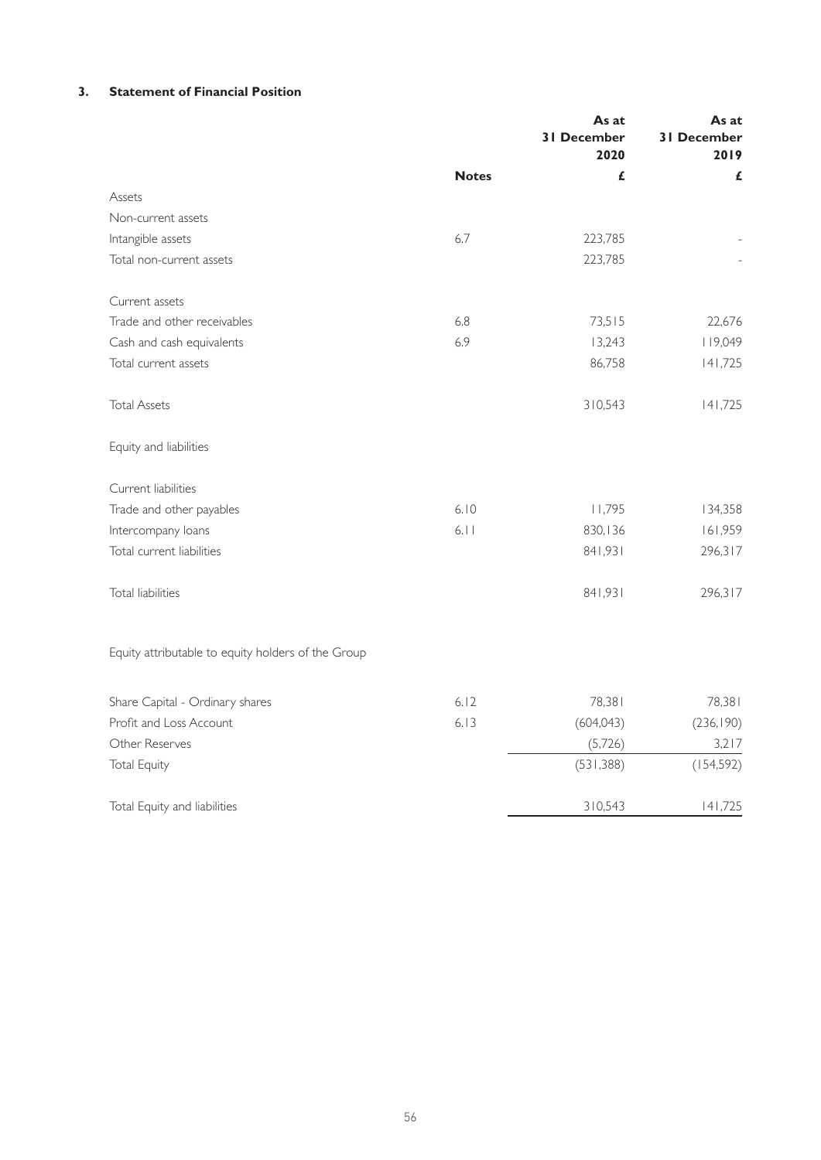# **3. Statement of Financial Position**

|                                                    |              | As at<br><b>31 December</b><br>2020 | As at<br><b>31 December</b><br>2019 |
|----------------------------------------------------|--------------|-------------------------------------|-------------------------------------|
|                                                    | <b>Notes</b> | £                                   | £                                   |
| Assets                                             |              |                                     |                                     |
| Non-current assets                                 |              |                                     |                                     |
| Intangible assets                                  | 6.7          | 223,785                             |                                     |
| Total non-current assets                           |              | 223,785                             |                                     |
| Current assets                                     |              |                                     |                                     |
| Trade and other receivables                        | 6.8          | 73,515                              | 22,676                              |
| Cash and cash equivalents                          | 6.9          | 13,243                              | 119,049                             |
| Total current assets                               |              | 86,758                              | 141,725                             |
| <b>Total Assets</b>                                |              | 310,543                             | 141,725                             |
| Equity and liabilities                             |              |                                     |                                     |
| Current liabilities                                |              |                                     |                                     |
| Trade and other payables                           | 6.10         | 11,795                              | 134,358                             |
| Intercompany loans                                 | 6.11         | 830,136                             | 161,959                             |
| Total current liabilities                          |              | 841,931                             | 296,317                             |
| <b>Total liabilities</b>                           |              | 841,931                             | 296,317                             |
| Equity attributable to equity holders of the Group |              |                                     |                                     |
| Share Capital - Ordinary shares                    | 6.12         | 78,381                              | 78,381                              |
| Profit and Loss Account                            | 6.13         | (604, 043)                          | (236, 190)                          |
| Other Reserves                                     |              | (5,726)                             | 3,217                               |
| <b>Total Equity</b>                                |              | (531, 388)                          | (154, 592)                          |
| Total Equity and liabilities                       |              | 310,543                             | 141,725                             |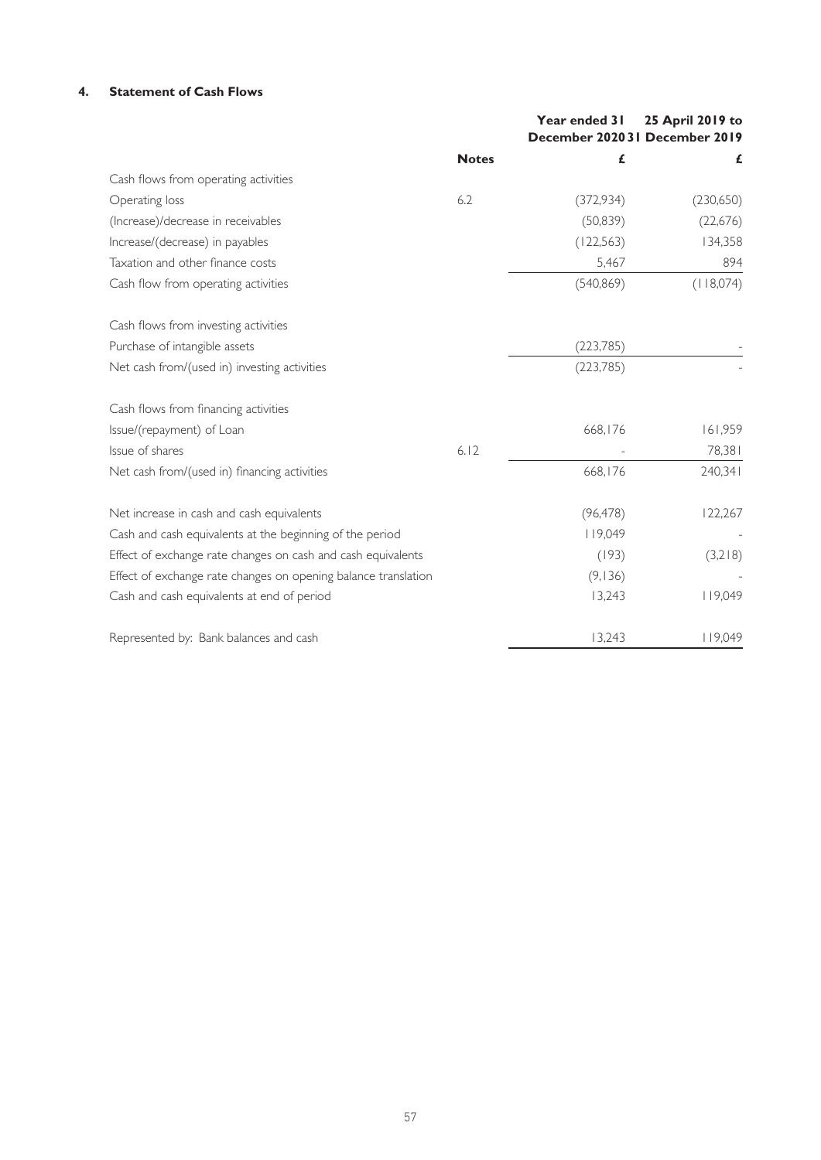# **4. Statement of Cash Flows**

|                                                                |              | Year ended 31<br>December 202031 December 2019 | 25 April 2019 to |
|----------------------------------------------------------------|--------------|------------------------------------------------|------------------|
|                                                                | <b>Notes</b> | £                                              | £                |
| Cash flows from operating activities                           |              |                                                |                  |
| Operating loss                                                 | 6.2          | (372, 934)                                     | (230,650)        |
| (Increase)/decrease in receivables                             |              | (50, 839)                                      | (22,676)         |
| Increase/(decrease) in payables                                |              | (122, 563)                                     | 134,358          |
| Taxation and other finance costs                               |              | 5,467                                          | 894              |
| Cash flow from operating activities                            |              | (540, 869)                                     | (118,074)        |
| Cash flows from investing activities                           |              |                                                |                  |
| Purchase of intangible assets                                  |              | (223, 785)                                     |                  |
| Net cash from/(used in) investing activities                   |              | (223, 785)                                     |                  |
| Cash flows from financing activities                           |              |                                                |                  |
| Issue/(repayment) of Loan                                      |              | 668,176                                        | 161,959          |
| Issue of shares                                                | 6.12         |                                                | 78,381           |
| Net cash from/(used in) financing activities                   |              | 668,176                                        | 240,341          |
| Net increase in cash and cash equivalents                      |              | (96, 478)                                      | 122,267          |
| Cash and cash equivalents at the beginning of the period       |              | 119,049                                        |                  |
| Effect of exchange rate changes on cash and cash equivalents   |              | (193)                                          | (3,218)          |
| Effect of exchange rate changes on opening balance translation |              | (9, 136)                                       |                  |
| Cash and cash equivalents at end of period                     |              | 13,243                                         | 119,049          |
| Represented by: Bank balances and cash                         |              | 13,243                                         | 119,049          |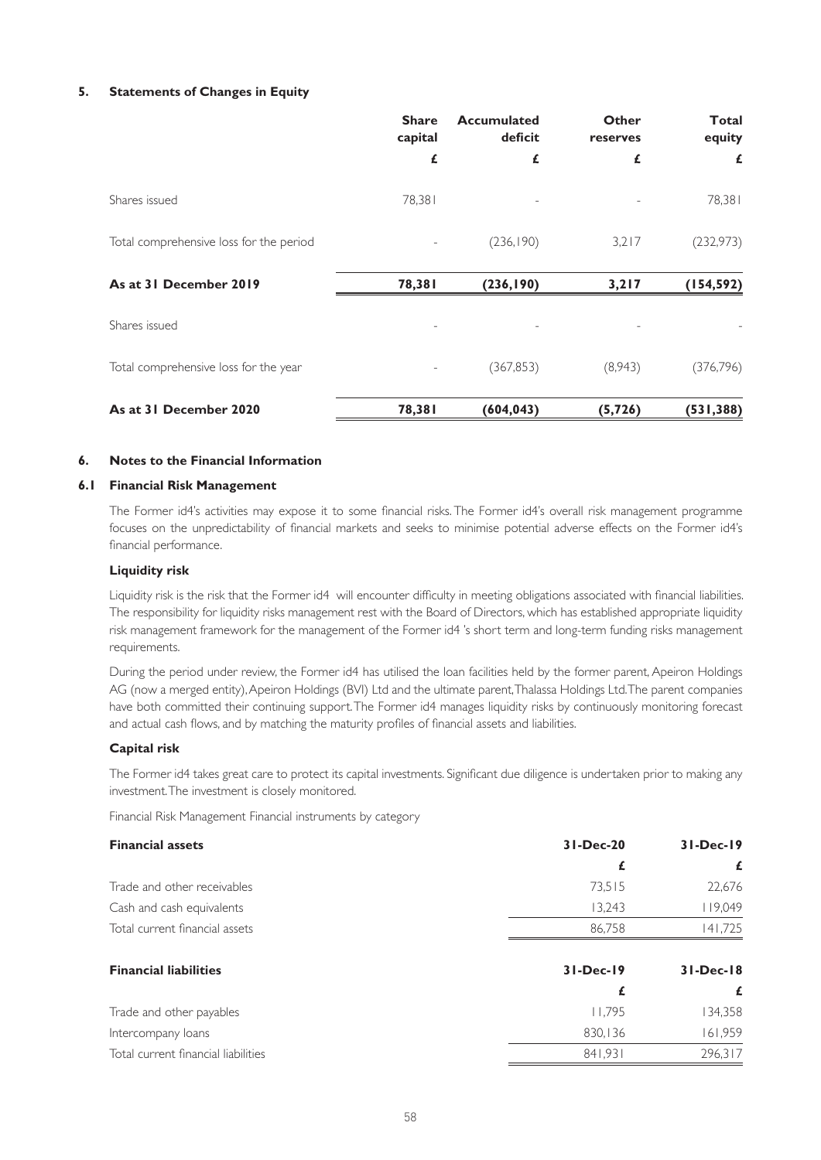## **5. Statements of Changes in Equity**

|                                         | <b>Share</b><br>capital | <b>Accumulated</b><br>deficit | Other<br>reserves | <b>Total</b><br>equity |
|-----------------------------------------|-------------------------|-------------------------------|-------------------|------------------------|
|                                         | £                       | £                             | £                 | £                      |
| Shares issued                           | 78,381                  |                               |                   | 78,381                 |
| Total comprehensive loss for the period |                         | (236, 190)                    | 3,217             | (232, 973)             |
| As at 31 December 2019                  | 78,381                  | (236, 190)                    | 3,217             | (154, 592)             |
| Shares issued                           |                         |                               |                   |                        |
| Total comprehensive loss for the year   |                         | (367, 853)                    | (8,943)           | (376, 796)             |
| As at 31 December 2020                  | 78,381                  | (604, 043)                    | (5, 726)          | (531, 388)             |

## **6. Notes to the Financial Information**

#### **6.1 Financial Risk Management**

The Former id4's activities may expose it to some financial risks. The Former id4's overall risk management programme focuses on the unpredictability of financial markets and seeks to minimise potential adverse effects on the Former id4's financial performance.

#### **Liquidity risk**

Liquidity risk is the risk that the Former id4 will encounter difficulty in meeting obligations associated with financial liabilities. The responsibility for liquidity risks management rest with the Board of Directors, which has established appropriate liquidity risk management framework for the management of the Former id4 's short term and long-term funding risks management requirements.

During the period under review, the Former id4 has utilised the loan facilities held by the former parent, Apeiron Holdings AG (now a merged entity), Apeiron Holdings (BVI) Ltd and the ultimate parent, Thalassa Holdings Ltd. The parent companies have both committed their continuing support. The Former id4 manages liquidity risks by continuously monitoring forecast and actual cash flows, and by matching the maturity profiles of financial assets and liabilities.

#### **Capital risk**

The Former id4 takes great care to protect its capital investments. Significant due diligence is undertaken prior to making any investment. The investment is closely monitored.

Financial Risk Management Financial instruments by category

| <b>Financial assets</b>             | $31 - Dec-20$ | $31-Dec-19$   |
|-------------------------------------|---------------|---------------|
|                                     | £             | £             |
| Trade and other receivables         | 73,515        | 22,676        |
| Cash and cash equivalents           | 13,243        | 119,049       |
| Total current financial assets      | 86.758        | 141.725       |
| <b>Financial liabilities</b>        | $31-Dec-19$   | $31 - Dec-18$ |
|                                     | £             | £             |
| Trade and other payables            | 11.795        | 134,358       |
| Intercompany loans                  | 830,136       | 161,959       |
| Total current financial liabilities | 841.931       | 296,317       |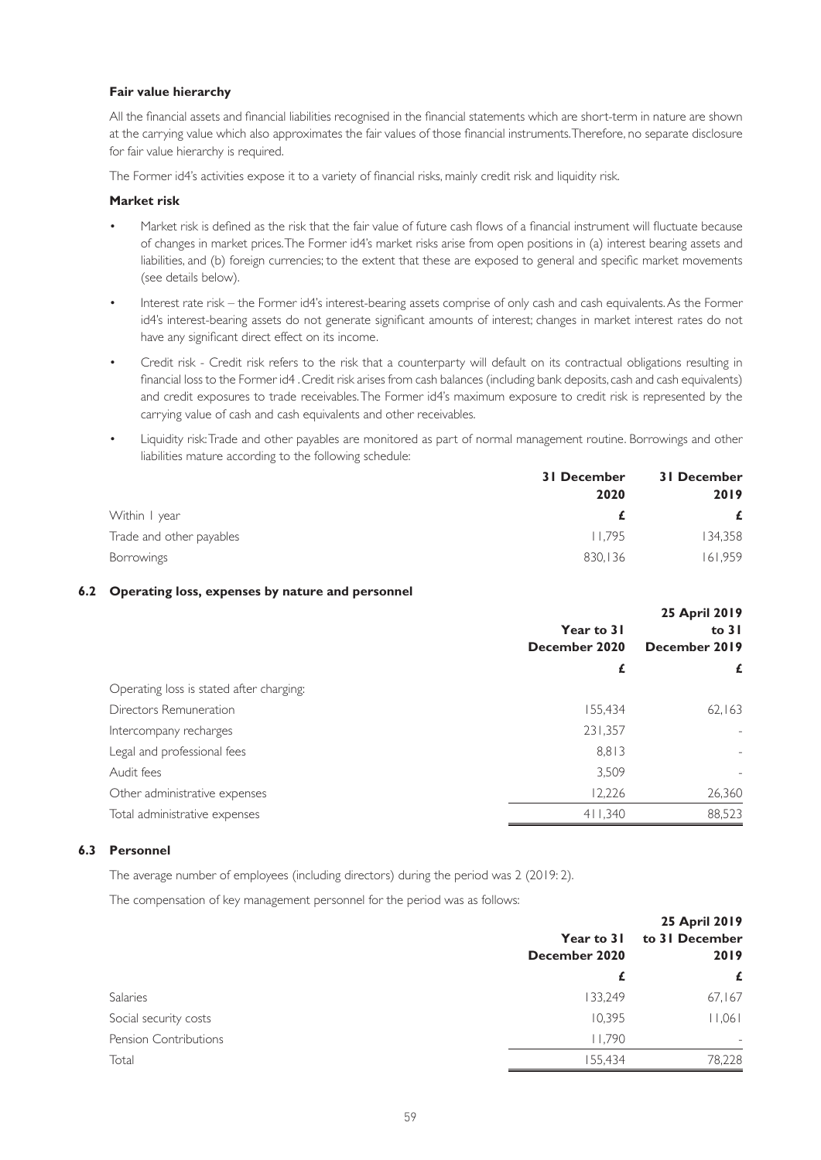## **Fair value hierarchy**

All the financial assets and financial liabilities recognised in the financial statements which are short-term in nature are shown at the carrying value which also approximates the fair values of those financial instruments. Therefore, no separate disclosure for fair value hierarchy is required.

The Former id4's activities expose it to a variety of financial risks, mainly credit risk and liquidity risk.

### **Market risk**

- Market risk is defined as the risk that the fair value of future cash flows of a financial instrument will fluctuate because of changes in market prices. The Former id4's market risks arise from open positions in (a) interest bearing assets and liabilities, and (b) foreign currencies; to the extent that these are exposed to general and specific market movements (see details below).
- Interest rate risk the Former id4's interest-bearing assets comprise of only cash and cash equivalents. As the Former id4's interest-bearing assets do not generate significant amounts of interest; changes in market interest rates do not have any significant direct effect on its income.
- Credit risk Credit risk refers to the risk that a counterparty will default on its contractual obligations resulting in financial loss to the Former id4 . Credit risk arises from cash balances (including bank deposits, cash and cash equivalents) and credit exposures to trade receivables. The Former id4's maximum exposure to credit risk is represented by the carrying value of cash and cash equivalents and other receivables.
- Liquidity risk: Trade and other payables are monitored as part of normal management routine. Borrowings and other liabilities mature according to the following schedule:

|                          | 31 December | 31 December |  |
|--------------------------|-------------|-------------|--|
|                          | 2020        | 2019        |  |
| Within I year            |             | £           |  |
| Trade and other payables | 11.795      | 134,358     |  |
| <b>Borrowings</b>        | 830,136     | 161.959     |  |

## **6.2 Operating loss, expenses by nature and personnel**

|                                          | 25 April 2019<br>Year to 31<br>to $31$ |                          |
|------------------------------------------|----------------------------------------|--------------------------|
|                                          | December 2020                          | December 2019            |
|                                          | £                                      | £                        |
| Operating loss is stated after charging: |                                        |                          |
| Directors Remuneration                   | 155,434                                | 62,163                   |
| Intercompany recharges                   | 231,357                                |                          |
| Legal and professional fees              | 8,813                                  | $\overline{\phantom{a}}$ |
| Audit fees                               | 3.509                                  |                          |
| Other administrative expenses            | 12,226                                 | 26,360                   |
| Total administrative expenses            | 411,340                                | 88,523                   |

## **6.3 Personnel**

The average number of employees (including directors) during the period was 2 (2019: 2).

The compensation of key management personnel for the period was as follows:

|                              | Year to 31<br>December 2020 | 25 April 2019<br>to 31 December<br>2019<br>£ |
|------------------------------|-----------------------------|----------------------------------------------|
|                              | £                           |                                              |
| Salaries                     | 133,249                     | 67,167                                       |
| Social security costs        | 10,395                      | 11,061                                       |
| <b>Pension Contributions</b> | 11.790                      | $\overline{\phantom{0}}$                     |
| Total                        | 155,434                     | 78,228                                       |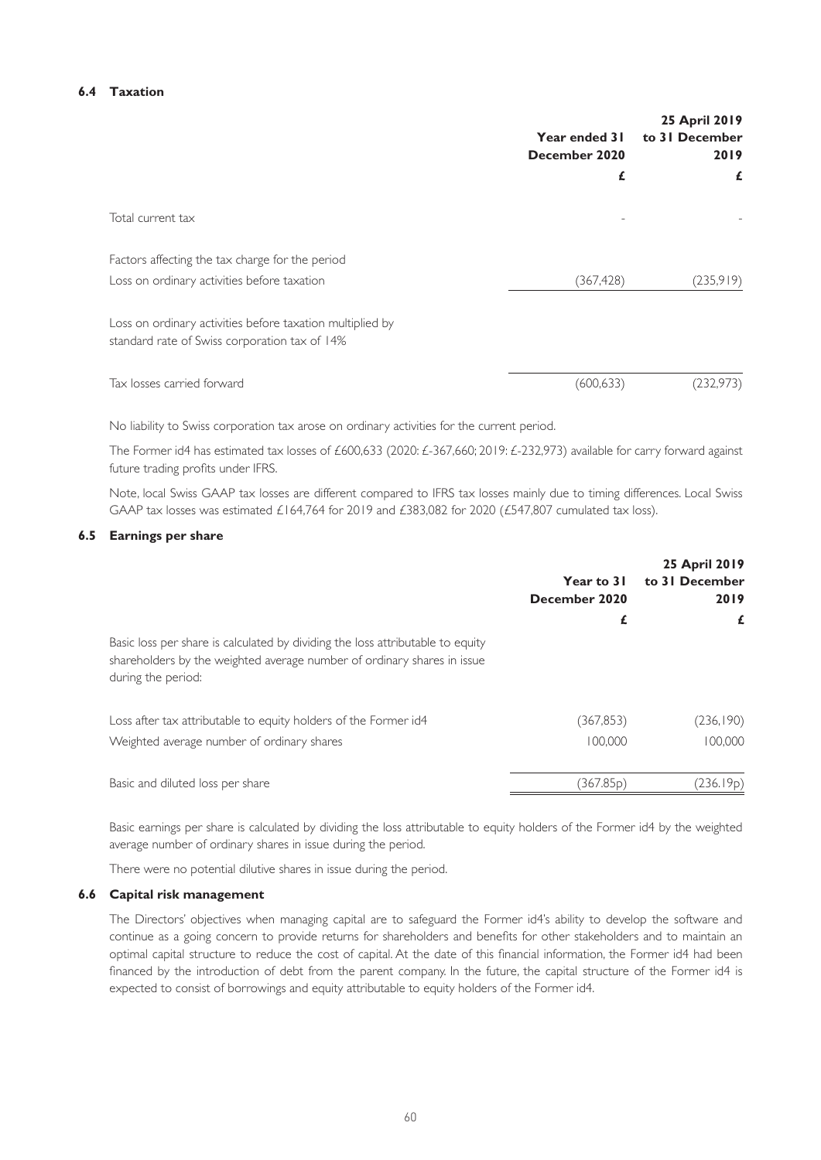### **6.4 Taxation**

|                                                                                                            | Year ended 31<br>December 2020 | 25 April 2019<br>to 31 December<br>2019 |
|------------------------------------------------------------------------------------------------------------|--------------------------------|-----------------------------------------|
|                                                                                                            | £                              | £                                       |
| Total current tax                                                                                          |                                |                                         |
| Factors affecting the tax charge for the period                                                            |                                |                                         |
| Loss on ordinary activities before taxation                                                                | (367, 428)                     | (235,919)                               |
| Loss on ordinary activities before taxation multiplied by<br>standard rate of Swiss corporation tax of 14% |                                |                                         |
| Tax losses carried forward                                                                                 | (600, 633)                     | (232,973)                               |

No liability to Swiss corporation tax arose on ordinary activities for the current period.

The Former id4 has estimated tax losses of £600,633 (2020: £-367,660; 2019: £-232,973) available for carry forward against future trading profits under IFRS.

Note, local Swiss GAAP tax losses are different compared to IFRS tax losses mainly due to timing differences. Local Swiss GAAP tax losses was estimated £164,764 for 2019 and £383,082 for 2020 (£547,807 cumulated tax loss).

## **6.5 Earnings per share**

|                                                                                                                                                                                 | Year to 31<br>December 2020 | 25 April 2019<br>to 31 December<br>2019 |
|---------------------------------------------------------------------------------------------------------------------------------------------------------------------------------|-----------------------------|-----------------------------------------|
| Basic loss per share is calculated by dividing the loss attributable to equity<br>shareholders by the weighted average number of ordinary shares in issue<br>during the period: | £                           | £                                       |
| Loss after tax attributable to equity holders of the Former id4<br>Weighted average number of ordinary shares                                                                   | (367, 853)<br>100.000       | (236, 190)<br>100,000                   |
| Basic and diluted loss per share                                                                                                                                                | (367.85 <sub>p</sub> )      | (236.19p)                               |

Basic earnings per share is calculated by dividing the loss attributable to equity holders of the Former id4 by the weighted average number of ordinary shares in issue during the period.

There were no potential dilutive shares in issue during the period.

#### **6.6 Capital risk management**

The Directors' objectives when managing capital are to safeguard the Former id4's ability to develop the software and continue as a going concern to provide returns for shareholders and benefits for other stakeholders and to maintain an optimal capital structure to reduce the cost of capital. At the date of this financial information, the Former id4 had been financed by the introduction of debt from the parent company. In the future, the capital structure of the Former id4 is expected to consist of borrowings and equity attributable to equity holders of the Former id4.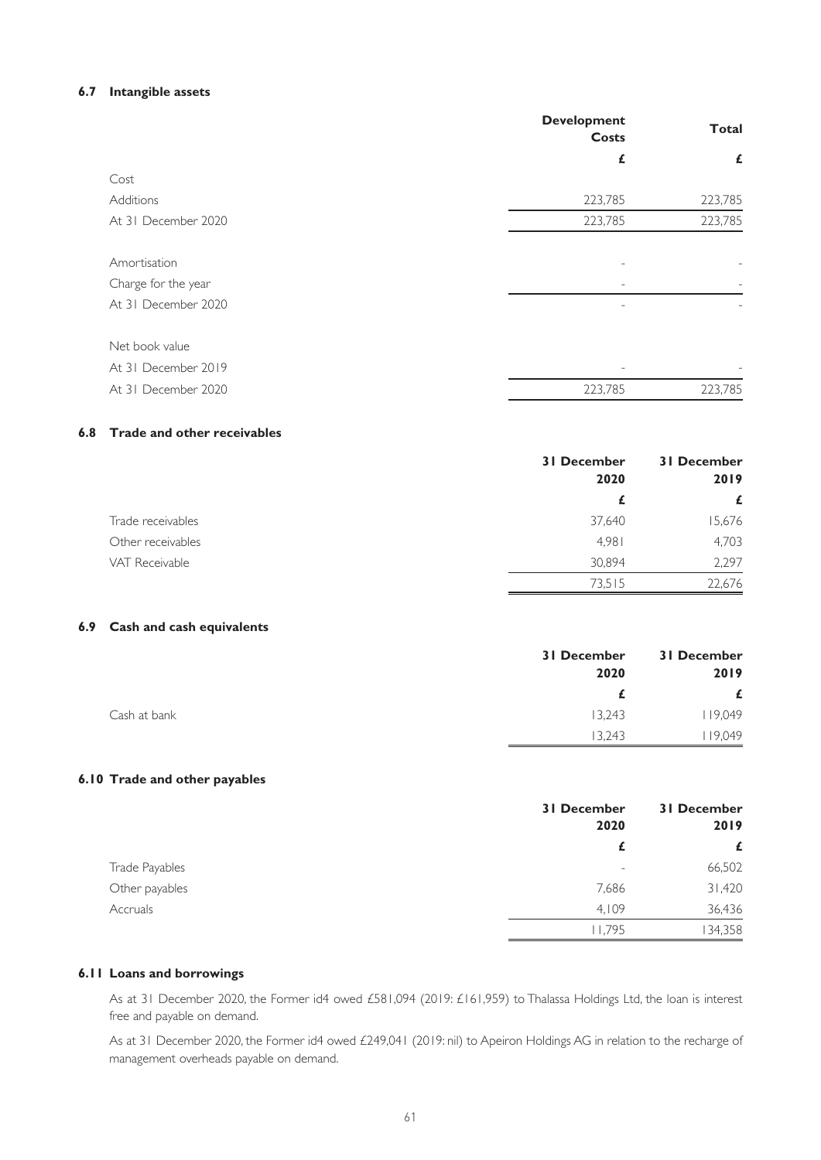## **6.7 Intangible assets**

|                     | <b>Development</b><br>Costs | <b>Total</b> |
|---------------------|-----------------------------|--------------|
|                     | £                           | £            |
| Cost                |                             |              |
| Additions           | 223,785                     | 223,785      |
| At 31 December 2020 | 223,785                     | 223,785      |
|                     |                             |              |
| Amortisation        |                             |              |
| Charge for the year |                             |              |
| At 31 December 2020 |                             |              |
|                     |                             |              |
| Net book value      |                             |              |
| At 31 December 2019 | $\qquad \qquad -$           |              |
| At 31 December 2020 | 223,785                     | 223,785      |

# **6.8 Trade and other receivables**

|                   | <b>31 December</b><br>2020 | <b>31 December</b><br>2019 |
|-------------------|----------------------------|----------------------------|
|                   | £                          | £                          |
| Trade receivables | 37,640                     | 15,676                     |
| Other receivables | 4.981                      | 4,703                      |
| VAT Receivable    | 30,894                     | 2,297                      |
|                   | 73,515                     | 22,676                     |

# **6.9 Cash and cash equivalents**

|              | <b>31 December</b> | 31 December |
|--------------|--------------------|-------------|
|              | 2020               | 2019        |
|              |                    | £           |
| Cash at bank | 13,243             | 119,049     |
|              | 13.243             | 19,049      |

## **6.10 Trade and other payables**

|                 | <b>31 December</b><br>2020 | <b>31 December</b><br>2019         |
|-----------------|----------------------------|------------------------------------|
|                 |                            | £                                  |
| Trade Payables  |                            | 66,502<br>$\overline{\phantom{a}}$ |
| Other payables  | 7,686                      | 31,420                             |
| <b>Accruals</b> | 4.109                      | 36,436                             |
|                 | 11.795                     | 134,358                            |

## **6.11 Loans and borrowings**

As at 31 December 2020, the Former id4 owed £581,094 (2019: £161,959) to Thalassa Holdings Ltd, the loan is interest free and payable on demand.

As at 31 December 2020, the Former id4 owed £249,041 (2019: nil) to Apeiron Holdings AG in relation to the recharge of management overheads payable on demand.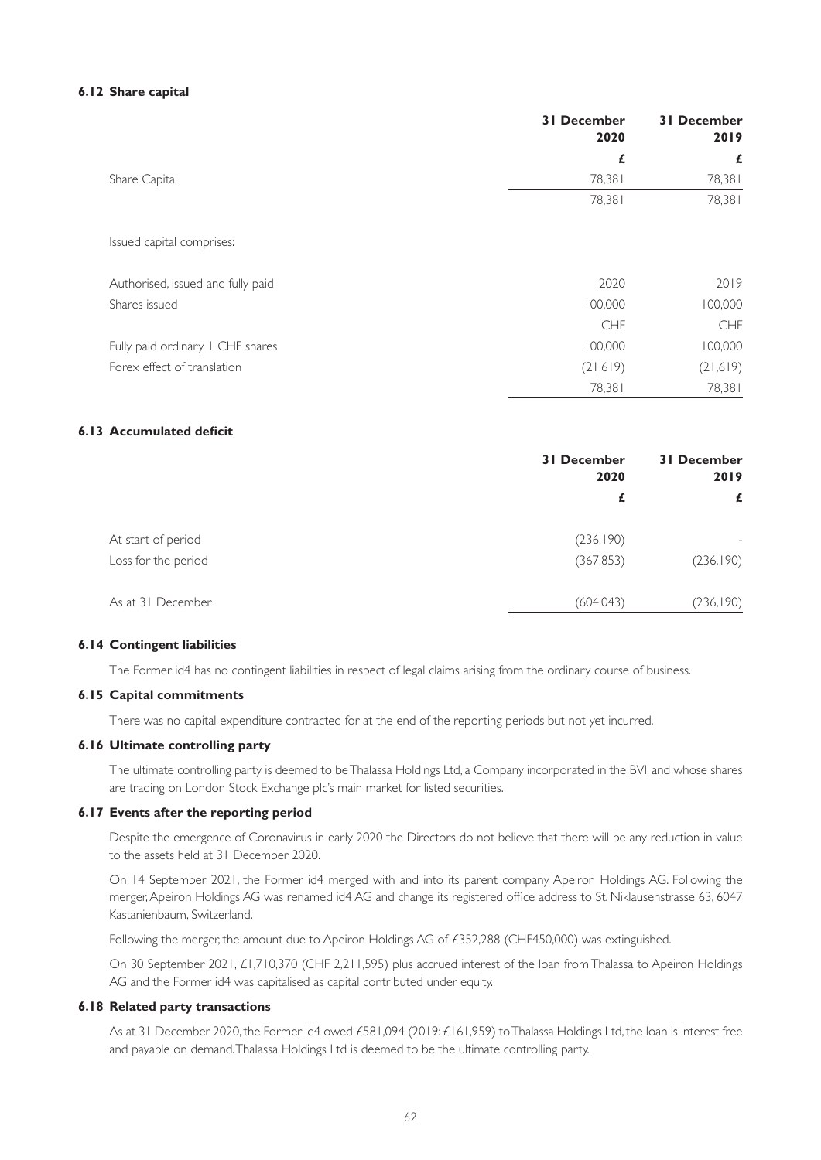#### **6.12 Share capital**

|                                   | <b>31 December</b><br>2020 | <b>31 December</b><br>2019 |
|-----------------------------------|----------------------------|----------------------------|
|                                   | £                          | £                          |
| Share Capital                     | 78,381                     | 78,381                     |
|                                   | 78,381                     | 78,381                     |
| Issued capital comprises:         |                            |                            |
| Authorised, issued and fully paid | 2020                       | 2019                       |
| Shares issued                     | 100,000                    | 100,000                    |
|                                   | <b>CHF</b>                 | <b>CHF</b>                 |
| Fully paid ordinary I CHF shares  | 100,000                    | 100,000                    |
| Forex effect of translation       | (21, 619)                  | (21,619)                   |
|                                   | 78,381                     | 78,381                     |

## **6.13 Accumulated deficit**

|                     | <b>31 December</b><br>2020 | <b>31 December</b><br>2019<br>£ |
|---------------------|----------------------------|---------------------------------|
|                     | £                          |                                 |
| At start of period  | (236, 190)                 |                                 |
| Loss for the period | (367, 853)                 | (236, 190)                      |
| As at 31 December   | (604, 043)                 | (236, 190)                      |

#### **6.14 Contingent liabilities**

The Former id4 has no contingent liabilities in respect of legal claims arising from the ordinary course of business.

#### **6.15 Capital commitments**

There was no capital expenditure contracted for at the end of the reporting periods but not yet incurred.

#### **6.16 Ultimate controlling party**

The ultimate controlling party is deemed to be Thalassa Holdings Ltd, a Company incorporated in the BVI, and whose shares are trading on London Stock Exchange plc's main market for listed securities.

## **6.17 Events after the reporting period**

Despite the emergence of Coronavirus in early 2020 the Directors do not believe that there will be any reduction in value to the assets held at 31 December 2020.

On 14 September 2021, the Former id4 merged with and into its parent company, Apeiron Holdings AG. Following the merger, Apeiron Holdings AG was renamed id4 AG and change its registered office address to St. Niklausenstrasse 63, 6047 Kastanienbaum, Switzerland.

Following the merger, the amount due to Apeiron Holdings AG of £352,288 (CHF450,000) was extinguished.

On 30 September 2021, £1,710,370 (CHF 2,211,595) plus accrued interest of the loan from Thalassa to Apeiron Holdings AG and the Former id4 was capitalised as capital contributed under equity.

#### **6.18 Related party transactions**

As at 31 December 2020, the Former id4 owed £581,094 (2019: £161,959) to Thalassa Holdings Ltd, the loan is interest free and payable on demand. Thalassa Holdings Ltd is deemed to be the ultimate controlling party.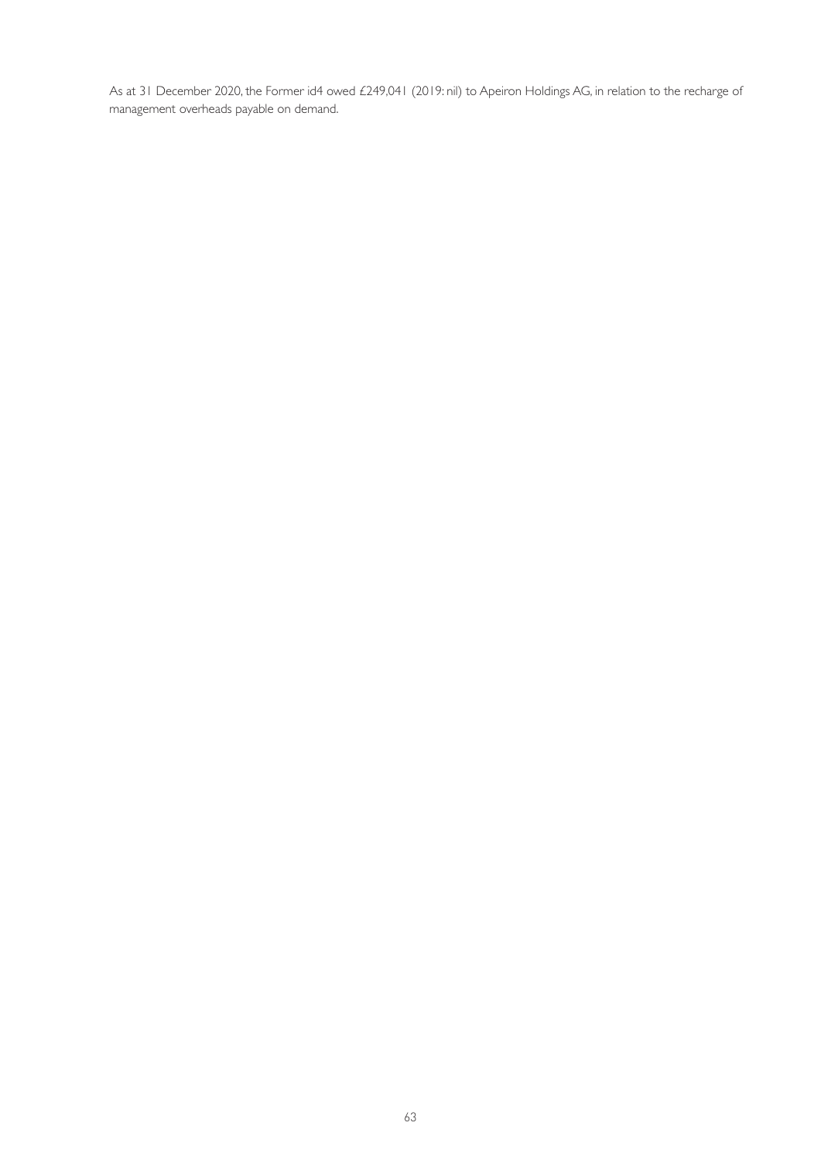As at 31 December 2020, the Former id4 owed £249,041 (2019: nil) to Apeiron Holdings AG, in relation to the recharge of management overheads payable on demand.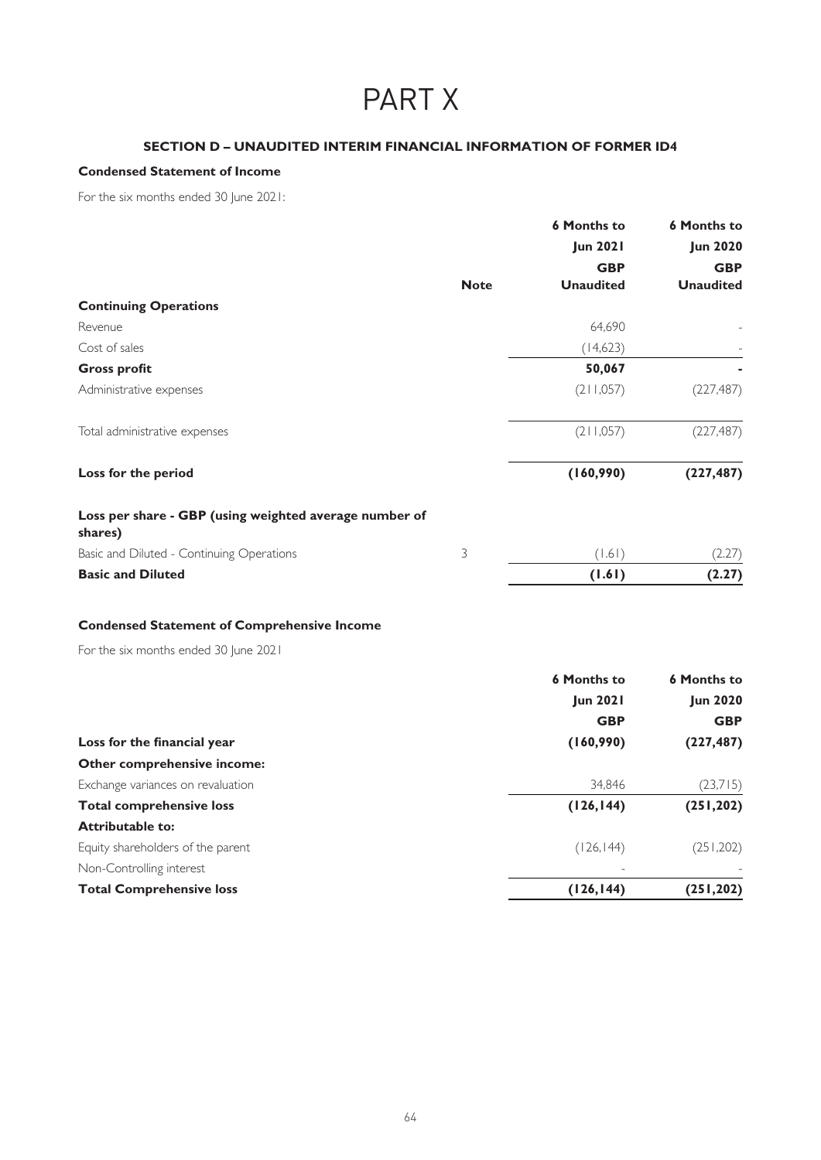# PART X

# **SECTION D – UNAUDITED INTERIM FINANCIAL INFORMATION OF FORMER ID4**

# **Condensed Statement of Income**

For the six months ended 30 June 2021:

|                                                                   |             | <b>6 Months to</b> | <b>6 Months to</b> |
|-------------------------------------------------------------------|-------------|--------------------|--------------------|
|                                                                   |             | <b>Jun 2021</b>    | <b>Jun 2020</b>    |
|                                                                   |             | <b>GBP</b>         | <b>GBP</b>         |
|                                                                   | <b>Note</b> | <b>Unaudited</b>   | <b>Unaudited</b>   |
| <b>Continuing Operations</b>                                      |             |                    |                    |
| Revenue                                                           |             | 64,690             |                    |
| Cost of sales                                                     |             | (14,623)           |                    |
| <b>Gross profit</b>                                               |             | 50,067             |                    |
| Administrative expenses                                           |             | (211,057)          | (227, 487)         |
| Total administrative expenses                                     |             | (211,057)          | (227, 487)         |
| Loss for the period                                               |             | (160,990)          | (227, 487)         |
| Loss per share - GBP (using weighted average number of<br>shares) |             |                    |                    |
| Basic and Diluted - Continuing Operations                         | 3           | (1.61)             | (2.27)             |
| <b>Basic and Diluted</b>                                          |             | (1.61)             | (2.27)             |
|                                                                   |             |                    |                    |

# **Condensed Statement of Comprehensive Income**

For the six months ended 30 June 2021

|                                   | <b>6 Months to</b><br><b>Jun 2021</b> | <b>6 Months to</b><br><b>Jun 2020</b> |
|-----------------------------------|---------------------------------------|---------------------------------------|
|                                   |                                       |                                       |
|                                   | <b>GBP</b>                            | <b>GBP</b>                            |
| Loss for the financial year       | (160,990)                             | (227, 487)                            |
| Other comprehensive income:       |                                       |                                       |
| Exchange variances on revaluation | 34.846                                | (23,715)                              |
| <b>Total comprehensive loss</b>   | (126, 144)                            | (251, 202)                            |
| <b>Attributable to:</b>           |                                       |                                       |
| Equity shareholders of the parent | (126, 144)                            | (251, 202)                            |
| Non-Controlling interest          |                                       |                                       |
| <b>Total Comprehensive loss</b>   | (126, 144)                            | (251, 202)                            |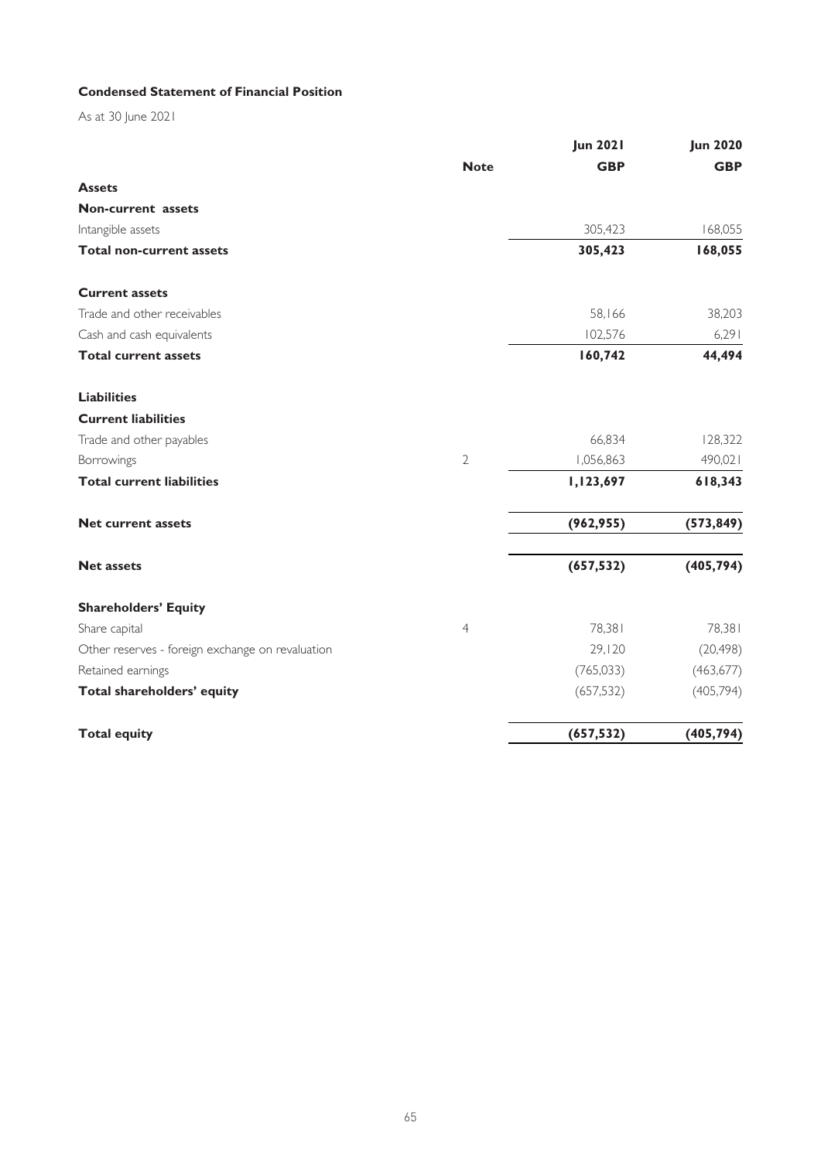# **Condensed Statement of Financial Position**

As at 30 June 2021

|                                                  |                | <b>Jun 2021</b> | <b>Jun 2020</b> |
|--------------------------------------------------|----------------|-----------------|-----------------|
|                                                  | <b>Note</b>    | <b>GBP</b>      | <b>GBP</b>      |
| <b>Assets</b>                                    |                |                 |                 |
| <b>Non-current</b> assets                        |                |                 |                 |
| Intangible assets                                |                | 305,423         | 168,055         |
| <b>Total non-current assets</b>                  |                | 305,423         | 168,055         |
| <b>Current assets</b>                            |                |                 |                 |
| Trade and other receivables                      |                | 58,166          | 38,203          |
| Cash and cash equivalents                        |                | 102,576         | 6,291           |
| <b>Total current assets</b>                      |                | 160,742         | 44,494          |
| <b>Liabilities</b>                               |                |                 |                 |
| <b>Current liabilities</b>                       |                |                 |                 |
| Trade and other payables                         |                | 66,834          | 128,322         |
| Borrowings                                       | $\mathbf{2}$   | 1,056,863       | 490,021         |
| <b>Total current liabilities</b>                 |                | 1,123,697       | 618,343         |
| <b>Net current assets</b>                        |                | (962, 955)      | (573, 849)      |
| <b>Net assets</b>                                |                | (657, 532)      | (405, 794)      |
| <b>Shareholders' Equity</b>                      |                |                 |                 |
| Share capital                                    | $\overline{4}$ | 78,381          | 78,381          |
| Other reserves - foreign exchange on revaluation |                | 29,120          | (20, 498)       |
| Retained earnings                                |                | (765, 033)      | (463, 677)      |
| Total shareholders' equity                       |                | (657, 532)      | (405, 794)      |
| <b>Total equity</b>                              |                | (657, 532)      | (405, 794)      |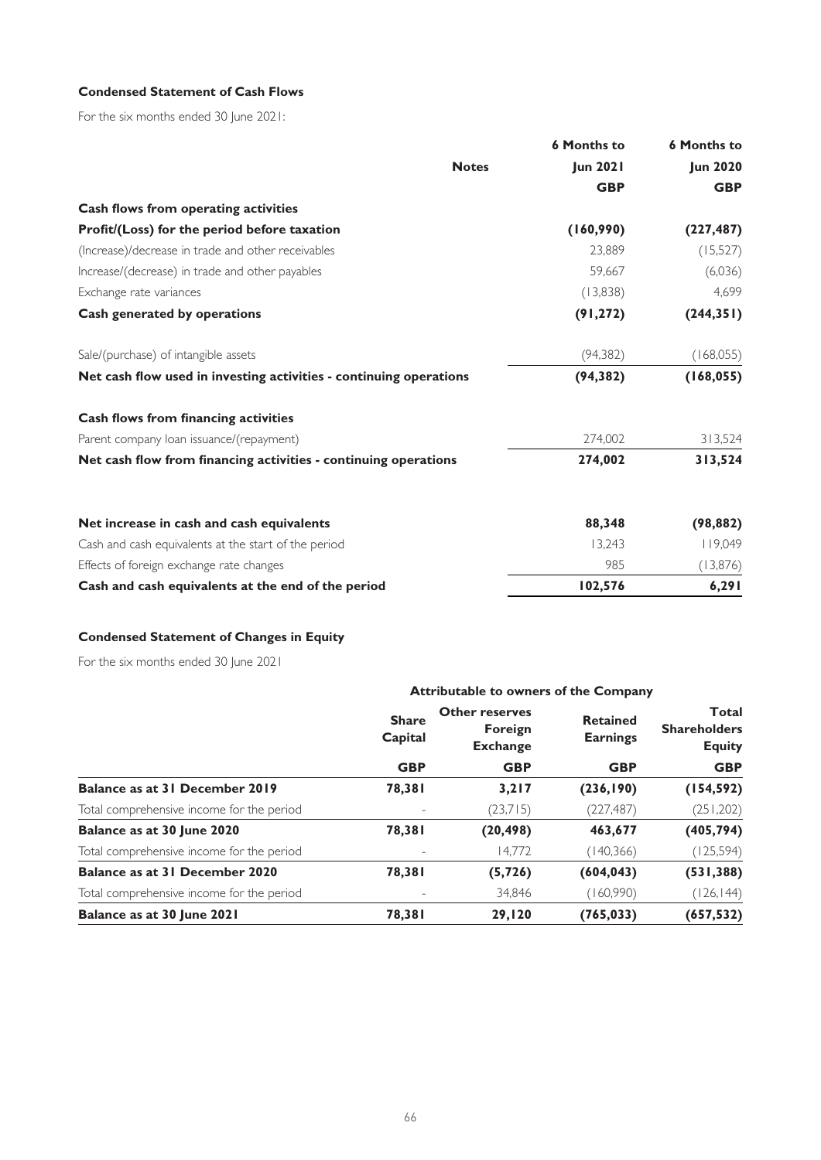# **Condensed Statement of Cash Flows**

For the six months ended 30 June 2021:

|                                                                    | <b>6 Months to</b> | <b>6 Months to</b> |
|--------------------------------------------------------------------|--------------------|--------------------|
| <b>Notes</b>                                                       | <b>Jun 2021</b>    | <b>Jun 2020</b>    |
|                                                                    | <b>GBP</b>         | <b>GBP</b>         |
| Cash flows from operating activities                               |                    |                    |
| Profit/(Loss) for the period before taxation                       | (160,990)          | (227, 487)         |
| (Increase)/decrease in trade and other receivables                 | 23,889             | (15, 527)          |
| Increase/(decrease) in trade and other payables                    | 59,667             | (6,036)            |
| Exchange rate variances                                            | (13,838)           | 4,699              |
| Cash generated by operations                                       | (91, 272)          | (244, 351)         |
| Sale/(purchase) of intangible assets                               | (94, 382)          | (168, 055)         |
| Net cash flow used in investing activities - continuing operations | (94, 382)          | (168, 055)         |
| Cash flows from financing activities                               |                    |                    |
| Parent company loan issuance/(repayment)                           | 274,002            | 313,524            |
| Net cash flow from financing activities - continuing operations    | 274,002            | 313,524            |
| Net increase in cash and cash equivalents                          | 88,348             | (98, 882)          |
| Cash and cash equivalents at the start of the period               | 13,243             | 119,049            |
| Effects of foreign exchange rate changes                           | 985                | (13,876)           |
| Cash and cash equivalents at the end of the period                 | 102,576            | 6,291              |

# **Condensed Statement of Changes in Equity**

For the six months ended 30 June 2021

|                                           | <b>Attributable to owners of the Company</b> |                                                            |                                                  |                                                                    |  |
|-------------------------------------------|----------------------------------------------|------------------------------------------------------------|--------------------------------------------------|--------------------------------------------------------------------|--|
|                                           | <b>Share</b><br>Capital<br><b>GBP</b>        | <b>Other reserves</b><br><b>Foreign</b><br><b>Exchange</b> | <b>Retained</b><br><b>Earnings</b><br><b>GBP</b> | <b>Total</b><br><b>Shareholders</b><br><b>Equity</b><br><b>GBP</b> |  |
|                                           |                                              | <b>GBP</b>                                                 |                                                  |                                                                    |  |
| Balance as at 31 December 2019            | 78,381                                       | 3,217                                                      | (236, 190)                                       | (154, 592)                                                         |  |
| Total comprehensive income for the period |                                              | (23,715)                                                   | (227, 487)                                       | (251, 202)                                                         |  |
| Balance as at 30 June 2020                | 78,381                                       | (20, 498)                                                  | 463,677                                          | (405, 794)                                                         |  |
| Total comprehensive income for the period |                                              | 14.772                                                     | (140, 366)                                       | (125, 594)                                                         |  |
| Balance as at 31 December 2020            | 78,381                                       | (5, 726)                                                   | (604, 043)                                       | (531, 388)                                                         |  |
| Total comprehensive income for the period |                                              | 34.846                                                     | (160,990)                                        | (126,144)                                                          |  |
| Balance as at 30 June 2021                | 78,381                                       | 29,120                                                     | (765, 033)                                       | (657, 532)                                                         |  |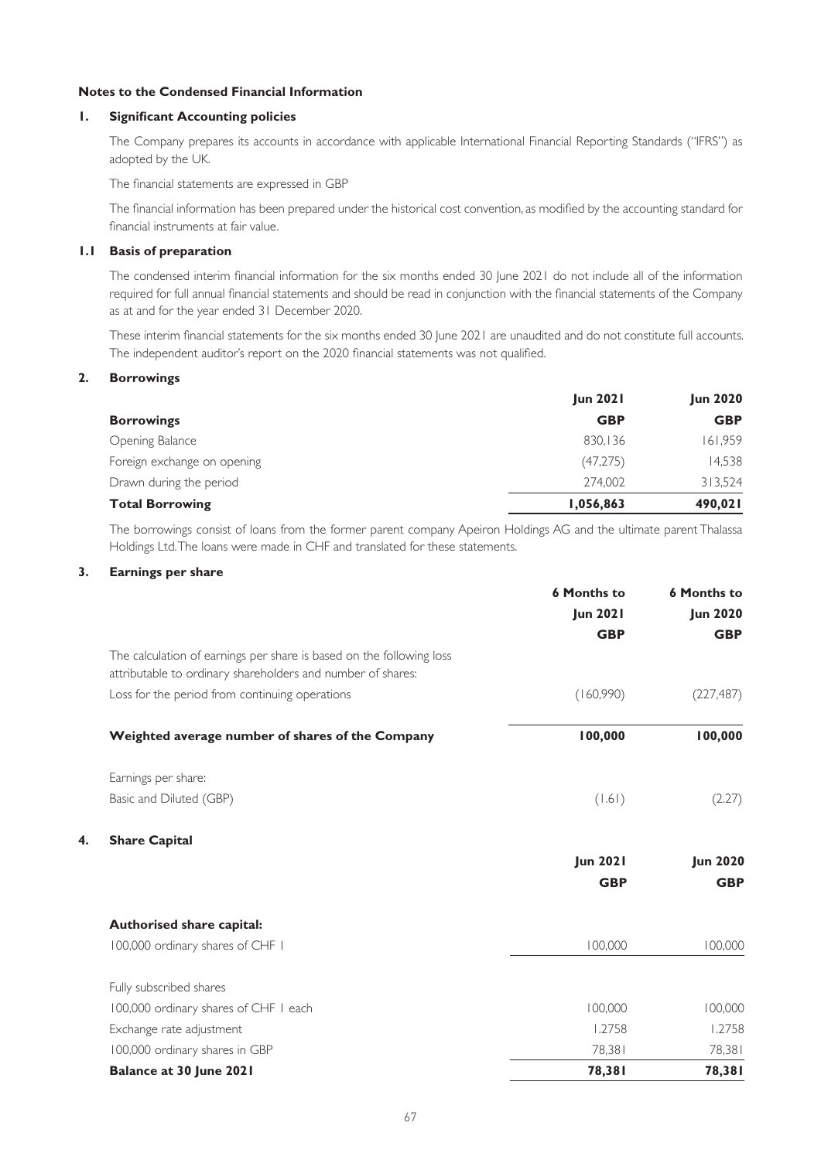## **Notes to the Condensed Financial Information**

## **1. Significant Accounting policies**

The Company prepares its accounts in accordance with applicable International Financial Reporting Standards ("IFRS") as adopted by the UK.

The financial statements are expressed in GBP

The financial information has been prepared under the historical cost convention, as modified by the accounting standard for financial instruments at fair value.

## **1.1 Basis of preparation**

The condensed interim financial information for the six months ended 30 June 2021 do not include all of the information required for full annual financial statements and should be read in conjunction with the financial statements of the Company as at and for the year ended 31 December 2020.

These interim financial statements for the six months ended 30 June 2021 are unaudited and do not constitute full accounts. The independent auditor's report on the 2020 financial statements was not qualified.

## **2. Borrowings**

|                             | <b>Jun 2021</b> | <b>Jun 2020</b> |
|-----------------------------|-----------------|-----------------|
| <b>Borrowings</b>           | <b>GBP</b>      | <b>GBP</b>      |
| Opening Balance             | 830,136         | 161,959         |
| Foreign exchange on opening | (47, 275)       | 14,538          |
| Drawn during the period     | 274.002         | 313,524         |
| <b>Total Borrowing</b>      | 1,056,863       | 490,021         |

The borrowings consist of loans from the former parent company Apeiron Holdings AG and the ultimate parent Thalassa Holdings Ltd. The loans were made in CHF and translated for these statements.

## **3. Earnings per share**

| <b>6 Months to</b> | <b>6 Months to</b>                               |
|--------------------|--------------------------------------------------|
| <b>Jun 2021</b>    | <b>Jun 2020</b>                                  |
| <b>GBP</b>         | <b>GBP</b>                                       |
|                    |                                                  |
| (160,990)          | (227, 487)                                       |
| 100,000            | 100,000                                          |
|                    |                                                  |
| (1.61)             | (2.27)                                           |
|                    |                                                  |
| <b>Jun 2021</b>    | <b>Jun 2020</b>                                  |
| <b>GBP</b>         | <b>GBP</b>                                       |
|                    |                                                  |
|                    | 100,000                                          |
|                    |                                                  |
|                    | 100,000                                          |
|                    | 1.2758                                           |
|                    | 78,381                                           |
|                    | 78,381                                           |
|                    | 100,000<br>100,000<br>1.2758<br>78,381<br>78,381 |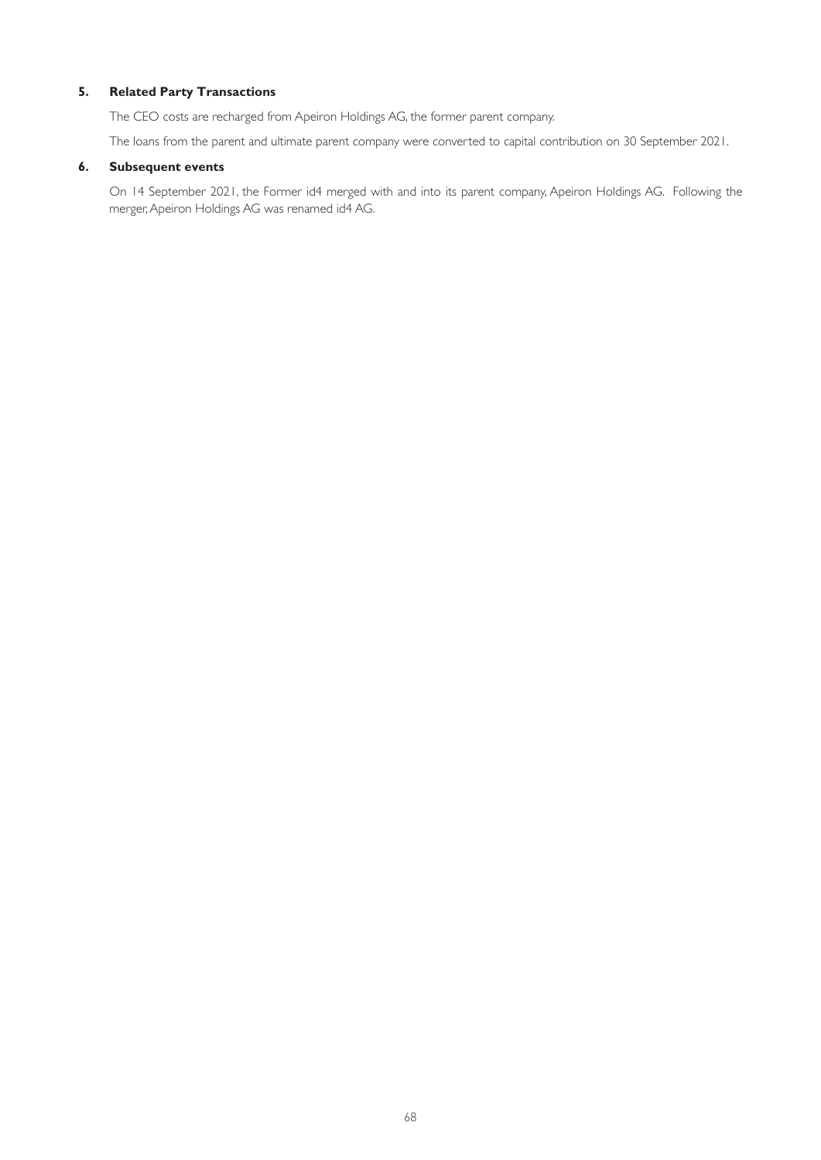## **5. Related Party Transactions**

The CEO costs are recharged from Apeiron Holdings AG, the former parent company.

The loans from the parent and ultimate parent company were converted to capital contribution on 30 September 2021.

### **6. Subsequent events**

On 14 September 2021, the Former id4 merged with and into its parent company, Apeiron Holdings AG. Following the merger, Apeiron Holdings AG was renamed id4 AG.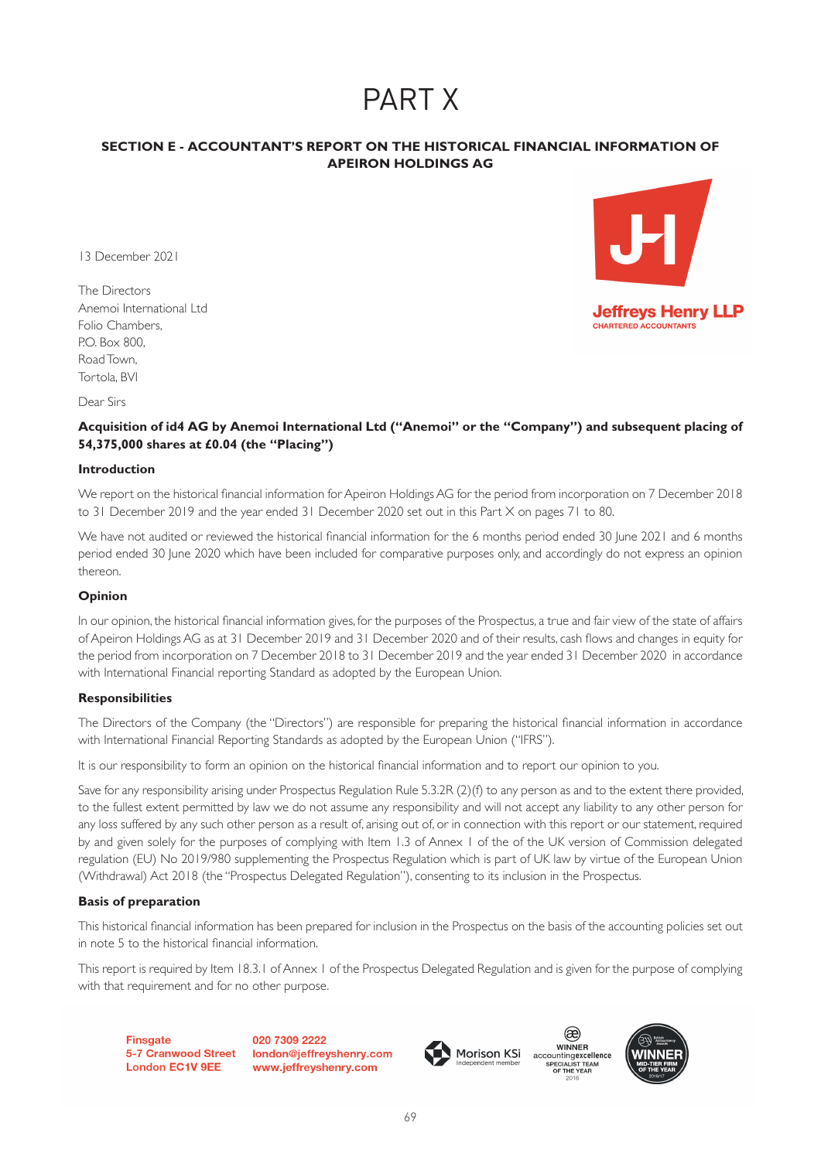# PART X

# **SECTION E - ACCOUNTANT'S REPORT ON THE HISTORICAL FINANCIAL INFORMATION OF APEIRON HOLDINGS AG**

13 December 2021

The Directors Anemoi International Ltd Folio Chambers, P.O. Box 800, Road Town, Tortola, BVI



Dear Sirs

## **Acquisition of id4 AG by Anemoi International Ltd ("Anemoi" or the "Company") and subsequent placing of 54,375,000 shares at £0.04 (the "Placing")**

#### **Introduction**

We report on the historical financial information for Apeiron Holdings AG for the period from incorporation on 7 December 2018 to 31 December 2019 and the year ended 31 December 2020 set out in this Part X on pages 71 to 80.

We have not audited or reviewed the historical financial information for the 6 months period ended 30 June 2021 and 6 months period ended 30 June 2020 which have been included for comparative purposes only, and accordingly do not express an opinion thereon.

## **Opinion**

In our opinion, the historical financial information gives, for the purposes of the Prospectus, a true and fair view of the state of affairs of Apeiron Holdings AG as at 31 December 2019 and 31 December 2020 and of their results, cash flows and changes in equity for the period from incorporation on 7 December 2018 to 31 December 2019 and the year ended 31 December 2020 in accordance with International Financial reporting Standard as adopted by the European Union.

## **Responsibilities**

The Directors of the Company (the "Directors") are responsible for preparing the historical financial information in accordance with International Financial Reporting Standards as adopted by the European Union ("IFRS").

It is our responsibility to form an opinion on the historical financial information and to report our opinion to you.

Save for any responsibility arising under Prospectus Regulation Rule 5.3.2R (2)(f) to any person as and to the extent there provided, to the fullest extent permitted by law we do not assume any responsibility and will not accept any liability to any other person for any loss suffered by any such other person as a result of, arising out of, or in connection with this report or our statement, required by and given solely for the purposes of complying with Item 1.3 of Annex 1 of the of the UK version of Commission delegated regulation (EU) No 2019/980 supplementing the Prospectus Regulation which is part of UK law by virtue of the European Union (Withdrawal) Act 2018 (the "Prospectus Delegated Regulation"), consenting to its inclusion in the Prospectus.

## **Basis of preparation**

This historical financial information has been prepared for inclusion in the Prospectus on the basis of the accounting policies set out in note 5 to the historical financial information.

This report is required by Item 18.3.1 of Annex 1 of the Prospectus Delegated Regulation and is given for the purpose of complying with that requirement and for no other purpose.

**Finsoate** 5-7 Cranwood Street **London EC1V 9EE** 

020 7309 2222 london@ieffrevshenry.com www.jeffreyshenry.com





æ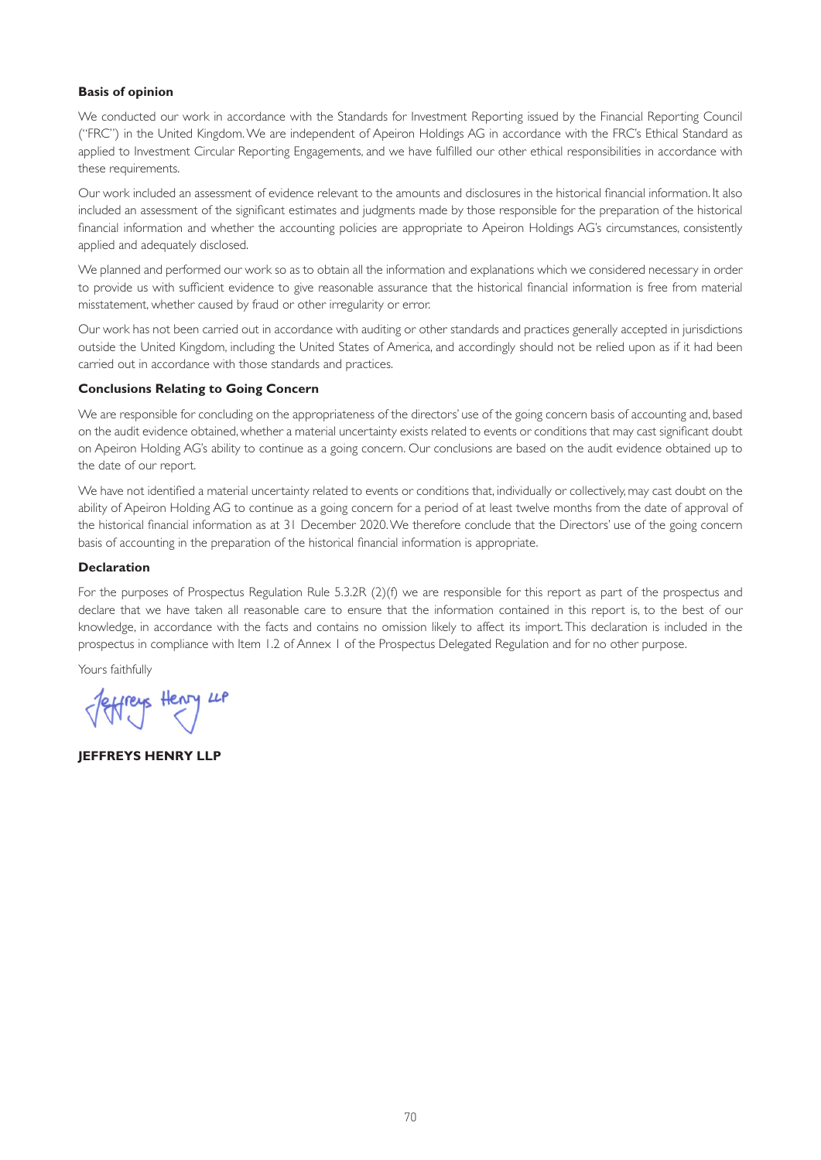### **Basis of opinion**

We conducted our work in accordance with the Standards for Investment Reporting issued by the Financial Reporting Council ("FRC") in the United Kingdom. We are independent of Apeiron Holdings AG in accordance with the FRC's Ethical Standard as applied to Investment Circular Reporting Engagements, and we have fulfilled our other ethical responsibilities in accordance with these requirements.

Our work included an assessment of evidence relevant to the amounts and disclosures in the historical financial information. It also included an assessment of the significant estimates and judgments made by those responsible for the preparation of the historical financial information and whether the accounting policies are appropriate to Apeiron Holdings AG's circumstances, consistently applied and adequately disclosed.

We planned and performed our work so as to obtain all the information and explanations which we considered necessary in order to provide us with sufficient evidence to give reasonable assurance that the historical financial information is free from material misstatement, whether caused by fraud or other irregularity or error.

Our work has not been carried out in accordance with auditing or other standards and practices generally accepted in jurisdictions outside the United Kingdom, including the United States of America, and accordingly should not be relied upon as if it had been carried out in accordance with those standards and practices.

#### **Conclusions Relating to Going Concern**

We are responsible for concluding on the appropriateness of the directors' use of the going concern basis of accounting and, based on the audit evidence obtained, whether a material uncertainty exists related to events or conditions that may cast significant doubt on Apeiron Holding AG's ability to continue as a going concern. Our conclusions are based on the audit evidence obtained up to the date of our report.

We have not identified a material uncertainty related to events or conditions that, individually or collectively, may cast doubt on the ability of Apeiron Holding AG to continue as a going concern for a period of at least twelve months from the date of approval of the historical financial information as at 31 December 2020. We therefore conclude that the Directors' use of the going concern basis of accounting in the preparation of the historical financial information is appropriate.

#### **Declaration**

For the purposes of Prospectus Regulation Rule 5.3.2R (2)(f) we are responsible for this report as part of the prospectus and declare that we have taken all reasonable care to ensure that the information contained in this report is, to the best of our knowledge, in accordance with the facts and contains no omission likely to affect its import. This declaration is included in the prospectus in compliance with Item 1.2 of Annex 1 of the Prospectus Delegated Regulation and for no other purpose.

Yours faithfully

Jeffreys Henry LP

**JEFFREYS HENRY LLP**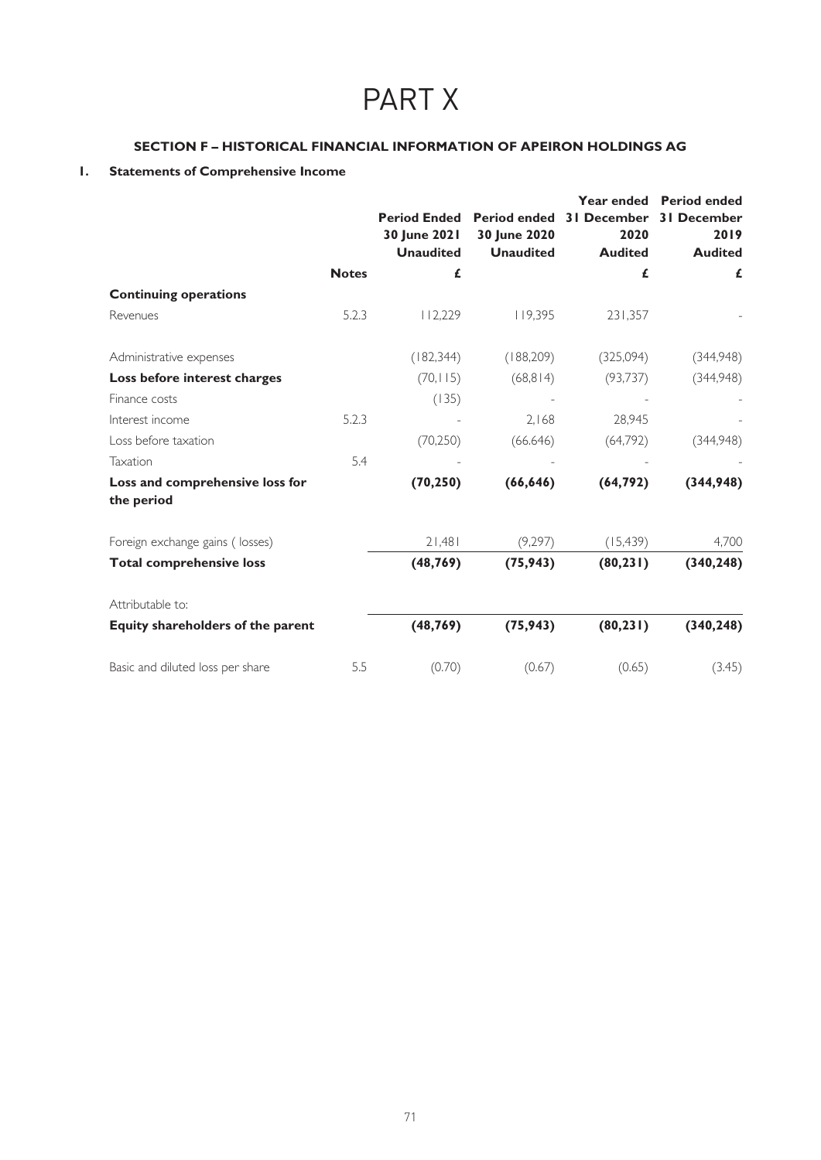# PART X

# **SECTION F – HISTORICAL FINANCIAL INFORMATION OF APEIRON HOLDINGS AG**

# **1. Statements of Comprehensive Income**

|                                               |              | 30 June 2021<br><b>Unaudited</b> | <b>Period Ended</b> Period ended<br>30 June 2020<br><b>Unaudited</b> | <b>31 December</b><br>2020<br><b>Audited</b> | Year ended Period ended<br><b>31 December</b><br>2019<br><b>Audited</b> |
|-----------------------------------------------|--------------|----------------------------------|----------------------------------------------------------------------|----------------------------------------------|-------------------------------------------------------------------------|
|                                               | <b>Notes</b> | £                                |                                                                      | £                                            | £                                                                       |
| <b>Continuing operations</b>                  |              |                                  |                                                                      |                                              |                                                                         |
| Revenues                                      | 5.2.3        | 112,229                          | 119,395                                                              | 231,357                                      |                                                                         |
| Administrative expenses                       |              | (182, 344)                       | (188, 209)                                                           | (325,094)                                    | (344,948)                                                               |
| Loss before interest charges                  |              | (70, 115)                        | (68, 814)                                                            | (93, 737)                                    | (344,948)                                                               |
| Finance costs                                 |              | (135)                            |                                                                      |                                              |                                                                         |
| Interest income                               | 5.2.3        |                                  | 2.168                                                                | 28.945                                       |                                                                         |
| Loss before taxation                          |              | (70, 250)                        | (66.646)                                                             | (64,792)                                     | (344,948)                                                               |
| Taxation                                      | 5.4          |                                  |                                                                      |                                              |                                                                         |
| Loss and comprehensive loss for<br>the period |              | (70, 250)                        | (66, 646)                                                            | (64, 792)                                    | (344,948)                                                               |
| Foreign exchange gains (losses)               |              | 21,481                           | (9,297)                                                              | (15, 439)                                    | 4,700                                                                   |
| <b>Total comprehensive loss</b>               |              | (48, 769)                        | (75, 943)                                                            | (80, 231)                                    | (340, 248)                                                              |
| Attributable to:                              |              |                                  |                                                                      |                                              |                                                                         |
| Equity shareholders of the parent             |              | (48, 769)                        | (75, 943)                                                            | (80, 231)                                    | (340, 248)                                                              |
| Basic and diluted loss per share              | 5.5          | (0.70)                           | (0.67)                                                               | (0.65)                                       | (3.45)                                                                  |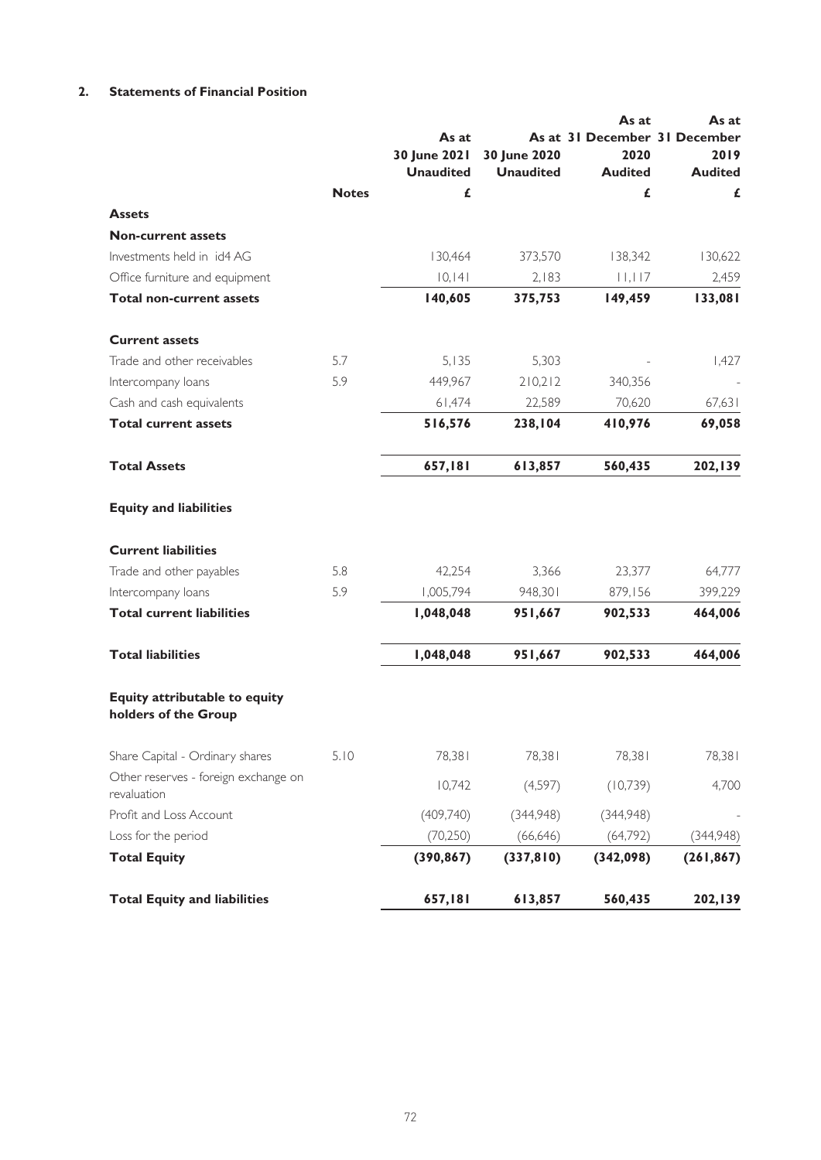# **2. Statements of Financial Position**

|                                                       |              |                  |                  | As at                         | As at          |
|-------------------------------------------------------|--------------|------------------|------------------|-------------------------------|----------------|
|                                                       |              | As at            |                  | As at 31 December 31 December |                |
|                                                       |              | 30 June 2021     | 30 June 2020     | 2020                          | 2019           |
|                                                       |              | <b>Unaudited</b> | <b>Unaudited</b> | <b>Audited</b>                | <b>Audited</b> |
|                                                       | <b>Notes</b> | £                |                  | £                             | £              |
| <b>Assets</b>                                         |              |                  |                  |                               |                |
| <b>Non-current assets</b>                             |              |                  |                  |                               |                |
| Investments held in id4 AG                            |              | 130,464          | 373,570          | 138,342                       | 130,622        |
| Office furniture and equipment                        |              | 10, 141          | 2,183            | 11,117                        | 2,459          |
| <b>Total non-current assets</b>                       |              | 140,605          | 375,753          | 149,459                       | 133,081        |
| <b>Current assets</b>                                 |              |                  |                  |                               |                |
| Trade and other receivables                           | 5.7          | 5,135            | 5,303            |                               | 1,427          |
| Intercompany loans                                    | 5.9          | 449,967          | 210,212          | 340,356                       |                |
| Cash and cash equivalents                             |              | 61,474           | 22,589           | 70,620                        | 67,631         |
| <b>Total current assets</b>                           |              | 516,576          | 238,104          | 410,976                       | 69,058         |
| <b>Total Assets</b>                                   |              | 657,181          | 613,857          | 560,435                       | 202,139        |
| <b>Equity and liabilities</b>                         |              |                  |                  |                               |                |
| <b>Current liabilities</b>                            |              |                  |                  |                               |                |
| Trade and other payables                              | 5.8          | 42,254           | 3,366            | 23,377                        | 64,777         |
| Intercompany loans                                    | 5.9          | 1,005,794        | 948,301          | 879,156                       | 399,229        |
| <b>Total current liabilities</b>                      |              | 1,048,048        | 951,667          | 902,533                       | 464,006        |
| <b>Total liabilities</b>                              |              | 1,048,048        | 951,667          | 902,533                       | 464,006        |
| Equity attributable to equity<br>holders of the Group |              |                  |                  |                               |                |
| Share Capital - Ordinary shares                       | 5.10         | 78,381           | 78,381           | 78,381                        | 78,381         |
| Other reserves - foreign exchange on<br>revaluation   |              | 10,742           | (4,597)          | (10,739)                      | 4,700          |
| Profit and Loss Account                               |              | (409,740)        | (344,948)        | (344,948)                     |                |
| Loss for the period                                   |              | (70, 250)        | (66, 646)        | (64,792)                      | (344,948)      |
| <b>Total Equity</b>                                   |              | (390, 867)       | (337, 810)       | (342,098)                     | (261, 867)     |
| <b>Total Equity and liabilities</b>                   |              | 657,181          | 613,857          | 560,435                       | 202,139        |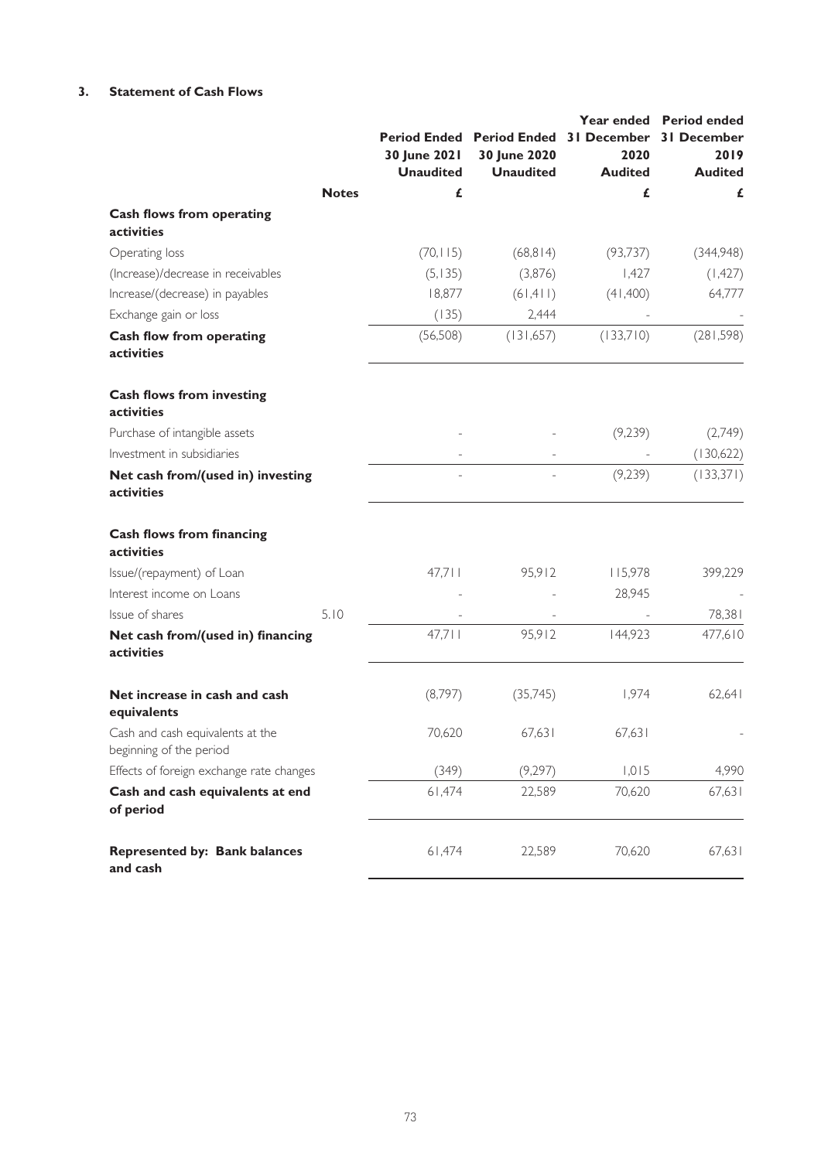# **3. Statement of Cash Flows**

|                                                             |              |                  |                                                   |                | Year ended Period ended |
|-------------------------------------------------------------|--------------|------------------|---------------------------------------------------|----------------|-------------------------|
|                                                             |              |                  | Period Ended Period Ended 31 December 31 December |                |                         |
|                                                             |              | 30 June 2021     | 30 June 2020                                      | 2020           | 2019                    |
|                                                             |              | <b>Unaudited</b> | <b>Unaudited</b>                                  | <b>Audited</b> | <b>Audited</b>          |
|                                                             | <b>Notes</b> | £                |                                                   | £              | £                       |
| <b>Cash flows from operating</b><br>activities              |              |                  |                                                   |                |                         |
| Operating loss                                              |              | (70, 115)        | (68, 814)                                         | (93, 737)      | (344,948)               |
| (Increase)/decrease in receivables                          |              | (5, 135)         | (3,876)                                           | 1,427          | (1, 427)                |
| Increase/(decrease) in payables                             |              | 18,877           | (61, 411)                                         | (41, 400)      | 64,777                  |
| Exchange gain or loss                                       |              | (135)            | 2,444                                             |                |                         |
| Cash flow from operating<br>activities                      |              | (56, 508)        | (131,657)                                         | (133,710)      | (281, 598)              |
| <b>Cash flows from investing</b><br>activities              |              |                  |                                                   |                |                         |
| Purchase of intangible assets                               |              |                  |                                                   | (9,239)        | (2,749)                 |
| Investment in subsidiaries                                  |              |                  |                                                   |                | (130,622)               |
| Net cash from/(used in) investing<br>activities             |              |                  |                                                   | (9, 239)       | (133,371)               |
| <b>Cash flows from financing</b><br>activities              |              |                  |                                                   |                |                         |
| Issue/(repayment) of Loan                                   |              | 47,711           | 95,912                                            | 115,978        | 399,229                 |
| Interest income on Loans                                    |              |                  |                                                   | 28,945         |                         |
| Issue of shares                                             | 5.10         |                  |                                                   |                | 78,381                  |
| Net cash from/(used in) financing<br>activities             |              | 47,711           | 95,912                                            | 144,923        | 477,610                 |
| Net increase in cash and cash<br>equivalents                |              | (8,797)          | (35,745)                                          | 1,974          | 62,641                  |
| Cash and cash equivalents at the<br>beginning of the period |              | 70,620           | 67,631                                            | 67,631         |                         |
| Effects of foreign exchange rate changes                    |              | (349)            | (9,297)                                           | 1,015          | 4,990                   |
| Cash and cash equivalents at end<br>of period               |              | 61,474           | 22,589                                            | 70,620         | 67,631                  |
| <b>Represented by: Bank balances</b><br>and cash            |              | 61,474           | 22,589                                            | 70,620         | 67,631                  |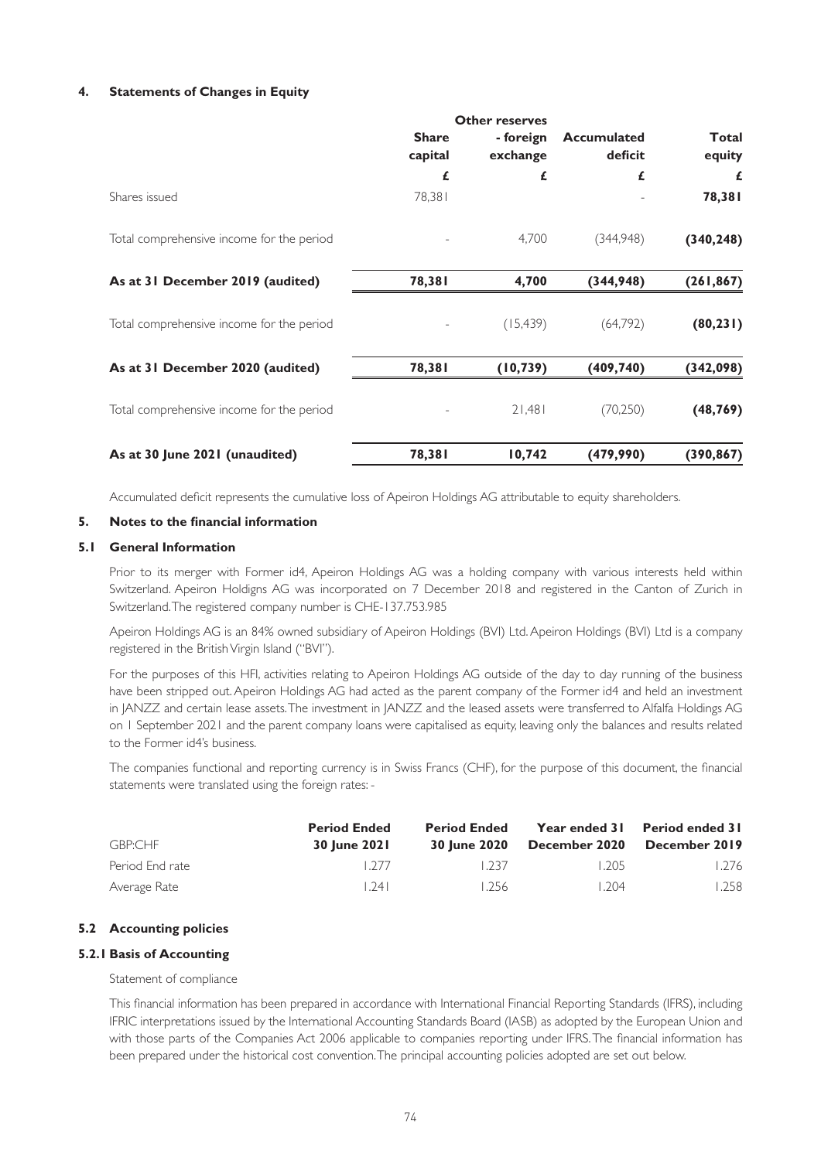# **4. Statements of Changes in Equity**

|                                           | <b>Other reserves</b>   |                       |                               |                        |
|-------------------------------------------|-------------------------|-----------------------|-------------------------------|------------------------|
|                                           | <b>Share</b><br>capital | - foreign<br>exchange | <b>Accumulated</b><br>deficit | <b>Total</b><br>equity |
|                                           | £                       | £                     | £                             | £                      |
| Shares issued                             | 78,381                  |                       |                               | 78,381                 |
| Total comprehensive income for the period |                         | 4,700                 | (344,948)                     | (340, 248)             |
| As at 31 December 2019 (audited)          | 78,381                  | 4,700                 | (344, 948)                    | (261, 867)             |
| Total comprehensive income for the period |                         | (15, 439)             | (64,792)                      | (80, 231)              |
| As at 31 December 2020 (audited)          | 78,381                  | (10, 739)             | (409, 740)                    | (342, 098)             |
| Total comprehensive income for the period |                         | 21,481                | (70, 250)                     | (48, 769)              |
| As at 30 June 2021 (unaudited)            | 78,381                  | 10,742                | (479,990)                     | (390, 867)             |

Accumulated deficit represents the cumulative loss of Apeiron Holdings AG attributable to equity shareholders.

### **5. Notes to the financial information**

### **5.1 General Information**

Prior to its merger with Former id4, Apeiron Holdings AG was a holding company with various interests held within Switzerland. Apeiron Holdigns AG was incorporated on 7 December 2018 and registered in the Canton of Zurich in Switzerland. The registered company number is CHE-137.753.985

Apeiron Holdings AG is an 84% owned subsidiary of Apeiron Holdings (BVI) Ltd. Apeiron Holdings (BVI) Ltd is a company registered in the British Virgin Island ("BVI").

For the purposes of this HFI, activities relating to Apeiron Holdings AG outside of the day to day running of the business have been stripped out. Apeiron Holdings AG had acted as the parent company of the Former id4 and held an investment in JANZZ and certain lease assets. The investment in JANZZ and the leased assets were transferred to Alfalfa Holdings AG on 1 September 2021 and the parent company loans were capitalised as equity, leaving only the balances and results related to the Former id4's business.

The companies functional and reporting currency is in Swiss Francs (CHF), for the purpose of this document, the financial statements were translated using the foreign rates: -

|                 | <b>Period Ended</b> | <b>Period Ended</b> |               | Year ended 31 Period ended 31 |
|-----------------|---------------------|---------------------|---------------|-------------------------------|
| GBP:CHF         | <b>30 June 2021</b> | <b>30 June 2020</b> | December 2020 | December 2019                 |
| Period End rate | 1277                | L237                | 1.205         | 1.276                         |
| Average Rate    | 74                  | 1.256               | 1204          | 1.258                         |

# **5.2 Accounting policies**

# **5.2.1 Basis of Accounting**

### Statement of compliance

This financial information has been prepared in accordance with International Financial Reporting Standards (IFRS), including IFRIC interpretations issued by the International Accounting Standards Board (IASB) as adopted by the European Union and with those parts of the Companies Act 2006 applicable to companies reporting under IFRS. The financial information has been prepared under the historical cost convention. The principal accounting policies adopted are set out below.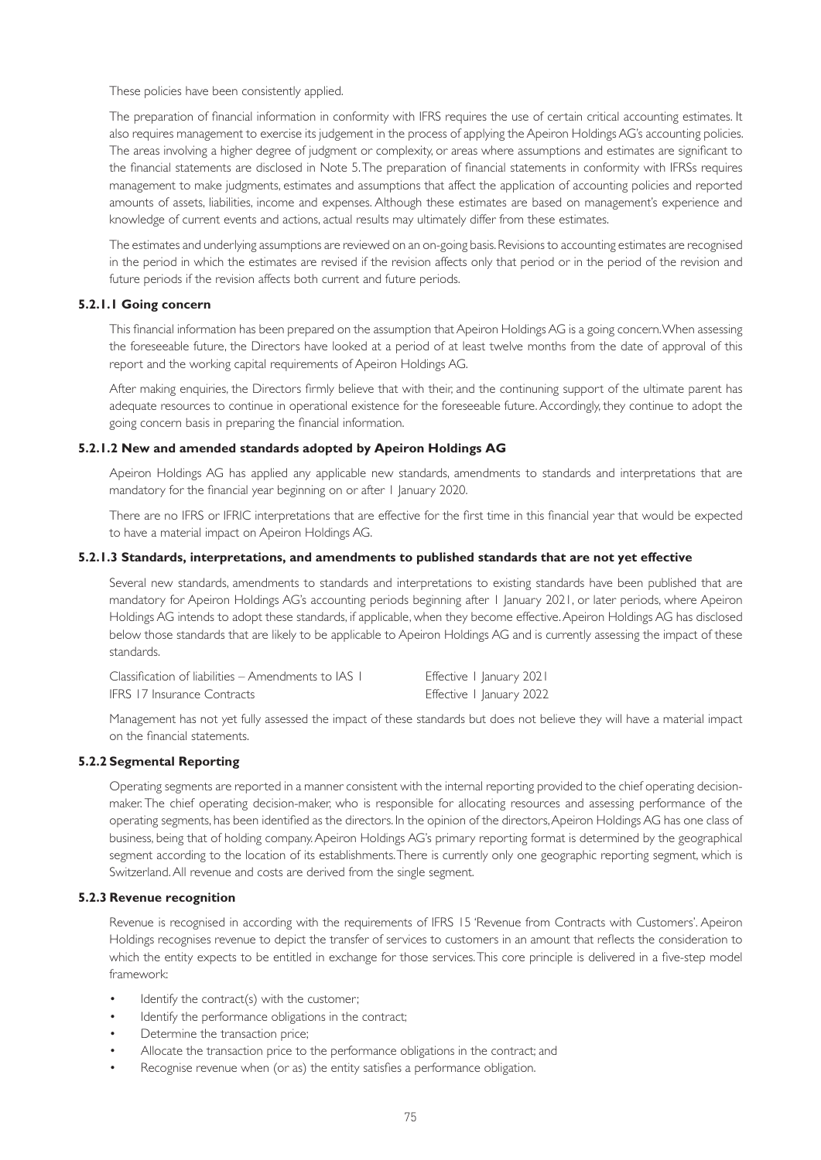These policies have been consistently applied.

The preparation of financial information in conformity with IFRS requires the use of certain critical accounting estimates. It also requires management to exercise its judgement in the process of applying the Apeiron Holdings AG's accounting policies. The areas involving a higher degree of judgment or complexity, or areas where assumptions and estimates are significant to the financial statements are disclosed in Note 5. The preparation of financial statements in conformity with IFRSs requires management to make judgments, estimates and assumptions that affect the application of accounting policies and reported amounts of assets, liabilities, income and expenses. Although these estimates are based on management's experience and knowledge of current events and actions, actual results may ultimately differ from these estimates.

The estimates and underlying assumptions are reviewed on an on-going basis. Revisions to accounting estimates are recognised in the period in which the estimates are revised if the revision affects only that period or in the period of the revision and future periods if the revision affects both current and future periods.

# **5.2.1.1 Going concern**

This financial information has been prepared on the assumption that Apeiron Holdings AG is a going concern. When assessing the foreseeable future, the Directors have looked at a period of at least twelve months from the date of approval of this report and the working capital requirements of Apeiron Holdings AG.

After making enquiries, the Directors firmly believe that with their, and the continuning support of the ultimate parent has adequate resources to continue in operational existence for the foreseeable future. Accordingly, they continue to adopt the going concern basis in preparing the financial information.

# **5.2.1.2 New and amended standards adopted by Apeiron Holdings AG**

Apeiron Holdings AG has applied any applicable new standards, amendments to standards and interpretations that are mandatory for the financial year beginning on or after 1 January 2020.

There are no IFRS or IFRIC interpretations that are effective for the first time in this financial year that would be expected to have a material impact on Apeiron Holdings AG.

# **5.2.1.3 Standards, interpretations, and amendments to published standards that are not yet effective**

Several new standards, amendments to standards and interpretations to existing standards have been published that are mandatory for Apeiron Holdings AG's accounting periods beginning after 1 January 2021, or later periods, where Apeiron Holdings AG intends to adopt these standards, if applicable, when they become effective. Apeiron Holdings AG has disclosed below those standards that are likely to be applicable to Apeiron Holdings AG and is currently assessing the impact of these standards.

| Classification of liabilities – Amendments to IAS 1 | Effective I January 2021 |
|-----------------------------------------------------|--------------------------|
| IFRS 17 Insurance Contracts                         | Effective I January 2022 |

Management has not yet fully assessed the impact of these standards but does not believe they will have a material impact on the financial statements.

# **5.2.2 Segmental Reporting**

Operating segments are reported in a manner consistent with the internal reporting provided to the chief operating decisionmaker. The chief operating decision-maker, who is responsible for allocating resources and assessing performance of the operating segments, has been identified as the directors. In the opinion of the directors, Apeiron Holdings AG has one class of business, being that of holding company. Apeiron Holdings AG's primary reporting format is determined by the geographical segment according to the location of its establishments. There is currently only one geographic reporting segment, which is Switzerland. All revenue and costs are derived from the single segment.

# **5.2.3 Revenue recognition**

Revenue is recognised in according with the requirements of IFRS 15 'Revenue from Contracts with Customers'. Apeiron Holdings recognises revenue to depict the transfer of services to customers in an amount that reflects the consideration to which the entity expects to be entitled in exchange for those services. This core principle is delivered in a five-step model framework:

- Identify the contract(s) with the customer;
- Identify the performance obligations in the contract;
- Determine the transaction price;
- Allocate the transaction price to the performance obligations in the contract; and
- Recognise revenue when (or as) the entity satisfies a performance obligation.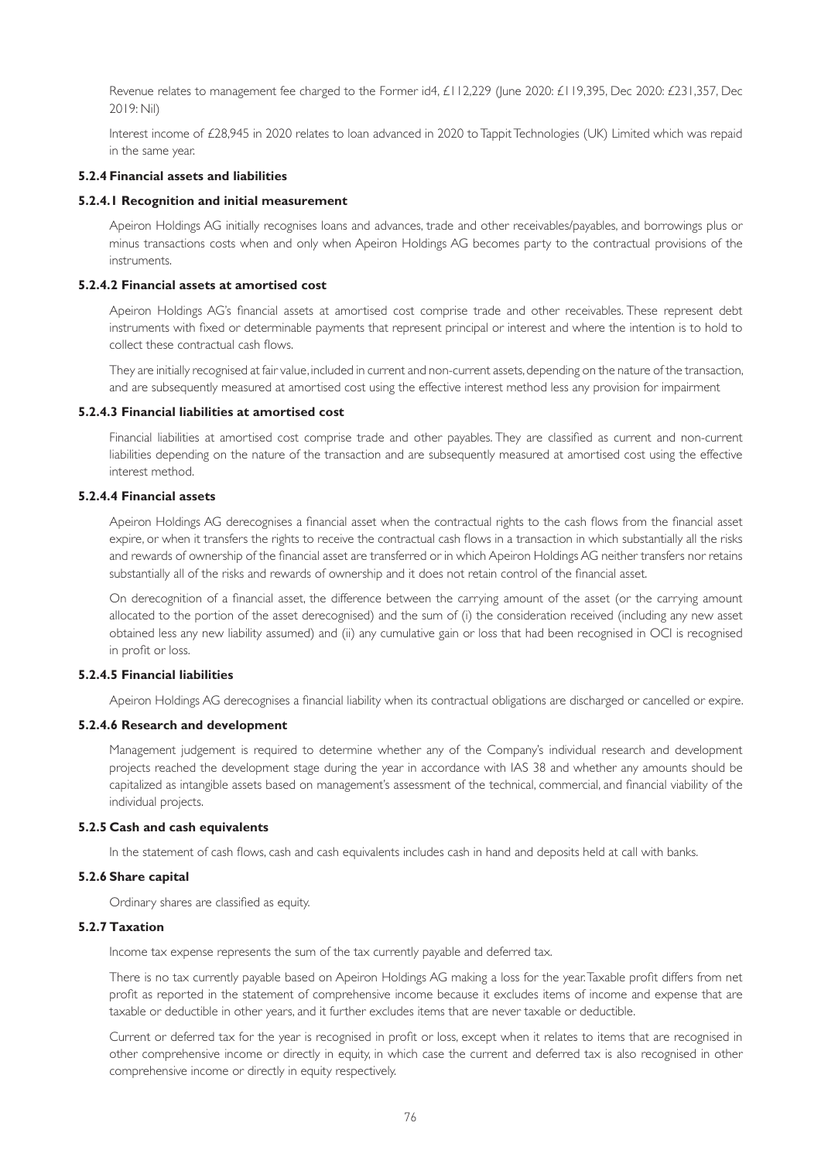Revenue relates to management fee charged to the Former id4, £112,229 (June 2020: £119,395, Dec 2020: £231,357, Dec 2019: Nil)

Interest income of £28,945 in 2020 relates to loan advanced in 2020 to Tappit Technologies (UK) Limited which was repaid in the same year.

# **5.2.4 Financial assets and liabilities**

### **5.2.4.1 Recognition and initial measurement**

Apeiron Holdings AG initially recognises loans and advances, trade and other receivables/payables, and borrowings plus or minus transactions costs when and only when Apeiron Holdings AG becomes party to the contractual provisions of the instruments.

### **5.2.4.2 Financial assets at amortised cost**

Apeiron Holdings AG's financial assets at amortised cost comprise trade and other receivables. These represent debt instruments with fixed or determinable payments that represent principal or interest and where the intention is to hold to collect these contractual cash flows.

They are initially recognised at fair value, included in current and non-current assets, depending on the nature of the transaction, and are subsequently measured at amortised cost using the effective interest method less any provision for impairment

#### **5.2.4.3 Financial liabilities at amortised cost**

Financial liabilities at amortised cost comprise trade and other payables. They are classified as current and non-current liabilities depending on the nature of the transaction and are subsequently measured at amortised cost using the effective interest method.

### **5.2.4.4 Financial assets**

Apeiron Holdings AG derecognises a financial asset when the contractual rights to the cash flows from the financial asset expire, or when it transfers the rights to receive the contractual cash flows in a transaction in which substantially all the risks and rewards of ownership of the financial asset are transferred or in which Apeiron Holdings AG neither transfers nor retains substantially all of the risks and rewards of ownership and it does not retain control of the financial asset.

On derecognition of a financial asset, the difference between the carrying amount of the asset (or the carrying amount allocated to the portion of the asset derecognised) and the sum of (i) the consideration received (including any new asset obtained less any new liability assumed) and (ii) any cumulative gain or loss that had been recognised in OCI is recognised in profit or loss.

### **5.2.4.5 Financial liabilities**

Apeiron Holdings AG derecognises a financial liability when its contractual obligations are discharged or cancelled or expire.

### **5.2.4.6 Research and development**

Management judgement is required to determine whether any of the Company's individual research and development projects reached the development stage during the year in accordance with IAS 38 and whether any amounts should be capitalized as intangible assets based on management's assessment of the technical, commercial, and financial viability of the individual projects.

### **5.2.5 Cash and cash equivalents**

In the statement of cash flows, cash and cash equivalents includes cash in hand and deposits held at call with banks.

### **5.2.6 Share capital**

Ordinary shares are classified as equity.

# **5.2.7 Taxation**

Income tax expense represents the sum of the tax currently payable and deferred tax.

There is no tax currently payable based on Apeiron Holdings AG making a loss for the year. Taxable profit differs from net profit as reported in the statement of comprehensive income because it excludes items of income and expense that are taxable or deductible in other years, and it further excludes items that are never taxable or deductible.

Current or deferred tax for the year is recognised in profit or loss, except when it relates to items that are recognised in other comprehensive income or directly in equity, in which case the current and deferred tax is also recognised in other comprehensive income or directly in equity respectively.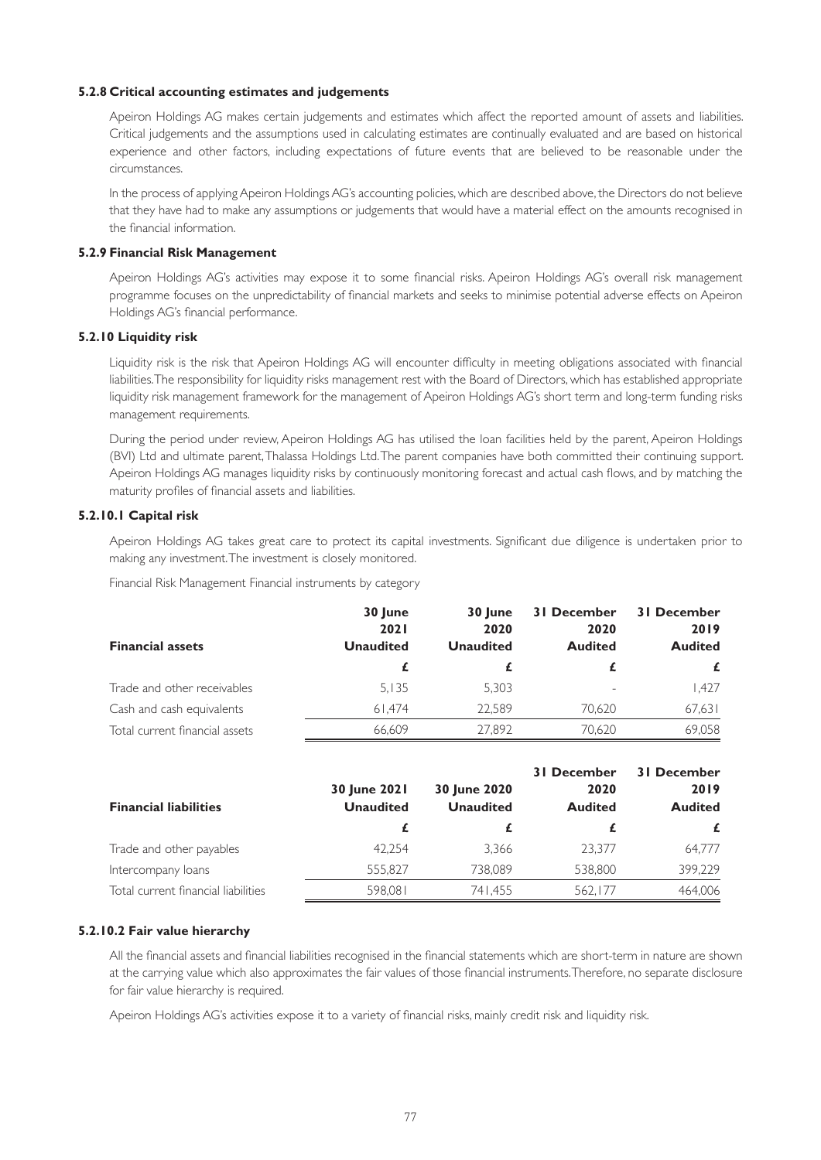### **5.2.8 Critical accounting estimates and judgements**

Apeiron Holdings AG makes certain judgements and estimates which affect the reported amount of assets and liabilities. Critical judgements and the assumptions used in calculating estimates are continually evaluated and are based on historical experience and other factors, including expectations of future events that are believed to be reasonable under the circumstances.

In the process of applying Apeiron Holdings AG's accounting policies, which are described above, the Directors do not believe that they have had to make any assumptions or judgements that would have a material effect on the amounts recognised in the financial information.

### **5.2.9 Financial Risk Management**

Apeiron Holdings AG's activities may expose it to some financial risks. Apeiron Holdings AG's overall risk management programme focuses on the unpredictability of financial markets and seeks to minimise potential adverse effects on Apeiron Holdings AG's financial performance.

# **5.2.10 Liquidity risk**

Liquidity risk is the risk that Apeiron Holdings AG will encounter difficulty in meeting obligations associated with financial liabilities. The responsibility for liquidity risks management rest with the Board of Directors, which has established appropriate liquidity risk management framework for the management of Apeiron Holdings AG's short term and long-term funding risks management requirements.

During the period under review, Apeiron Holdings AG has utilised the loan facilities held by the parent, Apeiron Holdings (BVI) Ltd and ultimate parent, Thalassa Holdings Ltd. The parent companies have both committed their continuing support. Apeiron Holdings AG manages liquidity risks by continuously monitoring forecast and actual cash flows, and by matching the maturity profiles of financial assets and liabilities.

### **5.2.10.1 Capital risk**

Apeiron Holdings AG takes great care to protect its capital investments. Significant due diligence is undertaken prior to making any investment. The investment is closely monitored.

Financial Risk Management Financial instruments by category

|                                | 30 June          | 30 June          | 31 December                  | 31 December    |
|--------------------------------|------------------|------------------|------------------------------|----------------|
|                                | <b>2021</b>      | 2020             | 2020                         | 2019           |
| <b>Financial assets</b>        | <b>Unaudited</b> | <b>Unaudited</b> | <b>Audited</b>               | <b>Audited</b> |
|                                |                  |                  |                              | £              |
| Trade and other receivables    | 5.135            | 5,303            | $\qquad \qquad \blacksquare$ | 1.427          |
| Cash and cash equivalents      | 61.474           | 22.589           | 70.620                       | 67,631         |
| Total current financial assets | 66.609           | 27.892           | 70,620                       | 69.058         |

| <b>Financial liabilities</b>        | 30 June 2021<br><b>Unaudited</b> | 30 June 2020<br><b>Unaudited</b> | <b>31 December</b><br>2020<br><b>Audited</b> | <b>31 December</b><br>2019<br><b>Audited</b> |
|-------------------------------------|----------------------------------|----------------------------------|----------------------------------------------|----------------------------------------------|
|                                     |                                  |                                  |                                              |                                              |
| Trade and other payables            | 42.254                           | 3.366                            | 23.377                                       | 64.777                                       |
| Intercompany loans                  | 555.827                          | 738.089                          | 538,800                                      | 399,229                                      |
| Total current financial liabilities | 598.081                          | 741.455                          | 562.177                                      | 464,006                                      |

### **5.2.10.2 Fair value hierarchy**

All the financial assets and financial liabilities recognised in the financial statements which are short-term in nature are shown at the carrying value which also approximates the fair values of those financial instruments. Therefore, no separate disclosure for fair value hierarchy is required.

Apeiron Holdings AG's activities expose it to a variety of financial risks, mainly credit risk and liquidity risk.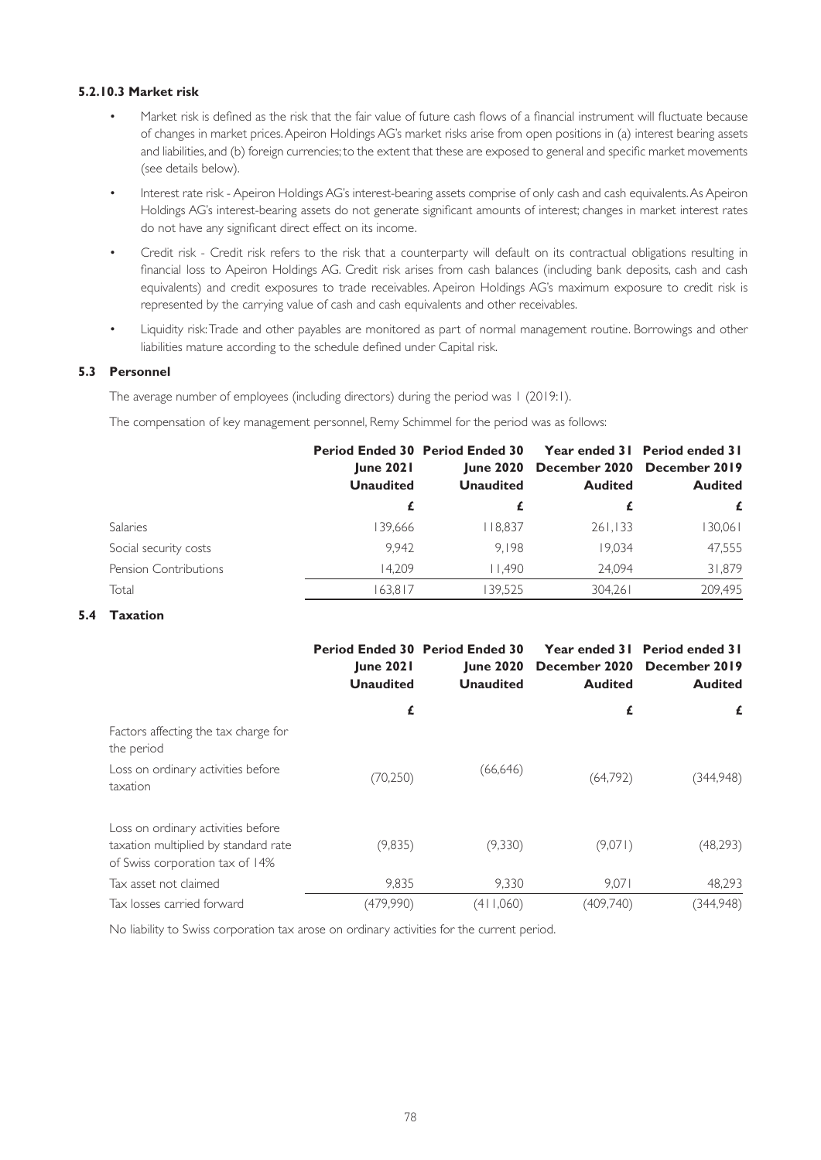# **5.2.10.3 Market risk**

- Market risk is defined as the risk that the fair value of future cash flows of a financial instrument will fluctuate because of changes in market prices. Apeiron Holdings AG's market risks arise from open positions in (a) interest bearing assets and liabilities, and (b) foreign currencies; to the extent that these are exposed to general and specific market movements (see details below).
- Interest rate risk Apeiron Holdings AG's interest-bearing assets comprise of only cash and cash equivalents. As Apeiron Holdings AG's interest-bearing assets do not generate significant amounts of interest; changes in market interest rates do not have any significant direct effect on its income.
- Credit risk Credit risk refers to the risk that a counterparty will default on its contractual obligations resulting in financial loss to Apeiron Holdings AG. Credit risk arises from cash balances (including bank deposits, cash and cash equivalents) and credit exposures to trade receivables. Apeiron Holdings AG's maximum exposure to credit risk is represented by the carrying value of cash and cash equivalents and other receivables.
- Liquidity risk: Trade and other payables are monitored as part of normal management routine. Borrowings and other liabilities mature according to the schedule defined under Capital risk.

# **5.3 Personnel**

The average number of employees (including directors) during the period was 1 (2019:1).

The compensation of key management personnel, Remy Schimmel for the period was as follows:

|                              | <b>June 2021</b><br><b>Unaudited</b> | <b>Period Ended 30 Period Ended 30</b><br><b>June 2020</b><br><b>Unaudited</b> | <b>Audited</b> | <b>Year ended 31 Period ended 31</b><br>December 2020 December 2019<br><b>Audited</b> |
|------------------------------|--------------------------------------|--------------------------------------------------------------------------------|----------------|---------------------------------------------------------------------------------------|
|                              |                                      |                                                                                |                | £                                                                                     |
| Salaries                     | 139.666                              | 18.837                                                                         | 261,133        | 130,061                                                                               |
| Social security costs        | 9.942                                | 9.198                                                                          | 19.034         | 47,555                                                                                |
| <b>Pension Contributions</b> | 14.209                               | 11.490                                                                         | 24.094         | 31,879                                                                                |
| Total                        | 163,817                              | 139.525                                                                        | 304,261        | 209,495                                                                               |

# **5.4 Taxation**

|                                                                                                               | <b>Period Ended 30 Period Ended 30</b><br><b>June 2021</b><br><b>Unaudited</b> | <b>June 2020</b><br><b>Unaudited</b> | December 2020<br><b>Audited</b> | Year ended 31 Period ended 31<br>December 2019<br><b>Audited</b> |
|---------------------------------------------------------------------------------------------------------------|--------------------------------------------------------------------------------|--------------------------------------|---------------------------------|------------------------------------------------------------------|
|                                                                                                               | £                                                                              |                                      | £                               | £                                                                |
| Factors affecting the tax charge for<br>the period                                                            |                                                                                |                                      |                                 |                                                                  |
| Loss on ordinary activities before<br>taxation                                                                | (70, 250)                                                                      | (66, 646)                            | (64,792)                        | (344,948)                                                        |
| Loss on ordinary activities before<br>taxation multiplied by standard rate<br>of Swiss corporation tax of 14% | (9,835)                                                                        | (9,330)                              | (9,071)                         | (48,293)                                                         |
| Tax asset not claimed                                                                                         | 9,835                                                                          | 9.330                                | 9,071                           | 48,293                                                           |
| Tax losses carried forward                                                                                    | (479,990)                                                                      | (411,060)                            | (409,740)                       | (344,948)                                                        |

No liability to Swiss corporation tax arose on ordinary activities for the current period.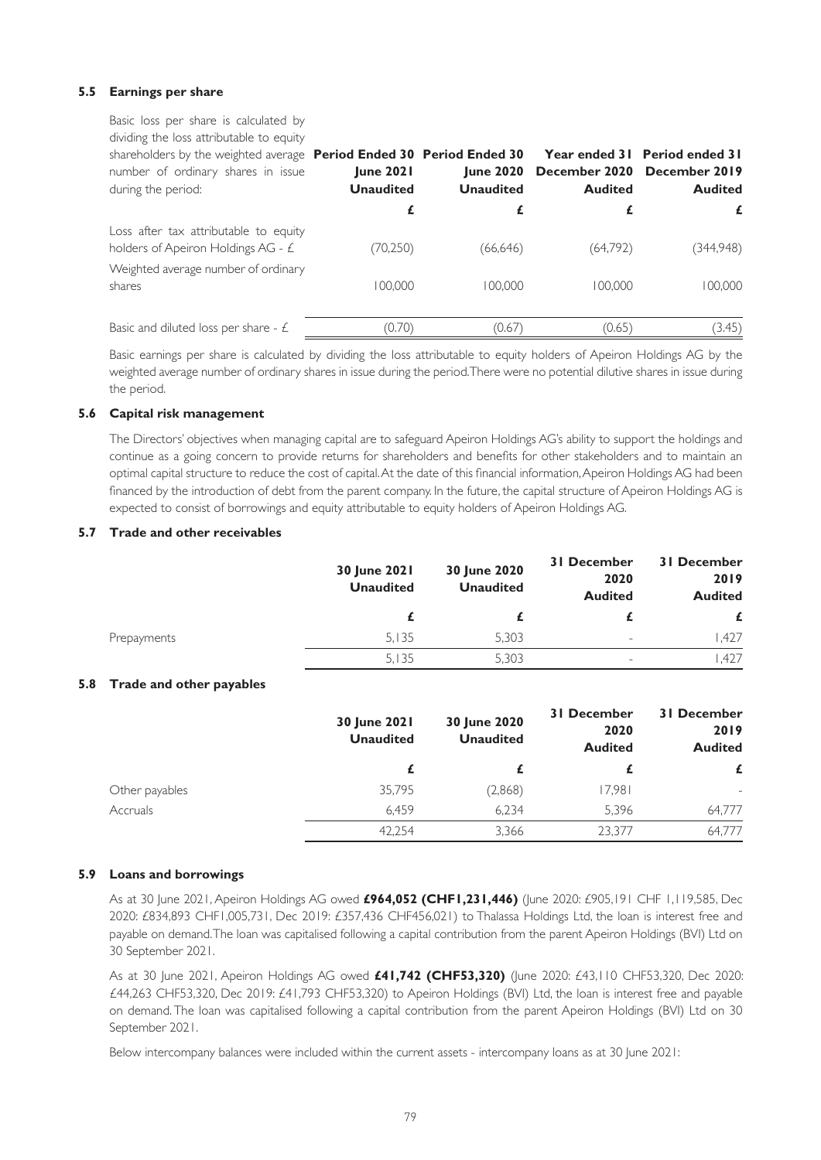# **5.5 Earnings per share**

Basic loss per share is calculated by dividing the loss attributable to equity shareholders by the weighted average **Period Ended 30 Period Ended 30**  number of ordinary shares in issue during the period: **June 2021 Unaudited June 2020 December 2020 December 2019 Unaudited Year ended 31 Period ended 31 Audited Audited £ £ £ £** Loss after tax attributable to equity holders of Apeiron Holdings AG - £ (70,250) (66,646) (64,792) (344,948) Weighted average number of ordinary shares 100,000 100,000 100,000 100,000 Basic and diluted loss per share  $\epsilon$  (0.70) (0.67) (0.65) (3.45)

Basic earnings per share is calculated by dividing the loss attributable to equity holders of Apeiron Holdings AG by the weighted average number of ordinary shares in issue during the period. There were no potential dilutive shares in issue during the period.

### **5.6 Capital risk management**

The Directors' objectives when managing capital are to safeguard Apeiron Holdings AG's ability to support the holdings and continue as a going concern to provide returns for shareholders and benefits for other stakeholders and to maintain an optimal capital structure to reduce the cost of capital. At the date of this financial information, Apeiron Holdings AG had been financed by the introduction of debt from the parent company. In the future, the capital structure of Apeiron Holdings AG is expected to consist of borrowings and equity attributable to equity holders of Apeiron Holdings AG.

### **5.7 Trade and other receivables**

|             | <b>30 June 2021</b><br><b>Unaudited</b> | 30 June 2020<br><b>Unaudited</b> | <b>31 December</b><br>2020<br><b>Audited</b> | <b>31 December</b><br>2019<br><b>Audited</b> |
|-------------|-----------------------------------------|----------------------------------|----------------------------------------------|----------------------------------------------|
|             |                                         |                                  |                                              |                                              |
| Prepayments | 5.135                                   | 5.303                            | $\overline{\phantom{a}}$                     | .427                                         |
|             | 5,135                                   | 5.303                            | $\overline{\phantom{0}}$                     | .427                                         |

# **5.8 Trade and other payables**

|                | 30 June 2021<br><b>Unaudited</b> | 30 June 2020<br><b>Unaudited</b> | <b>31 December</b><br>2020<br><b>Audited</b> | <b>31 December</b><br>2019<br><b>Audited</b> |
|----------------|----------------------------------|----------------------------------|----------------------------------------------|----------------------------------------------|
|                |                                  |                                  |                                              | £                                            |
| Other payables | 35,795                           | (2,868)                          | 17,981                                       | $\overline{\phantom{a}}$                     |
| Accruals       | 6.459                            | 6,234                            | 5,396                                        | 64.777                                       |
|                | 42.254                           | 3,366                            | 23.377                                       | 64.777                                       |

### **5.9 Loans and borrowings**

As at 30 June 2021, Apeiron Holdings AG owed **£964,052 (CHF1,231,446)** (June 2020: £905,191 CHF 1,119,585, Dec 2020: £834,893 CHF1,005,731, Dec 2019: £357,436 CHF456,021) to Thalassa Holdings Ltd, the loan is interest free and payable on demand. The loan was capitalised following a capital contribution from the parent Apeiron Holdings (BVI) Ltd on 30 September 2021.

As at 30 June 2021, Apeiron Holdings AG owed **£41,742 (CHF53,320)** (June 2020: £43,110 CHF53,320, Dec 2020: £44,263 CHF53,320, Dec 2019: £41,793 CHF53,320) to Apeiron Holdings (BVI) Ltd, the loan is interest free and payable on demand. The loan was capitalised following a capital contribution from the parent Apeiron Holdings (BVI) Ltd on 30 September 2021.

Below intercompany balances were included within the current assets - intercompany loans as at 30 June 2021: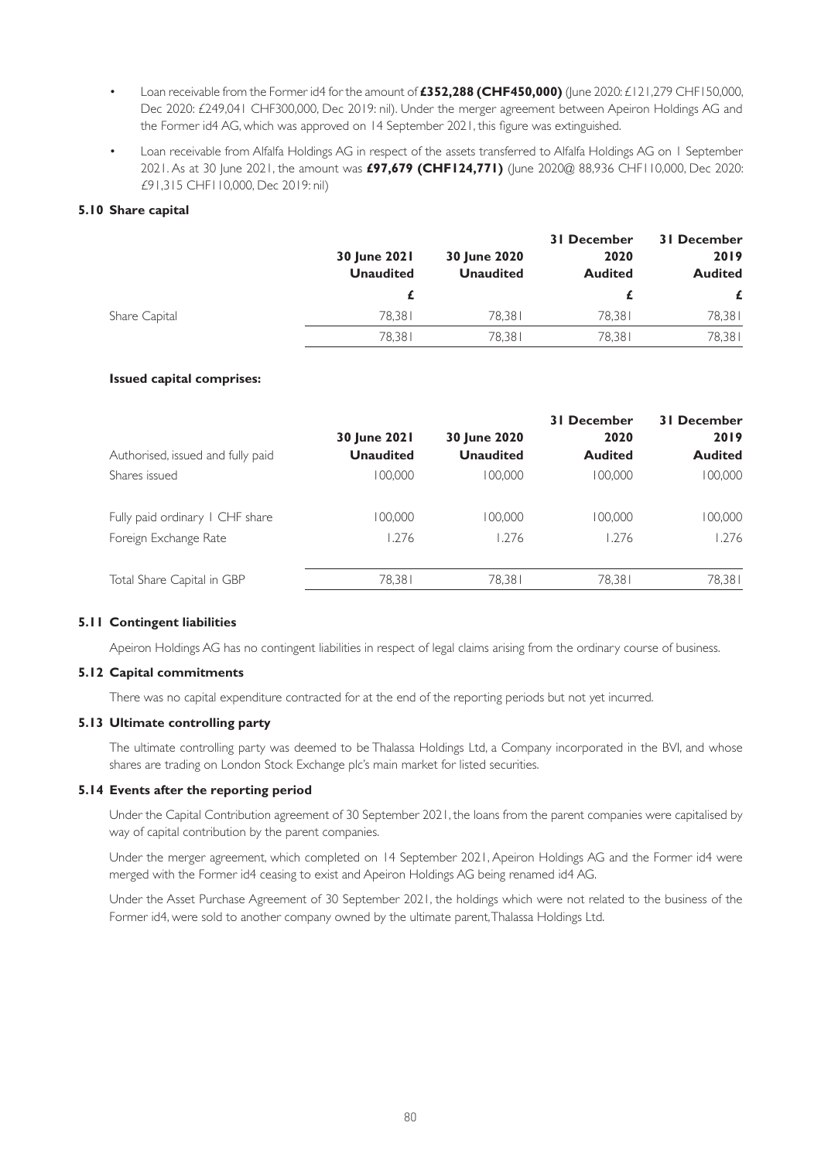- Loan receivable from the Former id4 for the amount of **£352,288 (CHF450,000)** (June 2020: £121,279 CHF150,000, Dec 2020: £249,041 CHF300,000, Dec 2019: nil). Under the merger agreement between Apeiron Holdings AG and the Former id4 AG, which was approved on 14 September 2021, this figure was extinguished.
- Loan receivable from Alfalfa Holdings AG in respect of the assets transferred to Alfalfa Holdings AG on 1 September 2021. As at 30 June 2021, the amount was **£97,679 (CHF124,771)** (June 2020@ 88,936 CHF110,000, Dec 2020: £91,315 CHF110,000, Dec 2019: nil)

### **5.10 Share capital**

|               | 30 June 2021<br><b>Unaudited</b> | 30 June 2020<br><b>Unaudited</b> | <b>31 December</b><br>2020<br><b>Audited</b> | <b>31 December</b><br>2019<br><b>Audited</b> |
|---------------|----------------------------------|----------------------------------|----------------------------------------------|----------------------------------------------|
|               |                                  |                                  |                                              |                                              |
| Share Capital | 78.381                           | 78.381                           | 78.381                                       | 78,381                                       |
|               | 78.381                           | 78.381                           | 78.381                                       | 78,381                                       |

### **Issued capital comprises:**

| Authorised, issued and fully paid | 30 June 2021<br><b>Unaudited</b> | 30 June 2020<br><b>Unaudited</b> | <b>31 December</b><br>2020<br><b>Audited</b> | <b>31 December</b><br>2019<br><b>Audited</b> |
|-----------------------------------|----------------------------------|----------------------------------|----------------------------------------------|----------------------------------------------|
| Shares issued                     | 100.000                          | 100.000                          | 100.000                                      | 00,000                                       |
| Fully paid ordinary I CHF share   | 100,000                          | 100.000                          | 100.000                                      | 00,000                                       |
| Foreign Exchange Rate             | 1.276                            | 1.276                            | 1.276                                        | 1.276                                        |
| Total Share Capital in GBP        | 78,381                           | 78,381                           | 78,381                                       | 78,381                                       |

### **5.11 Contingent liabilities**

Apeiron Holdings AG has no contingent liabilities in respect of legal claims arising from the ordinary course of business.

### **5.12 Capital commitments**

There was no capital expenditure contracted for at the end of the reporting periods but not yet incurred.

### **5.13 Ultimate controlling party**

The ultimate controlling party was deemed to be Thalassa Holdings Ltd, a Company incorporated in the BVI, and whose shares are trading on London Stock Exchange plc's main market for listed securities.

# **5.14 Events after the reporting period**

Under the Capital Contribution agreement of 30 September 2021, the loans from the parent companies were capitalised by way of capital contribution by the parent companies.

Under the merger agreement, which completed on 14 September 2021, Apeiron Holdings AG and the Former id4 were merged with the Former id4 ceasing to exist and Apeiron Holdings AG being renamed id4 AG.

Under the Asset Purchase Agreement of 30 September 2021, the holdings which were not related to the business of the Former id4, were sold to another company owned by the ultimate parent, Thalassa Holdings Ltd.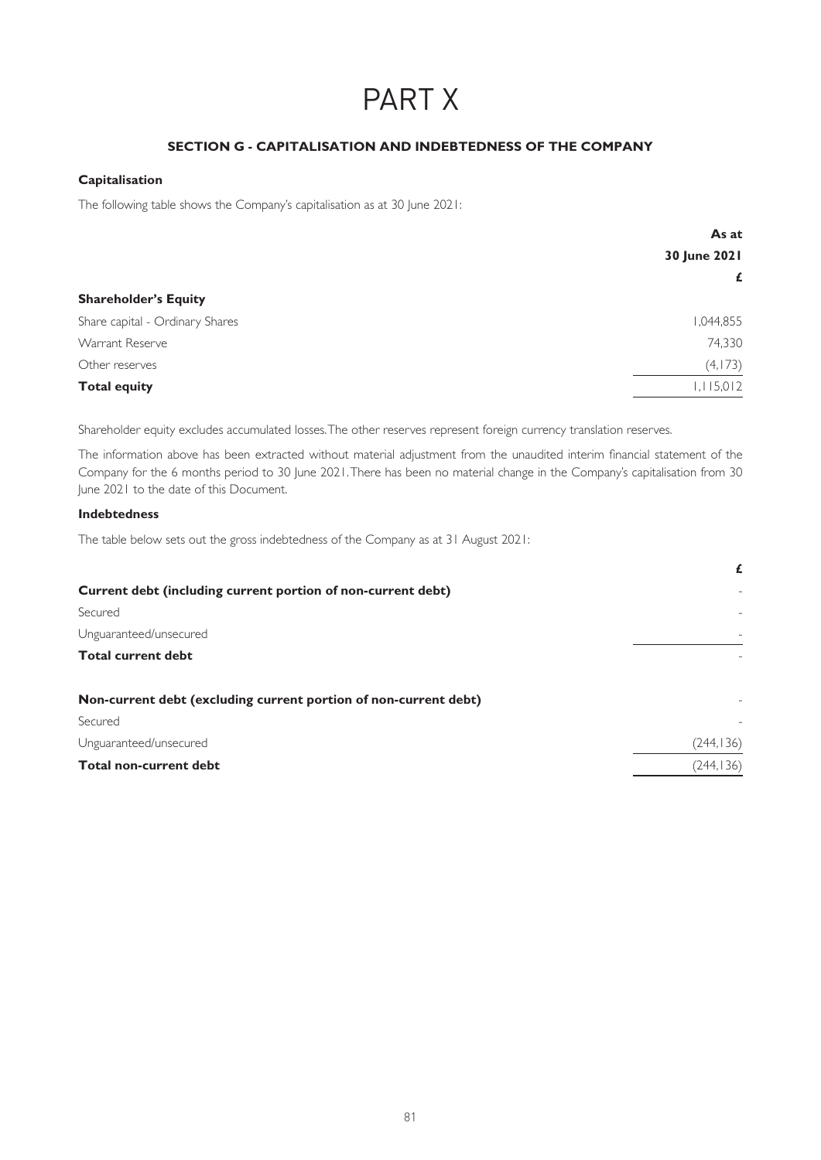# PART X

# **SECTION G - CAPITALISATION AND INDEBTEDNESS OF THE COMPANY**

# **Capitalisation**

The following table shows the Company's capitalisation as at 30 June 2021:

| As at        |
|--------------|
| 30 June 2021 |
| £            |
|              |
| 1,044,855    |
| 74,330       |
| (4,173)      |
| 1,115,012    |
|              |

Shareholder equity excludes accumulated losses. The other reserves represent foreign currency translation reserves.

The information above has been extracted without material adjustment from the unaudited interim financial statement of the Company for the 6 months period to 30 June 2021. There has been no material change in the Company's capitalisation from 30 June 2021 to the date of this Document.

### **Indebtedness**

The table below sets out the gross indebtedness of the Company as at 31 August 2021:

|                                                                  | £          |
|------------------------------------------------------------------|------------|
| Current debt (including current portion of non-current debt)     |            |
| Secured                                                          |            |
| Unguaranteed/unsecured                                           |            |
| <b>Total current debt</b>                                        |            |
| Non-current debt (excluding current portion of non-current debt) |            |
| Secured                                                          |            |
| Unguaranteed/unsecured                                           | (244, 136) |
| <b>Total non-current debt</b>                                    | (244, 136) |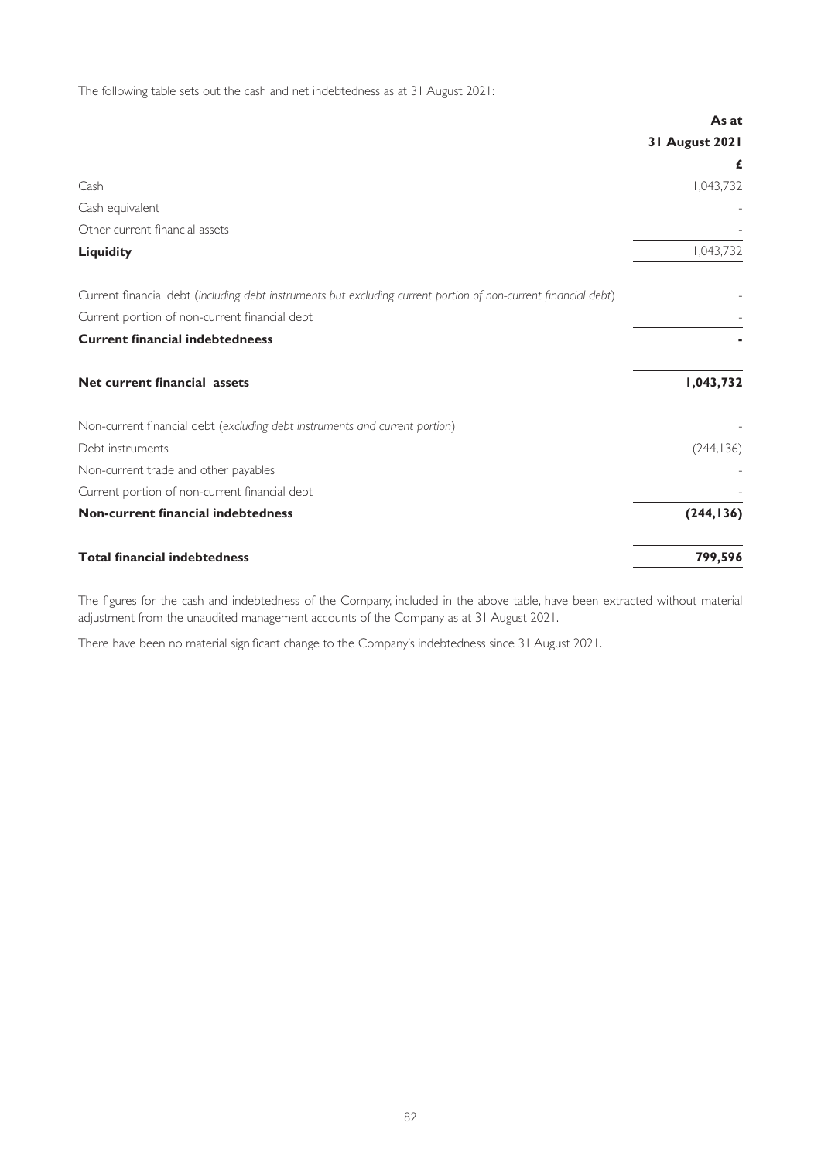The following table sets out the cash and net indebtedness as at 31 August 2021:

|                                                                                                                 | As at          |
|-----------------------------------------------------------------------------------------------------------------|----------------|
|                                                                                                                 | 31 August 2021 |
|                                                                                                                 | £              |
| Cash                                                                                                            | 1,043,732      |
| Cash equivalent                                                                                                 |                |
| Other current financial assets                                                                                  |                |
| <b>Liquidity</b>                                                                                                | 1,043,732      |
| Current financial debt (including debt instruments but excluding current portion of non-current financial debt) |                |
| Current portion of non-current financial debt                                                                   |                |
| <b>Current financial indebtedneess</b>                                                                          |                |
| Net current financial assets                                                                                    | 1,043,732      |
| Non-current financial debt (excluding debt instruments and current portion)                                     |                |
| Debt instruments                                                                                                | (244, 136)     |
| Non-current trade and other payables                                                                            |                |
| Current portion of non-current financial debt                                                                   |                |
| Non-current financial indebtedness                                                                              | (244, 136)     |
| <b>Total financial indebtedness</b>                                                                             | 799,596        |

The figures for the cash and indebtedness of the Company, included in the above table, have been extracted without material adjustment from the unaudited management accounts of the Company as at 31 August 2021.

There have been no material significant change to the Company's indebtedness since 31 August 2021.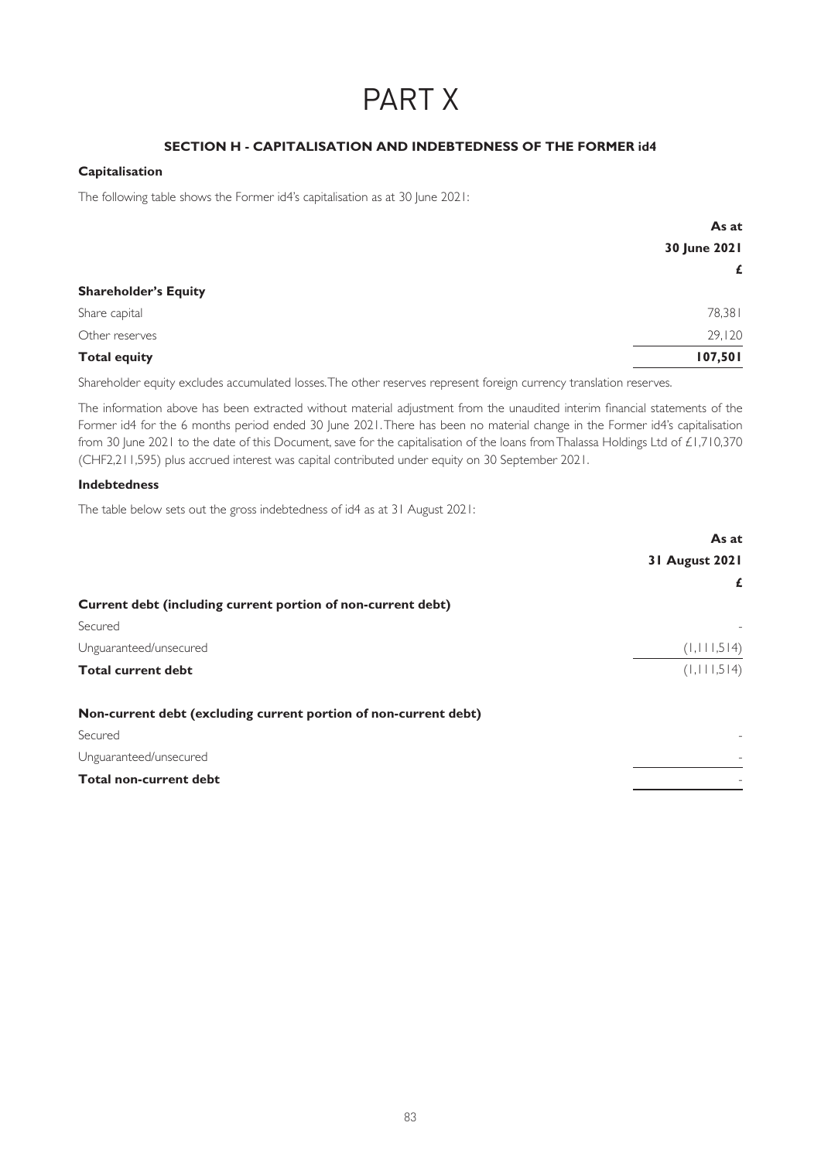# PART X

# **SECTION H - CAPITALISATION AND INDEBTEDNESS OF THE FORMER id4**

# **Capitalisation**

The following table shows the Former id4's capitalisation as at 30 June 2021:

|                             | As at        |
|-----------------------------|--------------|
|                             | 30 June 2021 |
|                             | £            |
| <b>Shareholder's Equity</b> |              |
| Share capital               | 78,381       |
| Other reserves              | 29,120       |
| <b>Total equity</b>         | 107,501      |

Shareholder equity excludes accumulated losses. The other reserves represent foreign currency translation reserves.

The information above has been extracted without material adjustment from the unaudited interim financial statements of the Former id4 for the 6 months period ended 30 June 2021. There has been no material change in the Former id4's capitalisation from 30 June 2021 to the date of this Document, save for the capitalisation of the loans from Thalassa Holdings Ltd of £1,710,370 (CHF2,211,595) plus accrued interest was capital contributed under equity on 30 September 2021.

### **Indebtedness**

The table below sets out the gross indebtedness of id4 as at 31 August 2021:

|                                                                  | As at          |
|------------------------------------------------------------------|----------------|
|                                                                  | 31 August 2021 |
|                                                                  | £              |
| Current debt (including current portion of non-current debt)     |                |
| Secured                                                          |                |
| Unguaranteed/unsecured                                           | (1, 111, 514)  |
| <b>Total current debt</b>                                        | (1, 111, 514)  |
| Non-current debt (excluding current portion of non-current debt) |                |
| Secured                                                          |                |
| Unguaranteed/unsecured                                           |                |
| <b>Total non-current debt</b>                                    |                |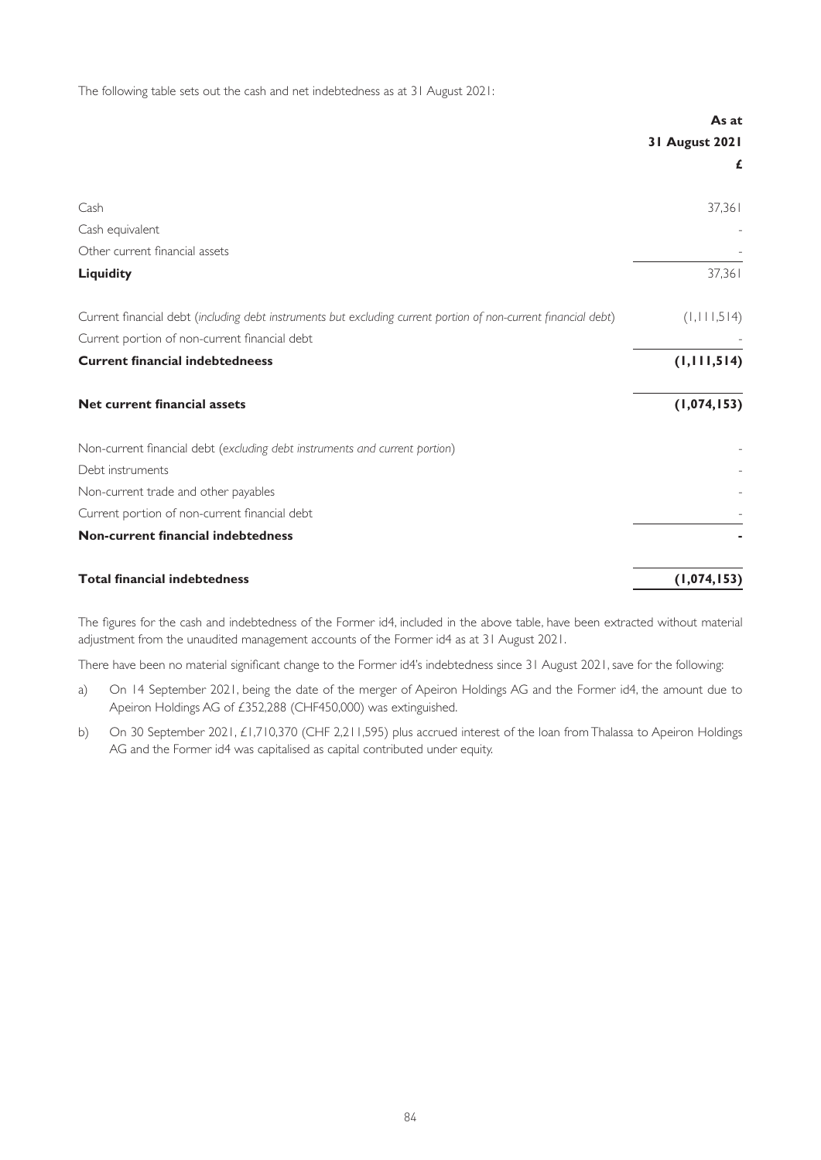The following table sets out the cash and net indebtedness as at 31 August 2021:

|                                                                                                                 | As at          |
|-----------------------------------------------------------------------------------------------------------------|----------------|
|                                                                                                                 | 31 August 2021 |
|                                                                                                                 | £              |
| Cash                                                                                                            | 37,361         |
| Cash equivalent                                                                                                 |                |
| Other current financial assets                                                                                  |                |
| <b>Liquidity</b>                                                                                                | 37,361         |
| Current financial debt (including debt instruments but excluding current portion of non-current financial debt) | (1, 111, 514)  |
| Current portion of non-current financial debt                                                                   |                |
| <b>Current financial indebtedneess</b>                                                                          | (1, 111, 514)  |
| Net current financial assets                                                                                    | (1,074,153)    |
| Non-current financial debt (excluding debt instruments and current portion)                                     |                |
| Debt instruments                                                                                                |                |
| Non-current trade and other payables                                                                            |                |
| Current portion of non-current financial debt                                                                   |                |
| Non-current financial indebtedness                                                                              |                |
| <b>Total financial indebtedness</b>                                                                             | (1,074,153)    |

The figures for the cash and indebtedness of the Former id4, included in the above table, have been extracted without material adjustment from the unaudited management accounts of the Former id4 as at 31 August 2021.

There have been no material significant change to the Former id4's indebtedness since 31 August 2021, save for the following:

- a) On 14 September 2021, being the date of the merger of Apeiron Holdings AG and the Former id4, the amount due to Apeiron Holdings AG of £352,288 (CHF450,000) was extinguished.
- b) On 30 September 2021, £1,710,370 (CHF 2,211,595) plus accrued interest of the loan from Thalassa to Apeiron Holdings AG and the Former id4 was capitalised as capital contributed under equity.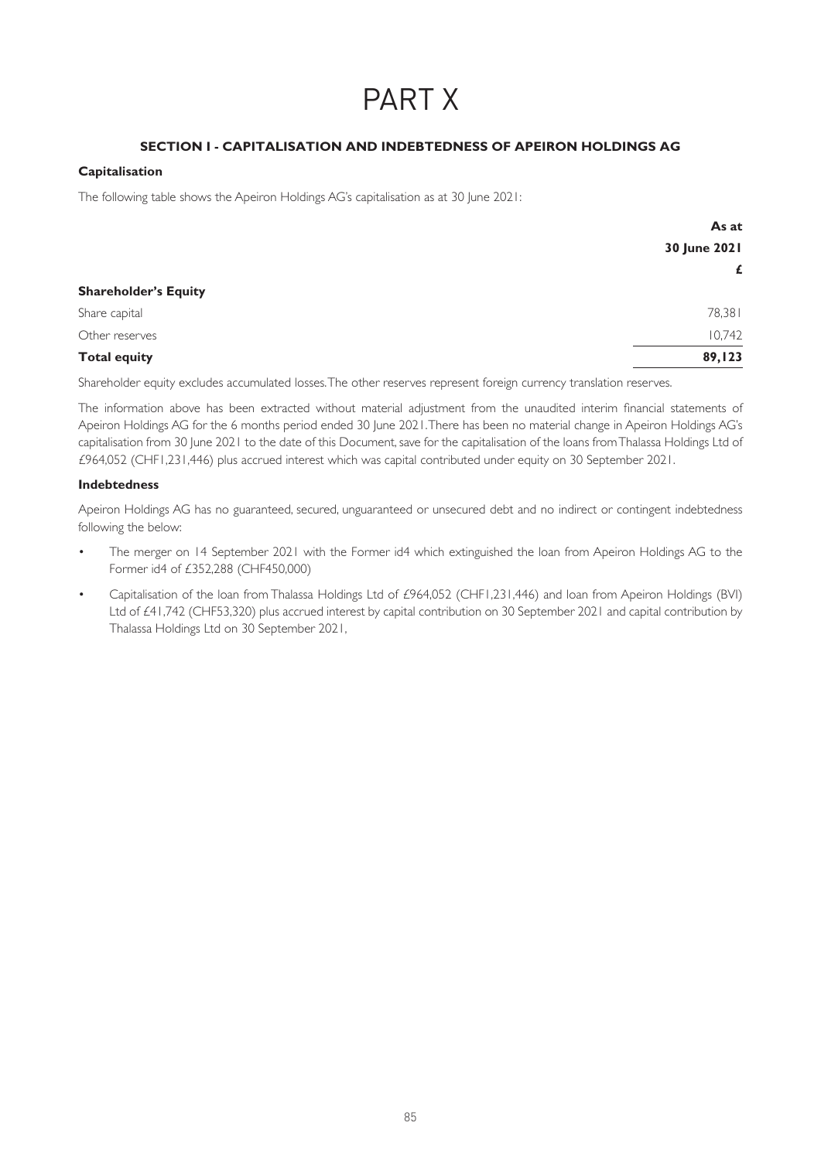# PART X

# **SECTION I - CAPITALISATION AND INDEBTEDNESS OF APEIRON HOLDINGS AG**

# **Capitalisation**

The following table shows the Apeiron Holdings AG's capitalisation as at 30 June 2021:

|                             | As at        |
|-----------------------------|--------------|
|                             | 30 June 2021 |
|                             | £            |
| <b>Shareholder's Equity</b> |              |
| Share capital               | 78,381       |
| Other reserves              | 10,742       |
| <b>Total equity</b>         | 89,123       |

Shareholder equity excludes accumulated losses. The other reserves represent foreign currency translation reserves.

The information above has been extracted without material adjustment from the unaudited interim financial statements of Apeiron Holdings AG for the 6 months period ended 30 June 2021. There has been no material change in Apeiron Holdings AG's capitalisation from 30 June 2021 to the date of this Document, save for the capitalisation of the loans from Thalassa Holdings Ltd of £964,052 (CHF1,231,446) plus accrued interest which was capital contributed under equity on 30 September 2021.

# **Indebtedness**

Apeiron Holdings AG has no guaranteed, secured, unguaranteed or unsecured debt and no indirect or contingent indebtedness following the below:

- The merger on 14 September 2021 with the Former id4 which extinguished the loan from Apeiron Holdings AG to the Former id4 of £352,288 (CHF450,000)
- Capitalisation of the loan from Thalassa Holdings Ltd of £964,052 (CHF1,231,446) and loan from Apeiron Holdings (BVI) Ltd of £41,742 (CHF53,320) plus accrued interest by capital contribution on 30 September 2021 and capital contribution by Thalassa Holdings Ltd on 30 September 2021,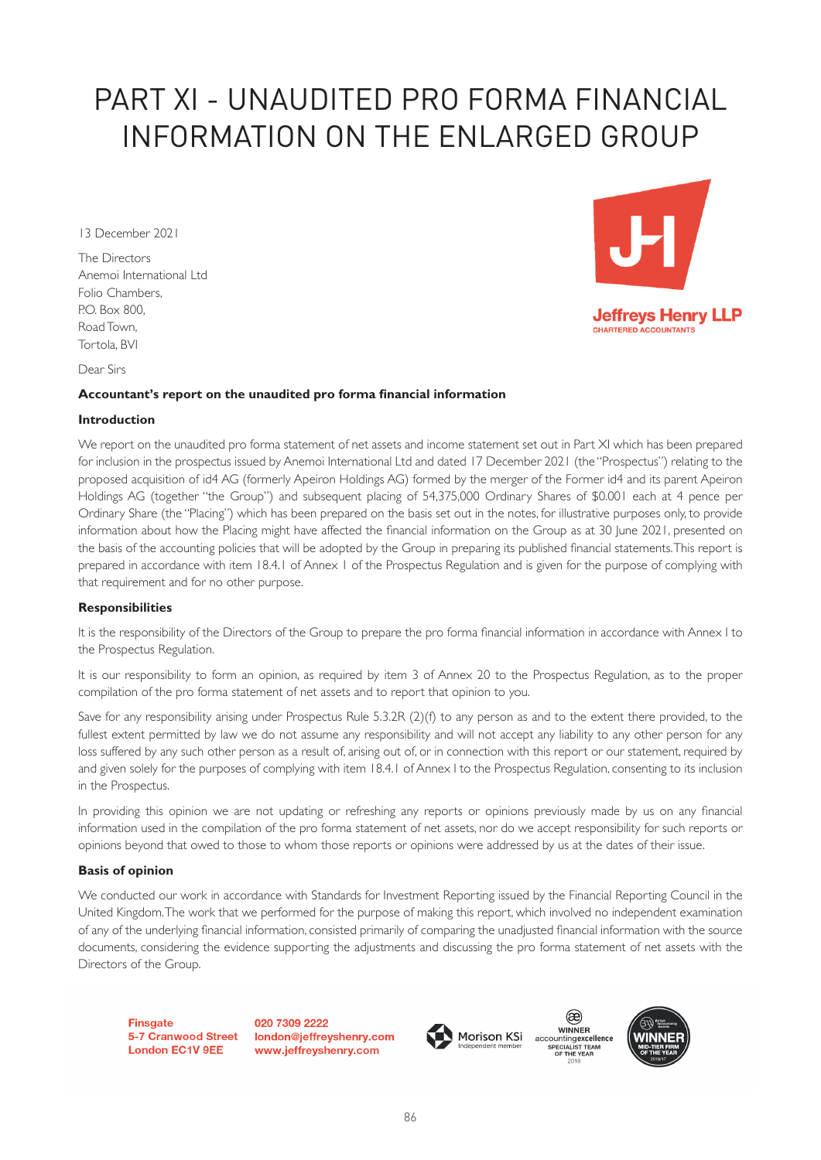# PART XI - UNAUDITED PRO FORMA FINANCIAL INFORMATION ON THE ENLARGED GROUP

13 December 2021

The Directors Anemoi International Ltd Folio Chambers, P.O. Box 800, Road Town, Tortola, BVI



Dear Sirs

# **Accountant's report on the unaudited pro forma financial information**

# **Introduction**

We report on the unaudited pro forma statement of net assets and income statement set out in Part XI which has been prepared for inclusion in the prospectus issued by Anemoi International Ltd and dated 17 December 2021 (the "Prospectus") relating to the proposed acquisition of id4 AG (formerly Apeiron Holdings AG) formed by the merger of the Former id4 and its parent Apeiron Holdings AG (together "the Group") and subsequent placing of 54,375,000 Ordinary Shares of \$0.001 each at 4 pence per Ordinary Share (the "Placing") which has been prepared on the basis set out in the notes, for illustrative purposes only, to provide information about how the Placing might have affected the financial information on the Group as at 30 June 2021, presented on the basis of the accounting policies that will be adopted by the Group in preparing its published financial statements. This report is prepared in accordance with item 18.4.1 of Annex 1 of the Prospectus Regulation and is given for the purpose of complying with that requirement and for no other purpose.

# **Responsibilities**

It is the responsibility of the Directors of the Group to prepare the pro forma financial information in accordance with Annex I to the Prospectus Regulation.

It is our responsibility to form an opinion, as required by item 3 of Annex 20 to the Prospectus Regulation, as to the proper compilation of the pro forma statement of net assets and to report that opinion to you.

Save for any responsibility arising under Prospectus Rule 5.3.2R (2)(f) to any person as and to the extent there provided, to the fullest extent permitted by law we do not assume any responsibility and will not accept any liability to any other person for any loss suffered by any such other person as a result of, arising out of, or in connection with this report or our statement, required by and given solely for the purposes of complying with item 18.4.1 of Annex I to the Prospectus Regulation, consenting to its inclusion in the Prospectus.

In providing this opinion we are not updating or refreshing any reports or opinions previously made by us on any financial information used in the compilation of the pro forma statement of net assets, nor do we accept responsibility for such reports or opinions beyond that owed to those to whom those reports or opinions were addressed by us at the dates of their issue.

# **Basis of opinion**

We conducted our work in accordance with Standards for Investment Reporting issued by the Financial Reporting Council in the United Kingdom. The work that we performed for the purpose of making this report, which involved no independent examination of any of the underlying financial information, consisted primarily of comparing the unadjusted financial information with the source documents, considering the evidence supporting the adjustments and discussing the pro forma statement of net assets with the Directors of the Group.

**Finsaate London EC1V 9EE** 

020 7309 2222 5-7 Cranwood Street london@jeffreyshenry.com www.jeffreyshenry.com





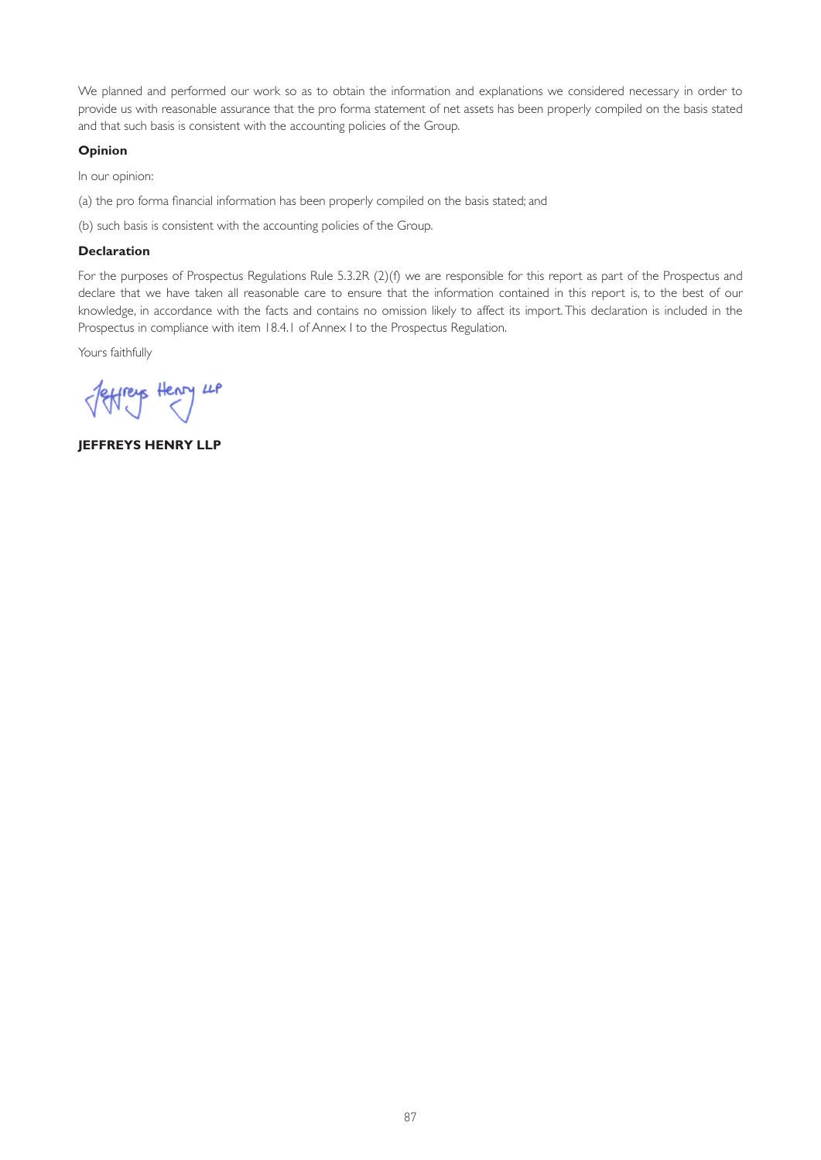We planned and performed our work so as to obtain the information and explanations we considered necessary in order to provide us with reasonable assurance that the pro forma statement of net assets has been properly compiled on the basis stated and that such basis is consistent with the accounting policies of the Group.

# **Opinion**

In our opinion:

(a) the pro forma financial information has been properly compiled on the basis stated; and

(b) such basis is consistent with the accounting policies of the Group.

# **Declaration**

For the purposes of Prospectus Regulations Rule 5.3.2R (2)(f) we are responsible for this report as part of the Prospectus and declare that we have taken all reasonable care to ensure that the information contained in this report is, to the best of our knowledge, in accordance with the facts and contains no omission likely to affect its import. This declaration is included in the Prospectus in compliance with item 18.4.1 of Annex I to the Prospectus Regulation.

Yours faithfully

Jeffreys Henry LP

**JEFFREYS HENRY LLP**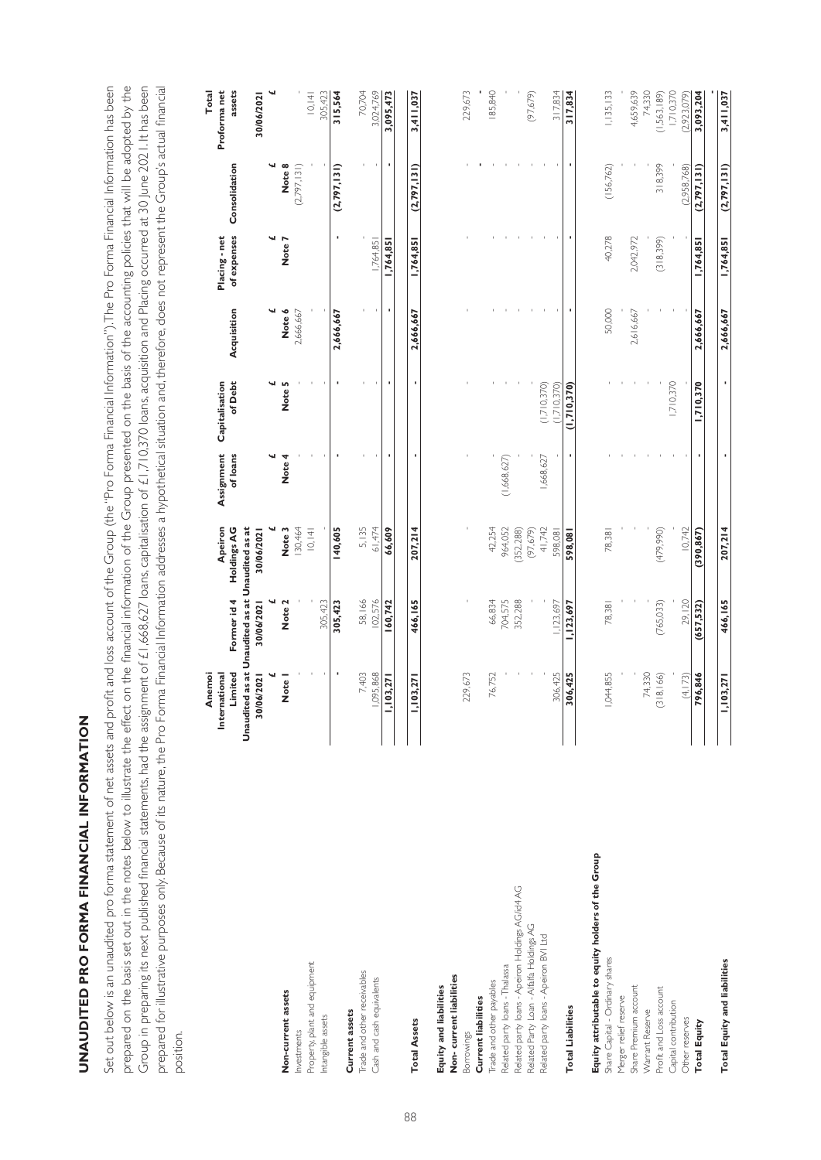# UNAUDITED PRO FORMA FINANCIAL INFORMATION UNA ENDINATION ANG PARA FINANCIAL INFORMATION<br>PRO FINANCIAL INFORMATION

Group in preparing its next published financial statements, had the assignment of £1,668,627 Ioans, capitalisation of £1,710,370 Ioans, acquisition and Placing occurred at 30 June 2021. It has been Set out below is an unaudited pro forma statement of net assets and profit and loss account of the Group (the "Pro Forma Financial Information"). The Pro Forma Financial Information has been Set out below is an unaudited pro forma statement of net assets and profit and loss account of the Group (the "Pro Forma Financial Information"). The Pro Forma Financial Information has been prepared on the basis set out in the notes below to illustrate the effect on the financial information of the Group presented on the basis of the accounting policies that will be adopted by the prepared on the basis set out in the notes below to illustrate the effect on the financial information of the Group presented on the basis of the accounting policies that will be adopted by the Group in preparing its next published financial statements, had the assignment of £1,668,627 loans, capitalisation of £1,710,370 loans, acquisition and Placing occurred at 30 June 2021. It has been prepared for illustrative purposes only. Because of its nature, the Pro Forma Financial Information addresses a hypothetical situation and, therefore, does not represent the Group's actual financial prepared for illustrative purposes only. Because of its nature, the Pro Forma Financial Information addresses a hypothetical situation and, therefore, does not represent the Group's actual financial position.

|                                                    | Unaudited as at Unaudited as at Unaudited as at<br>Anemoi<br>Limited<br>International | Former id 4 | Apeiron<br>Holdings AG | Assignment<br>of loans | of Debt<br>Capitalisation | Acquisition | of expenses<br>Placing - net | Consolidation | Proforma net<br>assets<br><b>Total</b> |
|----------------------------------------------------|---------------------------------------------------------------------------------------|-------------|------------------------|------------------------|---------------------------|-------------|------------------------------|---------------|----------------------------------------|
|                                                    | 30/06/2021                                                                            | 30/06/2021  | 30/06/2021             |                        |                           |             |                              | ч             | ч<br>30/06/2021                        |
| Non-current assets                                 | <b>Note</b>                                                                           | Note 2      | Note 3                 | Note 4                 | Note 5                    | Note 6      | Note:                        | Note 8        |                                        |
| nvestments                                         |                                                                                       |             | 130,464                |                        |                           | 2,666,667   |                              | (2.797.131)   |                                        |
| Property, plant and equipment                      |                                                                                       |             | 0,  4                  |                        |                           |             |                              |               | 0,  4                                  |
| Intangible assets                                  |                                                                                       | 305,423     |                        |                        |                           |             |                              |               | 305,423                                |
|                                                    | ٠                                                                                     | 305,423     | 140,605                |                        | ٠                         | 2,666,667   |                              | (2,797,131)   | 315,564                                |
| Trade and other receivables<br>Current assets      | 7,403                                                                                 | 58,166      | 5,135                  |                        |                           |             |                              |               | 70,704                                 |
| Cash and cash equivalents                          | 1,095,868                                                                             | 102,576     | 61,474                 |                        |                           |             | 1,764,85                     |               | 3,024,769                              |
|                                                    | 03,27 <br>Ξ                                                                           | 160,742     | 66,609                 |                        | ٠                         | ٠           | 1,764,85                     |               | 3,095,473                              |
| <b>Total Assets</b>                                | 03,271<br>Ξ                                                                           | 466,165     | 207,214                |                        | ٠                         | 2,666,667   | 1,764,851                    | (2,797,131)   | 3,411,037                              |
| Equity and liabilities                             |                                                                                       |             |                        |                        |                           |             |                              |               |                                        |
| Non-current liabilities                            | 229,673                                                                               |             |                        |                        |                           |             |                              |               | 229,673                                |
| <b>Current liabilities</b><br>Borrowings           |                                                                                       |             |                        |                        |                           |             |                              |               |                                        |
| Trade and other payables                           | 76,752                                                                                | 66,834      | 42,254                 |                        |                           |             |                              |               | 185,840                                |
| Related party loans - Thalassa                     |                                                                                       | 704,575     | 964,052                | (1,668,627)            |                           |             |                              |               |                                        |
| Related party loans - Apeiron Holdings AG/id4 AG   |                                                                                       | 352,288     | (352, 288)             |                        |                           |             |                              |               |                                        |
| Related Party Loan - Alfalfa Holdings AG           |                                                                                       |             | (97,679)               |                        |                           |             |                              |               | (97,679)                               |
| Related party loans - Apeiron BVI Ltd              |                                                                                       |             | 41,742                 | 1,668,627              | (1,710,370)               |             |                              |               |                                        |
|                                                    | 306,425                                                                               | ,123,697    | 598,081                |                        | (1.710, 370)              |             |                              |               | 317,834                                |
| <b>Total Liabilities</b>                           | 306,425                                                                               | 1,123,697   | 598,08                 |                        | (1,710,370)               |             |                              |               | 317,834                                |
| Equity attributable to equity holders of the Group |                                                                                       |             |                        |                        |                           |             |                              |               |                                        |
| Share Capital - Ordinary shares                    | 1,044,855                                                                             | 78,381      | 78,381                 |                        |                           | 50,000      | 40,278                       | (156,762)     | 1,135,133                              |
| Merger relief reserve                              |                                                                                       |             |                        |                        |                           |             |                              |               |                                        |
| Share Premium account                              |                                                                                       |             |                        |                        |                           | 2,616,667   | 2,042,972                    |               | 4,659,639                              |
| <b>Narrant Reserve</b>                             | 74,330                                                                                |             |                        |                        |                           |             |                              |               | 74,330                                 |
| Profit and Loss account                            | $ 8,166\rangle$<br>≌                                                                  | (765, 033)  | (479,990)              |                        |                           |             | (318,399)                    | 318,399       | (1,563,189)                            |
| Capital contribution                               |                                                                                       |             |                        |                        | 1,710,370                 |             |                              |               | 1,710,370                              |
| Other reserves                                     | (4,173)                                                                               | 29,120      | 10,742                 |                        |                           |             |                              | (2.958,768)   | (2,923,079)                            |
| <b>Total Equity</b>                                | 96,846                                                                                | (657, 532)  | (390, 867)             |                        | 1,710,370                 | 2,666,667   | 1,764,851                    | (2,797,131)   | 3,093,204                              |
| <b>Total Equity and liabilities</b>                | 1,103,271                                                                             | 466,165     | 207,214                | ł                      | ł                         | 2,666,667   | 1,764,851                    | (2,797,131)   | 3,411,037                              |
|                                                    |                                                                                       |             |                        |                        |                           |             |                              |               |                                        |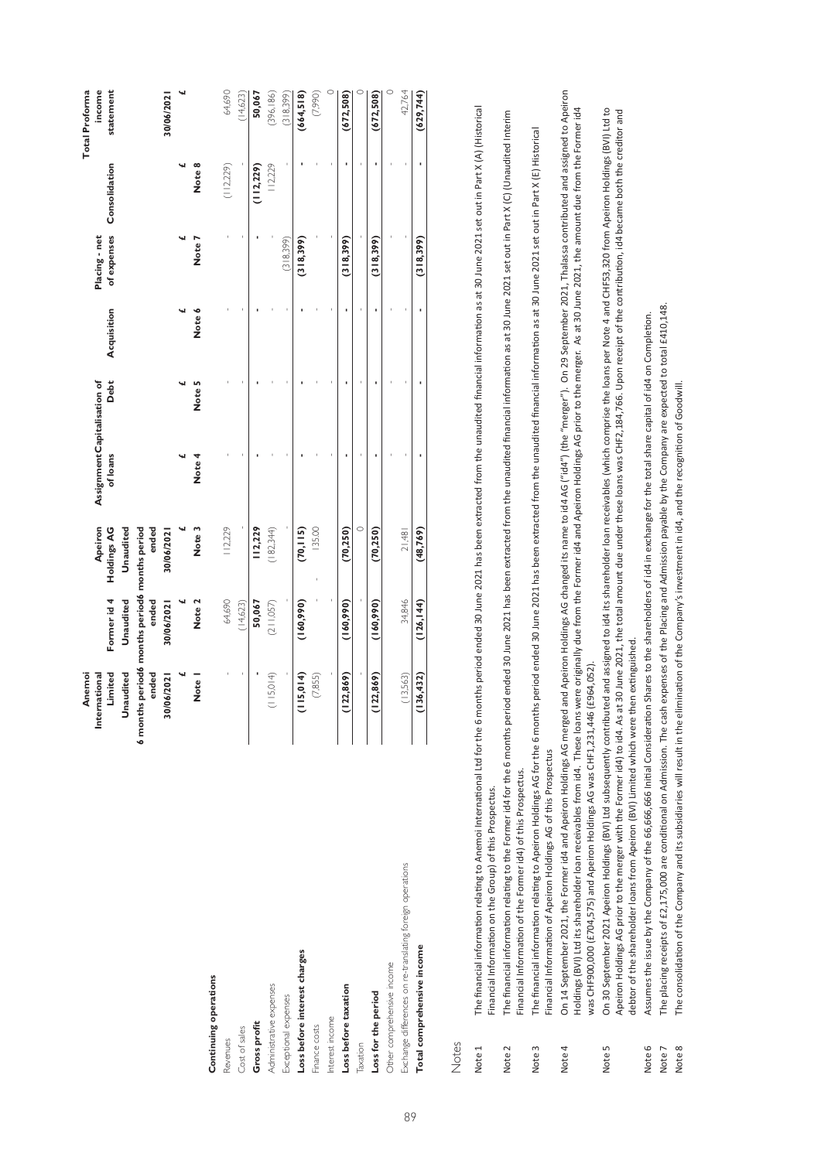|                                                           | Anemoi                                        |             |             |                             |        |             |               |               | <b>Total Proforma</b> |
|-----------------------------------------------------------|-----------------------------------------------|-------------|-------------|-----------------------------|--------|-------------|---------------|---------------|-----------------------|
|                                                           | International                                 |             | Apeiron     | AssignmentCapitalisation of |        |             | Placing - net |               | income                |
|                                                           | Limited                                       | Former id 4 | Holdings AG | of loans                    | Debt   | Acquisition | of expenses   | Consolidation | statement             |
|                                                           | Unaudited                                     | Unaudited   | Unaudited   |                             |        |             |               |               |                       |
|                                                           | 6 months period6 months period6 months period |             |             |                             |        |             |               |               |                       |
|                                                           | ended                                         | ended       | ended       |                             |        |             |               |               |                       |
|                                                           | 30/06/2021                                    | 30/06/2021  | 30/06/2021  |                             |        |             |               |               | 30/06/2021            |
|                                                           |                                               |             |             |                             |        |             |               |               |                       |
|                                                           | Note I                                        | Note 2      | Note 3      | Note 4                      | Note 5 | Note 6      | Note:         | Note 8        |                       |
| Continuing operations                                     |                                               |             |             |                             |        |             |               |               |                       |
| Revenues                                                  |                                               | 64,690      | 112,229     |                             |        |             |               | (112, 229)    | 64,690                |
| Cost of sales                                             |                                               | (14, 623)   |             |                             |        |             |               |               | (14,623)              |
| Gross profit                                              |                                               | 50,067      | 112,229     |                             |        |             |               | (112, 229)    | 50,067                |
| Administrative expenses                                   | (115,014)                                     | (211,057)   | (182, 344)  |                             |        |             |               | 112,229       | (396, 186)            |
| Exceptional expenses                                      |                                               |             |             |                             |        |             | (318,399)     |               | (318,399)             |
| Loss before interest charges                              | 15,014                                        | (160, 990)  | (70, 115)   |                             |        |             | (318,399)     |               | (664, 518)            |
| Finance costs                                             | (7,855)                                       |             | 135.00      |                             |        |             |               |               | (7,990)               |
| Interest income                                           |                                               |             |             |                             |        |             |               |               |                       |
| Loss before taxation                                      | 22,869)                                       | (160, 990)  | (70, 250)   |                             |        |             | (318, 399)    |               | (672, 508)            |
| Taxation                                                  |                                               |             | $\circ$     |                             |        |             |               |               |                       |
| Loss for the period                                       | (22, 869)                                     | (160, 990)  | (70, 250)   |                             |        |             | (318, 399)    |               | (672, 508)            |
| Other comprehensive income                                |                                               |             |             |                             |        |             |               |               | $\circ$               |
| Exchange differences on re-translating foreign operations | (13,563)                                      | 34,846      | 21,481      |                             |        |             |               |               | 42,764                |
| Total comprehensive income                                | 136,432                                       | (126, 144)  | (48, 769)   |                             |        |             | (318, 399)    |               | (629, 744)            |
|                                                           |                                               |             |             |                             |        |             |               |               |                       |

Notes

89

Note 1 The financial information relating to Anemoi International Ltd for the 6 months period ended 30 June 2021 has been extracted from the unaudited financial information as at 30 June 2021 set out in Part X(A) (Historic The financial information relating to Anemoi International Ltd for the 6 months period ended 30 June 2021 has been extracted from the unaudited financial information as at 30 June 2021 set out in Part X (A) (Historical Financial Information on the Group) of this Prospectus. Financial Information on the Group) of this Prospectus. Note 1

Note 2 The financial information relating to the Former id4 for the 6 months period ended 30 June 2021 has been extracted from the unaudited financial information as at 30 June 2021 set out in Part X (C) (Unaudited Interim The financial information relating to the Former id4 for the 6 months period ended 30 June 2021 has been extracted from the unaudited financial information as at 30 June 2021 set out in Part X (C) (Unaudited Interim Financial Information of the Former id4) of this Prospectus. Financial Information of the Former id4) of this Prospectus. Note 2

The financial information relating to Apeiron Holdings AG for the 6 months period ended 30 June 2021 has been extracted from the unaudited financial information as at 30 June 2021 set out in Part X (E) Historical Note 3 The financial information relating to Apeiron Holdings AG for the 6 months period ended 30 June 2021 has been extracted from the unaudited financial information as at 30 June 2021 set out in Part X (E) Historical Financial Information of Apeiron Holdings AG of this Prospectus Financial Information of Apeiron Holdings AG of this Prospectus Note 3

Note 4 On 14 September 2021, the Former id4 and Apeiron Holdings AG merged and Apeiron Holdings AG changed its name to id4 AG ("id4") (the "merger"). On 29 September 2021, Thalassa contributed and assigned to Apeiron On 14 September 2021, the Former idd and Apeiron Holdings AG merged and Apeiron Holdings AG changed its name to idd AG ("id4") (the "merger"). On 29 September 2021, Thalassa contributed and assigned to Apeiron Holdings (BVI) Ltd its shareholder loan receivables from id4. These loans were originally due from the Form that ond Apeiron Holdings AG prior to the merger. As at 30 June 2021, the amount due from the Former id4 Holdings (BVI) Ltd its shareholder loan receivables from id4. These loans were originally due from the Former id4 and Apeiron Holdings AG prior to the merger. As at 30 June 2021, the amount due from the Former id4 was CHF900,000 (£704,575) and Apeiron Holdings AG was CHF1,231,446 (£964,052). was CHF900,000 (£704,575) and Apeiron Holdings AG was CHF1,231,446 (£964,052). Note 4

On 30 September 2021 Apeiron Holdings (BVI) Ltd subsequently contributed and assigned to id4 its shareholder loan receivables (which comprise the loans per Note 4 and CHF53,320 from Apeiron Holdings (BVI) Ltd to Note 5 On 30 September 2021 Apeiron Holdings (BVI) Ltd subsequently contributed and assigned to id4 its shareholder loan receivables (which comprise the loans per Note 4 and CHF53,320 from Apeiron Holdings (BVI) Ltd to Apeiron Holdings AG prior to the merger with the Former id4) to id4. As at 30 June 2021, the total amount due under these loans was CHF2,184,766. Upon receipt of the contribution, id4 became both the creditor and Apeiron Holdings AG prior to the merger with the Former id4) to id4. As at 30 June 2021, the total amount due under these loans was CHF2,184,766. Upon receipt of the contribution, id4 became both the creditor and debtor of the shareholder loans from Apeiron (BVI) Limited which were then extinguished. debtor of the shareholder loans from Apeiron (BVI) Limited which were then extinguished. Note 5

Asumes the issue by the Company of the 66,666,666 Initial Consideration Shares to the shareholders of id4 in exchange for the total share capital of id4 on Completion. Note 6 Assumes the issue by the Company of the 66,666,666 Initial Consideration Shares to the shareholders of id4 in exchange for the total share capital of id4 on Completion. Note 6

Note 7 The placing receipts of £2,175,000 are conditional on Admission. The cash expenses of the Placing and Admission payable by the Company are expected to total £410,148. The placing receipts of £2,175,000 are conditional on Admission. The cash expenses of the Placing and Admission payable by the Company are expected to total £410,148. Note 7

The consolidation of the Company and its subsidiaries will result in the elimination of the Company's investment in id4, and the recognition of Goodwill. Note 8 The consolidation of the Company and its subsidiaries will result in the elimination of the Company's investment in id4, and the recognition of Goodwill. Note 8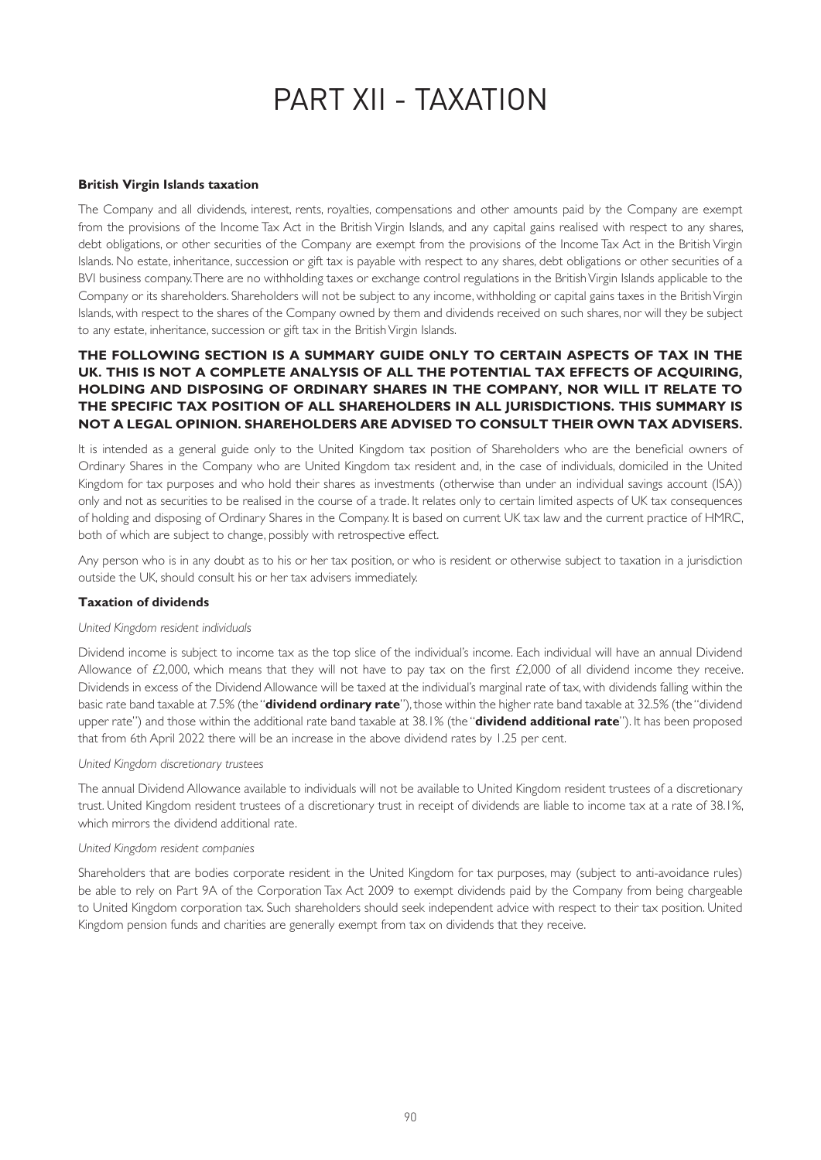# PART XII - TAXATION

### **British Virgin Islands taxation**

The Company and all dividends, interest, rents, royalties, compensations and other amounts paid by the Company are exempt from the provisions of the Income Tax Act in the British Virgin Islands, and any capital gains realised with respect to any shares, debt obligations, or other securities of the Company are exempt from the provisions of the Income Tax Act in the British Virgin Islands. No estate, inheritance, succession or gift tax is payable with respect to any shares, debt obligations or other securities of a BVI business company. There are no withholding taxes or exchange control regulations in the British Virgin Islands applicable to the Company or its shareholders. Shareholders will not be subject to any income, withholding or capital gains taxes in the British Virgin Islands, with respect to the shares of the Company owned by them and dividends received on such shares, nor will they be subject to any estate, inheritance, succession or gift tax in the British Virgin Islands.

# **THE FOLLOWING SECTION IS A SUMMARY GUIDE ONLY TO CERTAIN ASPECTS OF TAX IN THE UK. THIS IS NOT A COMPLETE ANALYSIS OF ALL THE POTENTIAL TAX EFFECTS OF ACQUIRING, HOLDING AND DISPOSING OF ORDINARY SHARES IN THE COMPANY, NOR WILL IT RELATE TO THE SPECIFIC TAX POSITION OF ALL SHAREHOLDERS IN ALL JURISDICTIONS. THIS SUMMARY IS NOT A LEGAL OPINION. SHAREHOLDERS ARE ADVISED TO CONSULT THEIR OWN TAX ADVISERS.**

It is intended as a general guide only to the United Kingdom tax position of Shareholders who are the beneficial owners of Ordinary Shares in the Company who are United Kingdom tax resident and, in the case of individuals, domiciled in the United Kingdom for tax purposes and who hold their shares as investments (otherwise than under an individual savings account (ISA)) only and not as securities to be realised in the course of a trade. It relates only to certain limited aspects of UK tax consequences of holding and disposing of Ordinary Shares in the Company. It is based on current UK tax law and the current practice of HMRC, both of which are subject to change, possibly with retrospective effect.

Any person who is in any doubt as to his or her tax position, or who is resident or otherwise subject to taxation in a jurisdiction outside the UK, should consult his or her tax advisers immediately.

### **Taxation of dividends**

### *United Kingdom resident individuals*

Dividend income is subject to income tax as the top slice of the individual's income. Each individual will have an annual Dividend Allowance of £2,000, which means that they will not have to pay tax on the first  $£2,000$  of all dividend income they receive. Dividends in excess of the Dividend Allowance will be taxed at the individual's marginal rate of tax, with dividends falling within the basic rate band taxable at 7.5% (the "**dividend ordinary rate**"), those within the higher rate band taxable at 32.5% (the "dividend upper rate") and those within the additional rate band taxable at 38.1% (the "**dividend additional rate**"). It has been proposed that from 6th April 2022 there will be an increase in the above dividend rates by 1.25 per cent.

### *United Kingdom discretionary trustees*

The annual Dividend Allowance available to individuals will not be available to United Kingdom resident trustees of a discretionary trust. United Kingdom resident trustees of a discretionary trust in receipt of dividends are liable to income tax at a rate of 38.1%, which mirrors the dividend additional rate.

### *United Kingdom resident companies*

Shareholders that are bodies corporate resident in the United Kingdom for tax purposes, may (subject to anti-avoidance rules) be able to rely on Part 9A of the Corporation Tax Act 2009 to exempt dividends paid by the Company from being chargeable to United Kingdom corporation tax. Such shareholders should seek independent advice with respect to their tax position. United Kingdom pension funds and charities are generally exempt from tax on dividends that they receive.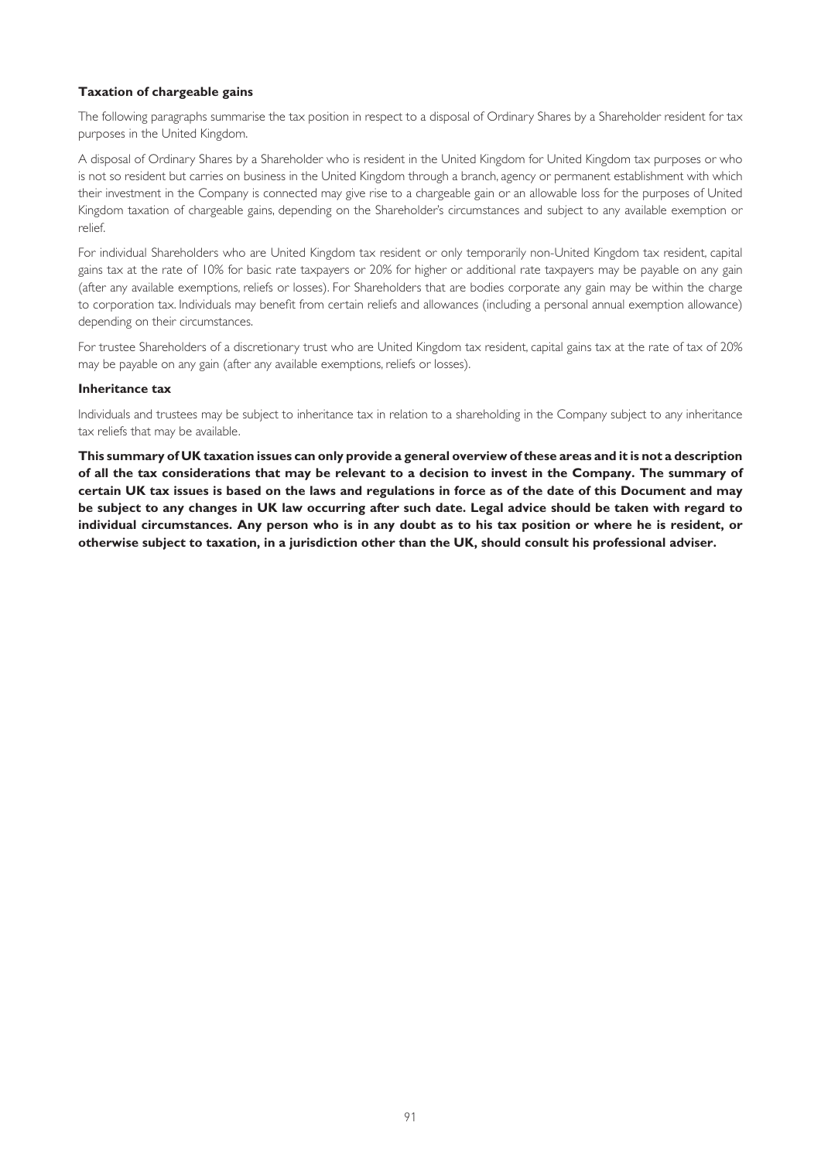# **Taxation of chargeable gains**

The following paragraphs summarise the tax position in respect to a disposal of Ordinary Shares by a Shareholder resident for tax purposes in the United Kingdom.

A disposal of Ordinary Shares by a Shareholder who is resident in the United Kingdom for United Kingdom tax purposes or who is not so resident but carries on business in the United Kingdom through a branch, agency or permanent establishment with which their investment in the Company is connected may give rise to a chargeable gain or an allowable loss for the purposes of United Kingdom taxation of chargeable gains, depending on the Shareholder's circumstances and subject to any available exemption or relief.

For individual Shareholders who are United Kingdom tax resident or only temporarily non-United Kingdom tax resident, capital gains tax at the rate of 10% for basic rate taxpayers or 20% for higher or additional rate taxpayers may be payable on any gain (after any available exemptions, reliefs or losses). For Shareholders that are bodies corporate any gain may be within the charge to corporation tax. Individuals may benefit from certain reliefs and allowances (including a personal annual exemption allowance) depending on their circumstances.

For trustee Shareholders of a discretionary trust who are United Kingdom tax resident, capital gains tax at the rate of tax of 20% may be payable on any gain (after any available exemptions, reliefs or losses).

### **Inheritance tax**

Individuals and trustees may be subject to inheritance tax in relation to a shareholding in the Company subject to any inheritance tax reliefs that may be available.

**This summary of UK taxation issues can only provide a general overview of these areas and it is not a description of all the tax considerations that may be relevant to a decision to invest in the Company. The summary of certain UK tax issues is based on the laws and regulations in force as of the date of this Document and may be subject to any changes in UK law occurring after such date. Legal advice should be taken with regard to individual circumstances. Any person who is in any doubt as to his tax position or where he is resident, or otherwise subject to taxation, in a jurisdiction other than the UK, should consult his professional adviser.**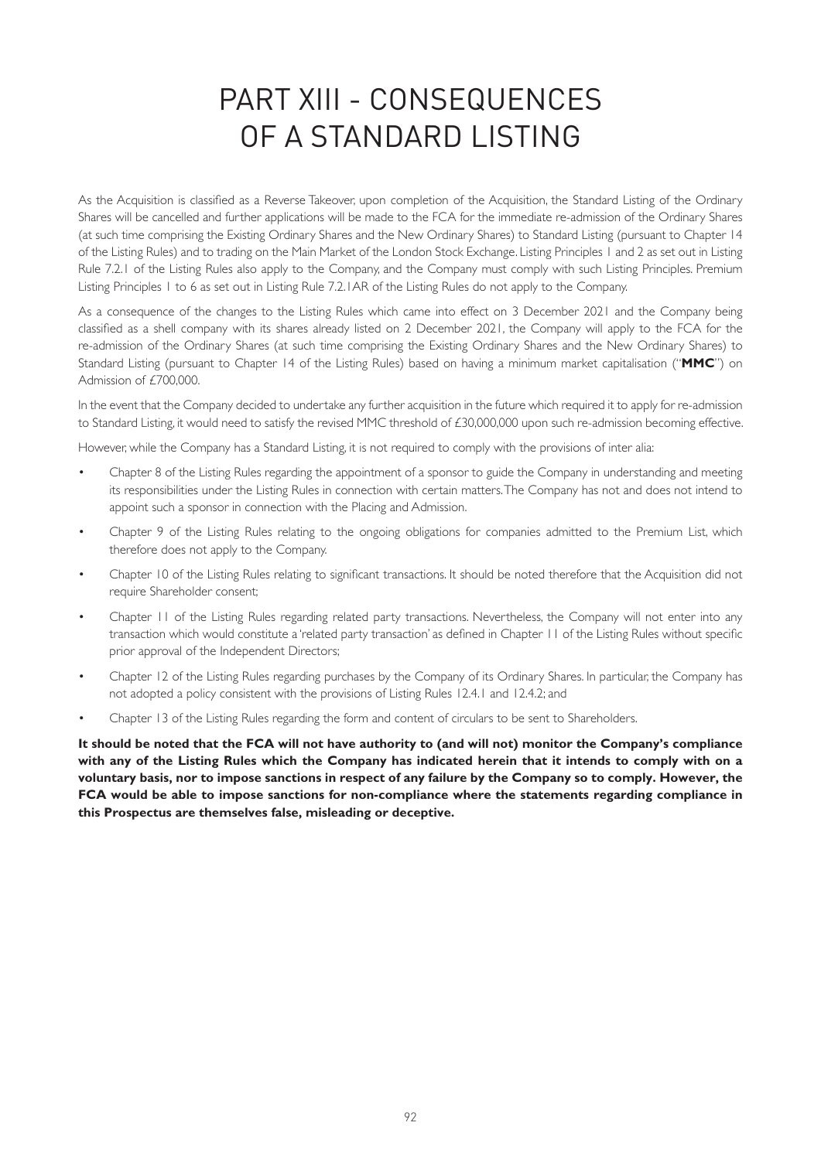# PART XIII - CONSEQUENCES OF A STANDARD LISTING

As the Acquisition is classified as a Reverse Takeover, upon completion of the Acquisition, the Standard Listing of the Ordinary Shares will be cancelled and further applications will be made to the FCA for the immediate re-admission of the Ordinary Shares (at such time comprising the Existing Ordinary Shares and the New Ordinary Shares) to Standard Listing (pursuant to Chapter 14 of the Listing Rules) and to trading on the Main Market of the London Stock Exchange. Listing Principles 1 and 2 as set out in Listing Rule 7.2.1 of the Listing Rules also apply to the Company, and the Company must comply with such Listing Principles. Premium Listing Principles 1 to 6 as set out in Listing Rule 7.2.1AR of the Listing Rules do not apply to the Company.

As a consequence of the changes to the Listing Rules which came into effect on 3 December 2021 and the Company being classified as a shell company with its shares already listed on 2 December 2021, the Company will apply to the FCA for the re-admission of the Ordinary Shares (at such time comprising the Existing Ordinary Shares and the New Ordinary Shares) to Standard Listing (pursuant to Chapter 14 of the Listing Rules) based on having a minimum market capitalisation ("**MMC**") on Admission of £700,000.

In the event that the Company decided to undertake any further acquisition in the future which required it to apply for re-admission to Standard Listing, it would need to satisfy the revised MMC threshold of £30,000,000 upon such re-admission becoming effective.

However, while the Company has a Standard Listing, it is not required to comply with the provisions of inter alia:

- Chapter 8 of the Listing Rules regarding the appointment of a sponsor to guide the Company in understanding and meeting its responsibilities under the Listing Rules in connection with certain matters. The Company has not and does not intend to appoint such a sponsor in connection with the Placing and Admission.
- Chapter 9 of the Listing Rules relating to the ongoing obligations for companies admitted to the Premium List, which therefore does not apply to the Company.
- Chapter 10 of the Listing Rules relating to significant transactions. It should be noted therefore that the Acquisition did not require Shareholder consent;
- Chapter 11 of the Listing Rules regarding related party transactions. Nevertheless, the Company will not enter into any transaction which would constitute a 'related party transaction' as defined in Chapter 11 of the Listing Rules without specific prior approval of the Independent Directors;
- Chapter 12 of the Listing Rules regarding purchases by the Company of its Ordinary Shares. In particular, the Company has not adopted a policy consistent with the provisions of Listing Rules 12.4.1 and 12.4.2; and
- Chapter 13 of the Listing Rules regarding the form and content of circulars to be sent to Shareholders.

**It should be noted that the FCA will not have authority to (and will not) monitor the Company's compliance with any of the Listing Rules which the Company has indicated herein that it intends to comply with on a voluntary basis, nor to impose sanctions in respect of any failure by the Company so to comply. However, the FCA would be able to impose sanctions for non-compliance where the statements regarding compliance in this Prospectus are themselves false, misleading or deceptive.**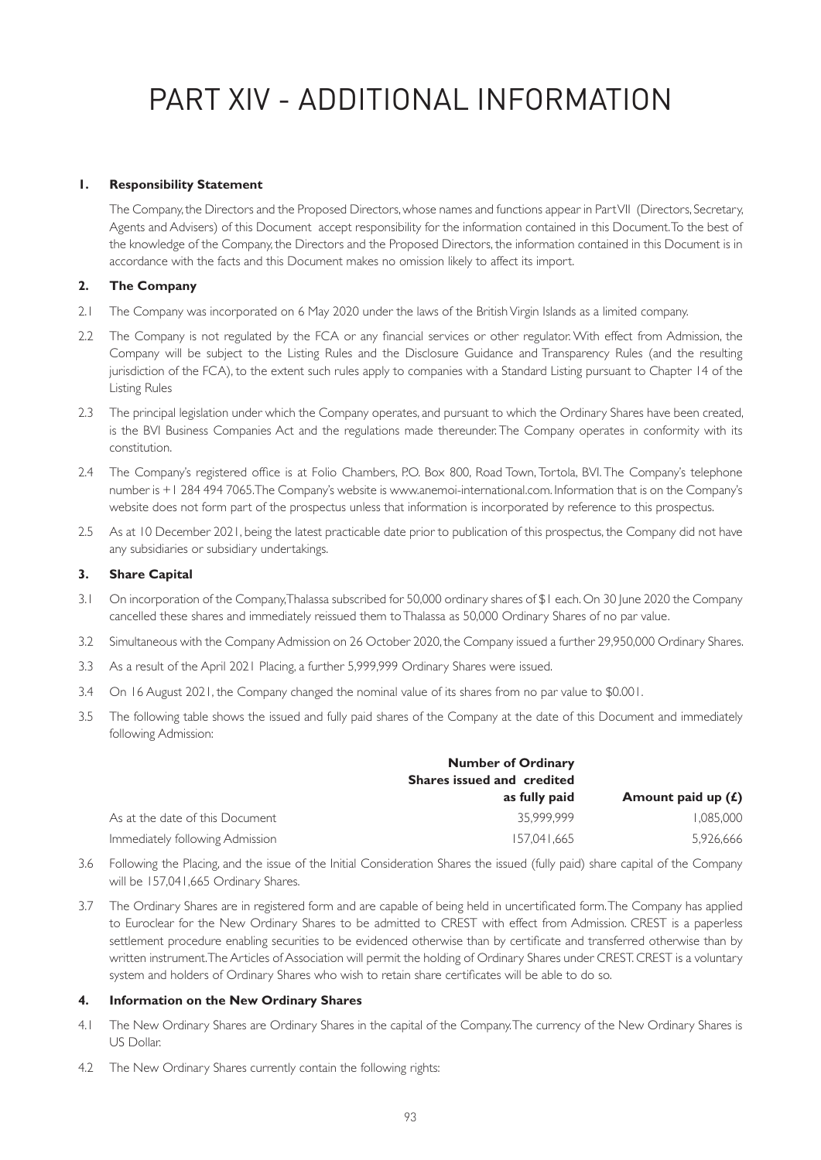# PART XIV - ADDITIONAL INFORMATION

# **1. Responsibility Statement**

The Company, the Directors and the Proposed Directors, whose names and functions appear in Part VII (Directors, Secretary, Agents and Advisers) of this Document accept responsibility for the information contained in this Document. To the best of the knowledge of the Company, the Directors and the Proposed Directors, the information contained in this Document is in accordance with the facts and this Document makes no omission likely to affect its import.

# **2. The Company**

- 2.1 The Company was incorporated on 6 May 2020 under the laws of the British Virgin Islands as a limited company.
- 2.2 The Company is not regulated by the FCA or any financial services or other regulator. With effect from Admission, the Company will be subject to the Listing Rules and the Disclosure Guidance and Transparency Rules (and the resulting jurisdiction of the FCA), to the extent such rules apply to companies with a Standard Listing pursuant to Chapter 14 of the Listing Rules
- 2.3 The principal legislation under which the Company operates, and pursuant to which the Ordinary Shares have been created, is the BVI Business Companies Act and the regulations made thereunder. The Company operates in conformity with its constitution.
- 2.4 The Company's registered office is at Folio Chambers, P.O. Box 800, Road Town, Tortola, BVI. The Company's telephone number is +1 284 494 7065. The Company's website is www.anemoi-international.com. Information that is on the Company's website does not form part of the prospectus unless that information is incorporated by reference to this prospectus.
- 2.5 As at 10 December 2021, being the latest practicable date prior to publication of this prospectus, the Company did not have any subsidiaries or subsidiary undertakings.

# **3. Share Capital**

- 3.1 On incorporation of the Company, Thalassa subscribed for 50,000 ordinary shares of \$1 each. On 30 June 2020 the Company cancelled these shares and immediately reissued them to Thalassa as 50,000 Ordinary Shares of no par value.
- 3.2 Simultaneous with the Company Admission on 26 October 2020, the Company issued a further 29,950,000 Ordinary Shares.
- 3.3 As a result of the April 2021 Placing, a further 5,999,999 Ordinary Shares were issued.
- 3.4 On 16 August 2021, the Company changed the nominal value of its shares from no par value to \$0.001.
- 3.5 The following table shows the issued and fully paid shares of the Company at the date of this Document and immediately following Admission:

|                                 | <b>Number of Ordinary</b><br>Shares issued and credited |                      |
|---------------------------------|---------------------------------------------------------|----------------------|
|                                 | as fully paid                                           | Amount paid up $(f)$ |
| As at the date of this Document | 35.999.999                                              | 1.085.000            |
| Immediately following Admission | 157.041.665                                             | 5,926,666            |

- 3.6 Following the Placing, and the issue of the Initial Consideration Shares the issued (fully paid) share capital of the Company will be 157,041,665 Ordinary Shares.
- 3.7 The Ordinary Shares are in registered form and are capable of being held in uncertificated form. The Company has applied to Euroclear for the New Ordinary Shares to be admitted to CREST with effect from Admission. CREST is a paperless settlement procedure enabling securities to be evidenced otherwise than by certificate and transferred otherwise than by written instrument. The Articles of Association will permit the holding of Ordinary Shares under CREST. CREST is a voluntary system and holders of Ordinary Shares who wish to retain share certificates will be able to do so.

# **4. Information on the New Ordinary Shares**

- 4.1 The New Ordinary Shares are Ordinary Shares in the capital of the Company. The currency of the New Ordinary Shares is US Dollar.
- 4.2 The New Ordinary Shares currently contain the following rights: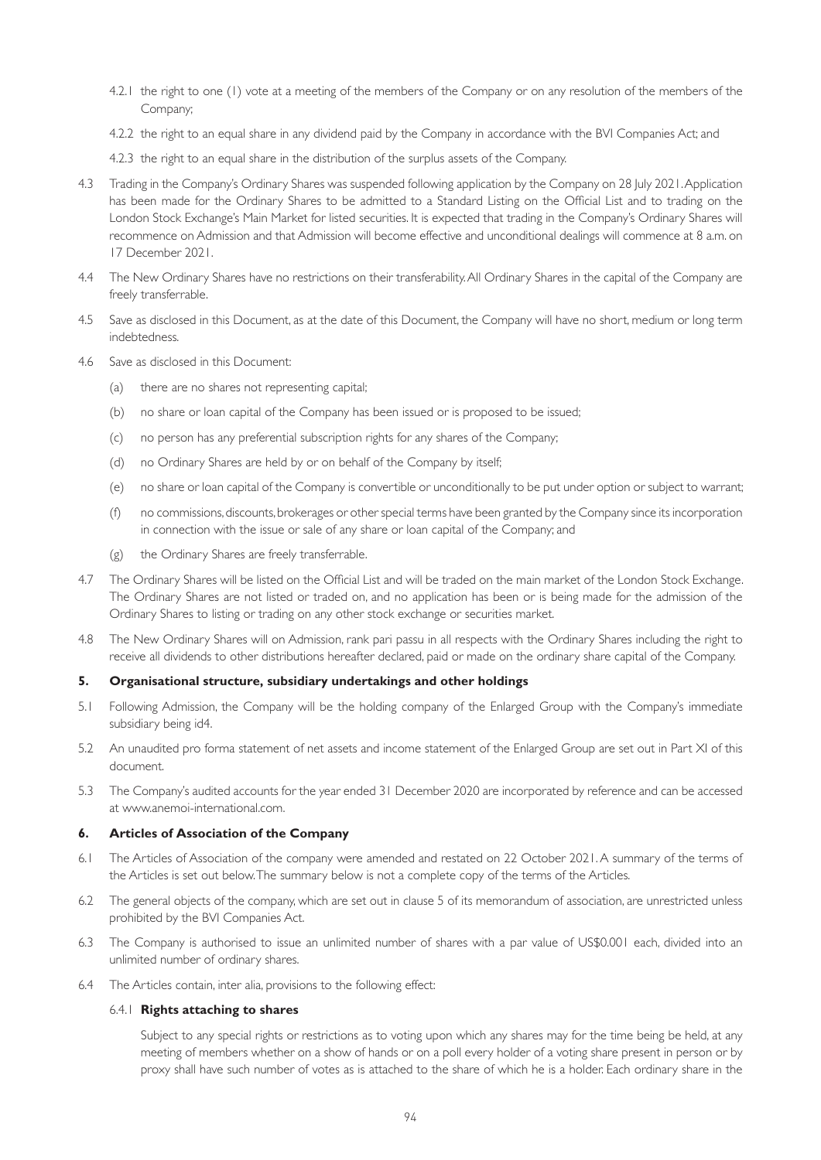- 4.2.1 the right to one (1) vote at a meeting of the members of the Company or on any resolution of the members of the Company;
- 4.2.2 the right to an equal share in any dividend paid by the Company in accordance with the BVI Companies Act; and
- 4.2.3 the right to an equal share in the distribution of the surplus assets of the Company.
- 4.3 Trading in the Company's Ordinary Shares was suspended following application by the Company on 28 July 2021. Application has been made for the Ordinary Shares to be admitted to a Standard Listing on the Official List and to trading on the London Stock Exchange's Main Market for listed securities. It is expected that trading in the Company's Ordinary Shares will recommence on Admission and that Admission will become effective and unconditional dealings will commence at 8 a.m. on 17 December 2021.
- 4.4 The New Ordinary Shares have no restrictions on their transferability. All Ordinary Shares in the capital of the Company are freely transferrable.
- 4.5 Save as disclosed in this Document, as at the date of this Document, the Company will have no short, medium or long term indebtedness.
- 4.6 Save as disclosed in this Document:
	- (a) there are no shares not representing capital;
	- (b) no share or loan capital of the Company has been issued or is proposed to be issued;
	- (c) no person has any preferential subscription rights for any shares of the Company;
	- (d) no Ordinary Shares are held by or on behalf of the Company by itself;
	- (e) no share or loan capital of the Company is convertible or unconditionally to be put under option or subject to warrant;
	- (f) no commissions, discounts, brokerages or other special terms have been granted by the Company since its incorporation in connection with the issue or sale of any share or loan capital of the Company; and
	- (g) the Ordinary Shares are freely transferrable.
- 4.7 The Ordinary Shares will be listed on the Official List and will be traded on the main market of the London Stock Exchange. The Ordinary Shares are not listed or traded on, and no application has been or is being made for the admission of the Ordinary Shares to listing or trading on any other stock exchange or securities market.
- 4.8 The New Ordinary Shares will on Admission, rank pari passu in all respects with the Ordinary Shares including the right to receive all dividends to other distributions hereafter declared, paid or made on the ordinary share capital of the Company.

### **5. Organisational structure, subsidiary undertakings and other holdings**

- 5.1 Following Admission, the Company will be the holding company of the Enlarged Group with the Company's immediate subsidiary being id4.
- 5.2 An unaudited pro forma statement of net assets and income statement of the Enlarged Group are set out in Part XI of this document.
- 5.3 The Company's audited accounts for the year ended 31 December 2020 are incorporated by reference and can be accessed at www.anemoi-international.com.

# **6. Articles of Association of the Company**

- 6.1 The Articles of Association of the company were amended and restated on 22 October 2021. A summary of the terms of the Articles is set out below. The summary below is not a complete copy of the terms of the Articles.
- 6.2 The general objects of the company, which are set out in clause 5 of its memorandum of association, are unrestricted unless prohibited by the BVI Companies Act.
- 6.3 The Company is authorised to issue an unlimited number of shares with a par value of US\$0.001 each, divided into an unlimited number of ordinary shares.
- 6.4 The Articles contain, inter alia, provisions to the following effect:

### 6.4.1 **Rights attaching to shares**

 Subject to any special rights or restrictions as to voting upon which any shares may for the time being be held, at any meeting of members whether on a show of hands or on a poll every holder of a voting share present in person or by proxy shall have such number of votes as is attached to the share of which he is a holder. Each ordinary share in the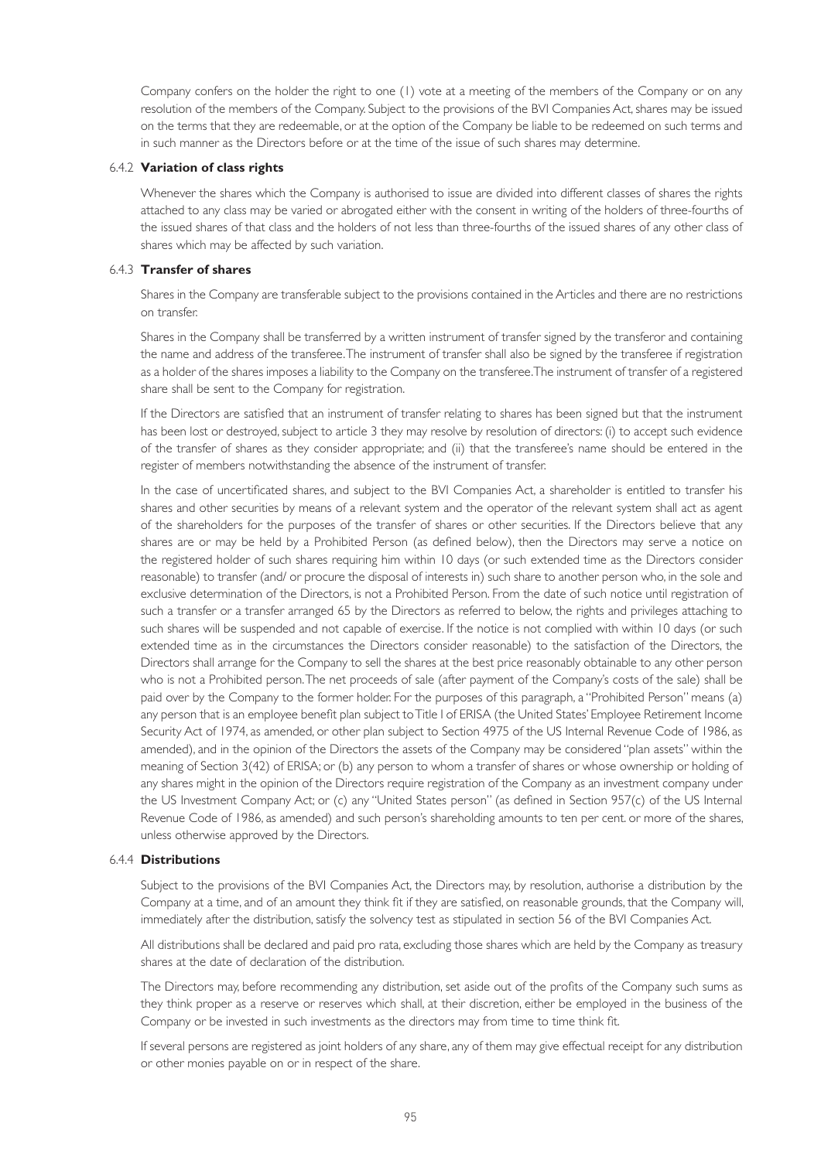Company confers on the holder the right to one (1) vote at a meeting of the members of the Company or on any resolution of the members of the Company. Subject to the provisions of the BVI Companies Act, shares may be issued on the terms that they are redeemable, or at the option of the Company be liable to be redeemed on such terms and in such manner as the Directors before or at the time of the issue of such shares may determine.

### 6.4.2 **Variation of class rights**

 Whenever the shares which the Company is authorised to issue are divided into different classes of shares the rights attached to any class may be varied or abrogated either with the consent in writing of the holders of three-fourths of the issued shares of that class and the holders of not less than three-fourths of the issued shares of any other class of shares which may be affected by such variation.

### 6.4.3 **Transfer of shares**

 Shares in the Company are transferable subject to the provisions contained in the Articles and there are no restrictions on transfer.

 Shares in the Company shall be transferred by a written instrument of transfer signed by the transferor and containing the name and address of the transferee. The instrument of transfer shall also be signed by the transferee if registration as a holder of the shares imposes a liability to the Company on the transferee. The instrument of transfer of a registered share shall be sent to the Company for registration.

 If the Directors are satisfied that an instrument of transfer relating to shares has been signed but that the instrument has been lost or destroyed, subject to article 3 they may resolve by resolution of directors: (i) to accept such evidence of the transfer of shares as they consider appropriate; and (ii) that the transferee's name should be entered in the register of members notwithstanding the absence of the instrument of transfer.

 In the case of uncertificated shares, and subject to the BVI Companies Act, a shareholder is entitled to transfer his shares and other securities by means of a relevant system and the operator of the relevant system shall act as agent of the shareholders for the purposes of the transfer of shares or other securities. If the Directors believe that any shares are or may be held by a Prohibited Person (as defined below), then the Directors may serve a notice on the registered holder of such shares requiring him within 10 days (or such extended time as the Directors consider reasonable) to transfer (and/ or procure the disposal of interests in) such share to another person who, in the sole and exclusive determination of the Directors, is not a Prohibited Person. From the date of such notice until registration of such a transfer or a transfer arranged 65 by the Directors as referred to below, the rights and privileges attaching to such shares will be suspended and not capable of exercise. If the notice is not complied with within 10 days (or such extended time as in the circumstances the Directors consider reasonable) to the satisfaction of the Directors, the Directors shall arrange for the Company to sell the shares at the best price reasonably obtainable to any other person who is not a Prohibited person. The net proceeds of sale (after payment of the Company's costs of the sale) shall be paid over by the Company to the former holder. For the purposes of this paragraph, a "Prohibited Person" means (a) any person that is an employee benefit plan subject to Title I of ERISA (the United States' Employee Retirement Income Security Act of 1974, as amended, or other plan subject to Section 4975 of the US Internal Revenue Code of 1986, as amended), and in the opinion of the Directors the assets of the Company may be considered "plan assets" within the meaning of Section 3(42) of ERISA; or (b) any person to whom a transfer of shares or whose ownership or holding of any shares might in the opinion of the Directors require registration of the Company as an investment company under the US Investment Company Act; or (c) any "United States person" (as defined in Section 957(c) of the US Internal Revenue Code of 1986, as amended) and such person's shareholding amounts to ten per cent. or more of the shares, unless otherwise approved by the Directors.

# 6.4.4 **Distributions**

 Subject to the provisions of the BVI Companies Act, the Directors may, by resolution, authorise a distribution by the Company at a time, and of an amount they think fit if they are satisfied, on reasonable grounds, that the Company will, immediately after the distribution, satisfy the solvency test as stipulated in section 56 of the BVI Companies Act.

 All distributions shall be declared and paid pro rata, excluding those shares which are held by the Company as treasury shares at the date of declaration of the distribution.

 The Directors may, before recommending any distribution, set aside out of the profits of the Company such sums as they think proper as a reserve or reserves which shall, at their discretion, either be employed in the business of the Company or be invested in such investments as the directors may from time to time think fit.

 If several persons are registered as joint holders of any share, any of them may give effectual receipt for any distribution or other monies payable on or in respect of the share.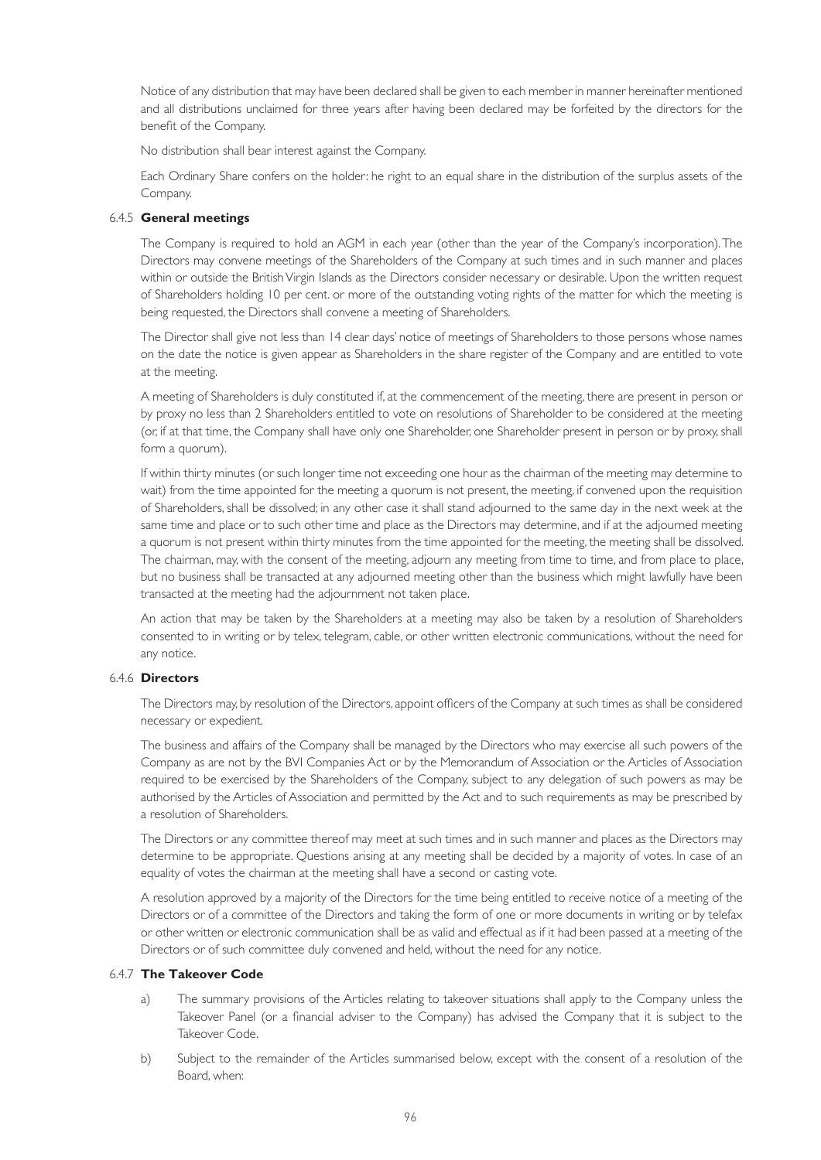Notice of any distribution that may have been declared shall be given to each member in manner hereinafter mentioned and all distributions unclaimed for three years after having been declared may be forfeited by the directors for the benefit of the Company.

No distribution shall bear interest against the Company.

 Each Ordinary Share confers on the holder: he right to an equal share in the distribution of the surplus assets of the Company.

# 6.4.5 **General meetings**

 The Company is required to hold an AGM in each year (other than the year of the Company's incorporation). The Directors may convene meetings of the Shareholders of the Company at such times and in such manner and places within or outside the British Virgin Islands as the Directors consider necessary or desirable. Upon the written request of Shareholders holding 10 per cent. or more of the outstanding voting rights of the matter for which the meeting is being requested, the Directors shall convene a meeting of Shareholders.

 The Director shall give not less than 14 clear days' notice of meetings of Shareholders to those persons whose names on the date the notice is given appear as Shareholders in the share register of the Company and are entitled to vote at the meeting.

 A meeting of Shareholders is duly constituted if, at the commencement of the meeting, there are present in person or by proxy no less than 2 Shareholders entitled to vote on resolutions of Shareholder to be considered at the meeting (or, if at that time, the Company shall have only one Shareholder, one Shareholder present in person or by proxy, shall form a quorum).

 If within thirty minutes (or such longer time not exceeding one hour as the chairman of the meeting may determine to wait) from the time appointed for the meeting a quorum is not present, the meeting, if convened upon the requisition of Shareholders, shall be dissolved; in any other case it shall stand adjourned to the same day in the next week at the same time and place or to such other time and place as the Directors may determine, and if at the adjourned meeting a quorum is not present within thirty minutes from the time appointed for the meeting, the meeting shall be dissolved. The chairman, may, with the consent of the meeting, adjourn any meeting from time to time, and from place to place, but no business shall be transacted at any adjourned meeting other than the business which might lawfully have been transacted at the meeting had the adjournment not taken place.

 An action that may be taken by the Shareholders at a meeting may also be taken by a resolution of Shareholders consented to in writing or by telex, telegram, cable, or other written electronic communications, without the need for any notice.

# 6.4.6 **Directors**

 The Directors may, by resolution of the Directors, appoint officers of the Company at such times as shall be considered necessary or expedient.

 The business and affairs of the Company shall be managed by the Directors who may exercise all such powers of the Company as are not by the BVI Companies Act or by the Memorandum of Association or the Articles of Association required to be exercised by the Shareholders of the Company, subject to any delegation of such powers as may be authorised by the Articles of Association and permitted by the Act and to such requirements as may be prescribed by a resolution of Shareholders.

 The Directors or any committee thereof may meet at such times and in such manner and places as the Directors may determine to be appropriate. Questions arising at any meeting shall be decided by a majority of votes. In case of an equality of votes the chairman at the meeting shall have a second or casting vote.

 A resolution approved by a majority of the Directors for the time being entitled to receive notice of a meeting of the Directors or of a committee of the Directors and taking the form of one or more documents in writing or by telefax or other written or electronic communication shall be as valid and effectual as if it had been passed at a meeting of the Directors or of such committee duly convened and held, without the need for any notice.

# 6.4.7 **The Takeover Code**

- a) The summary provisions of the Articles relating to takeover situations shall apply to the Company unless the Takeover Panel (or a financial adviser to the Company) has advised the Company that it is subject to the Takeover Code.
- b) Subject to the remainder of the Articles summarised below, except with the consent of a resolution of the Board, when: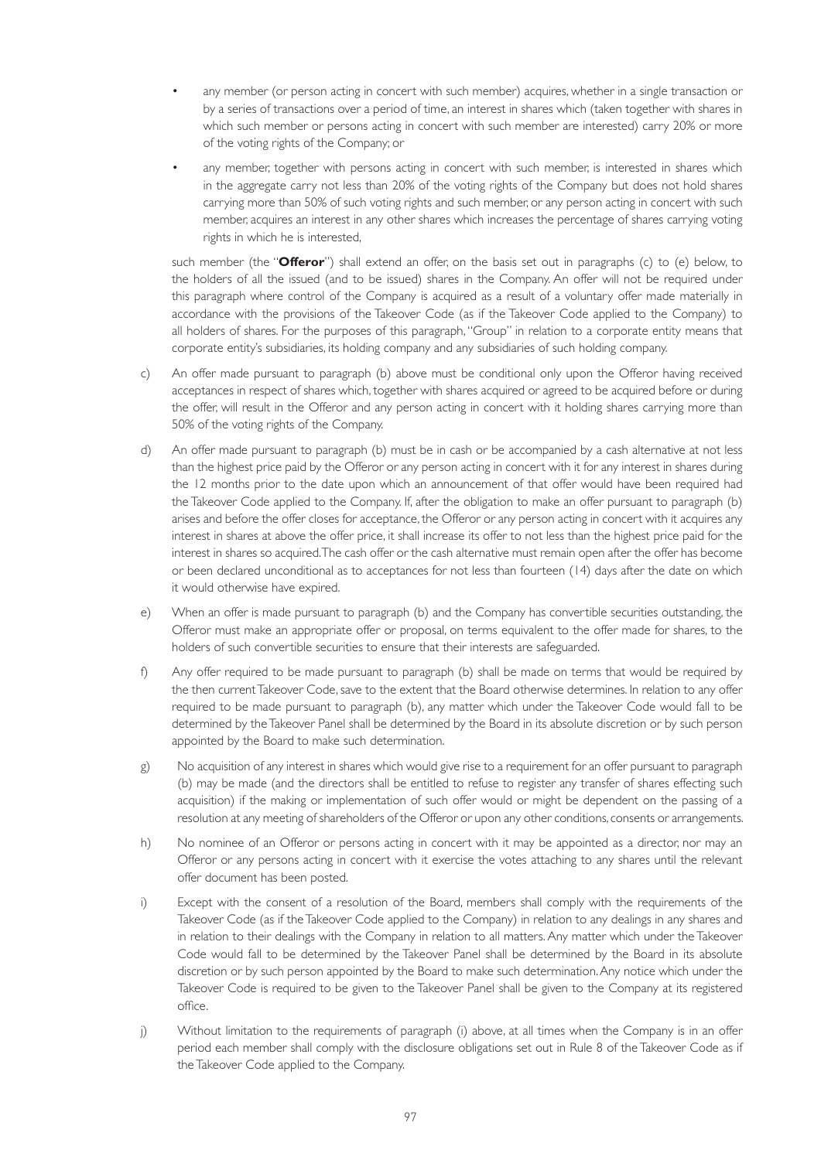- any member (or person acting in concert with such member) acquires, whether in a single transaction or by a series of transactions over a period of time, an interest in shares which (taken together with shares in which such member or persons acting in concert with such member are interested) carry 20% or more of the voting rights of the Company; or
- any member, together with persons acting in concert with such member, is interested in shares which in the aggregate carry not less than 20% of the voting rights of the Company but does not hold shares carrying more than 50% of such voting rights and such member, or any person acting in concert with such member, acquires an interest in any other shares which increases the percentage of shares carrying voting rights in which he is interested,

 such member (the "**Offeror**") shall extend an offer, on the basis set out in paragraphs (c) to (e) below, to the holders of all the issued (and to be issued) shares in the Company. An offer will not be required under this paragraph where control of the Company is acquired as a result of a voluntary offer made materially in accordance with the provisions of the Takeover Code (as if the Takeover Code applied to the Company) to all holders of shares. For the purposes of this paragraph, "Group" in relation to a corporate entity means that corporate entity's subsidiaries, its holding company and any subsidiaries of such holding company.

- c) An offer made pursuant to paragraph (b) above must be conditional only upon the Offeror having received acceptances in respect of shares which, together with shares acquired or agreed to be acquired before or during the offer, will result in the Offeror and any person acting in concert with it holding shares carrying more than 50% of the voting rights of the Company.
- d) An offer made pursuant to paragraph (b) must be in cash or be accompanied by a cash alternative at not less than the highest price paid by the Offeror or any person acting in concert with it for any interest in shares during the 12 months prior to the date upon which an announcement of that offer would have been required had the Takeover Code applied to the Company. If, after the obligation to make an offer pursuant to paragraph (b) arises and before the offer closes for acceptance, the Offeror or any person acting in concert with it acquires any interest in shares at above the offer price, it shall increase its offer to not less than the highest price paid for the interest in shares so acquired. The cash offer or the cash alternative must remain open after the offer has become or been declared unconditional as to acceptances for not less than fourteen (14) days after the date on which it would otherwise have expired.
- e) When an offer is made pursuant to paragraph (b) and the Company has convertible securities outstanding, the Offeror must make an appropriate offer or proposal, on terms equivalent to the offer made for shares, to the holders of such convertible securities to ensure that their interests are safeguarded.
- f) Any offer required to be made pursuant to paragraph (b) shall be made on terms that would be required by the then current Takeover Code, save to the extent that the Board otherwise determines. In relation to any offer required to be made pursuant to paragraph (b), any matter which under the Takeover Code would fall to be determined by the Takeover Panel shall be determined by the Board in its absolute discretion or by such person appointed by the Board to make such determination.
- g) No acquisition of any interest in shares which would give rise to a requirement for an offer pursuant to paragraph (b) may be made (and the directors shall be entitled to refuse to register any transfer of shares effecting such acquisition) if the making or implementation of such offer would or might be dependent on the passing of a resolution at any meeting of shareholders of the Offeror or upon any other conditions, consents or arrangements.
- h) No nominee of an Offeror or persons acting in concert with it may be appointed as a director, nor may an Offeror or any persons acting in concert with it exercise the votes attaching to any shares until the relevant offer document has been posted.
- i) Except with the consent of a resolution of the Board, members shall comply with the requirements of the Takeover Code (as if the Takeover Code applied to the Company) in relation to any dealings in any shares and in relation to their dealings with the Company in relation to all matters. Any matter which under the Takeover Code would fall to be determined by the Takeover Panel shall be determined by the Board in its absolute discretion or by such person appointed by the Board to make such determination. Any notice which under the Takeover Code is required to be given to the Takeover Panel shall be given to the Company at its registered office.
- j) Without limitation to the requirements of paragraph (i) above, at all times when the Company is in an offer period each member shall comply with the disclosure obligations set out in Rule 8 of the Takeover Code as if the Takeover Code applied to the Company.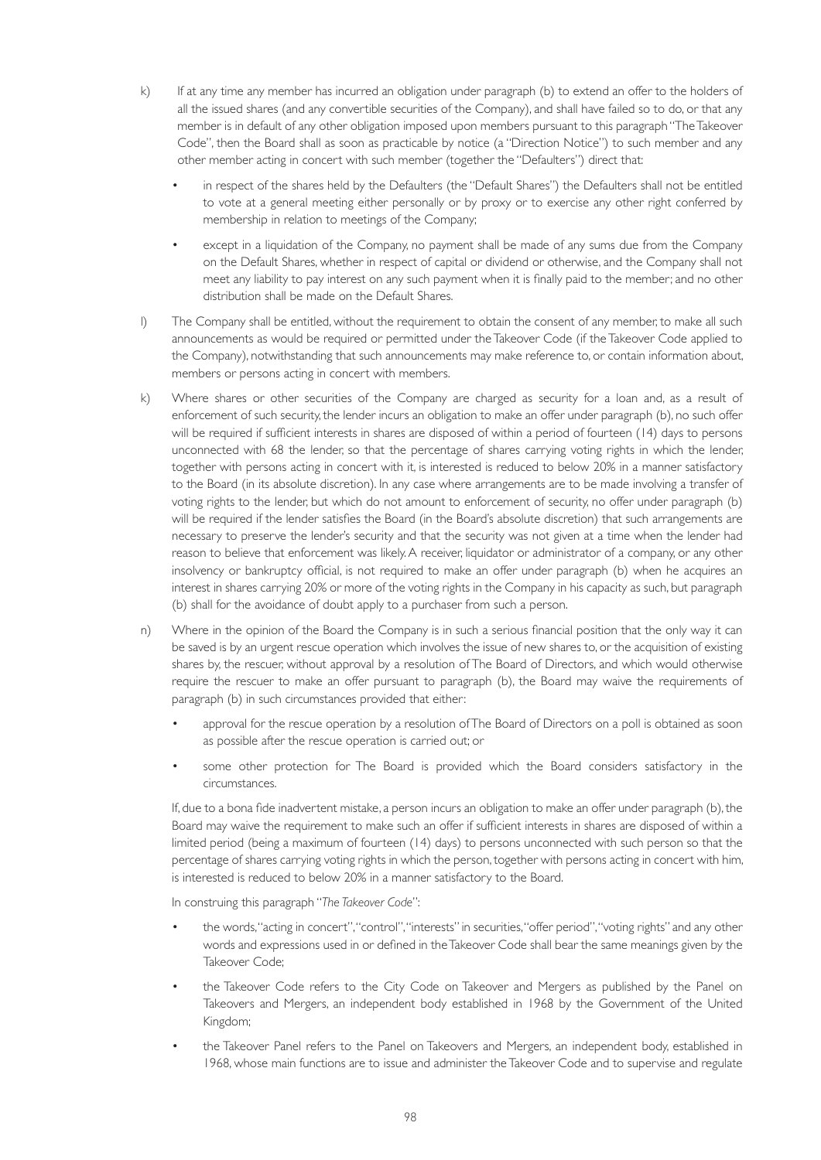- k) If at any time any member has incurred an obligation under paragraph (b) to extend an offer to the holders of all the issued shares (and any convertible securities of the Company), and shall have failed so to do, or that any member is in default of any other obligation imposed upon members pursuant to this paragraph "The Takeover Code", then the Board shall as soon as practicable by notice (a "Direction Notice") to such member and any other member acting in concert with such member (together the "Defaulters") direct that:
	- in respect of the shares held by the Defaulters (the "Default Shares") the Defaulters shall not be entitled to vote at a general meeting either personally or by proxy or to exercise any other right conferred by membership in relation to meetings of the Company;
	- except in a liquidation of the Company, no payment shall be made of any sums due from the Company on the Default Shares, whether in respect of capital or dividend or otherwise, and the Company shall not meet any liability to pay interest on any such payment when it is finally paid to the member; and no other distribution shall be made on the Default Shares.
- l) The Company shall be entitled, without the requirement to obtain the consent of any member, to make all such announcements as would be required or permitted under the Takeover Code (if the Takeover Code applied to the Company), notwithstanding that such announcements may make reference to, or contain information about, members or persons acting in concert with members.
- k) Where shares or other securities of the Company are charged as security for a loan and, as a result of enforcement of such security, the lender incurs an obligation to make an offer under paragraph (b), no such offer will be required if sufficient interests in shares are disposed of within a period of fourteen (14) days to persons unconnected with 68 the lender, so that the percentage of shares carrying voting rights in which the lender, together with persons acting in concert with it, is interested is reduced to below 20% in a manner satisfactory to the Board (in its absolute discretion). In any case where arrangements are to be made involving a transfer of voting rights to the lender, but which do not amount to enforcement of security, no offer under paragraph (b) will be required if the lender satisfies the Board (in the Board's absolute discretion) that such arrangements are necessary to preserve the lender's security and that the security was not given at a time when the lender had reason to believe that enforcement was likely. A receiver, liquidator or administrator of a company, or any other insolvency or bankruptcy official, is not required to make an offer under paragraph (b) when he acquires an interest in shares carrying 20% or more of the voting rights in the Company in his capacity as such, but paragraph (b) shall for the avoidance of doubt apply to a purchaser from such a person.
- n) Where in the opinion of the Board the Company is in such a serious financial position that the only way it can be saved is by an urgent rescue operation which involves the issue of new shares to, or the acquisition of existing shares by, the rescuer, without approval by a resolution of The Board of Directors, and which would otherwise require the rescuer to make an offer pursuant to paragraph (b), the Board may waive the requirements of paragraph (b) in such circumstances provided that either:
	- approval for the rescue operation by a resolution of The Board of Directors on a poll is obtained as soon as possible after the rescue operation is carried out; or
	- some other protection for The Board is provided which the Board considers satisfactory in the circumstances.

 If, due to a bona fide inadvertent mistake, a person incurs an obligation to make an offer under paragraph (b), the Board may waive the requirement to make such an offer if sufficient interests in shares are disposed of within a limited period (being a maximum of fourteen (14) days) to persons unconnected with such person so that the percentage of shares carrying voting rights in which the person, together with persons acting in concert with him, is interested is reduced to below 20% in a manner satisfactory to the Board.

In construing this paragraph "*The Takeover Code*":

- the words, "acting in concert", "control", "interests" in securities, "offer period", "voting rights" and any other words and expressions used in or defined in the Takeover Code shall bear the same meanings given by the Takeover Code;
- the Takeover Code refers to the City Code on Takeover and Mergers as published by the Panel on Takeovers and Mergers, an independent body established in 1968 by the Government of the United Kingdom;
- the Takeover Panel refers to the Panel on Takeovers and Mergers, an independent body, established in 1968, whose main functions are to issue and administer the Takeover Code and to supervise and regulate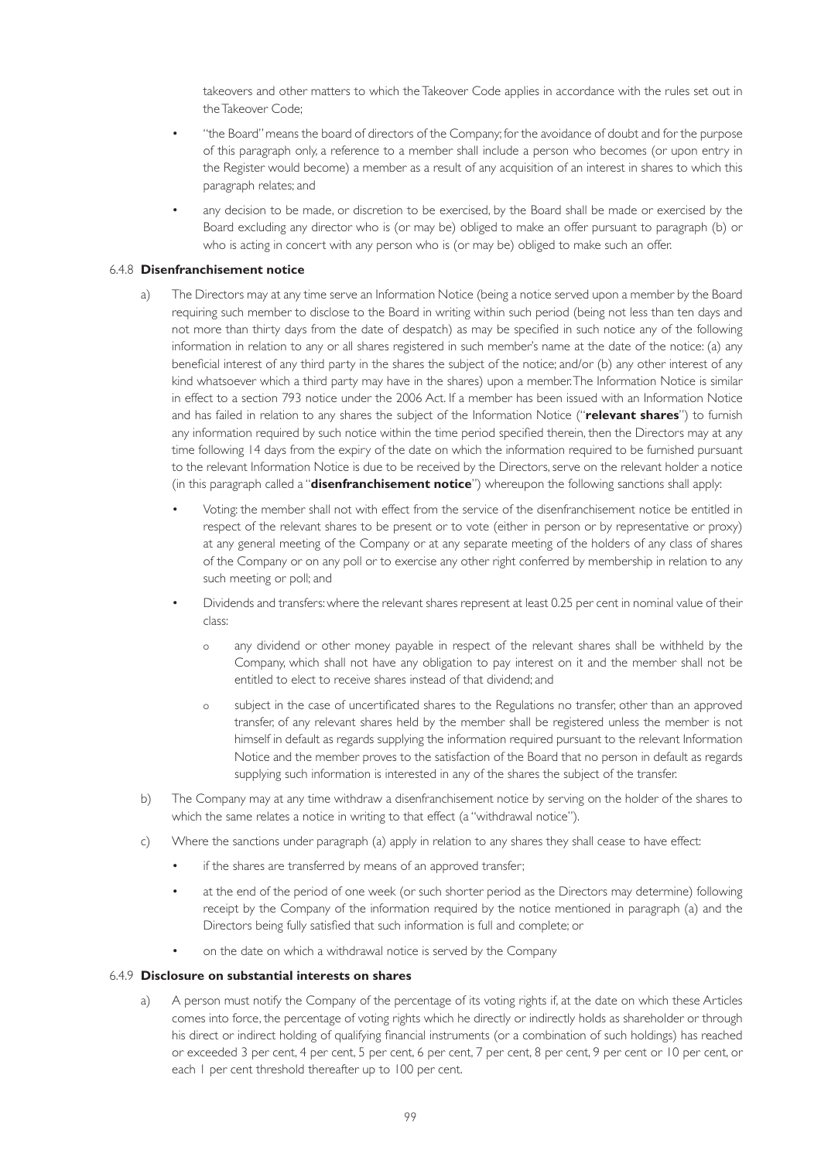takeovers and other matters to which the Takeover Code applies in accordance with the rules set out in the Takeover Code;

- "the Board" means the board of directors of the Company; for the avoidance of doubt and for the purpose of this paragraph only, a reference to a member shall include a person who becomes (or upon entry in the Register would become) a member as a result of any acquisition of an interest in shares to which this paragraph relates; and
- any decision to be made, or discretion to be exercised, by the Board shall be made or exercised by the Board excluding any director who is (or may be) obliged to make an offer pursuant to paragraph (b) or who is acting in concert with any person who is (or may be) obliged to make such an offer.

### 6.4.8 **Disenfranchisement notice**

- a) The Directors may at any time serve an Information Notice (being a notice served upon a member by the Board requiring such member to disclose to the Board in writing within such period (being not less than ten days and not more than thirty days from the date of despatch) as may be specified in such notice any of the following information in relation to any or all shares registered in such member's name at the date of the notice: (a) any beneficial interest of any third party in the shares the subject of the notice; and/or (b) any other interest of any kind whatsoever which a third party may have in the shares) upon a member. The Information Notice is similar in effect to a section 793 notice under the 2006 Act. If a member has been issued with an Information Notice and has failed in relation to any shares the subject of the Information Notice ("**relevant shares**") to furnish any information required by such notice within the time period specified therein, then the Directors may at any time following 14 days from the expiry of the date on which the information required to be furnished pursuant to the relevant Information Notice is due to be received by the Directors, serve on the relevant holder a notice (in this paragraph called a "**disenfranchisement notice**") whereupon the following sanctions shall apply:
	- Voting: the member shall not with effect from the service of the disenfranchisement notice be entitled in respect of the relevant shares to be present or to vote (either in person or by representative or proxy) at any general meeting of the Company or at any separate meeting of the holders of any class of shares of the Company or on any poll or to exercise any other right conferred by membership in relation to any such meeting or poll; and
	- Dividends and transfers: where the relevant shares represent at least 0.25 per cent in nominal value of their class:
		- o any dividend or other money payable in respect of the relevant shares shall be withheld by the Company, which shall not have any obligation to pay interest on it and the member shall not be entitled to elect to receive shares instead of that dividend; and
		- o subject in the case of uncertificated shares to the Regulations no transfer, other than an approved transfer, of any relevant shares held by the member shall be registered unless the member is not himself in default as regards supplying the information required pursuant to the relevant Information Notice and the member proves to the satisfaction of the Board that no person in default as regards supplying such information is interested in any of the shares the subject of the transfer.
- b) The Company may at any time withdraw a disenfranchisement notice by serving on the holder of the shares to which the same relates a notice in writing to that effect (a "withdrawal notice").
- c) Where the sanctions under paragraph (a) apply in relation to any shares they shall cease to have effect:
	- if the shares are transferred by means of an approved transfer;
	- at the end of the period of one week (or such shorter period as the Directors may determine) following receipt by the Company of the information required by the notice mentioned in paragraph (a) and the Directors being fully satisfied that such information is full and complete; or
	- on the date on which a withdrawal notice is served by the Company

### 6.4.9 **Disclosure on substantial interests on shares**

 a) A person must notify the Company of the percentage of its voting rights if, at the date on which these Articles comes into force, the percentage of voting rights which he directly or indirectly holds as shareholder or through his direct or indirect holding of qualifying financial instruments (or a combination of such holdings) has reached or exceeded 3 per cent, 4 per cent, 5 per cent, 6 per cent, 7 per cent, 8 per cent, 9 per cent or 10 per cent, or each 1 per cent threshold thereafter up to 100 per cent.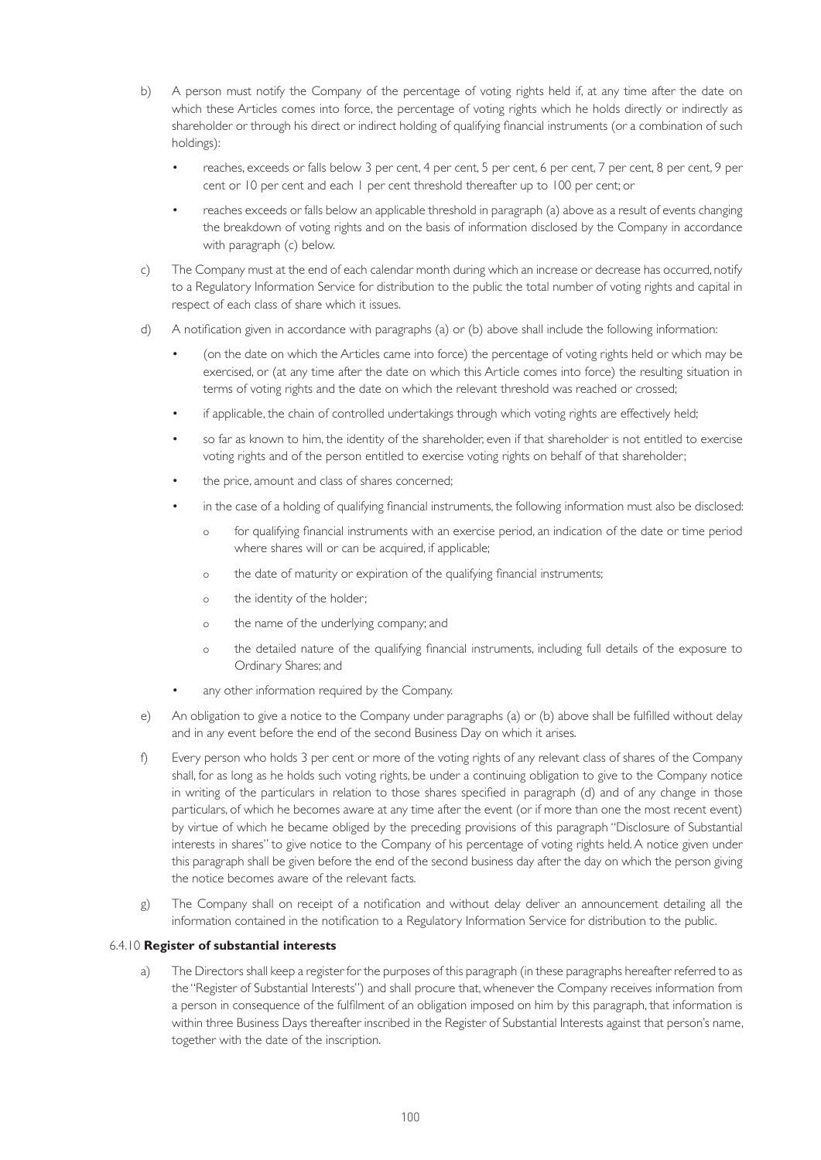- b) A person must notify the Company of the percentage of voting rights held if, at any time after the date on which these Articles comes into force, the percentage of voting rights which he holds directly or indirectly as shareholder or through his direct or indirect holding of qualifying financial instruments (or a combination of such holdings):
	- reaches, exceeds or falls below 3 per cent, 4 per cent, 5 per cent, 6 per cent, 7 per cent, 8 per cent, 9 per cent or 10 per cent and each 1 per cent threshold thereafter up to 100 per cent; or
	- reaches exceeds or falls below an applicable threshold in paragraph (a) above as a result of events changing the breakdown of voting rights and on the basis of information disclosed by the Company in accordance with paragraph (c) below.
- c) The Company must at the end of each calendar month during which an increase or decrease has occurred, notify to a Regulatory Information Service for distribution to the public the total number of voting rights and capital in respect of each class of share which it issues.
- d) A notification given in accordance with paragraphs (a) or (b) above shall include the following information:
	- (on the date on which the Articles came into force) the percentage of voting rights held or which may be exercised, or (at any time after the date on which this Article comes into force) the resulting situation in terms of voting rights and the date on which the relevant threshold was reached or crossed;
	- if applicable, the chain of controlled undertakings through which voting rights are effectively held;
	- so far as known to him, the identity of the shareholder, even if that shareholder is not entitled to exercise voting rights and of the person entitled to exercise voting rights on behalf of that shareholder;
	- the price, amount and class of shares concerned;
	- in the case of a holding of qualifying financial instruments, the following information must also be disclosed:
		- o for qualifying financial instruments with an exercise period, an indication of the date or time period where shares will or can be acquired, if applicable;
		- o the date of maturity or expiration of the qualifying financial instruments;
		- o the identity of the holder;
		- o the name of the underlying company; and
		- o the detailed nature of the qualifying financial instruments, including full details of the exposure to Ordinary Shares; and
	- any other information required by the Company.
- e) An obligation to give a notice to the Company under paragraphs (a) or (b) above shall be fulfilled without delay and in any event before the end of the second Business Day on which it arises.
- f) Every person who holds 3 per cent or more of the voting rights of any relevant class of shares of the Company shall, for as long as he holds such voting rights, be under a continuing obligation to give to the Company notice in writing of the particulars in relation to those shares specified in paragraph (d) and of any change in those particulars, of which he becomes aware at any time after the event (or if more than one the most recent event) by virtue of which he became obliged by the preceding provisions of this paragraph "Disclosure of Substantial interests in shares" to give notice to the Company of his percentage of voting rights held. A notice given under this paragraph shall be given before the end of the second business day after the day on which the person giving the notice becomes aware of the relevant facts.
- g) The Company shall on receipt of a notification and without delay deliver an announcement detailing all the information contained in the notification to a Regulatory Information Service for distribution to the public.

### 6.4.10 **Register of substantial interests**

 a) The Directors shall keep a register for the purposes of this paragraph (in these paragraphs hereafter referred to as the "Register of Substantial Interests") and shall procure that, whenever the Company receives information from a person in consequence of the fulfilment of an obligation imposed on him by this paragraph, that information is within three Business Days thereafter inscribed in the Register of Substantial Interests against that person's name, together with the date of the inscription.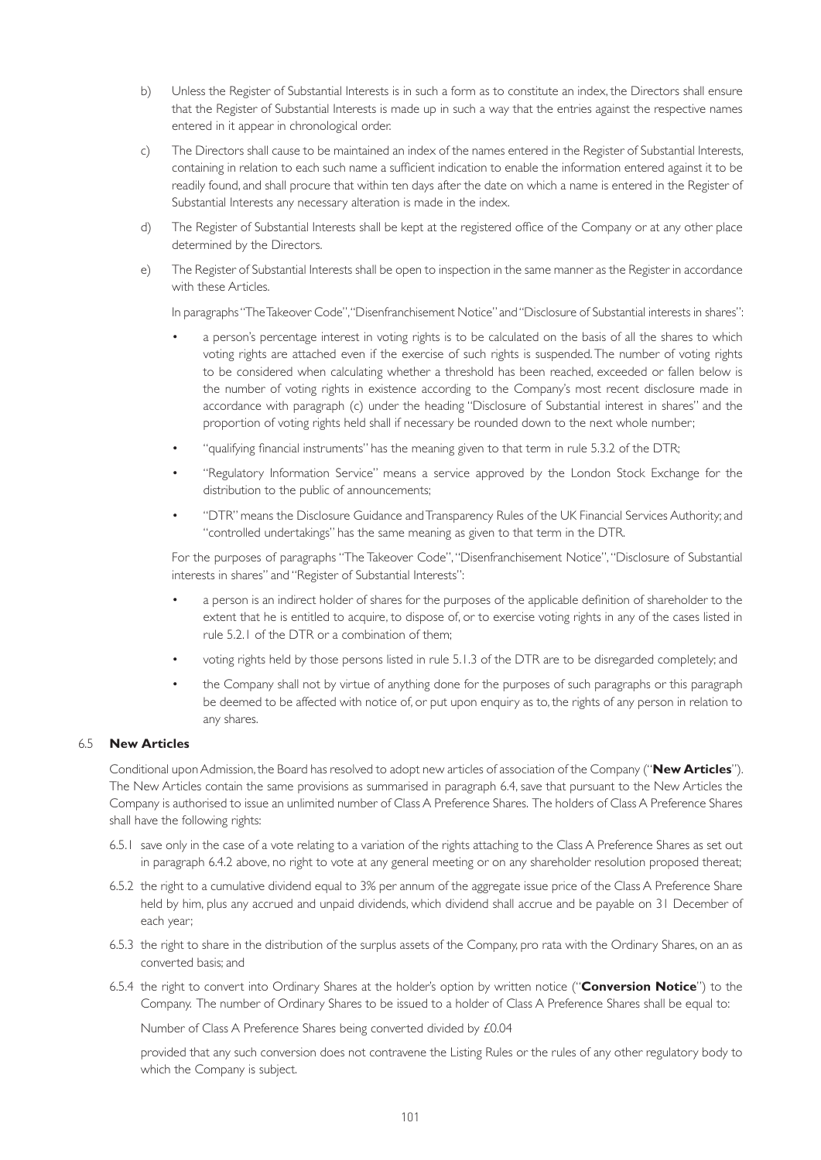- b) Unless the Register of Substantial Interests is in such a form as to constitute an index, the Directors shall ensure that the Register of Substantial Interests is made up in such a way that the entries against the respective names entered in it appear in chronological order.
- c) The Directors shall cause to be maintained an index of the names entered in the Register of Substantial Interests, containing in relation to each such name a sufficient indication to enable the information entered against it to be readily found, and shall procure that within ten days after the date on which a name is entered in the Register of Substantial Interests any necessary alteration is made in the index.
- d) The Register of Substantial Interests shall be kept at the registered office of the Company or at any other place determined by the Directors.
- e) The Register of Substantial Interests shall be open to inspection in the same manner as the Register in accordance with these Articles.

In paragraphs "The Takeover Code", "Disenfranchisement Notice" and "Disclosure of Substantial interests in shares":

- a person's percentage interest in voting rights is to be calculated on the basis of all the shares to which voting rights are attached even if the exercise of such rights is suspended. The number of voting rights to be considered when calculating whether a threshold has been reached, exceeded or fallen below is the number of voting rights in existence according to the Company's most recent disclosure made in accordance with paragraph (c) under the heading "Disclosure of Substantial interest in shares" and the proportion of voting rights held shall if necessary be rounded down to the next whole number;
- "qualifying financial instruments" has the meaning given to that term in rule 5.3.2 of the DTR;
- "Regulatory Information Service" means a service approved by the London Stock Exchange for the distribution to the public of announcements;
- "DTR" means the Disclosure Guidance and Transparency Rules of the UK Financial Services Authority; and "controlled undertakings" has the same meaning as given to that term in the DTR.

 For the purposes of paragraphs "The Takeover Code", "Disenfranchisement Notice", "Disclosure of Substantial interests in shares" and "Register of Substantial Interests":

- a person is an indirect holder of shares for the purposes of the applicable definition of shareholder to the extent that he is entitled to acquire, to dispose of, or to exercise voting rights in any of the cases listed in rule 5.2.1 of the DTR or a combination of them;
- voting rights held by those persons listed in rule 5.1.3 of the DTR are to be disregarded completely; and
- the Company shall not by virtue of anything done for the purposes of such paragraphs or this paragraph be deemed to be affected with notice of, or put upon enquiry as to, the rights of any person in relation to any shares.

# 6.5 **New Articles**

 Conditional upon Admission, the Board has resolved to adopt new articles of association of the Company ("**New Articles**"). The New Articles contain the same provisions as summarised in paragraph 6.4, save that pursuant to the New Articles the Company is authorised to issue an unlimited number of Class A Preference Shares. The holders of Class A Preference Shares shall have the following rights:

- 6.5.1 save only in the case of a vote relating to a variation of the rights attaching to the Class A Preference Shares as set out in paragraph 6.4.2 above, no right to vote at any general meeting or on any shareholder resolution proposed thereat;
- 6.5.2 the right to a cumulative dividend equal to 3% per annum of the aggregate issue price of the Class A Preference Share held by him, plus any accrued and unpaid dividends, which dividend shall accrue and be payable on 31 December of each year;
- 6.5.3 the right to share in the distribution of the surplus assets of the Company, pro rata with the Ordinary Shares, on an as converted basis; and
- 6.5.4 the right to convert into Ordinary Shares at the holder's option by written notice ("**Conversion Notice**") to the Company. The number of Ordinary Shares to be issued to a holder of Class A Preference Shares shall be equal to:

Number of Class A Preference Shares being converted divided by £0.04

 provided that any such conversion does not contravene the Listing Rules or the rules of any other regulatory body to which the Company is subject.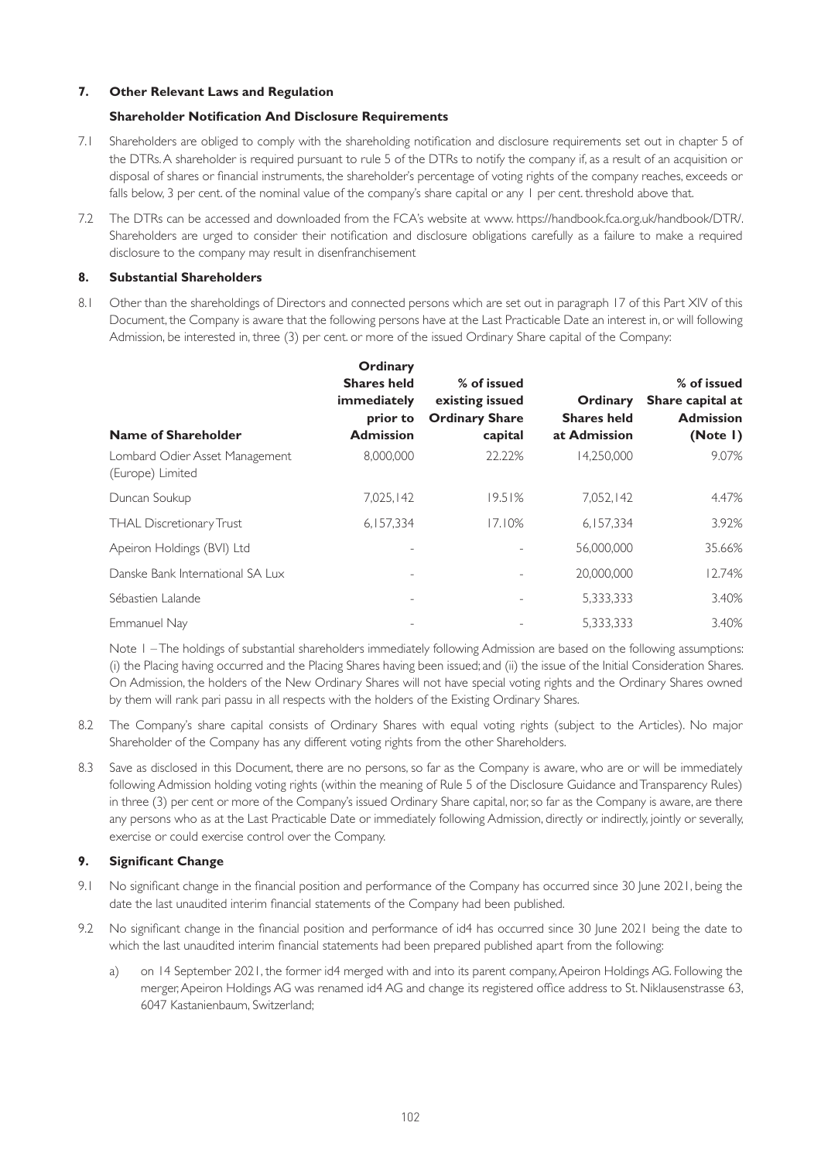# **7. Other Relevant Laws and Regulation**

# **Shareholder Notification And Disclosure Requirements**

- 7.1 Shareholders are obliged to comply with the shareholding notification and disclosure requirements set out in chapter 5 of the DTRs. A shareholder is required pursuant to rule 5 of the DTRs to notify the company if, as a result of an acquisition or disposal of shares or financial instruments, the shareholder's percentage of voting rights of the company reaches, exceeds or falls below, 3 per cent, of the nominal value of the company's share capital or any 1 per cent, threshold above that.
- 7.2 The DTRs can be accessed and downloaded from the FCA's website at www. https://handbook.fca.org.uk/handbook/DTR/. Shareholders are urged to consider their notification and disclosure obligations carefully as a failure to make a required disclosure to the company may result in disenfranchisement

### **8. Substantial Shareholders**

8.1 Other than the shareholdings of Directors and connected persons which are set out in paragraph 17 of this Part XIV of this Document, the Company is aware that the following persons have at the Last Practicable Date an interest in, or will following Admission, be interested in, three (3) per cent. or more of the issued Ordinary Share capital of the Company:

| Name of Shareholder                                | Ordinary<br><b>Shares held</b><br>immediately<br>prior to<br><b>Admission</b> | % of issued<br>existing issued<br><b>Ordinary Share</b><br>capital | Ordinary<br><b>Shares held</b><br>at Admission | % of issued<br>Share capital at<br><b>Admission</b><br>(Note I) |
|----------------------------------------------------|-------------------------------------------------------------------------------|--------------------------------------------------------------------|------------------------------------------------|-----------------------------------------------------------------|
| Lombard Odier Asset Management<br>(Europe) Limited | 8.000.000                                                                     | 22.22%                                                             | 14.250.000                                     | 9.07%                                                           |
| Duncan Soukup                                      | 7,025,142                                                                     | 19.51%                                                             | 7,052,142                                      | 4.47%                                                           |
| THAL Discretionary Trust                           | 6,157,334                                                                     | 17.10%                                                             | 6,157,334                                      | 3.92%                                                           |
| Apeiron Holdings (BVI) Ltd                         |                                                                               | $\overline{a}$                                                     | 56.000.000                                     | 35.66%                                                          |
| Danske Bank International SA Lux                   | $\overline{\phantom{0}}$                                                      | -                                                                  | 20,000,000                                     | 12.74%                                                          |
| Sébastien Lalande                                  |                                                                               | -                                                                  | 5,333,333                                      | 3.40%                                                           |
| Emmanuel Nay                                       |                                                                               |                                                                    | 5,333,333                                      | 3.40%                                                           |

Note I – The holdings of substantial shareholders immediately following Admission are based on the following assumptions: (i) the Placing having occurred and the Placing Shares having been issued; and (ii) the issue of the Initial Consideration Shares. On Admission, the holders of the New Ordinary Shares will not have special voting rights and the Ordinary Shares owned by them will rank pari passu in all respects with the holders of the Existing Ordinary Shares.

- 8.2 The Company's share capital consists of Ordinary Shares with equal voting rights (subject to the Articles). No major Shareholder of the Company has any different voting rights from the other Shareholders.
- 8.3 Save as disclosed in this Document, there are no persons, so far as the Company is aware, who are or will be immediately following Admission holding voting rights (within the meaning of Rule 5 of the Disclosure Guidance and Transparency Rules) in three (3) per cent or more of the Company's issued Ordinary Share capital, nor, so far as the Company is aware, are there any persons who as at the Last Practicable Date or immediately following Admission, directly or indirectly, jointly or severally, exercise or could exercise control over the Company.

# **9. Significant Change**

- 9.1 No significant change in the financial position and performance of the Company has occurred since 30 June 2021, being the date the last unaudited interim financial statements of the Company had been published.
- 9.2 No significant change in the financial position and performance of id4 has occurred since 30 June 2021 being the date to which the last unaudited interim financial statements had been prepared published apart from the following:
	- a) on 14 September 2021, the former id4 merged with and into its parent company, Apeiron Holdings AG. Following the merger, Apeiron Holdings AG was renamed id4 AG and change its registered office address to St. Niklausenstrasse 63, 6047 Kastanienbaum, Switzerland;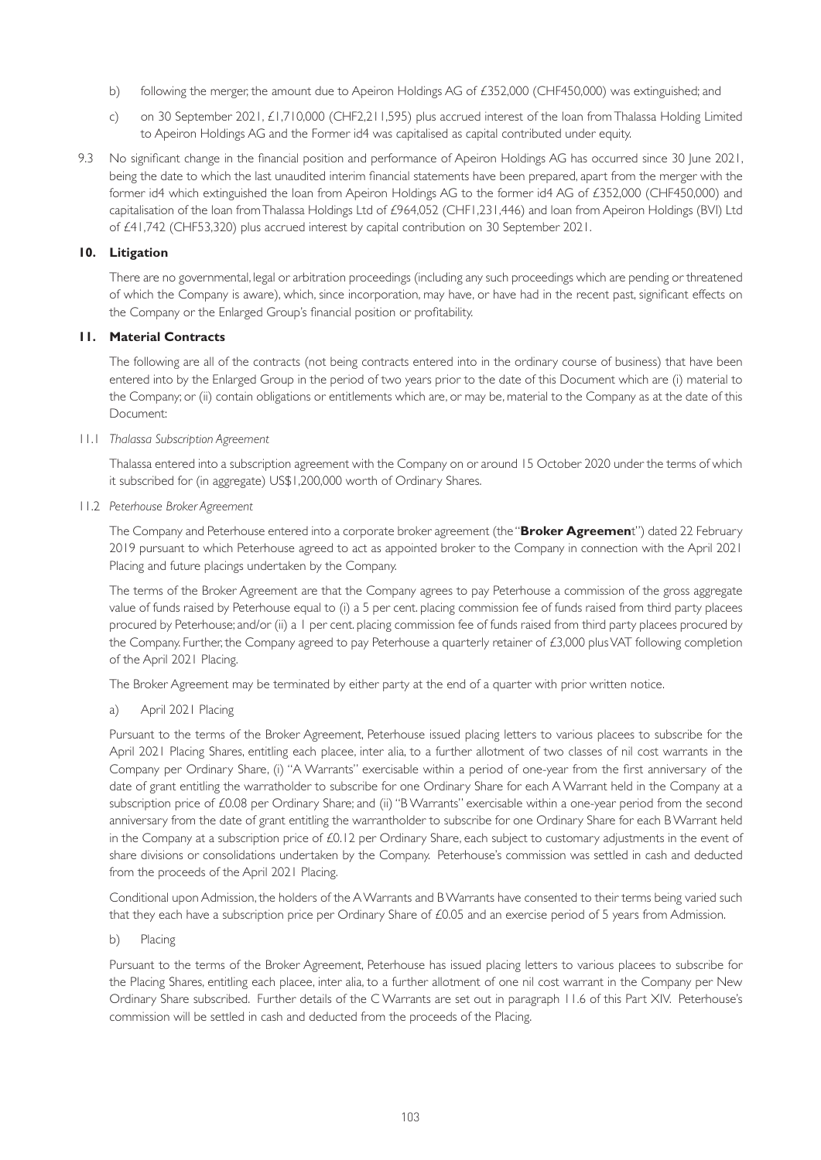- b) following the merger, the amount due to Apeiron Holdings AG of £352,000 (CHF450,000) was extinguished; and
- c) on 30 September 2021, £1,710,000 (CHF2,211,595) plus accrued interest of the loan from Thalassa Holding Limited to Apeiron Holdings AG and the Former id4 was capitalised as capital contributed under equity.
- 9.3 No significant change in the financial position and performance of Apeiron Holdings AG has occurred since 30 June 2021, being the date to which the last unaudited interim financial statements have been prepared, apart from the merger with the former id4 which extinguished the loan from Apeiron Holdings AG to the former id4 AG of £352,000 (CHF450,000) and capitalisation of the loan from Thalassa Holdings Ltd of £964,052 (CHF1,231,446) and loan from Apeiron Holdings (BVI) Ltd of £41,742 (CHF53,320) plus accrued interest by capital contribution on 30 September 2021.

# **10. Litigation**

 There are no governmental, legal or arbitration proceedings (including any such proceedings which are pending or threatened of which the Company is aware), which, since incorporation, may have, or have had in the recent past, significant effects on the Company or the Enlarged Group's financial position or profitability.

# **11. Material Contracts**

 The following are all of the contracts (not being contracts entered into in the ordinary course of business) that have been entered into by the Enlarged Group in the period of two years prior to the date of this Document which are (i) material to the Company; or (ii) contain obligations or entitlements which are, or may be, material to the Company as at the date of this Document:

# 11.1 *Thalassa Subscription Agreement*

 Thalassa entered into a subscription agreement with the Company on or around 15 October 2020 under the terms of which it subscribed for (in aggregate) US\$1,200,000 worth of Ordinary Shares.

11.2 *Peterhouse Broker Agreement* 

The Company and Peterhouse entered into a corporate broker agreement (the "**Broker Agreemen**t") dated 22 February 2019 pursuant to which Peterhouse agreed to act as appointed broker to the Company in connection with the April 2021 Placing and future placings undertaken by the Company.

The terms of the Broker Agreement are that the Company agrees to pay Peterhouse a commission of the gross aggregate value of funds raised by Peterhouse equal to (i) a 5 per cent. placing commission fee of funds raised from third party placees procured by Peterhouse; and/or (ii) a 1 per cent. placing commission fee of funds raised from third party placees procured by the Company. Further, the Company agreed to pay Peterhouse a quarterly retainer of £3,000 plus VAT following completion of the April 2021 Placing.

The Broker Agreement may be terminated by either party at the end of a quarter with prior written notice.

a) April 2021 Placing

 Pursuant to the terms of the Broker Agreement, Peterhouse issued placing letters to various placees to subscribe for the April 2021 Placing Shares, entitling each placee, inter alia, to a further allotment of two classes of nil cost warrants in the Company per Ordinary Share, (i) "A Warrants" exercisable within a period of one-year from the first anniversary of the date of grant entitling the warratholder to subscribe for one Ordinary Share for each A Warrant held in the Company at a subscription price of £0.08 per Ordinary Share; and (ii) "B Warrants" exercisable within a one-year period from the second anniversary from the date of grant entitling the warrantholder to subscribe for one Ordinary Share for each B Warrant held in the Company at a subscription price of £0.12 per Ordinary Share, each subject to customary adjustments in the event of share divisions or consolidations undertaken by the Company. Peterhouse's commission was settled in cash and deducted from the proceeds of the April 2021 Placing.

 Conditional upon Admission, the holders of the A Warrants and B Warrants have consented to their terms being varied such that they each have a subscription price per Ordinary Share of £0.05 and an exercise period of 5 years from Admission.

b) Placing

 Pursuant to the terms of the Broker Agreement, Peterhouse has issued placing letters to various placees to subscribe for the Placing Shares, entitling each placee, inter alia, to a further allotment of one nil cost warrant in the Company per New Ordinary Share subscribed. Further details of the C Warrants are set out in paragraph 11.6 of this Part XIV. Peterhouse's commission will be settled in cash and deducted from the proceeds of the Placing.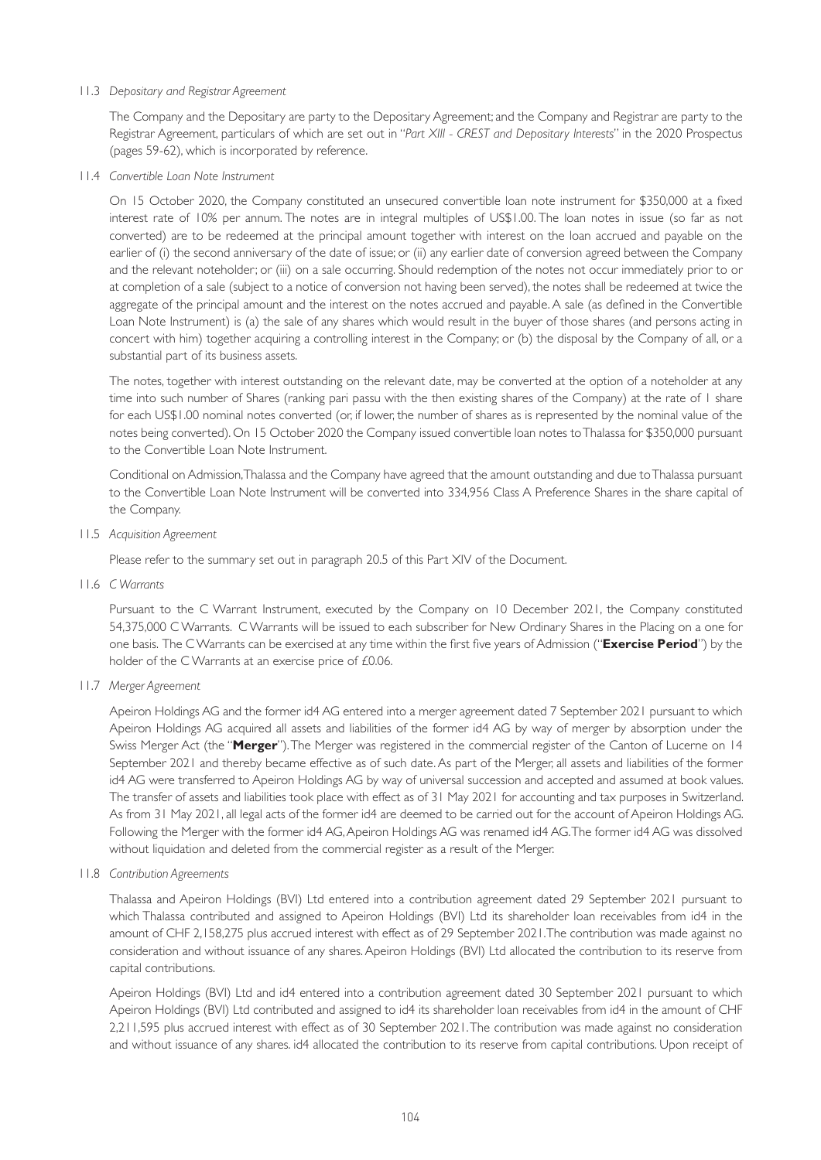# 11.3 *Depositary and Registrar Agreement*

 The Company and the Depositary are party to the Depositary Agreement; and the Company and Registrar are party to the Registrar Agreement, particulars of which are set out in "*Part XIII - CREST and Depositary Interests*" in the 2020 Prospectus (pages 59-62), which is incorporated by reference.

### 11.4 *Convertible Loan Note Instrument*

 On 15 October 2020, the Company constituted an unsecured convertible loan note instrument for \$350,000 at a fixed interest rate of 10% per annum. The notes are in integral multiples of US\$1.00. The loan notes in issue (so far as not converted) are to be redeemed at the principal amount together with interest on the loan accrued and payable on the earlier of (i) the second anniversary of the date of issue; or (ii) any earlier date of conversion agreed between the Company and the relevant noteholder; or (iii) on a sale occurring. Should redemption of the notes not occur immediately prior to or at completion of a sale (subject to a notice of conversion not having been served), the notes shall be redeemed at twice the aggregate of the principal amount and the interest on the notes accrued and payable. A sale (as defined in the Convertible Loan Note Instrument) is (a) the sale of any shares which would result in the buyer of those shares (and persons acting in concert with him) together acquiring a controlling interest in the Company; or (b) the disposal by the Company of all, or a substantial part of its business assets.

 The notes, together with interest outstanding on the relevant date, may be converted at the option of a noteholder at any time into such number of Shares (ranking pari passu with the then existing shares of the Company) at the rate of 1 share for each US\$1.00 nominal notes converted (or, if lower, the number of shares as is represented by the nominal value of the notes being converted). On 15 October 2020 the Company issued convertible loan notes to Thalassa for \$350,000 pursuant to the Convertible Loan Note Instrument.

 Conditional on Admission, Thalassa and the Company have agreed that the amount outstanding and due to Thalassa pursuant to the Convertible Loan Note Instrument will be converted into 334,956 Class A Preference Shares in the share capital of the Company.

11.5 *Acquisition Agreement*

Please refer to the summary set out in paragraph 20.5 of this Part XIV of the Document.

11.6 *C Warrants*

 Pursuant to the C Warrant Instrument, executed by the Company on 10 December 2021, the Company constituted 54,375,000 C Warrants. C Warrants will be issued to each subscriber for New Ordinary Shares in the Placing on a one for one basis. The C Warrants can be exercised at any time within the first five years of Admission ("**Exercise Period**") by the holder of the C Warrants at an exercise price of £0.06.

# 11.7 *Merger Agreement*

 Apeiron Holdings AG and the former id4 AG entered into a merger agreement dated 7 September 2021 pursuant to which Apeiron Holdings AG acquired all assets and liabilities of the former id4 AG by way of merger by absorption under the Swiss Merger Act (the "**Merger**"). The Merger was registered in the commercial register of the Canton of Lucerne on 14 September 2021 and thereby became effective as of such date. As part of the Merger, all assets and liabilities of the former id4 AG were transferred to Apeiron Holdings AG by way of universal succession and accepted and assumed at book values. The transfer of assets and liabilities took place with effect as of 31 May 2021 for accounting and tax purposes in Switzerland. As from 31 May 2021, all legal acts of the former id4 are deemed to be carried out for the account of Apeiron Holdings AG. Following the Merger with the former id4 AG, Apeiron Holdings AG was renamed id4 AG. The former id4 AG was dissolved without liquidation and deleted from the commercial register as a result of the Merger.

11.8 *Contribution Agreements*

 Thalassa and Apeiron Holdings (BVI) Ltd entered into a contribution agreement dated 29 September 2021 pursuant to which Thalassa contributed and assigned to Apeiron Holdings (BVI) Ltd its shareholder loan receivables from id4 in the amount of CHF 2,158,275 plus accrued interest with effect as of 29 September 2021. The contribution was made against no consideration and without issuance of any shares. Apeiron Holdings (BVI) Ltd allocated the contribution to its reserve from capital contributions.

 Apeiron Holdings (BVI) Ltd and id4 entered into a contribution agreement dated 30 September 2021 pursuant to which Apeiron Holdings (BVI) Ltd contributed and assigned to id4 its shareholder loan receivables from id4 in the amount of CHF 2,211,595 plus accrued interest with effect as of 30 September 2021. The contribution was made against no consideration and without issuance of any shares. id4 allocated the contribution to its reserve from capital contributions. Upon receipt of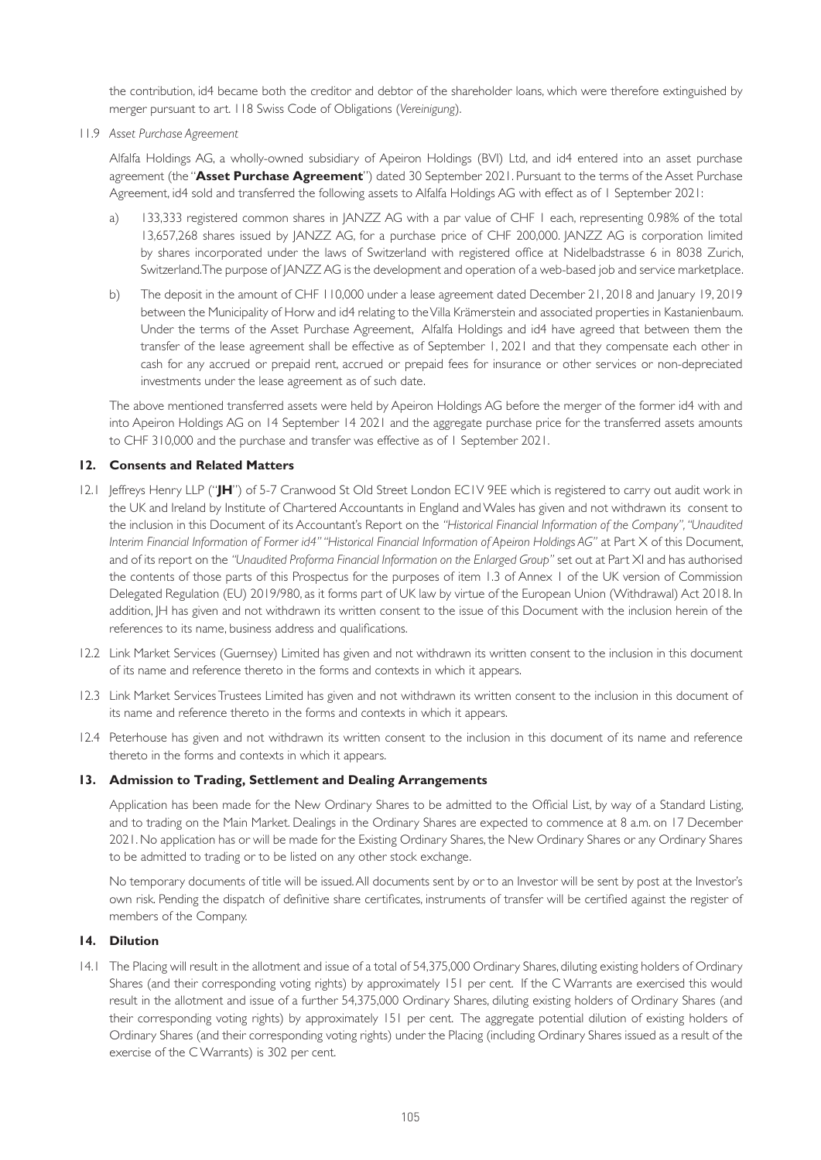the contribution, id4 became both the creditor and debtor of the shareholder loans, which were therefore extinguished by merger pursuant to art. 118 Swiss Code of Obligations (*Vereinigung*).

11.9 *Asset Purchase Agreement*

 Alfalfa Holdings AG, a wholly-owned subsidiary of Apeiron Holdings (BVI) Ltd, and id4 entered into an asset purchase agreement (the "**Asset Purchase Agreement**") dated 30 September 2021. Pursuant to the terms of the Asset Purchase Agreement, id4 sold and transferred the following assets to Alfalfa Holdings AG with effect as of 1 September 2021:

- a) 133,333 registered common shares in JANZZ AG with a par value of CHF 1 each, representing 0.98% of the total 13,657,268 shares issued by JANZZ AG, for a purchase price of CHF 200,000. JANZZ AG is corporation limited by shares incorporated under the laws of Switzerland with registered office at Nidelbadstrasse 6 in 8038 Zurich, Switzerland. The purpose of JANZZ AG is the development and operation of a web-based job and service marketplace.
- b) The deposit in the amount of CHF 110,000 under a lease agreement dated December 21, 2018 and January 19, 2019 between the Municipality of Horw and id4 relating to the Villa Krämerstein and associated properties in Kastanienbaum. Under the terms of the Asset Purchase Agreement, Alfalfa Holdings and id4 have agreed that between them the transfer of the lease agreement shall be effective as of September 1, 2021 and that they compensate each other in cash for any accrued or prepaid rent, accrued or prepaid fees for insurance or other services or non-depreciated investments under the lease agreement as of such date.

 The above mentioned transferred assets were held by Apeiron Holdings AG before the merger of the former id4 with and into Apeiron Holdings AG on 14 September 14 2021 and the aggregate purchase price for the transferred assets amounts to CHF 310,000 and the purchase and transfer was effective as of 1 September 2021.

# **12. Consents and Related Matters**

- 12.1 Jeffreys Henry LLP ("**JH**") of 5-7 Cranwood St Old Street London EC1V 9EE which is registered to carry out audit work in the UK and Ireland by Institute of Chartered Accountants in England and Wales has given and not withdrawn its consent to the inclusion in this Document of its Accountant's Report on the *"Historical Financial Information of the Company", "Unaudited Interim Financial Information of Former id4" "Historical Financial Information of Apeiron Holdings AG"* at Part X of this Document, and of its report on the *"Unaudited Proforma Financial Information on the Enlarged Group"* set out at Part XI and has authorised the contents of those parts of this Prospectus for the purposes of item 1.3 of Annex 1 of the UK version of Commission Delegated Regulation (EU) 2019/980, as it forms part of UK law by virtue of the European Union (Withdrawal) Act 2018. In addition, JH has given and not withdrawn its written consent to the issue of this Document with the inclusion herein of the references to its name, business address and qualifications.
- 12.2 Link Market Services (Guernsey) Limited has given and not withdrawn its written consent to the inclusion in this document of its name and reference thereto in the forms and contexts in which it appears.
- 12.3 Link Market Services Trustees Limited has given and not withdrawn its written consent to the inclusion in this document of its name and reference thereto in the forms and contexts in which it appears.
- 12.4 Peterhouse has given and not withdrawn its written consent to the inclusion in this document of its name and reference thereto in the forms and contexts in which it appears.

# **13. Admission to Trading, Settlement and Dealing Arrangements**

 Application has been made for the New Ordinary Shares to be admitted to the Official List, by way of a Standard Listing, and to trading on the Main Market. Dealings in the Ordinary Shares are expected to commence at 8 a.m. on 17 December 2021. No application has or will be made for the Existing Ordinary Shares, the New Ordinary Shares or any Ordinary Shares to be admitted to trading or to be listed on any other stock exchange.

 No temporary documents of title will be issued. All documents sent by or to an Investor will be sent by post at the Investor's own risk. Pending the dispatch of definitive share certificates, instruments of transfer will be certified against the register of members of the Company.

# **14. Dilution**

14.1 The Placing will result in the allotment and issue of a total of 54,375,000 Ordinary Shares, diluting existing holders of Ordinary Shares (and their corresponding voting rights) by approximately 151 per cent. If the C Warrants are exercised this would result in the allotment and issue of a further 54,375,000 Ordinary Shares, diluting existing holders of Ordinary Shares (and their corresponding voting rights) by approximately 151 per cent. The aggregate potential dilution of existing holders of Ordinary Shares (and their corresponding voting rights) under the Placing (including Ordinary Shares issued as a result of the exercise of the C Warrants) is 302 per cent.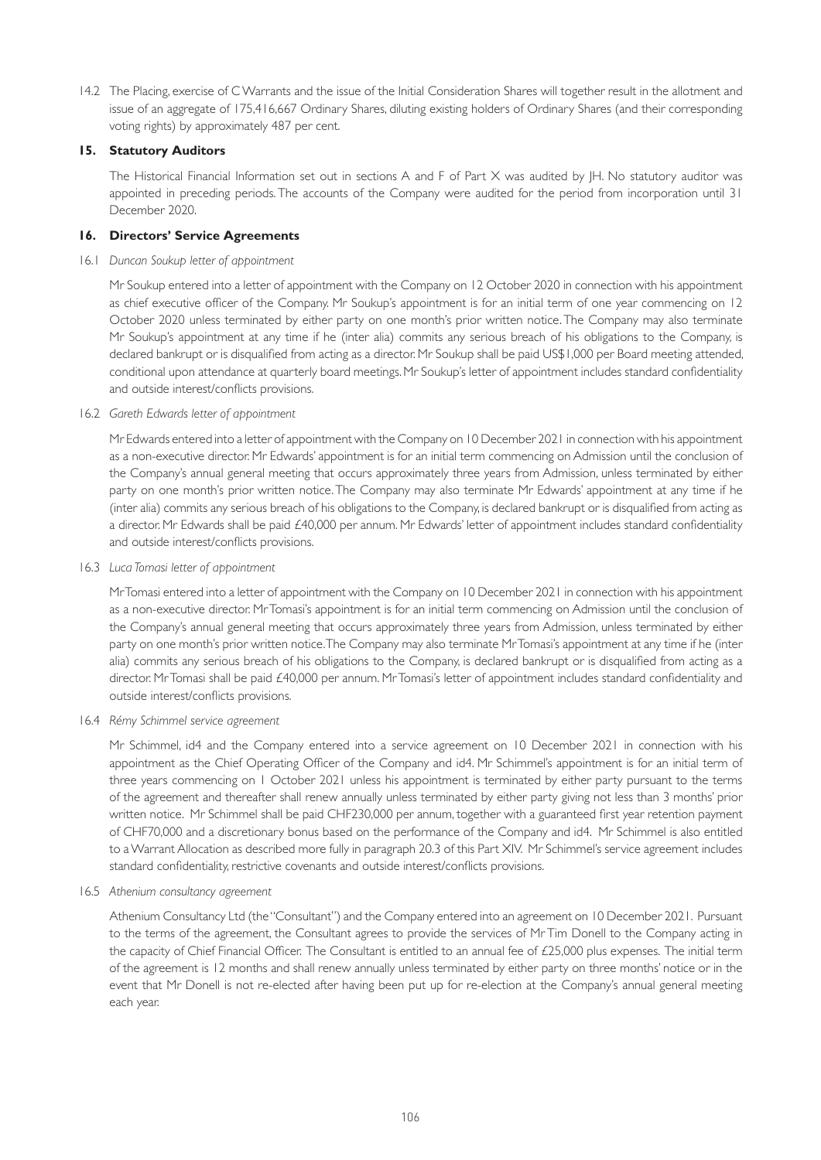14.2 The Placing, exercise of C Warrants and the issue of the Initial Consideration Shares will together result in the allotment and issue of an aggregate of 175,416,667 Ordinary Shares, diluting existing holders of Ordinary Shares (and their corresponding voting rights) by approximately 487 per cent.

# **15. Statutory Auditors**

 The Historical Financial Information set out in sections A and F of Part X was audited by JH. No statutory auditor was appointed in preceding periods. The accounts of the Company were audited for the period from incorporation until 31 December 2020.

# **16. Directors' Service Agreements**

16.1 *Duncan Soukup letter of appointment*

Mr Soukup entered into a letter of appointment with the Company on 12 October 2020 in connection with his appointment as chief executive officer of the Company. Mr Soukup's appointment is for an initial term of one year commencing on 12 October 2020 unless terminated by either party on one month's prior written notice. The Company may also terminate Mr Soukup's appointment at any time if he (inter alia) commits any serious breach of his obligations to the Company, is declared bankrupt or is disqualified from acting as a director. Mr Soukup shall be paid US\$1,000 per Board meeting attended, conditional upon attendance at quarterly board meetings. Mr Soukup's letter of appointment includes standard confidentiality and outside interest/conflicts provisions.

16.2 *Gareth Edwards letter of appointment*

Mr Edwards entered into a letter of appointment with the Company on 10 December 2021 in connection with his appointment as a non-executive director. Mr Edwards' appointment is for an initial term commencing on Admission until the conclusion of the Company's annual general meeting that occurs approximately three years from Admission, unless terminated by either party on one month's prior written notice. The Company may also terminate Mr Edwards' appointment at any time if he (inter alia) commits any serious breach of his obligations to the Company, is declared bankrupt or is disqualified from acting as a director. Mr Edwards shall be paid £40,000 per annum. Mr Edwards' letter of appointment includes standard confidentiality and outside interest/conflicts provisions.

16.3 *Luca Tomasi letter of appointment*

Mr Tomasi entered into a letter of appointment with the Company on 10 December 2021 in connection with his appointment as a non-executive director. Mr Tomasi's appointment is for an initial term commencing on Admission until the conclusion of the Company's annual general meeting that occurs approximately three years from Admission, unless terminated by either party on one month's prior written notice. The Company may also terminate Mr Tomasi's appointment at any time if he (inter alia) commits any serious breach of his obligations to the Company, is declared bankrupt or is disqualified from acting as a director. Mr Tomasi shall be paid £40,000 per annum. Mr Tomasi's letter of appointment includes standard confidentiality and outside interest/conflicts provisions.

### 16.4 *Rémy Schimmel service agreement*

Mr Schimmel, id4 and the Company entered into a service agreement on 10 December 2021 in connection with his appointment as the Chief Operating Officer of the Company and id4. Mr Schimmel's appointment is for an initial term of three years commencing on 1 October 2021 unless his appointment is terminated by either party pursuant to the terms of the agreement and thereafter shall renew annually unless terminated by either party giving not less than 3 months' prior written notice. Mr Schimmel shall be paid CHF230,000 per annum, together with a guaranteed first year retention payment of CHF70,000 and a discretionary bonus based on the performance of the Company and id4. Mr Schimmel is also entitled to a Warrant Allocation as described more fully in paragraph 20.3 of this Part XIV. Mr Schimmel's service agreement includes standard confidentiality, restrictive covenants and outside interest/conflicts provisions.

16.5 *Athenium consultancy agreement*

Athenium Consultancy Ltd (the "Consultant") and the Company entered into an agreement on 10 December 2021. Pursuant to the terms of the agreement, the Consultant agrees to provide the services of Mr Tim Donell to the Company acting in the capacity of Chief Financial Officer. The Consultant is entitled to an annual fee of £25,000 plus expenses. The initial term of the agreement is 12 months and shall renew annually unless terminated by either party on three months' notice or in the event that Mr Donell is not re-elected after having been put up for re-election at the Company's annual general meeting each year.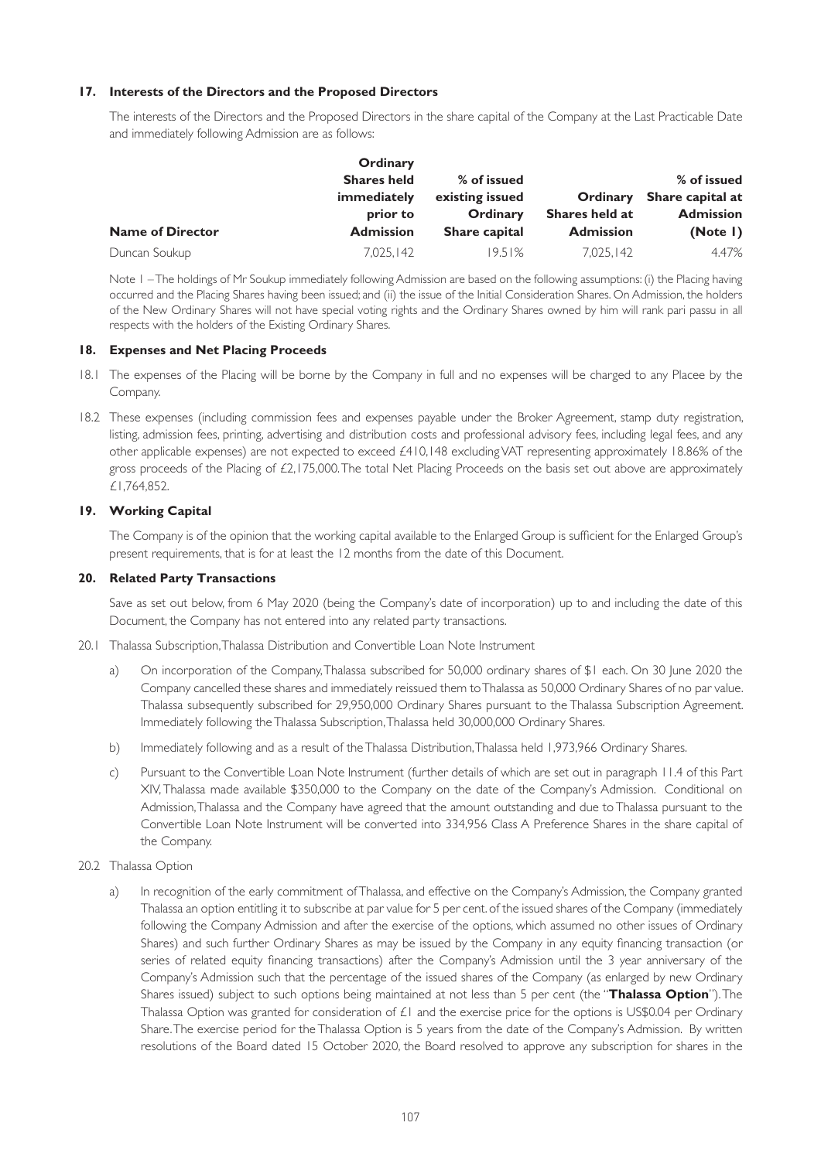# **17. Interests of the Directors and the Proposed Directors**

The interests of the Directors and the Proposed Directors in the share capital of the Company at the Last Practicable Date and immediately following Admission are as follows:

|                         | Ordinary           |                 |                  |                           |
|-------------------------|--------------------|-----------------|------------------|---------------------------|
|                         | <b>Shares held</b> | % of issued     |                  | % of issued               |
|                         | immediately        | existing issued |                  | Ordinary Share capital at |
|                         | prior to           | Ordinary        | Shares held at   | <b>Admission</b>          |
| <b>Name of Director</b> | <b>Admission</b>   | Share capital   | <b>Admission</b> | (Note I)                  |
| Duncan Soukup           | 7.025.142          | 19.51%          | 7.025.142        | 4.47%                     |

Note 1 – The holdings of Mr Soukup immediately following Admission are based on the following assumptions: (i) the Placing having occurred and the Placing Shares having been issued; and (ii) the issue of the Initial Consideration Shares. On Admission, the holders of the New Ordinary Shares will not have special voting rights and the Ordinary Shares owned by him will rank pari passu in all respects with the holders of the Existing Ordinary Shares.

### **18. Expenses and Net Placing Proceeds**

- 18.1 The expenses of the Placing will be borne by the Company in full and no expenses will be charged to any Placee by the Company.
- 18.2 These expenses (including commission fees and expenses payable under the Broker Agreement, stamp duty registration, listing, admission fees, printing, advertising and distribution costs and professional advisory fees, including legal fees, and any other applicable expenses) are not expected to exceed £410,148 excluding VAT representing approximately 18.86% of the gross proceeds of the Placing of  $£2,175,000$ . The total Net Placing Proceeds on the basis set out above are approximately £1,764,852.

# **19. Working Capital**

The Company is of the opinion that the working capital available to the Enlarged Group is sufficient for the Enlarged Group's present requirements, that is for at least the 12 months from the date of this Document.

### **20. Related Party Transactions**

Save as set out below, from 6 May 2020 (being the Company's date of incorporation) up to and including the date of this Document, the Company has not entered into any related party transactions.

- 20.1 Thalassa Subscription, Thalassa Distribution and Convertible Loan Note Instrument
	- a) On incorporation of the Company, Thalassa subscribed for 50,000 ordinary shares of \$1 each. On 30 June 2020 the Company cancelled these shares and immediately reissued them to Thalassa as 50,000 Ordinary Shares of no par value. Thalassa subsequently subscribed for 29,950,000 Ordinary Shares pursuant to the Thalassa Subscription Agreement. Immediately following the Thalassa Subscription, Thalassa held 30,000,000 Ordinary Shares.
	- b) Immediately following and as a result of the Thalassa Distribution, Thalassa held 1,973,966 Ordinary Shares.
	- c) Pursuant to the Convertible Loan Note Instrument (further details of which are set out in paragraph 11.4 of this Part XIV, Thalassa made available \$350,000 to the Company on the date of the Company's Admission. Conditional on Admission, Thalassa and the Company have agreed that the amount outstanding and due to Thalassa pursuant to the Convertible Loan Note Instrument will be converted into 334,956 Class A Preference Shares in the share capital of the Company.
- 20.2 Thalassa Option
	- a) In recognition of the early commitment of Thalassa, and effective on the Company's Admission, the Company granted Thalassa an option entitling it to subscribe at par value for 5 per cent. of the issued shares of the Company (immediately following the Company Admission and after the exercise of the options, which assumed no other issues of Ordinary Shares) and such further Ordinary Shares as may be issued by the Company in any equity financing transaction (or series of related equity financing transactions) after the Company's Admission until the 3 year anniversary of the Company's Admission such that the percentage of the issued shares of the Company (as enlarged by new Ordinary Shares issued) subject to such options being maintained at not less than 5 per cent (the "**Thalassa Option**"). The Thalassa Option was granted for consideration of  $E1$  and the exercise price for the options is US\$0.04 per Ordinary Share. The exercise period for the Thalassa Option is 5 years from the date of the Company's Admission. By written resolutions of the Board dated 15 October 2020, the Board resolved to approve any subscription for shares in the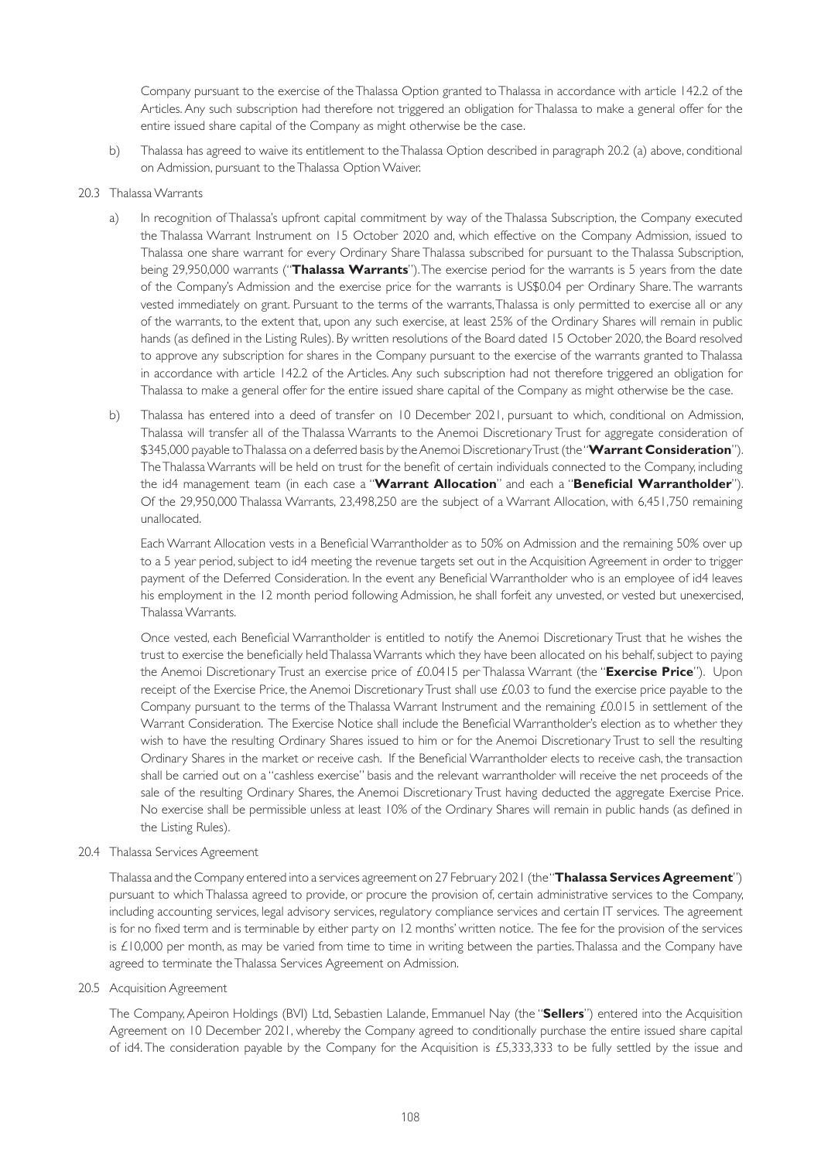Company pursuant to the exercise of the Thalassa Option granted to Thalassa in accordance with article 142.2 of the Articles. Any such subscription had therefore not triggered an obligation for Thalassa to make a general offer for the entire issued share capital of the Company as might otherwise be the case.

b) Thalassa has agreed to waive its entitlement to the Thalassa Option described in paragraph 20.2 (a) above, conditional on Admission, pursuant to the Thalassa Option Waiver.

### 20.3 Thalassa Warrants

- a) In recognition of Thalassa's upfront capital commitment by way of the Thalassa Subscription, the Company executed the Thalassa Warrant Instrument on 15 October 2020 and, which effective on the Company Admission, issued to Thalassa one share warrant for every Ordinary Share Thalassa subscribed for pursuant to the Thalassa Subscription, being 29,950,000 warrants ("**Thalassa Warrants**"). The exercise period for the warrants is 5 years from the date of the Company's Admission and the exercise price for the warrants is US\$0.04 per Ordinary Share. The warrants vested immediately on grant. Pursuant to the terms of the warrants, Thalassa is only permitted to exercise all or any of the warrants, to the extent that, upon any such exercise, at least 25% of the Ordinary Shares will remain in public hands (as defined in the Listing Rules). By written resolutions of the Board dated 15 October 2020, the Board resolved to approve any subscription for shares in the Company pursuant to the exercise of the warrants granted to Thalassa in accordance with article 142.2 of the Articles. Any such subscription had not therefore triggered an obligation for Thalassa to make a general offer for the entire issued share capital of the Company as might otherwise be the case.
- b) Thalassa has entered into a deed of transfer on 10 December 2021, pursuant to which, conditional on Admission, Thalassa will transfer all of the Thalassa Warrants to the Anemoi Discretionary Trust for aggregate consideration of \$345,000 payable to Thalassa on a deferred basis by the Anemoi Discretionary Trust (the "**Warrant Consideration**"). The Thalassa Warrants will be held on trust for the benefit of certain individuals connected to the Company, including the id4 management team (in each case a "**Warrant Allocation**" and each a "**Beneficial Warrantholder**"). Of the 29,950,000 Thalassa Warrants, 23,498,250 are the subject of a Warrant Allocation, with 6,451,750 remaining unallocated.

 Each Warrant Allocation vests in a Beneficial Warrantholder as to 50% on Admission and the remaining 50% over up to a 5 year period, subject to id4 meeting the revenue targets set out in the Acquisition Agreement in order to trigger payment of the Deferred Consideration. In the event any Beneficial Warrantholder who is an employee of id4 leaves his employment in the 12 month period following Admission, he shall forfeit any unvested, or vested but unexercised, Thalassa Warrants.

 Once vested, each Beneficial Warrantholder is entitled to notify the Anemoi Discretionary Trust that he wishes the trust to exercise the beneficially held Thalassa Warrants which they have been allocated on his behalf, subject to paying the Anemoi Discretionary Trust an exercise price of £0.0415 per Thalassa Warrant (the "**Exercise Price**"). Upon receipt of the Exercise Price, the Anemoi Discretionary Trust shall use £0.03 to fund the exercise price payable to the Company pursuant to the terms of the Thalassa Warrant Instrument and the remaining £0.015 in settlement of the Warrant Consideration. The Exercise Notice shall include the Beneficial Warrantholder's election as to whether they wish to have the resulting Ordinary Shares issued to him or for the Anemoi Discretionary Trust to sell the resulting Ordinary Shares in the market or receive cash. If the Beneficial Warrantholder elects to receive cash, the transaction shall be carried out on a "cashless exercise" basis and the relevant warrantholder will receive the net proceeds of the sale of the resulting Ordinary Shares, the Anemoi Discretionary Trust having deducted the aggregate Exercise Price. No exercise shall be permissible unless at least 10% of the Ordinary Shares will remain in public hands (as defined in the Listing Rules).

### 20.4 Thalassa Services Agreement

 Thalassa and the Company entered into a services agreement on 27 February 2021 (the "**Thalassa Services Agreement**") pursuant to which Thalassa agreed to provide, or procure the provision of, certain administrative services to the Company, including accounting services, legal advisory services, regulatory compliance services and certain IT services. The agreement is for no fixed term and is terminable by either party on 12 months' written notice. The fee for the provision of the services is £10,000 per month, as may be varied from time to time in writing between the parties. Thalassa and the Company have agreed to terminate the Thalassa Services Agreement on Admission.

20.5 Acquisition Agreement

 The Company, Apeiron Holdings (BVI) Ltd, Sebastien Lalande, Emmanuel Nay (the "**Sellers**") entered into the Acquisition Agreement on 10 December 2021, whereby the Company agreed to conditionally purchase the entire issued share capital of id4. The consideration payable by the Company for the Acquisition is £5,333,333 to be fully settled by the issue and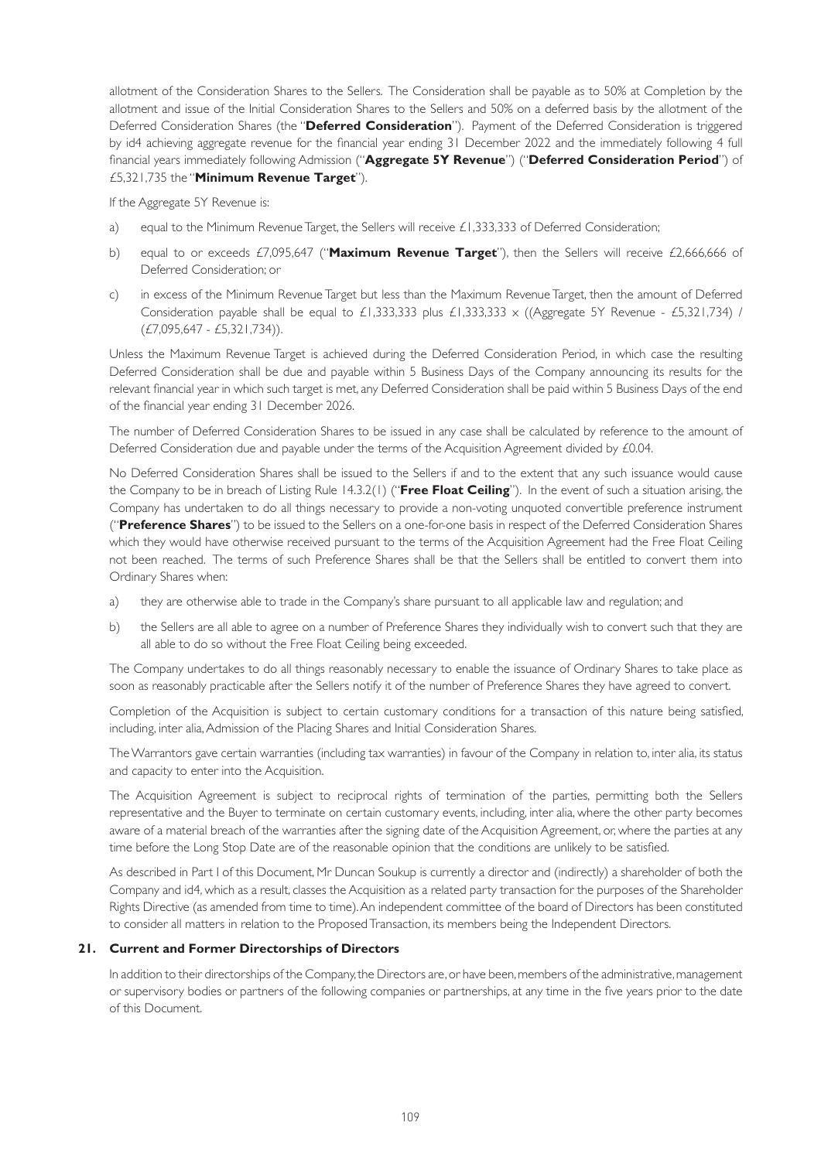allotment of the Consideration Shares to the Sellers. The Consideration shall be payable as to 50% at Completion by the allotment and issue of the Initial Consideration Shares to the Sellers and 50% on a deferred basis by the allotment of the Deferred Consideration Shares (the "**Deferred Consideration**"). Payment of the Deferred Consideration is triggered by id4 achieving aggregate revenue for the financial year ending 31 December 2022 and the immediately following 4 full financial years immediately following Admission ("**Aggregate 5Y Revenue**") ("**Deferred Consideration Period**") of £5,321,735 the "**Minimum Revenue Target**").

If the Aggregate 5Y Revenue is:

- a) equal to the Minimum Revenue Target, the Sellers will receive £1,333,333 of Deferred Consideration;
- b) equal to or exceeds £7,095,647 ("**Maximum Revenue Target**"), then the Sellers will receive £2,666,666 of Deferred Consideration; or
- c) in excess of the Minimum Revenue Target but less than the Maximum Revenue Target, then the amount of Deferred Consideration payable shall be equal to £1,333,333 plus £1,333,333 x ((Aggregate 5Y Revenue - £5,321,734) / (£7,095,647 - £5,321,734)).

 Unless the Maximum Revenue Target is achieved during the Deferred Consideration Period, in which case the resulting Deferred Consideration shall be due and payable within 5 Business Days of the Company announcing its results for the relevant financial year in which such target is met, any Deferred Consideration shall be paid within 5 Business Days of the end of the financial year ending 31 December 2026.

 The number of Deferred Consideration Shares to be issued in any case shall be calculated by reference to the amount of Deferred Consideration due and payable under the terms of the Acquisition Agreement divided by £0.04.

 No Deferred Consideration Shares shall be issued to the Sellers if and to the extent that any such issuance would cause the Company to be in breach of Listing Rule 14.3.2(1) ("**Free Float Ceiling**"). In the event of such a situation arising, the Company has undertaken to do all things necessary to provide a non-voting unquoted convertible preference instrument ("**Preference Shares**") to be issued to the Sellers on a one-for-one basis in respect of the Deferred Consideration Shares which they would have otherwise received pursuant to the terms of the Acquisition Agreement had the Free Float Ceiling not been reached. The terms of such Preference Shares shall be that the Sellers shall be entitled to convert them into Ordinary Shares when:

- a) they are otherwise able to trade in the Company's share pursuant to all applicable law and regulation; and
- b) the Sellers are all able to agree on a number of Preference Shares they individually wish to convert such that they are all able to do so without the Free Float Ceiling being exceeded.

 The Company undertakes to do all things reasonably necessary to enable the issuance of Ordinary Shares to take place as soon as reasonably practicable after the Sellers notify it of the number of Preference Shares they have agreed to convert.

 Completion of the Acquisition is subject to certain customary conditions for a transaction of this nature being satisfied, including, inter alia, Admission of the Placing Shares and Initial Consideration Shares.

 The Warrantors gave certain warranties (including tax warranties) in favour of the Company in relation to, inter alia, its status and capacity to enter into the Acquisition.

 The Acquisition Agreement is subject to reciprocal rights of termination of the parties, permitting both the Sellers representative and the Buyer to terminate on certain customary events, including, inter alia, where the other party becomes aware of a material breach of the warranties after the signing date of the Acquisition Agreement, or, where the parties at any time before the Long Stop Date are of the reasonable opinion that the conditions are unlikely to be satisfied.

 As described in Part I of this Document, Mr Duncan Soukup is currently a director and (indirectly) a shareholder of both the Company and id4, which as a result, classes the Acquisition as a related party transaction for the purposes of the Shareholder Rights Directive (as amended from time to time). An independent committee of the board of Directors has been constituted to consider all matters in relation to the Proposed Transaction, its members being the Independent Directors.

#### **21. Current and Former Directorships of Directors**

 In addition to their directorships of the Company, the Directors are, or have been, members of the administrative, management or supervisory bodies or partners of the following companies or partnerships, at any time in the five years prior to the date of this Document.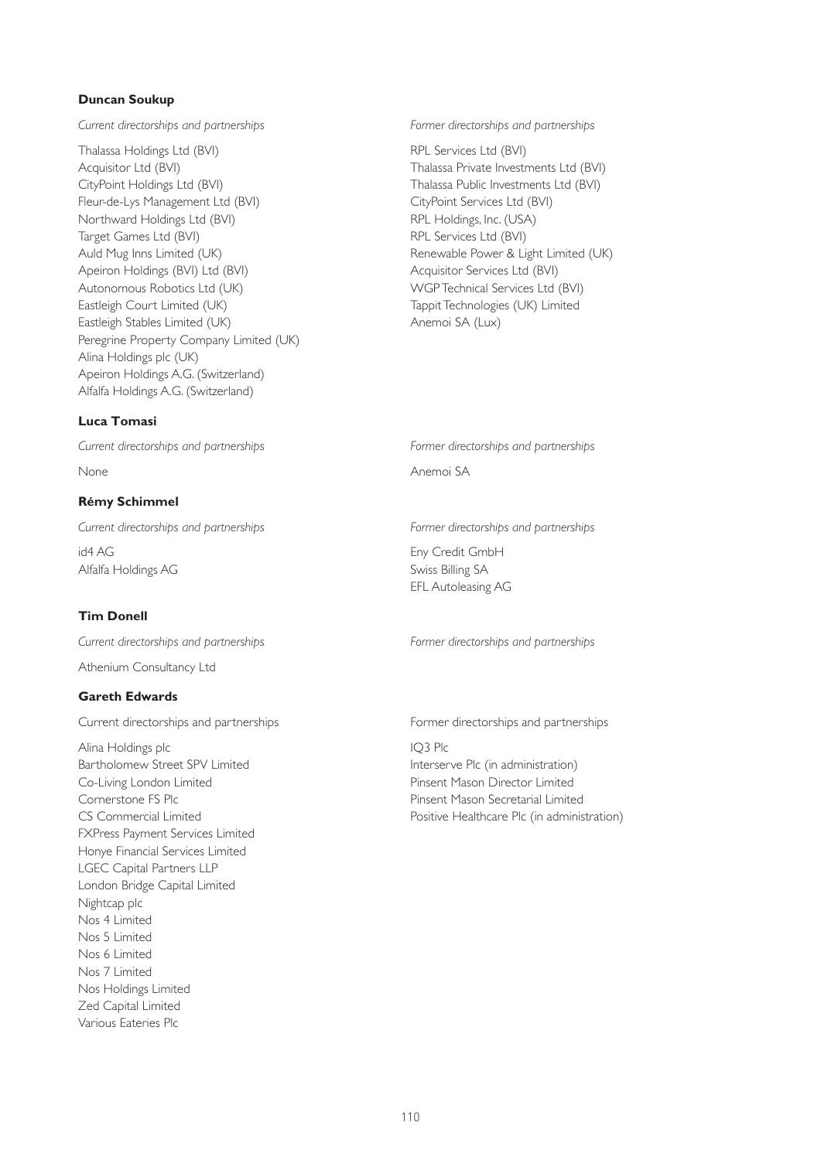## **Duncan Soukup**

*Current directorships and partnerships Former directorships and partnerships*

Thalassa Holdings Ltd (BVI) Acquisitor Ltd (BVI) CityPoint Holdings Ltd (BVI) Fleur-de-Lys Management Ltd (BVI) Northward Holdings Ltd (BVI) Target Games Ltd (BVI) Auld Mug Inns Limited (UK) Apeiron Holdings (BVI) Ltd (BVI) Autonomous Robotics Ltd (UK) Eastleigh Court Limited (UK) Eastleigh Stables Limited (UK) Peregrine Property Company Limited (UK) Alina Holdings plc (UK) Apeiron Holdings A.G. (Switzerland) Alfalfa Holdings A.G. (Switzerland)

# **Luca Tomasi**

## **Rémy Schimmel**

id4 AG Alfalfa Holdings AG

# **Tim Donell**

Athenium Consultancy Ltd

### **Gareth Edwards**

Alina Holdings plc Bartholomew Street SPV Limited Co-Living London Limited Cornerstone FS Plc CS Commercial Limited FXPress Payment Services Limited Honye Financial Services Limited LGEC Capital Partners LLP London Bridge Capital Limited Nightcap plc Nos 4 Limited Nos 5 Limited Nos 6 Limited Nos 7 Limited Nos Holdings Limited Zed Capital Limited Various Eateries Plc

RPL Services Ltd (BVI) Thalassa Private Investments Ltd (BVI) Thalassa Public Investments Ltd (BVI) CityPoint Services Ltd (BVI) RPL Holdings, Inc. (USA) RPL Services Ltd (BVI) Renewable Power & Light Limited (UK) Acquisitor Services Ltd (BVI) WGP Technical Services Ltd (BVI) Tappit Technologies (UK) Limited Anemoi SA (Lux)

*Current directorships and partnerships Former directorships and partnerships*

None Anemoi SA

*Current directorships and partnerships Former directorships and partnerships*

Eny Credit GmbH Swiss Billing SA EFL Autoleasing AG

*Current directorships and partnerships Former directorships and partnerships*

Current directorships and partnerships **Former directorships and partnerships** Current directorships and partnerships

IQ3 Plc Interserve Plc (in administration) Pinsent Mason Director Limited Pinsent Mason Secretarial Limited Positive Healthcare Plc (in administration)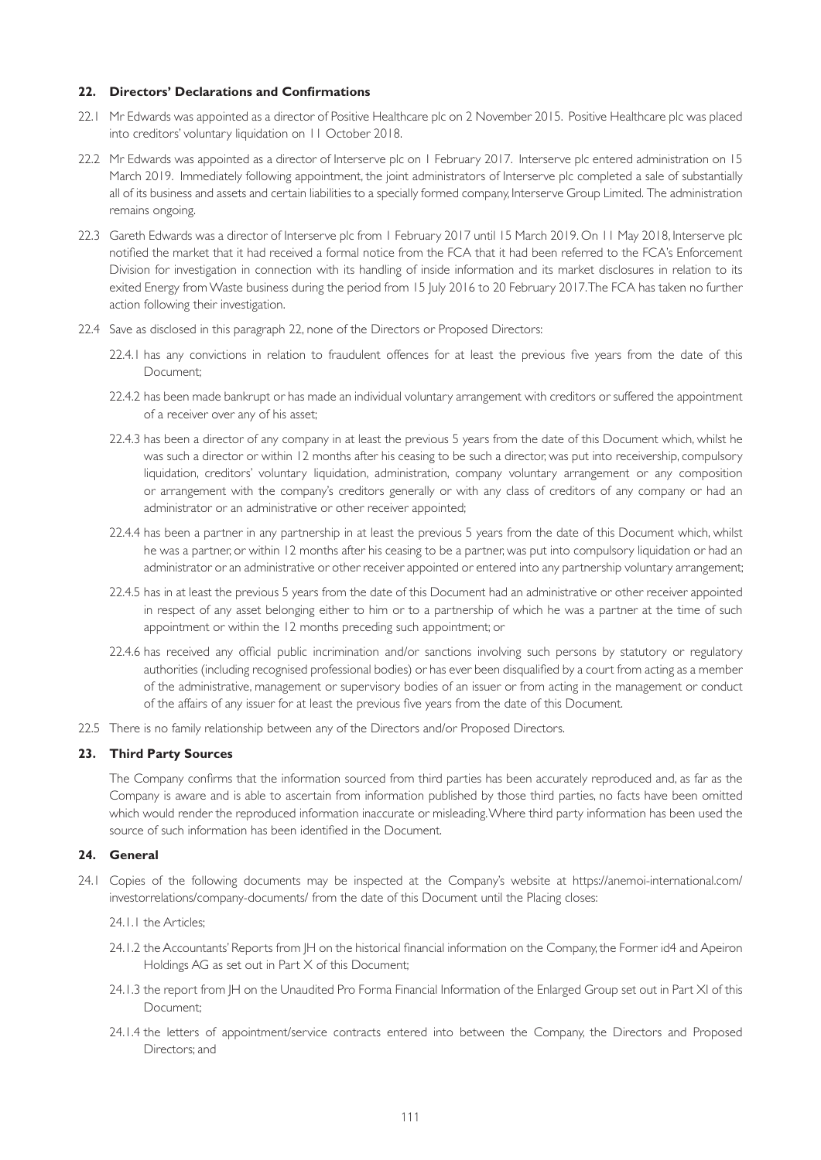### **22. Directors' Declarations and Confirmations**

- 22.1 Mr Edwards was appointed as a director of Positive Healthcare plc on 2 November 2015. Positive Healthcare plc was placed into creditors' voluntary liquidation on 11 October 2018.
- 22.2 Mr Edwards was appointed as a director of Interserve plc on 1 February 2017. Interserve plc entered administration on 15 March 2019. Immediately following appointment, the joint administrators of Interserve plc completed a sale of substantially all of its business and assets and certain liabilities to a specially formed company, Interserve Group Limited. The administration remains ongoing.
- 22.3 Gareth Edwards was a director of Interserve plc from 1 February 2017 until 15 March 2019. On 11 May 2018, Interserve plc notified the market that it had received a formal notice from the FCA that it had been referred to the FCA's Enforcement Division for investigation in connection with its handling of inside information and its market disclosures in relation to its exited Energy from Waste business during the period from 15 July 2016 to 20 February 2017. The FCA has taken no further action following their investigation.
- 22.4 Save as disclosed in this paragraph 22, none of the Directors or Proposed Directors:
	- 22.4.1 has any convictions in relation to fraudulent offences for at least the previous five years from the date of this Document;
	- 22.4.2 has been made bankrupt or has made an individual voluntary arrangement with creditors or suffered the appointment of a receiver over any of his asset;
	- 22.4.3 has been a director of any company in at least the previous 5 years from the date of this Document which, whilst he was such a director or within 12 months after his ceasing to be such a director, was put into receivership, compulsory liquidation, creditors' voluntary liquidation, administration, company voluntary arrangement or any composition or arrangement with the company's creditors generally or with any class of creditors of any company or had an administrator or an administrative or other receiver appointed;
	- 22.4.4 has been a partner in any partnership in at least the previous 5 years from the date of this Document which, whilst he was a partner, or within 12 months after his ceasing to be a partner, was put into compulsory liquidation or had an administrator or an administrative or other receiver appointed or entered into any partnership voluntary arrangement;
	- 22.4.5 has in at least the previous 5 years from the date of this Document had an administrative or other receiver appointed in respect of any asset belonging either to him or to a partnership of which he was a partner at the time of such appointment or within the 12 months preceding such appointment; or
	- 22.4.6 has received any official public incrimination and/or sanctions involving such persons by statutory or regulatory authorities (including recognised professional bodies) or has ever been disqualified by a court from acting as a member of the administrative, management or supervisory bodies of an issuer or from acting in the management or conduct of the affairs of any issuer for at least the previous five years from the date of this Document.
- 22.5 There is no family relationship between any of the Directors and/or Proposed Directors.

#### **23. Third Party Sources**

 The Company confirms that the information sourced from third parties has been accurately reproduced and, as far as the Company is aware and is able to ascertain from information published by those third parties, no facts have been omitted which would render the reproduced information inaccurate or misleading. Where third party information has been used the source of such information has been identified in the Document.

#### **24. General**

- 24.1 Copies of the following documents may be inspected at the Company's website at https://anemoi-international.com/ investorrelations/company-documents/ from the date of this Document until the Placing closes:
	- 24.1.1 the Articles;
	- 24.1.2 the Accountants' Reports from JH on the historical financial information on the Company, the Former id4 and Apeiron Holdings AG as set out in Part X of this Document;
	- 24.1.3 the report from JH on the Unaudited Pro Forma Financial Information of the Enlarged Group set out in Part XI of this Document;
	- 24.1.4 the letters of appointment/service contracts entered into between the Company, the Directors and Proposed Directors; and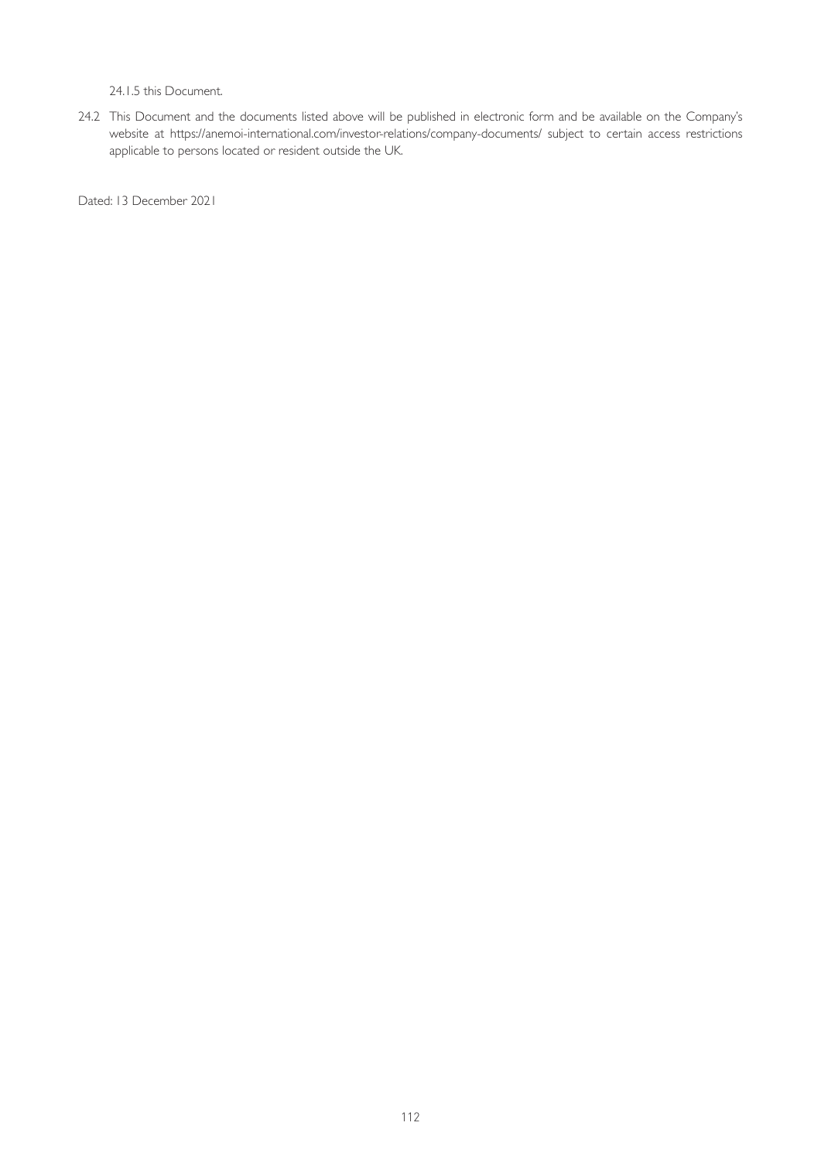24.1.5 this Document.

24.2 This Document and the documents listed above will be published in electronic form and be available on the Company's website at <https://anemoi-international.com/investor-relations/company-documents/> subject to certain access restrictions applicable to persons located or resident outside the UK.

Dated: 13 December 2021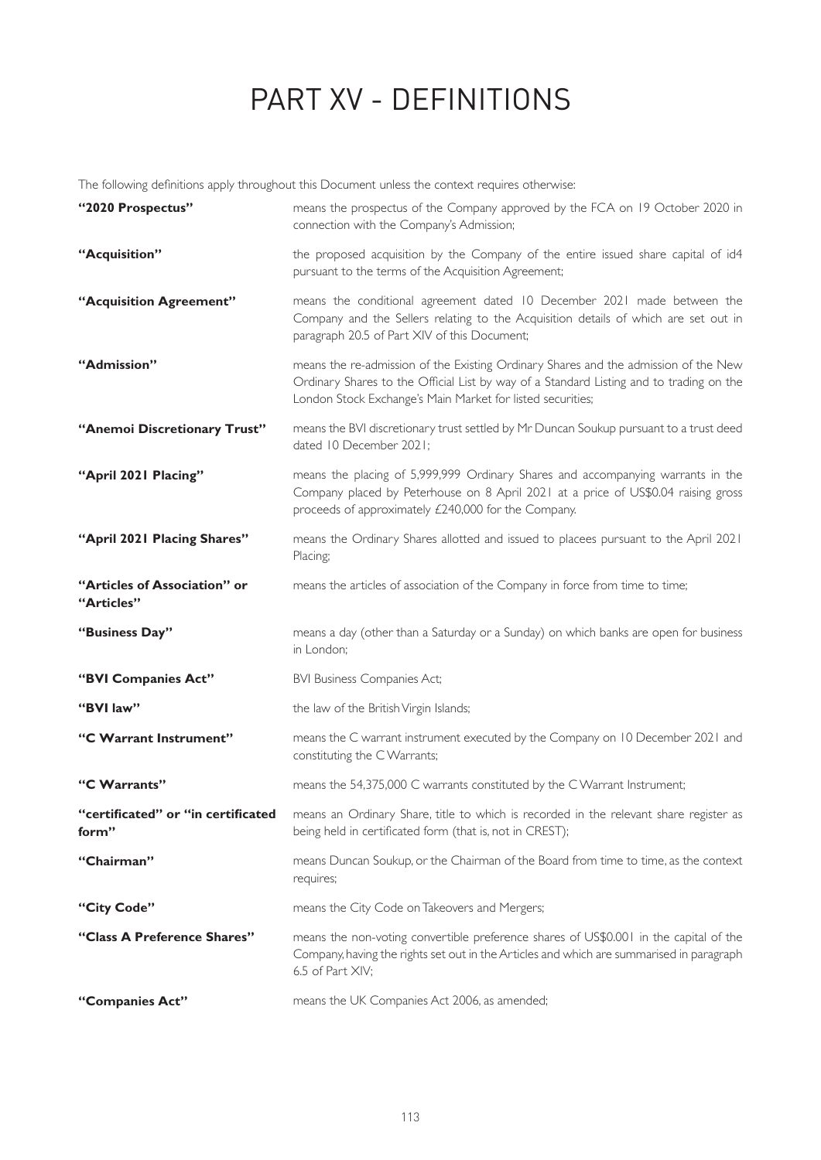# PART XV - DEFINITIONS

The following definitions apply throughout this Document unless the context requires otherwise:

| "2020 Prospectus"                          | means the prospectus of the Company approved by the FCA on 19 October 2020 in<br>connection with the Company's Admission;                                                                                                                    |
|--------------------------------------------|----------------------------------------------------------------------------------------------------------------------------------------------------------------------------------------------------------------------------------------------|
| "Acquisition"                              | the proposed acquisition by the Company of the entire issued share capital of id4<br>pursuant to the terms of the Acquisition Agreement;                                                                                                     |
| "Acquisition Agreement"                    | means the conditional agreement dated 10 December 2021 made between the<br>Company and the Sellers relating to the Acquisition details of which are set out in<br>paragraph 20.5 of Part XIV of this Document;                               |
| "Admission"                                | means the re-admission of the Existing Ordinary Shares and the admission of the New<br>Ordinary Shares to the Official List by way of a Standard Listing and to trading on the<br>London Stock Exchange's Main Market for listed securities; |
| "Anemoi Discretionary Trust"               | means the BVI discretionary trust settled by Mr Duncan Soukup pursuant to a trust deed<br>dated 10 December 2021;                                                                                                                            |
| "April 2021 Placing"                       | means the placing of 5,999,999 Ordinary Shares and accompanying warrants in the<br>Company placed by Peterhouse on 8 April 2021 at a price of US\$0.04 raising gross<br>proceeds of approximately £240,000 for the Company.                  |
| "April 2021 Placing Shares"                | means the Ordinary Shares allotted and issued to placees pursuant to the April 2021<br>Placing;                                                                                                                                              |
| "Articles of Association" or<br>"Articles" | means the articles of association of the Company in force from time to time;                                                                                                                                                                 |
| "Business Day"                             | means a day (other than a Saturday or a Sunday) on which banks are open for business<br>in London;                                                                                                                                           |
| "BVI Companies Act"                        | <b>BVI Business Companies Act;</b>                                                                                                                                                                                                           |
| "BVI law"                                  | the law of the British Virgin Islands;                                                                                                                                                                                                       |
| "C Warrant Instrument"                     | means the C warrant instrument executed by the Company on 10 December 2021 and<br>constituting the C Warrants;                                                                                                                               |
| "C Warrants"                               | means the 54,375,000 C warrants constituted by the C Warrant Instrument;                                                                                                                                                                     |
| form"                                      | "certificated" or "in certificated means an Ordinary Share, title to which is recorded in the relevant share register as<br>being held in certificated form (that is, not in CREST);                                                         |
| "Chairman"                                 | means Duncan Soukup, or the Chairman of the Board from time to time, as the context<br>requires;                                                                                                                                             |
| "City Code"                                | means the City Code on Takeovers and Mergers;                                                                                                                                                                                                |
| "Class A Preference Shares"                | means the non-voting convertible preference shares of US\$0.001 in the capital of the<br>Company, having the rights set out in the Articles and which are summarised in paragraph<br>6.5 of Part XIV;                                        |
| "Companies Act"                            | means the UK Companies Act 2006, as amended;                                                                                                                                                                                                 |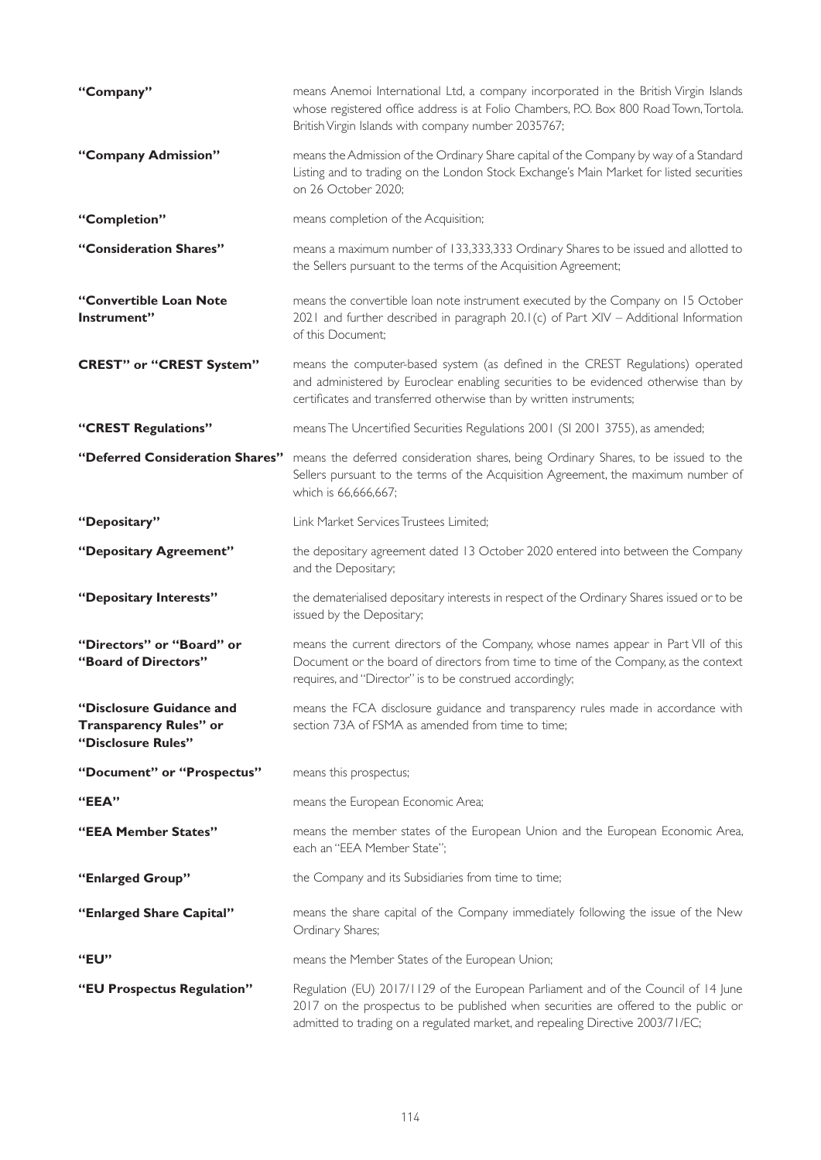| "Company"                                                                       | means Anemoi International Ltd, a company incorporated in the British Virgin Islands<br>whose registered office address is at Folio Chambers, P.O. Box 800 Road Town, Tortola.<br>British Virgin Islands with company number 2035767;                       |
|---------------------------------------------------------------------------------|-------------------------------------------------------------------------------------------------------------------------------------------------------------------------------------------------------------------------------------------------------------|
| "Company Admission"                                                             | means the Admission of the Ordinary Share capital of the Company by way of a Standard<br>Listing and to trading on the London Stock Exchange's Main Market for listed securities<br>on 26 October 2020;                                                     |
| "Completion"                                                                    | means completion of the Acquisition;                                                                                                                                                                                                                        |
| "Consideration Shares"                                                          | means a maximum number of 133,333,333 Ordinary Shares to be issued and allotted to<br>the Sellers pursuant to the terms of the Acquisition Agreement;                                                                                                       |
| "Convertible Loan Note<br>Instrument"                                           | means the convertible loan note instrument executed by the Company on 15 October<br>2021 and further described in paragraph 20.1(c) of Part XIV - Additional Information<br>of this Document;                                                               |
| <b>CREST" or "CREST System"</b>                                                 | means the computer-based system (as defined in the CREST Regulations) operated<br>and administered by Euroclear enabling securities to be evidenced otherwise than by<br>certificates and transferred otherwise than by written instruments;                |
| "CREST Regulations"                                                             | means The Uncertified Securities Regulations 2001 (SI 2001 3755), as amended;                                                                                                                                                                               |
| "Deferred Consideration Shares"                                                 | means the deferred consideration shares, being Ordinary Shares, to be issued to the<br>Sellers pursuant to the terms of the Acquisition Agreement, the maximum number of<br>which is 66,666,667;                                                            |
| "Depositary"                                                                    | Link Market Services Trustees Limited;                                                                                                                                                                                                                      |
| "Depositary Agreement"                                                          | the depositary agreement dated 13 October 2020 entered into between the Company<br>and the Depositary;                                                                                                                                                      |
| "Depositary Interests"                                                          | the dematerialised depositary interests in respect of the Ordinary Shares issued or to be<br>issued by the Depositary;                                                                                                                                      |
| "Directors" or "Board" or<br>"Board of Directors"                               | means the current directors of the Company, whose names appear in Part VII of this<br>Document or the board of directors from time to time of the Company, as the context<br>requires, and "Director" is to be construed accordingly;                       |
| "Disclosure Guidance and<br><b>Transparency Rules" or</b><br>"Disclosure Rules" | means the FCA disclosure guidance and transparency rules made in accordance with<br>section 73A of FSMA as amended from time to time;                                                                                                                       |
| "Document" or "Prospectus"                                                      | means this prospectus;                                                                                                                                                                                                                                      |
| "EEA"                                                                           | means the European Economic Area;                                                                                                                                                                                                                           |
| "EEA Member States"                                                             | means the member states of the European Union and the European Economic Area,<br>each an "EEA Member State";                                                                                                                                                |
| "Enlarged Group"                                                                | the Company and its Subsidiaries from time to time;                                                                                                                                                                                                         |
| "Enlarged Share Capital"                                                        | means the share capital of the Company immediately following the issue of the New<br>Ordinary Shares;                                                                                                                                                       |
| "EU"                                                                            | means the Member States of the European Union;                                                                                                                                                                                                              |
| "EU Prospectus Regulation"                                                      | Regulation (EU) 2017/1129 of the European Parliament and of the Council of 14 June<br>2017 on the prospectus to be published when securities are offered to the public or<br>admitted to trading on a regulated market, and repealing Directive 2003/71/EC; |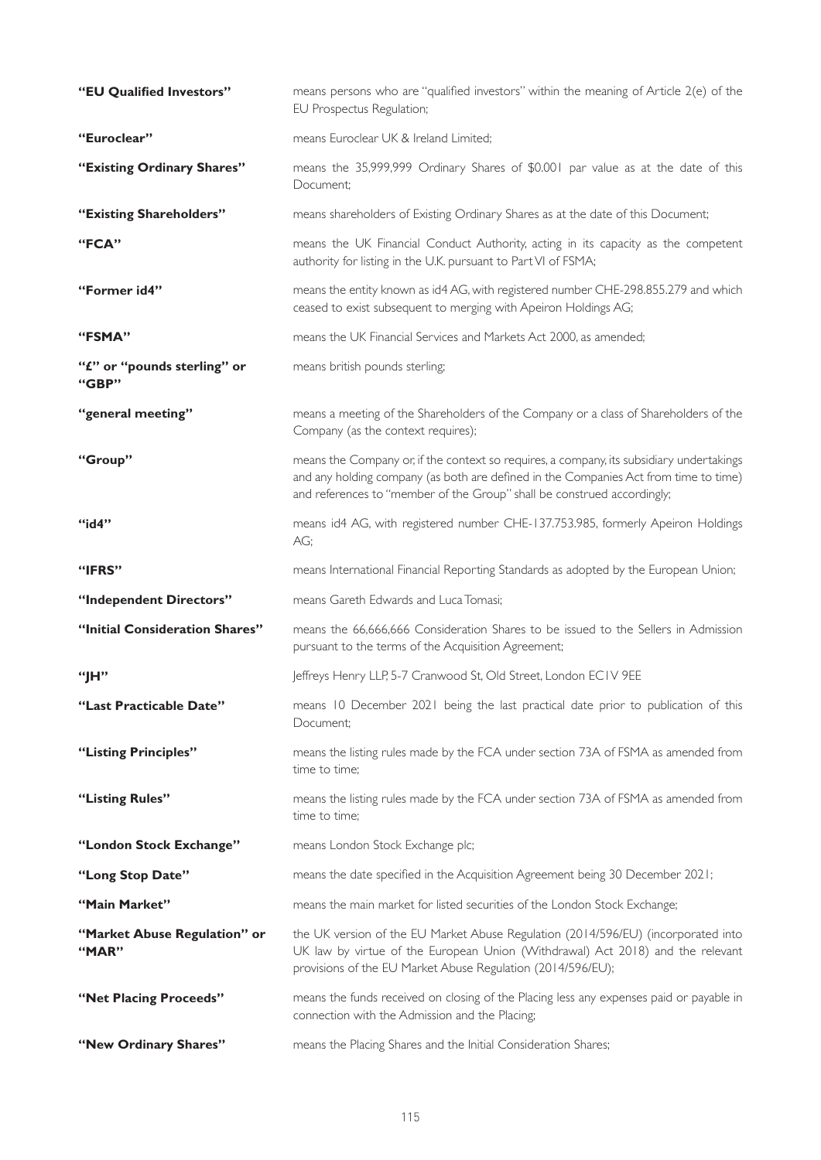| "EU Qualified Investors"              | means persons who are "qualified investors" within the meaning of Article 2(e) of the<br>EU Prospectus Regulation;                                                                                                                                          |
|---------------------------------------|-------------------------------------------------------------------------------------------------------------------------------------------------------------------------------------------------------------------------------------------------------------|
| "Euroclear"                           | means Euroclear UK & Ireland Limited;                                                                                                                                                                                                                       |
| "Existing Ordinary Shares"            | means the 35,999,999 Ordinary Shares of \$0.001 par value as at the date of this<br>Document;                                                                                                                                                               |
| "Existing Shareholders"               | means shareholders of Existing Ordinary Shares as at the date of this Document;                                                                                                                                                                             |
| "FCA"                                 | means the UK Financial Conduct Authority, acting in its capacity as the competent<br>authority for listing in the U.K. pursuant to Part VI of FSMA;                                                                                                         |
| "Former id4"                          | means the entity known as id4 AG, with registered number CHE-298.855.279 and which<br>ceased to exist subsequent to merging with Apeiron Holdings AG;                                                                                                       |
| "FSMA"                                | means the UK Financial Services and Markets Act 2000, as amended;                                                                                                                                                                                           |
| "£" or "pounds sterling" or<br>"GBP"  | means british pounds sterling;                                                                                                                                                                                                                              |
| "general meeting"                     | means a meeting of the Shareholders of the Company or a class of Shareholders of the<br>Company (as the context requires);                                                                                                                                  |
| "Group"                               | means the Company or, if the context so requires, a company, its subsidiary undertakings<br>and any holding company (as both are defined in the Companies Act from time to time)<br>and references to "member of the Group" shall be construed accordingly; |
| "id4"                                 | means id4 AG, with registered number CHE-137.753.985, formerly Apeiron Holdings<br>AG;                                                                                                                                                                      |
| "IFRS"                                | means International Financial Reporting Standards as adopted by the European Union;                                                                                                                                                                         |
| "Independent Directors"               | means Gareth Edwards and Luca Tomasi;                                                                                                                                                                                                                       |
| "Initial Consideration Shares"        | means the 66,666,666 Consideration Shares to be issued to the Sellers in Admission<br>pursuant to the terms of the Acquisition Agreement;                                                                                                                   |
| "IH"                                  | Jeffreys Henry LLP, 5-7 Cranwood St, Old Street, London ECIV 9EE                                                                                                                                                                                            |
| "Last Practicable Date"               | means 10 December 2021 being the last practical date prior to publication of this<br>Document;                                                                                                                                                              |
| "Listing Principles"                  | means the listing rules made by the FCA under section 73A of FSMA as amended from<br>time to time:                                                                                                                                                          |
| "Listing Rules"                       | means the listing rules made by the FCA under section 73A of FSMA as amended from<br>time to time;                                                                                                                                                          |
| "London Stock Exchange"               | means London Stock Exchange plc;                                                                                                                                                                                                                            |
| "Long Stop Date"                      | means the date specified in the Acquisition Agreement being 30 December 2021;                                                                                                                                                                               |
| "Main Market"                         | means the main market for listed securities of the London Stock Exchange;                                                                                                                                                                                   |
| "Market Abuse Regulation" or<br>"MAR" | the UK version of the EU Market Abuse Regulation (2014/596/EU) (incorporated into<br>UK law by virtue of the European Union (Withdrawal) Act 2018) and the relevant<br>provisions of the EU Market Abuse Regulation (2014/596/EU);                          |
| "Net Placing Proceeds"                | means the funds received on closing of the Placing less any expenses paid or payable in<br>connection with the Admission and the Placing;                                                                                                                   |
| "New Ordinary Shares"                 | means the Placing Shares and the Initial Consideration Shares;                                                                                                                                                                                              |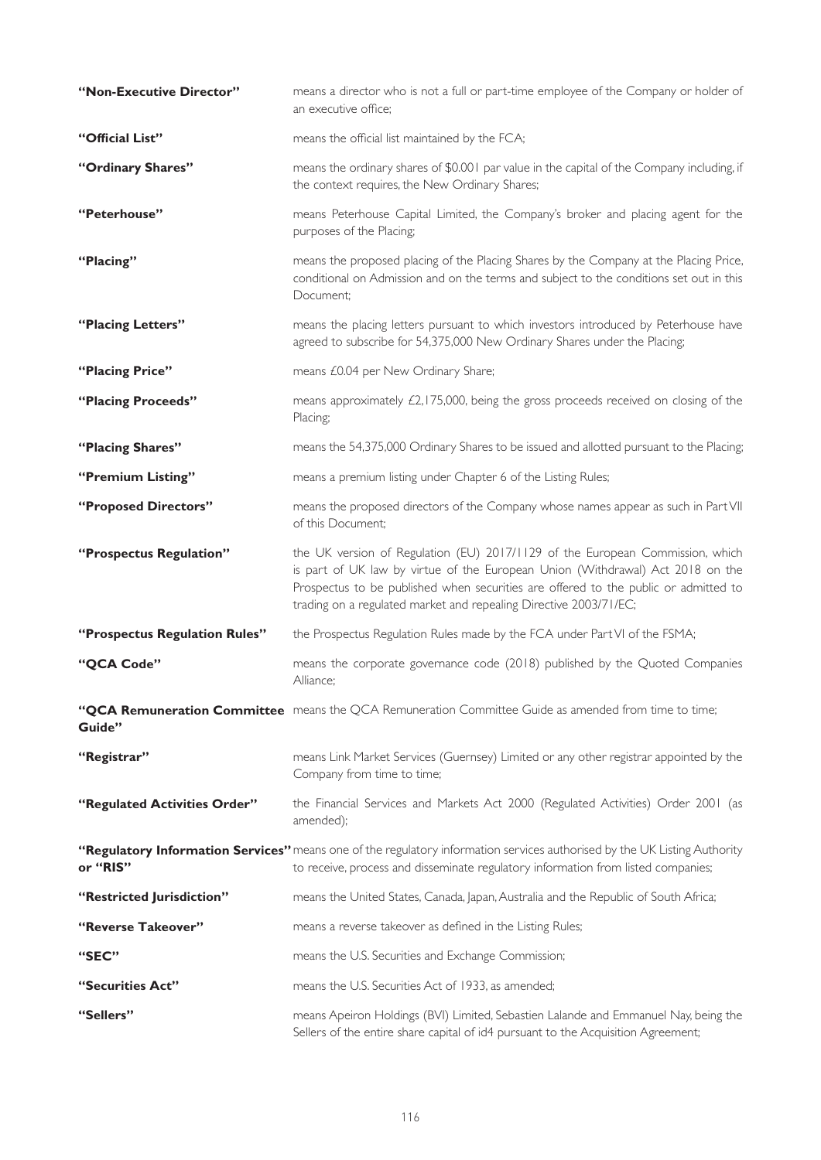| "Non-Executive Director"      | means a director who is not a full or part-time employee of the Company or holder of<br>an executive office;                                                                                                                                                                                                                |
|-------------------------------|-----------------------------------------------------------------------------------------------------------------------------------------------------------------------------------------------------------------------------------------------------------------------------------------------------------------------------|
| "Official List"               | means the official list maintained by the FCA;                                                                                                                                                                                                                                                                              |
| "Ordinary Shares"             | means the ordinary shares of \$0.001 par value in the capital of the Company including, if<br>the context requires, the New Ordinary Shares;                                                                                                                                                                                |
| "Peterhouse"                  | means Peterhouse Capital Limited, the Company's broker and placing agent for the<br>purposes of the Placing;                                                                                                                                                                                                                |
| "Placing"                     | means the proposed placing of the Placing Shares by the Company at the Placing Price,<br>conditional on Admission and on the terms and subject to the conditions set out in this<br>Document;                                                                                                                               |
| "Placing Letters"             | means the placing letters pursuant to which investors introduced by Peterhouse have<br>agreed to subscribe for 54,375,000 New Ordinary Shares under the Placing;                                                                                                                                                            |
| "Placing Price"               | means £0.04 per New Ordinary Share;                                                                                                                                                                                                                                                                                         |
| "Placing Proceeds"            | means approximately £2,175,000, being the gross proceeds received on closing of the<br>Placing;                                                                                                                                                                                                                             |
| "Placing Shares"              | means the 54,375,000 Ordinary Shares to be issued and allotted pursuant to the Placing;                                                                                                                                                                                                                                     |
| "Premium Listing"             | means a premium listing under Chapter 6 of the Listing Rules;                                                                                                                                                                                                                                                               |
| "Proposed Directors"          | means the proposed directors of the Company whose names appear as such in Part VII<br>of this Document;                                                                                                                                                                                                                     |
| "Prospectus Regulation"       | the UK version of Regulation (EU) 2017/1129 of the European Commission, which<br>is part of UK law by virtue of the European Union (Withdrawal) Act 2018 on the<br>Prospectus to be published when securities are offered to the public or admitted to<br>trading on a regulated market and repealing Directive 2003/71/EC; |
| "Prospectus Regulation Rules" | the Prospectus Regulation Rules made by the FCA under Part VI of the FSMA;                                                                                                                                                                                                                                                  |
| "QCA Code"                    | means the corporate governance code (2018) published by the Quoted Companies<br>Alliance;                                                                                                                                                                                                                                   |
| Guide"                        | "QCA Remuneration Committee means the QCA Remuneration Committee Guide as amended from time to time;                                                                                                                                                                                                                        |
| "Registrar"                   | means Link Market Services (Guernsey) Limited or any other registrar appointed by the<br>Company from time to time;                                                                                                                                                                                                         |
| "Regulated Activities Order"  | the Financial Services and Markets Act 2000 (Regulated Activities) Order 2001 (as<br>amended);                                                                                                                                                                                                                              |
| or "RIS"                      | "Regulatory Information Services" means one of the regulatory information services authorised by the UK Listing Authority<br>to receive, process and disseminate regulatory information from listed companies;                                                                                                              |
| "Restricted Jurisdiction"     | means the United States, Canada, Japan, Australia and the Republic of South Africa;                                                                                                                                                                                                                                         |
| "Reverse Takeover"            | means a reverse takeover as defined in the Listing Rules;                                                                                                                                                                                                                                                                   |
| "SEC"                         | means the U.S. Securities and Exchange Commission;                                                                                                                                                                                                                                                                          |
| "Securities Act"              | means the U.S. Securities Act of 1933, as amended;                                                                                                                                                                                                                                                                          |
| "Sellers"                     | means Apeiron Holdings (BVI) Limited, Sebastien Lalande and Emmanuel Nay, being the<br>Sellers of the entire share capital of id4 pursuant to the Acquisition Agreement;                                                                                                                                                    |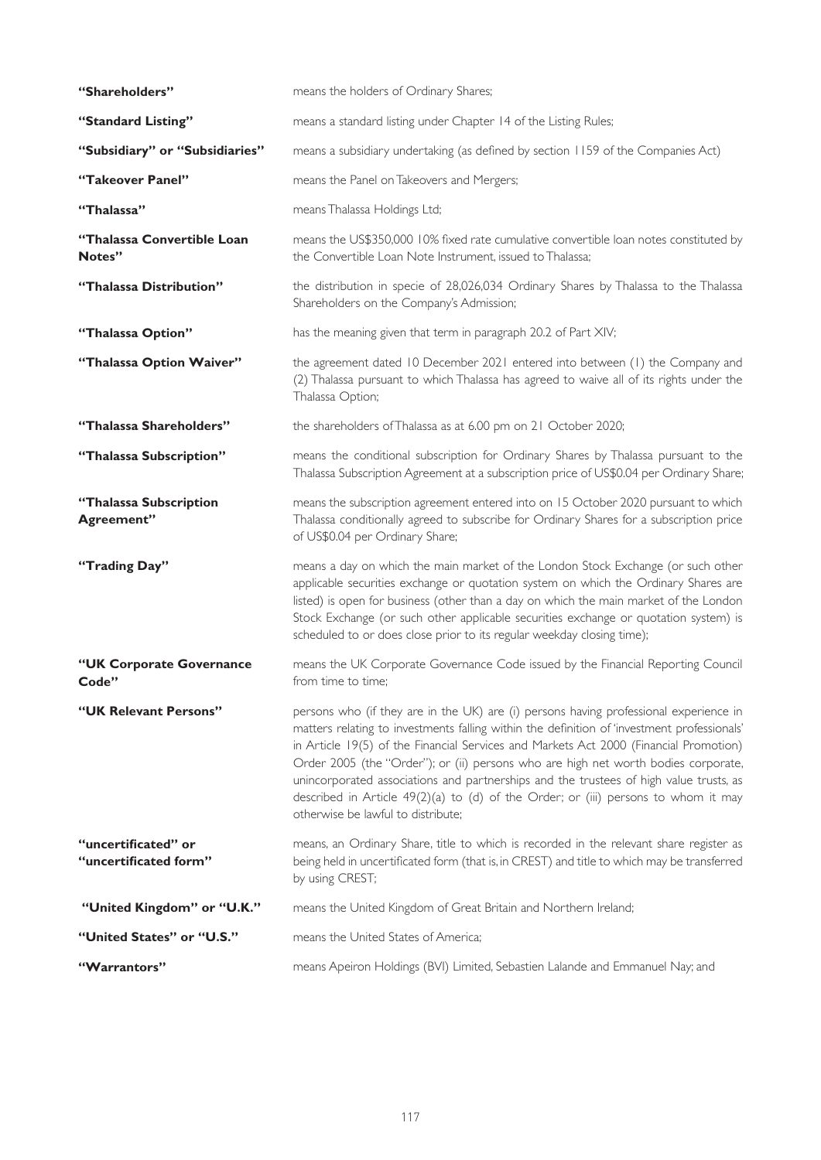| "Shareholders"                               | means the holders of Ordinary Shares;                                                                                                                                                                                                                                                                                                                                                                                                                                                                                                                                                       |
|----------------------------------------------|---------------------------------------------------------------------------------------------------------------------------------------------------------------------------------------------------------------------------------------------------------------------------------------------------------------------------------------------------------------------------------------------------------------------------------------------------------------------------------------------------------------------------------------------------------------------------------------------|
| "Standard Listing"                           | means a standard listing under Chapter 14 of the Listing Rules;                                                                                                                                                                                                                                                                                                                                                                                                                                                                                                                             |
| "Subsidiary" or "Subsidiaries"               | means a subsidiary undertaking (as defined by section 1159 of the Companies Act)                                                                                                                                                                                                                                                                                                                                                                                                                                                                                                            |
| "Takeover Panel"                             | means the Panel on Takeovers and Mergers;                                                                                                                                                                                                                                                                                                                                                                                                                                                                                                                                                   |
| "Thalassa"                                   | means Thalassa Holdings Ltd;                                                                                                                                                                                                                                                                                                                                                                                                                                                                                                                                                                |
| "Thalassa Convertible Loan<br>Notes"         | means the US\$350,000 10% fixed rate cumulative convertible loan notes constituted by<br>the Convertible Loan Note Instrument, issued to Thalassa;                                                                                                                                                                                                                                                                                                                                                                                                                                          |
| "Thalassa Distribution"                      | the distribution in specie of 28,026,034 Ordinary Shares by Thalassa to the Thalassa<br>Shareholders on the Company's Admission;                                                                                                                                                                                                                                                                                                                                                                                                                                                            |
| "Thalassa Option"                            | has the meaning given that term in paragraph 20.2 of Part XIV;                                                                                                                                                                                                                                                                                                                                                                                                                                                                                                                              |
| "Thalassa Option Waiver"                     | the agreement dated 10 December 2021 entered into between (1) the Company and<br>(2) Thalassa pursuant to which Thalassa has agreed to waive all of its rights under the<br>Thalassa Option;                                                                                                                                                                                                                                                                                                                                                                                                |
| "Thalassa Shareholders"                      | the shareholders of Thalassa as at 6.00 pm on 21 October 2020;                                                                                                                                                                                                                                                                                                                                                                                                                                                                                                                              |
| "Thalassa Subscription"                      | means the conditional subscription for Ordinary Shares by Thalassa pursuant to the<br>Thalassa Subscription Agreement at a subscription price of US\$0.04 per Ordinary Share;                                                                                                                                                                                                                                                                                                                                                                                                               |
| "Thalassa Subscription<br>Agreement"         | means the subscription agreement entered into on 15 October 2020 pursuant to which<br>Thalassa conditionally agreed to subscribe for Ordinary Shares for a subscription price<br>of US\$0.04 per Ordinary Share;                                                                                                                                                                                                                                                                                                                                                                            |
| "Trading Day"                                | means a day on which the main market of the London Stock Exchange (or such other<br>applicable securities exchange or quotation system on which the Ordinary Shares are<br>listed) is open for business (other than a day on which the main market of the London<br>Stock Exchange (or such other applicable securities exchange or quotation system) is<br>scheduled to or does close prior to its regular weekday closing time);                                                                                                                                                          |
| "UK Corporate Governance<br>Code"            | means the UK Corporate Governance Code issued by the Financial Reporting Council<br>from time to time;                                                                                                                                                                                                                                                                                                                                                                                                                                                                                      |
| "UK Relevant Persons"                        | persons who (if they are in the UK) are (i) persons having professional experience in<br>matters relating to investments falling within the definition of 'investment professionals'<br>in Article 19(5) of the Financial Services and Markets Act 2000 (Financial Promotion)<br>Order 2005 (the "Order"); or (ii) persons who are high net worth bodies corporate,<br>unincorporated associations and partnerships and the trustees of high value trusts, as<br>described in Article $49(2)(a)$ to (d) of the Order; or (iii) persons to whom it may<br>otherwise be lawful to distribute; |
| "uncertificated" or<br>"uncertificated form" | means, an Ordinary Share, title to which is recorded in the relevant share register as<br>being held in uncertificated form (that is, in CREST) and title to which may be transferred<br>by using CREST;                                                                                                                                                                                                                                                                                                                                                                                    |
| "United Kingdom" or "U.K."                   | means the United Kingdom of Great Britain and Northern Ireland;                                                                                                                                                                                                                                                                                                                                                                                                                                                                                                                             |
| "United States" or "U.S."                    | means the United States of America;                                                                                                                                                                                                                                                                                                                                                                                                                                                                                                                                                         |
| "Warrantors"                                 | means Apeiron Holdings (BVI) Limited, Sebastien Lalande and Emmanuel Nay; and                                                                                                                                                                                                                                                                                                                                                                                                                                                                                                               |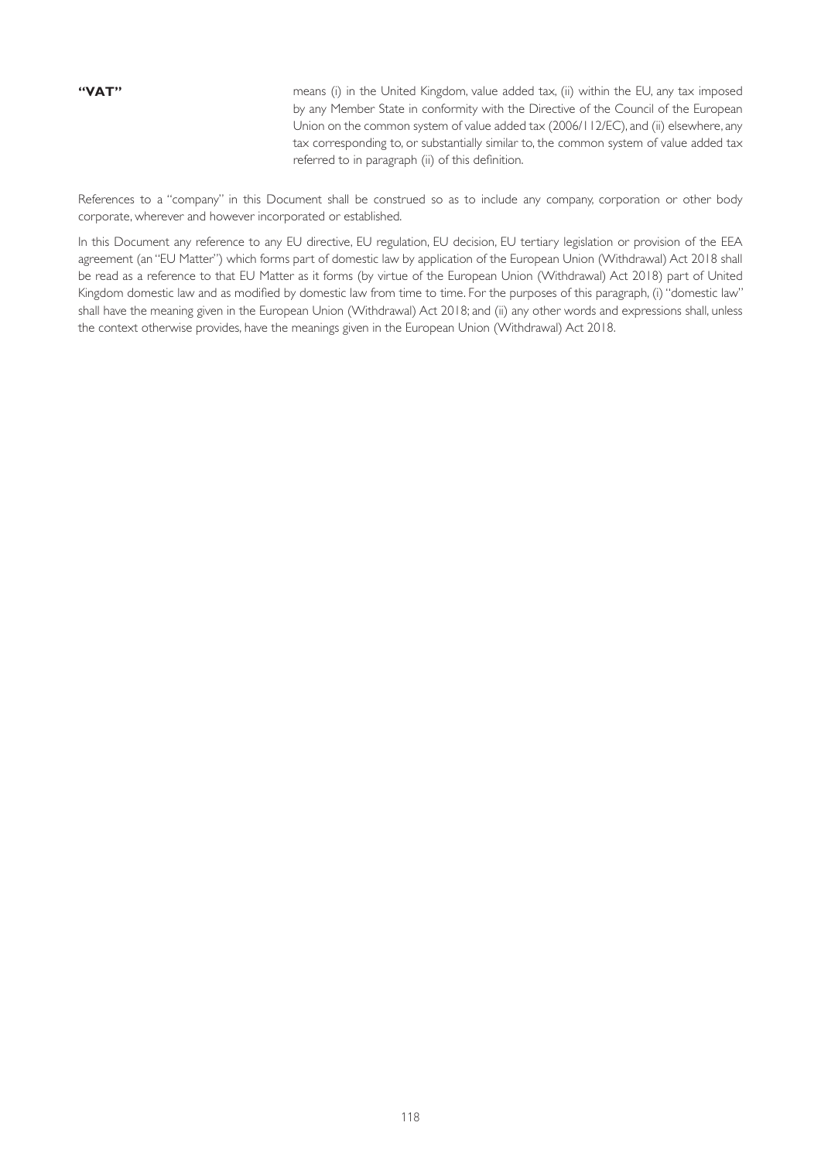**"VAT"** means (i) in the United Kingdom, value added tax, (ii) within the EU, any tax imposed by any Member State in conformity with the Directive of the Council of the European Union on the common system of value added tax (2006/112/EC), and (ii) elsewhere, any tax corresponding to, or substantially similar to, the common system of value added tax referred to in paragraph (ii) of this definition.

References to a "company" in this Document shall be construed so as to include any company, corporation or other body corporate, wherever and however incorporated or established.

In this Document any reference to any EU directive, EU regulation, EU decision, EU tertiary legislation or provision of the EEA agreement (an "EU Matter") which forms part of domestic law by application of the European Union (Withdrawal) Act 2018 shall be read as a reference to that EU Matter as it forms (by virtue of the European Union (Withdrawal) Act 2018) part of United Kingdom domestic law and as modified by domestic law from time to time. For the purposes of this paragraph, (i) "domestic law" shall have the meaning given in the European Union (Withdrawal) Act 2018; and (ii) any other words and expressions shall, unless the context otherwise provides, have the meanings given in the European Union (Withdrawal) Act 2018.